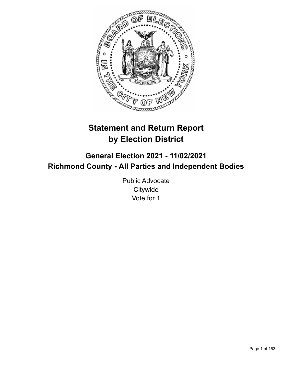

# **Statement and Return Report by Election District**

**General Election 2021 - 11/02/2021 Richmond County - All Parties and Independent Bodies**

> Public Advocate **Citywide** Vote for 1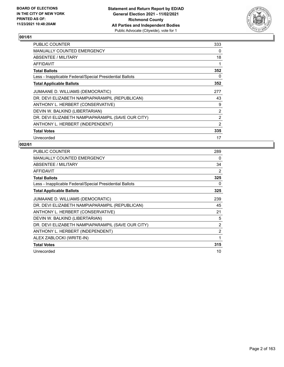

| <b>PUBLIC COUNTER</b>                                    | 333 |
|----------------------------------------------------------|-----|
| <b>MANUALLY COUNTED EMERGENCY</b>                        | 0   |
| ABSENTEE / MILITARY                                      | 18  |
| AFFIDAVIT                                                | 1   |
| <b>Total Ballots</b>                                     | 352 |
| Less - Inapplicable Federal/Special Presidential Ballots | 0   |
| <b>Total Applicable Ballots</b>                          | 352 |
| JUMAANE D. WILLIAMS (DEMOCRATIC)                         | 277 |
| DR. DEVI ELIZABETH NAMPIAPARAMPIL (REPUBLICAN)           | 43  |
| ANTHONY L. HERBERT (CONSERVATIVE)                        | 9   |
| DEVIN W. BALKIND (LIBERTARIAN)                           | 2   |
| DR. DEVI ELIZABETH NAMPIAPARAMPIL (SAVE OUR CITY)        | 2   |
| ANTHONY L. HERBERT (INDEPENDENT)                         | 2   |
| <b>Total Votes</b>                                       | 335 |
| Unrecorded                                               | 17  |

| <b>PUBLIC COUNTER</b>                                    | 289            |
|----------------------------------------------------------|----------------|
| <b>MANUALLY COUNTED EMERGENCY</b>                        | 0              |
| ABSENTEE / MILITARY                                      | 34             |
| <b>AFFIDAVIT</b>                                         | 2              |
| <b>Total Ballots</b>                                     | 325            |
| Less - Inapplicable Federal/Special Presidential Ballots | 0              |
| <b>Total Applicable Ballots</b>                          | 325            |
| JUMAANE D. WILLIAMS (DEMOCRATIC)                         | 239            |
| DR. DEVI ELIZABETH NAMPIAPARAMPIL (REPUBLICAN)           | 45             |
| ANTHONY L. HERBERT (CONSERVATIVE)                        | 21             |
| DEVIN W. BALKIND (LIBERTARIAN)                           | 5              |
| DR. DEVI ELIZABETH NAMPIAPARAMPIL (SAVE OUR CITY)        | $\overline{2}$ |
| ANTHONY L. HERBERT (INDEPENDENT)                         | $\overline{2}$ |
| ALEX ZABLOCKI (WRITE-IN)                                 | 1              |
| <b>Total Votes</b>                                       | 315            |
| Unrecorded                                               | 10             |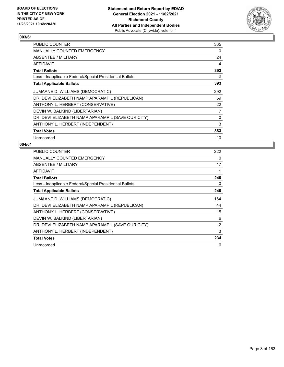

| PUBLIC COUNTER                                           | 365 |
|----------------------------------------------------------|-----|
| <b>MANUALLY COUNTED EMERGENCY</b>                        | 0   |
| ABSENTEE / MILITARY                                      | 24  |
| AFFIDAVIT                                                | 4   |
| <b>Total Ballots</b>                                     | 393 |
| Less - Inapplicable Federal/Special Presidential Ballots | 0   |
| <b>Total Applicable Ballots</b>                          | 393 |
| JUMAANE D. WILLIAMS (DEMOCRATIC)                         | 292 |
| DR. DEVI ELIZABETH NAMPIAPARAMPIL (REPUBLICAN)           | 59  |
| ANTHONY L. HERBERT (CONSERVATIVE)                        | 22  |
| DEVIN W. BALKIND (LIBERTARIAN)                           | 7   |
| DR. DEVI ELIZABETH NAMPIAPARAMPIL (SAVE OUR CITY)        | 0   |
| ANTHONY L. HERBERT (INDEPENDENT)                         | 3   |
| <b>Total Votes</b>                                       | 383 |
| Unrecorded                                               | 10  |

| <b>PUBLIC COUNTER</b>                                    | 222            |
|----------------------------------------------------------|----------------|
| <b>MANUALLY COUNTED EMERGENCY</b>                        | 0              |
| ABSENTEE / MILITARY                                      | 17             |
| AFFIDAVIT                                                | 1              |
| <b>Total Ballots</b>                                     | 240            |
| Less - Inapplicable Federal/Special Presidential Ballots | 0              |
| <b>Total Applicable Ballots</b>                          | 240            |
| JUMAANE D. WILLIAMS (DEMOCRATIC)                         | 164            |
| DR. DEVI ELIZABETH NAMPIAPARAMPIL (REPUBLICAN)           | 44             |
| ANTHONY L. HERBERT (CONSERVATIVE)                        | 15             |
| DEVIN W. BALKIND (LIBERTARIAN)                           | 6              |
| DR. DEVI ELIZABETH NAMPIAPARAMPIL (SAVE OUR CITY)        | $\overline{2}$ |
| ANTHONY L. HERBERT (INDEPENDENT)                         | 3              |
| <b>Total Votes</b>                                       | 234            |
| Unrecorded                                               | 6              |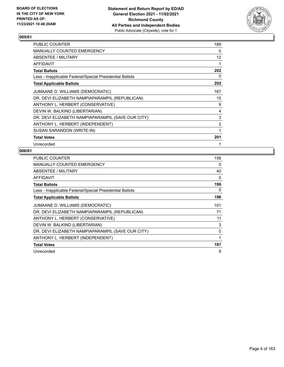

| PUBLIC COUNTER                                           | 189 |
|----------------------------------------------------------|-----|
| MANUALLY COUNTED EMERGENCY                               | 0   |
| ABSENTEE / MILITARY                                      | 12  |
| AFFIDAVIT                                                |     |
| <b>Total Ballots</b>                                     | 202 |
| Less - Inapplicable Federal/Special Presidential Ballots | 0   |
| <b>Total Applicable Ballots</b>                          | 202 |
| JUMAANE D. WILLIAMS (DEMOCRATIC)                         | 167 |
| DR. DEVI ELIZABETH NAMPIAPARAMPIL (REPUBLICAN)           | 15  |
| ANTHONY L. HERBERT (CONSERVATIVE)                        | 9   |
| DEVIN W. BALKIND (LIBERTARIAN)                           | 4   |
| DR. DEVI ELIZABETH NAMPIAPARAMPIL (SAVE OUR CITY)        | 3   |
| ANTHONY L. HERBERT (INDEPENDENT)                         | 2   |
| SUSAN SARANDON (WRITE-IN)                                | 1   |
| <b>Total Votes</b>                                       | 201 |
| Unrecorded                                               |     |

| <b>PUBLIC COUNTER</b>                                    | 156 |
|----------------------------------------------------------|-----|
| <b>MANUALLY COUNTED EMERGENCY</b>                        | 0   |
| ABSENTEE / MILITARY                                      | 40  |
| <b>AFFIDAVIT</b>                                         | 0   |
| <b>Total Ballots</b>                                     | 196 |
| Less - Inapplicable Federal/Special Presidential Ballots | 0   |
| <b>Total Applicable Ballots</b>                          | 196 |
| JUMAANE D. WILLIAMS (DEMOCRATIC)                         | 101 |
| DR. DEVI ELIZABETH NAMPIAPARAMPIL (REPUBLICAN)           | 71  |
| ANTHONY L. HERBERT (CONSERVATIVE)                        | 11  |
| DEVIN W. BALKIND (LIBERTARIAN)                           | 3   |
| DR. DEVI ELIZABETH NAMPIAPARAMPIL (SAVE OUR CITY)        | 0   |
| ANTHONY L. HERBERT (INDEPENDENT)                         | 1   |
| <b>Total Votes</b>                                       | 187 |
| Unrecorded                                               | 9   |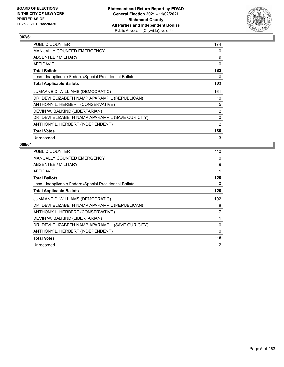

| PUBLIC COUNTER                                           | 174 |
|----------------------------------------------------------|-----|
| <b>MANUALLY COUNTED EMERGENCY</b>                        | 0   |
| ABSENTEE / MILITARY                                      | 9   |
| AFFIDAVIT                                                | 0   |
| <b>Total Ballots</b>                                     | 183 |
| Less - Inapplicable Federal/Special Presidential Ballots | 0   |
| <b>Total Applicable Ballots</b>                          | 183 |
| JUMAANE D. WILLIAMS (DEMOCRATIC)                         | 161 |
| DR. DEVI ELIZABETH NAMPIAPARAMPIL (REPUBLICAN)           | 10  |
| ANTHONY L. HERBERT (CONSERVATIVE)                        | 5   |
| DEVIN W. BALKIND (LIBERTARIAN)                           | 2   |
| DR. DEVI ELIZABETH NAMPIAPARAMPIL (SAVE OUR CITY)        | 0   |
| ANTHONY L. HERBERT (INDEPENDENT)                         | 2   |
| <b>Total Votes</b>                                       | 180 |
| Unrecorded                                               | 3   |

| <b>PUBLIC COUNTER</b>                                    | 110 |
|----------------------------------------------------------|-----|
| <b>MANUALLY COUNTED EMERGENCY</b>                        | 0   |
| ABSENTEE / MILITARY                                      | 9   |
| <b>AFFIDAVIT</b>                                         | 1   |
| <b>Total Ballots</b>                                     | 120 |
| Less - Inapplicable Federal/Special Presidential Ballots | 0   |
| <b>Total Applicable Ballots</b>                          | 120 |
| JUMAANE D. WILLIAMS (DEMOCRATIC)                         | 102 |
| DR. DEVI ELIZABETH NAMPIAPARAMPIL (REPUBLICAN)           | 8   |
| ANTHONY L. HERBERT (CONSERVATIVE)                        | 7   |
| DEVIN W. BALKIND (LIBERTARIAN)                           | 1   |
| DR. DEVI ELIZABETH NAMPIAPARAMPIL (SAVE OUR CITY)        | 0   |
| ANTHONY L. HERBERT (INDEPENDENT)                         | 0   |
| <b>Total Votes</b>                                       | 118 |
| Unrecorded                                               | 2   |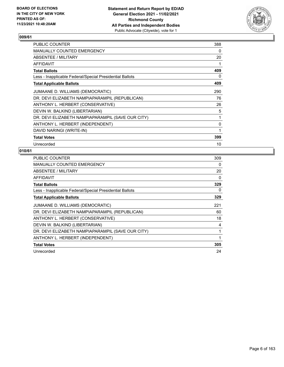

| PUBLIC COUNTER                                           | 388 |
|----------------------------------------------------------|-----|
| MANUALLY COUNTED EMERGENCY                               | 0   |
| ABSENTEE / MILITARY                                      | 20  |
| AFFIDAVIT                                                |     |
| Total Ballots                                            | 409 |
| Less - Inapplicable Federal/Special Presidential Ballots | 0   |
| <b>Total Applicable Ballots</b>                          | 409 |
| JUMAANE D. WILLIAMS (DEMOCRATIC)                         | 290 |
| DR. DEVI ELIZABETH NAMPIAPARAMPIL (REPUBLICAN)           | 76  |
| ANTHONY L. HERBERT (CONSERVATIVE)                        | 26  |
| DEVIN W. BALKIND (LIBERTARIAN)                           | 5   |
| DR. DEVI ELIZABETH NAMPIAPARAMPIL (SAVE OUR CITY)        | 1   |
| ANTHONY L. HERBERT (INDEPENDENT)                         | 0   |
| DAVID NARINGI (WRITE-IN)                                 | 1   |
| <b>Total Votes</b>                                       | 399 |
| Unrecorded                                               | 10  |

| <b>PUBLIC COUNTER</b>                                    | 309 |
|----------------------------------------------------------|-----|
| <b>MANUALLY COUNTED EMERGENCY</b>                        | 0   |
| ABSENTEE / MILITARY                                      | 20  |
| <b>AFFIDAVIT</b>                                         | 0   |
| <b>Total Ballots</b>                                     | 329 |
| Less - Inapplicable Federal/Special Presidential Ballots | 0   |
| <b>Total Applicable Ballots</b>                          | 329 |
| JUMAANE D. WILLIAMS (DEMOCRATIC)                         | 221 |
| DR. DEVI ELIZABETH NAMPIAPARAMPIL (REPUBLICAN)           | 60  |
| ANTHONY L. HERBERT (CONSERVATIVE)                        | 18  |
| DEVIN W. BALKIND (LIBERTARIAN)                           | 4   |
| DR. DEVI ELIZABETH NAMPIAPARAMPIL (SAVE OUR CITY)        |     |
| ANTHONY L. HERBERT (INDEPENDENT)                         | 1   |
| <b>Total Votes</b>                                       | 305 |
| Unrecorded                                               | 24  |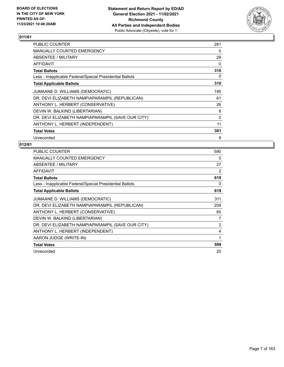

| PUBLIC COUNTER                                           | 281 |
|----------------------------------------------------------|-----|
| <b>MANUALLY COUNTED EMERGENCY</b>                        | 0   |
| ABSENTEE / MILITARY                                      | 29  |
| AFFIDAVIT                                                | 0   |
| <b>Total Ballots</b>                                     | 310 |
| Less - Inapplicable Federal/Special Presidential Ballots | 0   |
| <b>Total Applicable Ballots</b>                          | 310 |
| JUMAANE D. WILLIAMS (DEMOCRATIC)                         | 195 |
| DR. DEVI ELIZABETH NAMPIAPARAMPIL (REPUBLICAN)           | 61  |
| ANTHONY L. HERBERT (CONSERVATIVE)                        | 26  |
| DEVIN W. BALKIND (LIBERTARIAN)                           | 8   |
| DR. DEVI ELIZABETH NAMPIAPARAMPIL (SAVE OUR CITY)        | 0   |
| ANTHONY L. HERBERT (INDEPENDENT)                         | 11  |
| <b>Total Votes</b>                                       | 301 |
| Unrecorded                                               | 9   |

| <b>PUBLIC COUNTER</b>                                    | 590            |
|----------------------------------------------------------|----------------|
| <b>MANUALLY COUNTED EMERGENCY</b>                        | 0              |
| ABSENTEE / MILITARY                                      | 27             |
| <b>AFFIDAVIT</b>                                         | 2              |
| <b>Total Ballots</b>                                     | 619            |
| Less - Inapplicable Federal/Special Presidential Ballots | 0              |
| <b>Total Applicable Ballots</b>                          | 619            |
| JUMAANE D. WILLIAMS (DEMOCRATIC)                         | 311            |
| DR. DEVI ELIZABETH NAMPIAPARAMPIL (REPUBLICAN)           | 209            |
| ANTHONY L. HERBERT (CONSERVATIVE)                        | 65             |
| DEVIN W. BALKIND (LIBERTARIAN)                           | 7              |
| DR. DEVI ELIZABETH NAMPIAPARAMPIL (SAVE OUR CITY)        | $\overline{2}$ |
| ANTHONY L. HERBERT (INDEPENDENT)                         | 4              |
| AARON JUDGE (WRITE-IN)                                   | 1              |
| <b>Total Votes</b>                                       | 599            |
| Unrecorded                                               | 20             |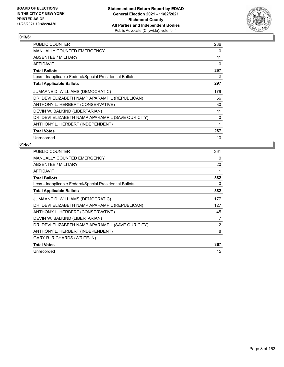

| PUBLIC COUNTER                                           | 286 |
|----------------------------------------------------------|-----|
| <b>MANUALLY COUNTED EMERGENCY</b>                        | 0   |
| ABSENTEE / MILITARY                                      | 11  |
| <b>AFFIDAVIT</b>                                         | 0   |
| <b>Total Ballots</b>                                     | 297 |
| Less - Inapplicable Federal/Special Presidential Ballots | 0   |
| <b>Total Applicable Ballots</b>                          | 297 |
| JUMAANE D. WILLIAMS (DEMOCRATIC)                         | 179 |
| DR. DEVI ELIZABETH NAMPIAPARAMPIL (REPUBLICAN)           | 66  |
| ANTHONY L. HERBERT (CONSERVATIVE)                        | 30  |
| DEVIN W. BALKIND (LIBERTARIAN)                           | 11  |
| DR. DEVI ELIZABETH NAMPIAPARAMPIL (SAVE OUR CITY)        | 0   |
| ANTHONY L. HERBERT (INDEPENDENT)                         | 1   |
| <b>Total Votes</b>                                       | 287 |
| Unrecorded                                               | 10  |

| PUBLIC COUNTER                                           | 361            |
|----------------------------------------------------------|----------------|
| MANUALLY COUNTED EMERGENCY                               | 0              |
| ABSENTEE / MILITARY                                      | 20             |
| <b>AFFIDAVIT</b>                                         |                |
| <b>Total Ballots</b>                                     | 382            |
| Less - Inapplicable Federal/Special Presidential Ballots | 0              |
| <b>Total Applicable Ballots</b>                          | 382            |
| JUMAANE D. WILLIAMS (DEMOCRATIC)                         | 177            |
| DR. DEVI ELIZABETH NAMPIAPARAMPIL (REPUBLICAN)           | 127            |
| ANTHONY L. HERBERT (CONSERVATIVE)                        | 45             |
| DEVIN W. BALKIND (LIBERTARIAN)                           | 7              |
| DR. DEVI ELIZABETH NAMPIAPARAMPIL (SAVE OUR CITY)        | $\overline{2}$ |
| ANTHONY L. HERBERT (INDEPENDENT)                         | 8              |
| <b>GARY R. RICHARDS (WRITE-IN)</b>                       | 1              |
| <b>Total Votes</b>                                       | 367            |
| Unrecorded                                               | 15             |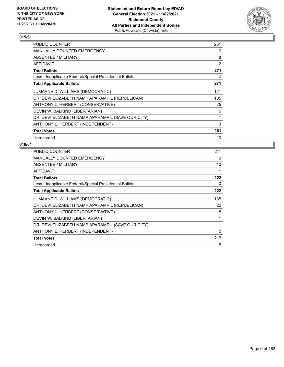

| PUBLIC COUNTER                                           | 261            |
|----------------------------------------------------------|----------------|
| <b>MANUALLY COUNTED EMERGENCY</b>                        | 0              |
| ABSENTEE / MILITARY                                      | 8              |
| AFFIDAVIT                                                | $\overline{2}$ |
| <b>Total Ballots</b>                                     | 271            |
| Less - Inapplicable Federal/Special Presidential Ballots | 0              |
| <b>Total Applicable Ballots</b>                          | 271            |
| JUMAANE D. WILLIAMS (DEMOCRATIC)                         | 121            |
| DR. DEVI ELIZABETH NAMPIAPARAMPIL (REPUBLICAN)           | 105            |
| ANTHONY L. HERBERT (CONSERVATIVE)                        | 25             |
| DEVIN W. BALKIND (LIBERTARIAN)                           | 6              |
| DR. DEVI ELIZABETH NAMPIAPARAMPIL (SAVE OUR CITY)        | 1              |
| ANTHONY L. HERBERT (INDEPENDENT)                         | 3              |
| <b>Total Votes</b>                                       | 261            |
| Unrecorded                                               | 10             |

| <b>PUBLIC COUNTER</b>                                    | 211          |
|----------------------------------------------------------|--------------|
| <b>MANUALLY COUNTED EMERGENCY</b>                        | $\Omega$     |
| ABSENTEE / MILITARY                                      | 10           |
| <b>AFFIDAVIT</b>                                         | 1            |
| <b>Total Ballots</b>                                     | 222          |
| Less - Inapplicable Federal/Special Presidential Ballots | 0            |
| <b>Total Applicable Ballots</b>                          | 222          |
| JUMAANE D. WILLIAMS (DEMOCRATIC)                         | 185          |
| DR. DEVI ELIZABETH NAMPIAPARAMPIL (REPUBLICAN)           | 22           |
| ANTHONY L. HERBERT (CONSERVATIVE)                        | 8            |
| DEVIN W. BALKIND (LIBERTARIAN)                           |              |
| DR. DEVI ELIZABETH NAMPIAPARAMPIL (SAVE OUR CITY)        | 1            |
| ANTHONY L. HERBERT (INDEPENDENT)                         | $\mathbf{0}$ |
| <b>Total Votes</b>                                       | 217          |
| Unrecorded                                               | 5            |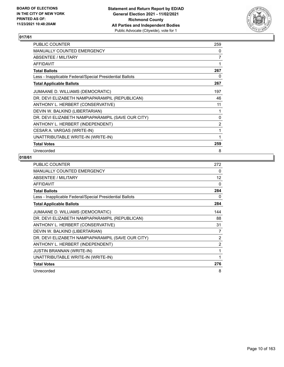

| PUBLIC COUNTER                                           | 259            |
|----------------------------------------------------------|----------------|
| <b>MANUALLY COUNTED EMERGENCY</b>                        | 0              |
| ABSENTEE / MILITARY                                      | 7              |
| <b>AFFIDAVIT</b>                                         | 1              |
| <b>Total Ballots</b>                                     | 267            |
| Less - Inapplicable Federal/Special Presidential Ballots | 0              |
| <b>Total Applicable Ballots</b>                          | 267            |
| JUMAANE D. WILLIAMS (DEMOCRATIC)                         | 197            |
| DR. DEVI ELIZABETH NAMPIAPARAMPIL (REPUBLICAN)           | 46             |
| ANTHONY L. HERBERT (CONSERVATIVE)                        | 11             |
| DEVIN W. BALKIND (LIBERTARIAN)                           | 1              |
| DR. DEVI ELIZABETH NAMPIAPARAMPIL (SAVE OUR CITY)        | $\mathbf{0}$   |
| ANTHONY L. HERBERT (INDEPENDENT)                         | $\overline{2}$ |
| CESAR A. VARGAS (WRITE-IN)                               | 1              |
| UNATTRIBUTABLE WRITE-IN (WRITE-IN)                       |                |
| <b>Total Votes</b>                                       | 259            |
| Unrecorded                                               | 8              |

| <b>PUBLIC COUNTER</b>                                    | 272               |
|----------------------------------------------------------|-------------------|
| <b>MANUALLY COUNTED EMERGENCY</b>                        | 0                 |
| ABSENTEE / MILITARY                                      | $12 \overline{ }$ |
| <b>AFFIDAVIT</b>                                         | 0                 |
| <b>Total Ballots</b>                                     | 284               |
| Less - Inapplicable Federal/Special Presidential Ballots | 0                 |
| <b>Total Applicable Ballots</b>                          | 284               |
| JUMAANE D. WILLIAMS (DEMOCRATIC)                         | 144               |
| DR. DEVI ELIZABETH NAMPIAPARAMPIL (REPUBLICAN)           | 88                |
| ANTHONY L. HERBERT (CONSERVATIVE)                        | 31                |
| DEVIN W. BALKIND (LIBERTARIAN)                           | 7                 |
| DR. DEVI ELIZABETH NAMPIAPARAMPIL (SAVE OUR CITY)        | 2                 |
| ANTHONY L. HERBERT (INDEPENDENT)                         | $\overline{2}$    |
| <b>JUSTIN BRANNAN (WRITE-IN)</b>                         | 1                 |
| UNATTRIBUTABLE WRITE-IN (WRITE-IN)                       | 1                 |
| <b>Total Votes</b>                                       | 276               |
| Unrecorded                                               | 8                 |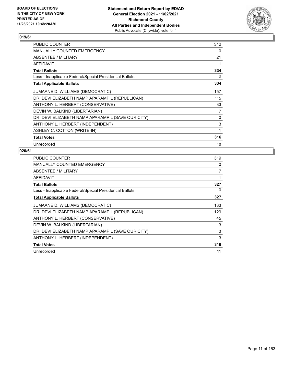

| PUBLIC COUNTER                                           | 312 |
|----------------------------------------------------------|-----|
| MANUALLY COUNTED EMERGENCY                               | 0   |
| ABSENTEE / MILITARY                                      | 21  |
| <b>AFFIDAVIT</b>                                         |     |
| <b>Total Ballots</b>                                     | 334 |
| Less - Inapplicable Federal/Special Presidential Ballots | 0   |
| <b>Total Applicable Ballots</b>                          | 334 |
| JUMAANE D. WILLIAMS (DEMOCRATIC)                         | 157 |
| DR. DEVI ELIZABETH NAMPIAPARAMPIL (REPUBLICAN)           | 115 |
| ANTHONY L. HERBERT (CONSERVATIVE)                        | 33  |
| DEVIN W. BALKIND (LIBERTARIAN)                           | 7   |
| DR. DEVI ELIZABETH NAMPIAPARAMPIL (SAVE OUR CITY)        | 0   |
| ANTHONY L. HERBERT (INDEPENDENT)                         | 3   |
| ASHLEY C. COTTON (WRITE-IN)                              | 1   |
| <b>Total Votes</b>                                       | 316 |
| Unrecorded                                               | 18  |

| <b>PUBLIC COUNTER</b>                                    | 319 |
|----------------------------------------------------------|-----|
| <b>MANUALLY COUNTED EMERGENCY</b>                        | 0   |
| ABSENTEE / MILITARY                                      | 7   |
| <b>AFFIDAVIT</b>                                         | 1   |
| <b>Total Ballots</b>                                     | 327 |
| Less - Inapplicable Federal/Special Presidential Ballots | 0   |
| <b>Total Applicable Ballots</b>                          | 327 |
| JUMAANE D. WILLIAMS (DEMOCRATIC)                         | 133 |
| DR. DEVI ELIZABETH NAMPIAPARAMPIL (REPUBLICAN)           | 129 |
| ANTHONY L. HERBERT (CONSERVATIVE)                        | 45  |
| DEVIN W. BALKIND (LIBERTARIAN)                           | 3   |
| DR. DEVI ELIZABETH NAMPIAPARAMPIL (SAVE OUR CITY)        | 3   |
| ANTHONY L. HERBERT (INDEPENDENT)                         | 3   |
| <b>Total Votes</b>                                       | 316 |
| Unrecorded                                               | 11  |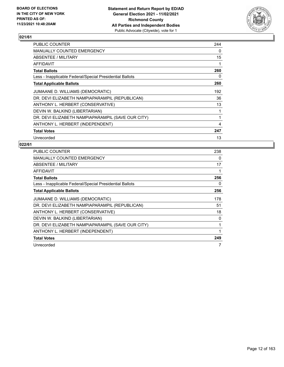

| <b>PUBLIC COUNTER</b>                                    | 244 |
|----------------------------------------------------------|-----|
| <b>MANUALLY COUNTED EMERGENCY</b>                        | 0   |
| ABSENTEE / MILITARY                                      | 15  |
| AFFIDAVIT                                                | 1   |
| <b>Total Ballots</b>                                     | 260 |
| Less - Inapplicable Federal/Special Presidential Ballots | 0   |
| <b>Total Applicable Ballots</b>                          | 260 |
| JUMAANE D. WILLIAMS (DEMOCRATIC)                         | 192 |
| DR. DEVI ELIZABETH NAMPIAPARAMPIL (REPUBLICAN)           | 36  |
| ANTHONY L. HERBERT (CONSERVATIVE)                        | 13  |
| DEVIN W. BALKIND (LIBERTARIAN)                           | 1   |
| DR. DEVI ELIZABETH NAMPIAPARAMPIL (SAVE OUR CITY)        | 1   |
| ANTHONY L. HERBERT (INDEPENDENT)                         | 4   |
| <b>Total Votes</b>                                       | 247 |
| Unrecorded                                               | 13  |

| <b>PUBLIC COUNTER</b>                                    | 238 |
|----------------------------------------------------------|-----|
| <b>MANUALLY COUNTED EMERGENCY</b>                        | 0   |
| ABSENTEE / MILITARY                                      | 17  |
| <b>AFFIDAVIT</b>                                         | 1   |
| <b>Total Ballots</b>                                     | 256 |
| Less - Inapplicable Federal/Special Presidential Ballots | 0   |
| <b>Total Applicable Ballots</b>                          | 256 |
| JUMAANE D. WILLIAMS (DEMOCRATIC)                         | 178 |
| DR. DEVI ELIZABETH NAMPIAPARAMPIL (REPUBLICAN)           | 51  |
| ANTHONY L. HERBERT (CONSERVATIVE)                        | 18  |
| DEVIN W. BALKIND (LIBERTARIAN)                           | 0   |
| DR. DEVI ELIZABETH NAMPIAPARAMPIL (SAVE OUR CITY)        | 1   |
| ANTHONY L. HERBERT (INDEPENDENT)                         | 1   |
| <b>Total Votes</b>                                       | 249 |
| Unrecorded                                               | 7   |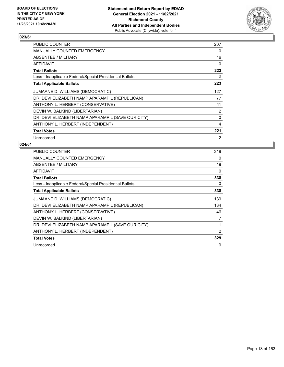

| <b>PUBLIC COUNTER</b>                                    | 207            |
|----------------------------------------------------------|----------------|
| MANUALLY COUNTED EMERGENCY                               | 0              |
| ABSENTEE / MILITARY                                      | 16             |
| AFFIDAVIT                                                | $\Omega$       |
| <b>Total Ballots</b>                                     | 223            |
| Less - Inapplicable Federal/Special Presidential Ballots | 0              |
| <b>Total Applicable Ballots</b>                          | 223            |
| JUMAANE D. WILLIAMS (DEMOCRATIC)                         | 127            |
| DR. DEVI ELIZABETH NAMPIAPARAMPIL (REPUBLICAN)           | 77             |
| ANTHONY L. HERBERT (CONSERVATIVE)                        | 11             |
| DEVIN W. BALKIND (LIBERTARIAN)                           | $\overline{2}$ |
| DR. DEVI ELIZABETH NAMPIAPARAMPIL (SAVE OUR CITY)        | 0              |
| ANTHONY L. HERBERT (INDEPENDENT)                         | 4              |
| <b>Total Votes</b>                                       | 221            |
| Unrecorded                                               | $\overline{2}$ |

| <b>PUBLIC COUNTER</b>                                    | 319      |
|----------------------------------------------------------|----------|
| <b>MANUALLY COUNTED EMERGENCY</b>                        | $\Omega$ |
| ABSENTEE / MILITARY                                      | 19       |
| <b>AFFIDAVIT</b>                                         | $\Omega$ |
| <b>Total Ballots</b>                                     | 338      |
| Less - Inapplicable Federal/Special Presidential Ballots | 0        |
| <b>Total Applicable Ballots</b>                          | 338      |
| JUMAANE D. WILLIAMS (DEMOCRATIC)                         | 139      |
| DR. DEVI ELIZABETH NAMPIAPARAMPIL (REPUBLICAN)           | 134      |
| ANTHONY L. HERBERT (CONSERVATIVE)                        | 46       |
| DEVIN W. BALKIND (LIBERTARIAN)                           | 7        |
| DR. DEVI ELIZABETH NAMPIAPARAMPIL (SAVE OUR CITY)        | 1        |
| ANTHONY L. HERBERT (INDEPENDENT)                         | 2        |
| <b>Total Votes</b>                                       | 329      |
| Unrecorded                                               | 9        |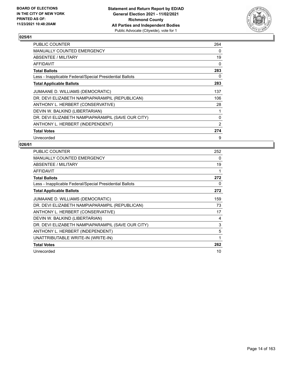

| <b>PUBLIC COUNTER</b>                                    | 264 |
|----------------------------------------------------------|-----|
| <b>MANUALLY COUNTED EMERGENCY</b>                        | 0   |
| ABSENTEE / MILITARY                                      | 19  |
| AFFIDAVIT                                                | 0   |
| <b>Total Ballots</b>                                     | 283 |
| Less - Inapplicable Federal/Special Presidential Ballots | 0   |
| <b>Total Applicable Ballots</b>                          | 283 |
| JUMAANE D. WILLIAMS (DEMOCRATIC)                         | 137 |
| DR. DEVI ELIZABETH NAMPIAPARAMPIL (REPUBLICAN)           | 106 |
| ANTHONY L. HERBERT (CONSERVATIVE)                        | 28  |
| DEVIN W. BALKIND (LIBERTARIAN)                           | 1   |
| DR. DEVI ELIZABETH NAMPIAPARAMPIL (SAVE OUR CITY)        | 0   |
| ANTHONY L. HERBERT (INDEPENDENT)                         | 2   |
| <b>Total Votes</b>                                       | 274 |
| Unrecorded                                               | 9   |

| PUBLIC COUNTER                                           | 252 |
|----------------------------------------------------------|-----|
| MANUALLY COUNTED EMERGENCY                               | 0   |
| ABSENTEE / MILITARY                                      | 19  |
| <b>AFFIDAVIT</b>                                         |     |
| <b>Total Ballots</b>                                     | 272 |
| Less - Inapplicable Federal/Special Presidential Ballots | 0   |
| <b>Total Applicable Ballots</b>                          | 272 |
| JUMAANE D. WILLIAMS (DEMOCRATIC)                         | 159 |
| DR. DEVI ELIZABETH NAMPIAPARAMPIL (REPUBLICAN)           | 73  |
| ANTHONY L. HERBERT (CONSERVATIVE)                        | 17  |
| DEVIN W. BALKIND (LIBERTARIAN)                           | 4   |
| DR. DEVI ELIZABETH NAMPIAPARAMPIL (SAVE OUR CITY)        | 3   |
| ANTHONY L. HERBERT (INDEPENDENT)                         | 5   |
| UNATTRIBUTABLE WRITE-IN (WRITE-IN)                       | 1   |
| <b>Total Votes</b>                                       | 262 |
| Unrecorded                                               | 10  |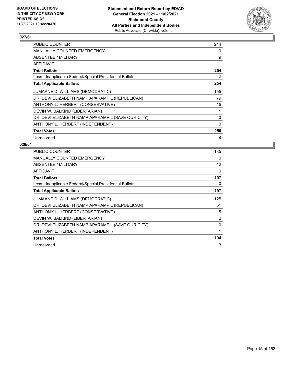

| PUBLIC COUNTER                                           | 244          |
|----------------------------------------------------------|--------------|
| <b>MANUALLY COUNTED EMERGENCY</b>                        | 0            |
| ABSENTEE / MILITARY                                      | 9            |
| AFFIDAVIT                                                | 1            |
| <b>Total Ballots</b>                                     | 254          |
| Less - Inapplicable Federal/Special Presidential Ballots | 0            |
| <b>Total Applicable Ballots</b>                          | 254          |
| JUMAANE D. WILLIAMS (DEMOCRATIC)                         | 155          |
| DR. DEVI ELIZABETH NAMPIAPARAMPIL (REPUBLICAN)           | 79           |
| ANTHONY L. HERBERT (CONSERVATIVE)                        | 15           |
| DEVIN W. BALKIND (LIBERTARIAN)                           | 1            |
| DR. DEVI ELIZABETH NAMPIAPARAMPIL (SAVE OUR CITY)        | 0            |
| ANTHONY L. HERBERT (INDEPENDENT)                         | $\mathbf{0}$ |
| <b>Total Votes</b>                                       | 250          |
| Unrecorded                                               | 4            |

| <b>PUBLIC COUNTER</b>                                    | 185      |
|----------------------------------------------------------|----------|
| <b>MANUALLY COUNTED EMERGENCY</b>                        | 0        |
| ABSENTEE / MILITARY                                      | 12       |
| <b>AFFIDAVIT</b>                                         | $\Omega$ |
| <b>Total Ballots</b>                                     | 197      |
| Less - Inapplicable Federal/Special Presidential Ballots | 0        |
| <b>Total Applicable Ballots</b>                          | 197      |
| JUMAANE D. WILLIAMS (DEMOCRATIC)                         | 125      |
| DR. DEVI ELIZABETH NAMPIAPARAMPIL (REPUBLICAN)           | 51       |
| ANTHONY L. HERBERT (CONSERVATIVE)                        | 15       |
| DEVIN W. BALKIND (LIBERTARIAN)                           | 2        |
| DR. DEVI ELIZABETH NAMPIAPARAMPIL (SAVE OUR CITY)        | 0        |
| ANTHONY L. HERBERT (INDEPENDENT)                         | 1        |
| <b>Total Votes</b>                                       | 194      |
| Unrecorded                                               | 3        |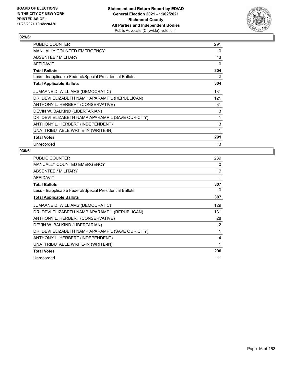

| PUBLIC COUNTER                                           | 291 |
|----------------------------------------------------------|-----|
| MANUALLY COUNTED EMERGENCY                               | 0   |
| ABSENTEE / MILITARY                                      | 13  |
| <b>AFFIDAVIT</b>                                         | 0   |
| <b>Total Ballots</b>                                     | 304 |
| Less - Inapplicable Federal/Special Presidential Ballots | 0   |
| <b>Total Applicable Ballots</b>                          | 304 |
| JUMAANE D. WILLIAMS (DEMOCRATIC)                         | 131 |
| DR. DEVI ELIZABETH NAMPIAPARAMPIL (REPUBLICAN)           | 121 |
| ANTHONY L. HERBERT (CONSERVATIVE)                        | 31  |
| DEVIN W. BALKIND (LIBERTARIAN)                           | 3   |
| DR. DEVI ELIZABETH NAMPIAPARAMPIL (SAVE OUR CITY)        | 1   |
| ANTHONY L. HERBERT (INDEPENDENT)                         | 3   |
| UNATTRIBUTABLE WRITE-IN (WRITE-IN)                       | 1   |
| <b>Total Votes</b>                                       | 291 |
| Unrecorded                                               | 13  |

| <b>PUBLIC COUNTER</b>                                    | 289 |
|----------------------------------------------------------|-----|
| MANUALLY COUNTED EMERGENCY                               | 0   |
| ABSENTEE / MILITARY                                      | 17  |
| AFFIDAVIT                                                | 1   |
| <b>Total Ballots</b>                                     | 307 |
| Less - Inapplicable Federal/Special Presidential Ballots | 0   |
| <b>Total Applicable Ballots</b>                          | 307 |
| JUMAANE D. WILLIAMS (DEMOCRATIC)                         | 129 |
| DR. DEVI ELIZABETH NAMPIAPARAMPIL (REPUBLICAN)           | 131 |
| ANTHONY L. HERBERT (CONSERVATIVE)                        | 28  |
| DEVIN W. BALKIND (LIBERTARIAN)                           | 2   |
| DR. DEVI ELIZABETH NAMPIAPARAMPIL (SAVE OUR CITY)        | 1   |
| ANTHONY L. HERBERT (INDEPENDENT)                         | 4   |
| UNATTRIBUTABLE WRITE-IN (WRITE-IN)                       | 1   |
| <b>Total Votes</b>                                       | 296 |
| Unrecorded                                               | 11  |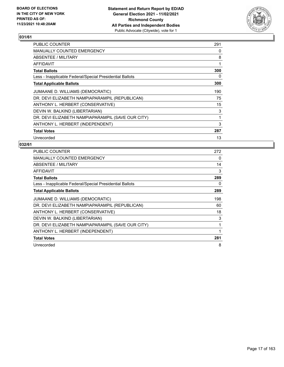

| PUBLIC COUNTER                                           | 291 |
|----------------------------------------------------------|-----|
| MANUALLY COUNTED EMERGENCY                               | 0   |
| ABSENTEE / MILITARY                                      | 8   |
| AFFIDAVIT                                                | 1   |
| <b>Total Ballots</b>                                     | 300 |
| Less - Inapplicable Federal/Special Presidential Ballots | 0   |
| <b>Total Applicable Ballots</b>                          | 300 |
| JUMAANE D. WILLIAMS (DEMOCRATIC)                         | 190 |
| DR. DEVI ELIZABETH NAMPIAPARAMPIL (REPUBLICAN)           | 75  |
| ANTHONY L. HERBERT (CONSERVATIVE)                        | 15  |
| DEVIN W. BALKIND (LIBERTARIAN)                           | 3   |
| DR. DEVI ELIZABETH NAMPIAPARAMPIL (SAVE OUR CITY)        | 1   |
| ANTHONY L. HERBERT (INDEPENDENT)                         | 3   |
| <b>Total Votes</b>                                       | 287 |
| Unrecorded                                               | 13  |

| <b>PUBLIC COUNTER</b>                                    | 272 |
|----------------------------------------------------------|-----|
| <b>MANUALLY COUNTED EMERGENCY</b>                        | 0   |
| ABSENTEE / MILITARY                                      | 14  |
| <b>AFFIDAVIT</b>                                         | 3   |
| <b>Total Ballots</b>                                     | 289 |
| Less - Inapplicable Federal/Special Presidential Ballots | 0   |
| <b>Total Applicable Ballots</b>                          | 289 |
| JUMAANE D. WILLIAMS (DEMOCRATIC)                         | 198 |
| DR. DEVI ELIZABETH NAMPIAPARAMPIL (REPUBLICAN)           | 60  |
| ANTHONY L. HERBERT (CONSERVATIVE)                        | 18  |
| DEVIN W. BALKIND (LIBERTARIAN)                           | 3   |
| DR. DEVI ELIZABETH NAMPIAPARAMPIL (SAVE OUR CITY)        | 1   |
| ANTHONY L. HERBERT (INDEPENDENT)                         | 1   |
| <b>Total Votes</b>                                       | 281 |
| Unrecorded                                               | 8   |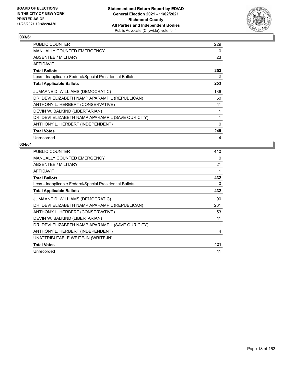

| <b>PUBLIC COUNTER</b>                                    | 229          |
|----------------------------------------------------------|--------------|
| <b>MANUALLY COUNTED EMERGENCY</b>                        | 0            |
| ABSENTEE / MILITARY                                      | 23           |
| AFFIDAVIT                                                | 1            |
| <b>Total Ballots</b>                                     | 253          |
| Less - Inapplicable Federal/Special Presidential Ballots | 0            |
| <b>Total Applicable Ballots</b>                          | 253          |
| JUMAANE D. WILLIAMS (DEMOCRATIC)                         | 186          |
| DR. DEVI ELIZABETH NAMPIAPARAMPIL (REPUBLICAN)           | 50           |
| ANTHONY L. HERBERT (CONSERVATIVE)                        | 11           |
| DEVIN W. BALKIND (LIBERTARIAN)                           | 1            |
| DR. DEVI ELIZABETH NAMPIAPARAMPIL (SAVE OUR CITY)        | 1            |
| ANTHONY L. HERBERT (INDEPENDENT)                         | $\mathbf{0}$ |
| <b>Total Votes</b>                                       | 249          |
| Unrecorded                                               | 4            |

| <b>PUBLIC COUNTER</b>                                    | 410 |
|----------------------------------------------------------|-----|
| <b>MANUALLY COUNTED EMERGENCY</b>                        | 0   |
| ABSENTEE / MILITARY                                      | 21  |
| AFFIDAVIT                                                | 1   |
| <b>Total Ballots</b>                                     | 432 |
| Less - Inapplicable Federal/Special Presidential Ballots | 0   |
| <b>Total Applicable Ballots</b>                          | 432 |
| JUMAANE D. WILLIAMS (DEMOCRATIC)                         | 90  |
| DR. DEVI ELIZABETH NAMPIAPARAMPIL (REPUBLICAN)           | 261 |
| ANTHONY L. HERBERT (CONSERVATIVE)                        | 53  |
| DEVIN W. BALKIND (LIBERTARIAN)                           | 11  |
| DR. DEVI ELIZABETH NAMPIAPARAMPIL (SAVE OUR CITY)        | 1   |
| ANTHONY L. HERBERT (INDEPENDENT)                         | 4   |
| UNATTRIBUTABLE WRITE-IN (WRITE-IN)                       | 1   |
| <b>Total Votes</b>                                       | 421 |
| Unrecorded                                               | 11  |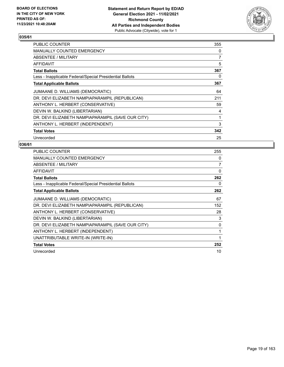

| <b>PUBLIC COUNTER</b>                                    | 355 |
|----------------------------------------------------------|-----|
| <b>MANUALLY COUNTED EMERGENCY</b>                        | 0   |
| ABSENTEE / MILITARY                                      | 7   |
| AFFIDAVIT                                                | 5   |
| <b>Total Ballots</b>                                     | 367 |
| Less - Inapplicable Federal/Special Presidential Ballots | 0   |
| <b>Total Applicable Ballots</b>                          | 367 |
| JUMAANE D. WILLIAMS (DEMOCRATIC)                         | 64  |
| DR. DEVI ELIZABETH NAMPIAPARAMPIL (REPUBLICAN)           | 211 |
| ANTHONY L. HERBERT (CONSERVATIVE)                        | 59  |
| DEVIN W. BALKIND (LIBERTARIAN)                           | 4   |
| DR. DEVI ELIZABETH NAMPIAPARAMPIL (SAVE OUR CITY)        | 1   |
| ANTHONY L. HERBERT (INDEPENDENT)                         | 3   |
| <b>Total Votes</b>                                       | 342 |
| Unrecorded                                               | 25  |

| <b>PUBLIC COUNTER</b>                                    | 255          |
|----------------------------------------------------------|--------------|
| <b>MANUALLY COUNTED EMERGENCY</b>                        | 0            |
| ABSENTEE / MILITARY                                      | 7            |
| <b>AFFIDAVIT</b>                                         | 0            |
| <b>Total Ballots</b>                                     | 262          |
| Less - Inapplicable Federal/Special Presidential Ballots | 0            |
| <b>Total Applicable Ballots</b>                          | 262          |
| JUMAANE D. WILLIAMS (DEMOCRATIC)                         | 67           |
| DR. DEVI ELIZABETH NAMPIAPARAMPIL (REPUBLICAN)           | 152          |
| ANTHONY L. HERBERT (CONSERVATIVE)                        | 28           |
| DEVIN W. BALKIND (LIBERTARIAN)                           | 3            |
| DR. DEVI ELIZABETH NAMPIAPARAMPIL (SAVE OUR CITY)        | 0            |
| ANTHONY L. HERBERT (INDEPENDENT)                         | 1            |
| UNATTRIBUTABLE WRITE-IN (WRITE-IN)                       | $\mathbf{1}$ |
| <b>Total Votes</b>                                       | 252          |
| Unrecorded                                               | 10           |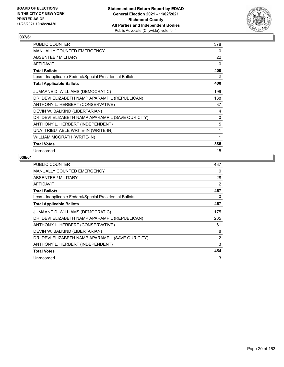

| PUBLIC COUNTER                                           | 378 |
|----------------------------------------------------------|-----|
| <b>MANUALLY COUNTED EMERGENCY</b>                        | 0   |
| ABSENTEE / MILITARY                                      | 22  |
| AFFIDAVIT                                                | 0   |
| <b>Total Ballots</b>                                     | 400 |
| Less - Inapplicable Federal/Special Presidential Ballots | 0   |
| <b>Total Applicable Ballots</b>                          | 400 |
| JUMAANE D. WILLIAMS (DEMOCRATIC)                         | 199 |
| DR. DEVI ELIZABETH NAMPIAPARAMPIL (REPUBLICAN)           | 138 |
| ANTHONY L. HERBERT (CONSERVATIVE)                        | 37  |
| DEVIN W. BALKIND (LIBERTARIAN)                           | 4   |
| DR. DEVI ELIZABETH NAMPIAPARAMPIL (SAVE OUR CITY)        | 0   |
| ANTHONY L. HERBERT (INDEPENDENT)                         | 5   |
| UNATTRIBUTABLE WRITE-IN (WRITE-IN)                       | 1   |
| WILLIAM MCGRATH (WRITE-IN)                               | 1   |
| <b>Total Votes</b>                                       | 385 |
| Unrecorded                                               | 15  |

| PUBLIC COUNTER                                           | 437 |
|----------------------------------------------------------|-----|
| MANUALLY COUNTED EMERGENCY                               | 0   |
| ABSENTEE / MILITARY                                      | 28  |
| AFFIDAVIT                                                | 2   |
| <b>Total Ballots</b>                                     | 467 |
| Less - Inapplicable Federal/Special Presidential Ballots | 0   |
| <b>Total Applicable Ballots</b>                          | 467 |
| JUMAANE D. WILLIAMS (DEMOCRATIC)                         | 175 |
| DR. DEVI ELIZABETH NAMPIAPARAMPIL (REPUBLICAN)           | 205 |
| ANTHONY L. HERBERT (CONSERVATIVE)                        | 61  |
| DEVIN W. BALKIND (LIBERTARIAN)                           | 8   |
| DR. DEVI ELIZABETH NAMPIAPARAMPIL (SAVE OUR CITY)        | 2   |
| ANTHONY L. HERBERT (INDEPENDENT)                         | 3   |
| <b>Total Votes</b>                                       | 454 |
| Unrecorded                                               | 13  |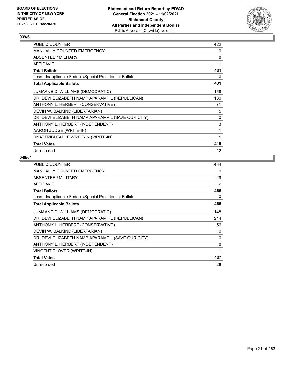

| PUBLIC COUNTER                                           | 422 |
|----------------------------------------------------------|-----|
| MANUALLY COUNTED EMERGENCY                               | 0   |
| ABSENTEE / MILITARY                                      | 8   |
| AFFIDAVIT                                                | 1   |
| <b>Total Ballots</b>                                     | 431 |
| Less - Inapplicable Federal/Special Presidential Ballots | 0   |
| <b>Total Applicable Ballots</b>                          | 431 |
| JUMAANE D. WILLIAMS (DEMOCRATIC)                         | 158 |
| DR. DEVI ELIZABETH NAMPIAPARAMPIL (REPUBLICAN)           | 180 |
| ANTHONY L. HERBERT (CONSERVATIVE)                        | 71  |
| DEVIN W. BALKIND (LIBERTARIAN)                           | 5   |
| DR. DEVI ELIZABETH NAMPIAPARAMPIL (SAVE OUR CITY)        | 0   |
| ANTHONY L. HERBERT (INDEPENDENT)                         | 3   |
| AARON JUDGE (WRITE-IN)                                   | 1   |
| UNATTRIBUTABLE WRITE-IN (WRITE-IN)                       | 1   |
| <b>Total Votes</b>                                       | 419 |
| Unrecorded                                               | 12  |

| <b>PUBLIC COUNTER</b>                                    | 434 |
|----------------------------------------------------------|-----|
| <b>MANUALLY COUNTED EMERGENCY</b>                        | 0   |
| ABSENTEE / MILITARY                                      | 29  |
| <b>AFFIDAVIT</b>                                         | 2   |
| <b>Total Ballots</b>                                     | 465 |
| Less - Inapplicable Federal/Special Presidential Ballots | 0   |
| <b>Total Applicable Ballots</b>                          | 465 |
| JUMAANE D. WILLIAMS (DEMOCRATIC)                         | 148 |
| DR. DEVI ELIZABETH NAMPIAPARAMPIL (REPUBLICAN)           | 214 |
| ANTHONY L. HERBERT (CONSERVATIVE)                        | 56  |
| DEVIN W. BALKIND (LIBERTARIAN)                           | 10  |
| DR. DEVI ELIZABETH NAMPIAPARAMPIL (SAVE OUR CITY)        | 0   |
| ANTHONY L. HERBERT (INDEPENDENT)                         | 8   |
| VINCENT PLOVER (WRITE-IN)                                | 1   |
| <b>Total Votes</b>                                       | 437 |
| Unrecorded                                               | 28  |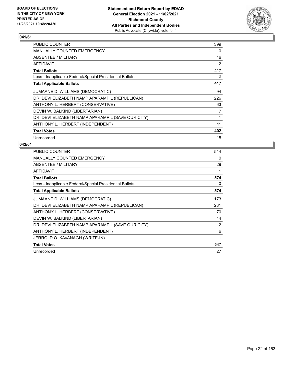

| <b>PUBLIC COUNTER</b>                                    | 399 |
|----------------------------------------------------------|-----|
| <b>MANUALLY COUNTED EMERGENCY</b>                        | 0   |
| ABSENTEE / MILITARY                                      | 16  |
| AFFIDAVIT                                                | 2   |
| <b>Total Ballots</b>                                     | 417 |
| Less - Inapplicable Federal/Special Presidential Ballots | 0   |
| <b>Total Applicable Ballots</b>                          | 417 |
| JUMAANE D. WILLIAMS (DEMOCRATIC)                         | 94  |
| DR. DEVI ELIZABETH NAMPIAPARAMPIL (REPUBLICAN)           | 226 |
| ANTHONY L. HERBERT (CONSERVATIVE)                        | 63  |
| DEVIN W. BALKIND (LIBERTARIAN)                           | 7   |
| DR. DEVI ELIZABETH NAMPIAPARAMPIL (SAVE OUR CITY)        | 1   |
| ANTHONY L. HERBERT (INDEPENDENT)                         | 11  |
| <b>Total Votes</b>                                       | 402 |
| Unrecorded                                               | 15  |

| <b>PUBLIC COUNTER</b>                                    | 544            |
|----------------------------------------------------------|----------------|
| <b>MANUALLY COUNTED EMERGENCY</b>                        | 0              |
| ABSENTEE / MILITARY                                      | 29             |
| <b>AFFIDAVIT</b>                                         |                |
| <b>Total Ballots</b>                                     | 574            |
| Less - Inapplicable Federal/Special Presidential Ballots | 0              |
| <b>Total Applicable Ballots</b>                          | 574            |
| JUMAANE D. WILLIAMS (DEMOCRATIC)                         | 173            |
| DR. DEVI ELIZABETH NAMPIAPARAMPIL (REPUBLICAN)           | 281            |
| ANTHONY L. HERBERT (CONSERVATIVE)                        | 70             |
| DEVIN W. BALKIND (LIBERTARIAN)                           | 14             |
| DR. DEVI ELIZABETH NAMPIAPARAMPIL (SAVE OUR CITY)        | $\overline{2}$ |
| ANTHONY L. HERBERT (INDEPENDENT)                         | 6              |
| JERROLD O. KAVANAGH (WRITE-IN)                           | 1              |
| <b>Total Votes</b>                                       | 547            |
| Unrecorded                                               | 27             |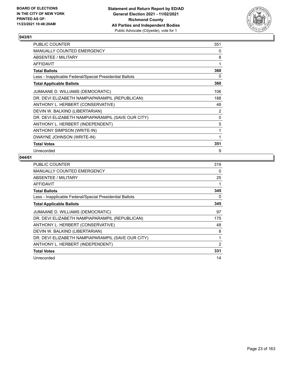

| PUBLIC COUNTER                                           | 351            |
|----------------------------------------------------------|----------------|
| MANUALLY COUNTED EMERGENCY                               | 0              |
| <b>ABSENTEE / MILITARY</b>                               | 8              |
| <b>AFFIDAVIT</b>                                         | 1              |
| <b>Total Ballots</b>                                     | 360            |
| Less - Inapplicable Federal/Special Presidential Ballots | 0              |
| <b>Total Applicable Ballots</b>                          | 360            |
| JUMAANE D. WILLIAMS (DEMOCRATIC)                         | 106            |
| DR. DEVI ELIZABETH NAMPIAPARAMPIL (REPUBLICAN)           | 188            |
| ANTHONY L. HERBERT (CONSERVATIVE)                        | 48             |
| DEVIN W. BALKIND (LIBERTARIAN)                           | $\overline{2}$ |
| DR. DEVI ELIZABETH NAMPIAPARAMPIL (SAVE OUR CITY)        | 0              |
| ANTHONY L. HERBERT (INDEPENDENT)                         | 5              |
| ANTHONY SIMPSON (WRITE-IN)                               | 1              |
| DWAYNE JOHNSON (WRITE-IN)                                |                |
| <b>Total Votes</b>                                       | 351            |
| Unrecorded                                               | 9              |

| <b>PUBLIC COUNTER</b>                                    | 319            |
|----------------------------------------------------------|----------------|
| MANUALLY COUNTED EMERGENCY                               | 0              |
| ABSENTEE / MILITARY                                      | 25             |
| AFFIDAVIT                                                |                |
| <b>Total Ballots</b>                                     | 345            |
| Less - Inapplicable Federal/Special Presidential Ballots | 0              |
| <b>Total Applicable Ballots</b>                          | 345            |
| JUMAANE D. WILLIAMS (DEMOCRATIC)                         | 97             |
| DR. DEVI ELIZABETH NAMPIAPARAMPIL (REPUBLICAN)           | 175            |
| ANTHONY L. HERBERT (CONSERVATIVE)                        | 48             |
| DEVIN W. BALKIND (LIBERTARIAN)                           | 8              |
| DR. DEVI ELIZABETH NAMPIAPARAMPIL (SAVE OUR CITY)        | 1              |
| ANTHONY L. HERBERT (INDEPENDENT)                         | $\overline{2}$ |
| <b>Total Votes</b>                                       | 331            |
| Unrecorded                                               | 14             |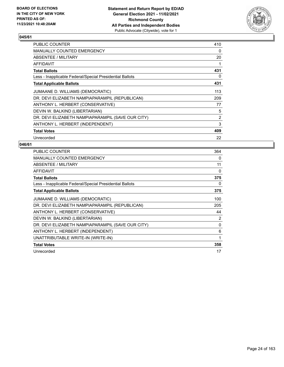

| <b>PUBLIC COUNTER</b>                                    | 410            |
|----------------------------------------------------------|----------------|
| <b>MANUALLY COUNTED EMERGENCY</b>                        | 0              |
| ABSENTEE / MILITARY                                      | 20             |
| <b>AFFIDAVIT</b>                                         | 1              |
| <b>Total Ballots</b>                                     | 431            |
| Less - Inapplicable Federal/Special Presidential Ballots | 0              |
| <b>Total Applicable Ballots</b>                          | 431            |
| JUMAANE D. WILLIAMS (DEMOCRATIC)                         | 113            |
| DR. DEVI ELIZABETH NAMPIAPARAMPIL (REPUBLICAN)           | 209            |
| ANTHONY L. HERBERT (CONSERVATIVE)                        | 77             |
| DEVIN W. BALKIND (LIBERTARIAN)                           | 5              |
| DR. DEVI ELIZABETH NAMPIAPARAMPIL (SAVE OUR CITY)        | $\overline{2}$ |
| ANTHONY L. HERBERT (INDEPENDENT)                         | 3              |
| <b>Total Votes</b>                                       | 409            |
| Unrecorded                                               | 22             |

| PUBLIC COUNTER                                           | 364 |
|----------------------------------------------------------|-----|
| MANUALLY COUNTED EMERGENCY                               | 0   |
| ABSENTEE / MILITARY                                      | 11  |
| <b>AFFIDAVIT</b>                                         | 0   |
| <b>Total Ballots</b>                                     | 375 |
| Less - Inapplicable Federal/Special Presidential Ballots | 0   |
| <b>Total Applicable Ballots</b>                          | 375 |
| JUMAANE D. WILLIAMS (DEMOCRATIC)                         | 100 |
| DR. DEVI ELIZABETH NAMPIAPARAMPIL (REPUBLICAN)           | 205 |
| ANTHONY L. HERBERT (CONSERVATIVE)                        | 44  |
| DEVIN W. BALKIND (LIBERTARIAN)                           | 2   |
| DR. DEVI ELIZABETH NAMPIAPARAMPIL (SAVE OUR CITY)        | 0   |
| ANTHONY L. HERBERT (INDEPENDENT)                         | 6   |
| UNATTRIBUTABLE WRITE-IN (WRITE-IN)                       | 1   |
| <b>Total Votes</b>                                       | 358 |
| Unrecorded                                               | 17  |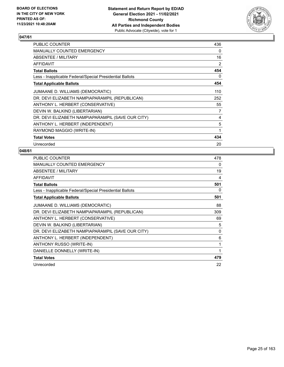

| PUBLIC COUNTER                                           | 436 |
|----------------------------------------------------------|-----|
| <b>MANUALLY COUNTED EMERGENCY</b>                        | 0   |
| ABSENTEE / MILITARY                                      | 16  |
| AFFIDAVIT                                                | 2   |
| <b>Total Ballots</b>                                     | 454 |
| Less - Inapplicable Federal/Special Presidential Ballots | 0   |
| <b>Total Applicable Ballots</b>                          | 454 |
| JUMAANE D. WILLIAMS (DEMOCRATIC)                         | 110 |
| DR. DEVI ELIZABETH NAMPIAPARAMPIL (REPUBLICAN)           | 252 |
| ANTHONY L. HERBERT (CONSERVATIVE)                        | 55  |
| DEVIN W. BALKIND (LIBERTARIAN)                           | 7   |
| DR. DEVI ELIZABETH NAMPIAPARAMPIL (SAVE OUR CITY)        | 4   |
| ANTHONY L. HERBERT (INDEPENDENT)                         | 5   |
| RAYMOND MAGGIO (WRITE-IN)                                | 1   |
| <b>Total Votes</b>                                       | 434 |
| Unrecorded                                               | 20  |

| <b>PUBLIC COUNTER</b>                                    | 478 |
|----------------------------------------------------------|-----|
| <b>MANUALLY COUNTED EMERGENCY</b>                        | 0   |
| ABSENTEE / MILITARY                                      | 19  |
| <b>AFFIDAVIT</b>                                         | 4   |
| <b>Total Ballots</b>                                     | 501 |
| Less - Inapplicable Federal/Special Presidential Ballots | 0   |
| <b>Total Applicable Ballots</b>                          | 501 |
| JUMAANE D. WILLIAMS (DEMOCRATIC)                         | 88  |
| DR. DEVI ELIZABETH NAMPIAPARAMPIL (REPUBLICAN)           | 309 |
| ANTHONY L. HERBERT (CONSERVATIVE)                        | 69  |
| DEVIN W. BALKIND (LIBERTARIAN)                           | 5   |
| DR. DEVI ELIZABETH NAMPIAPARAMPIL (SAVE OUR CITY)        | 0   |
| ANTHONY L. HERBERT (INDEPENDENT)                         | 6   |
| ANTHONY RUSSO (WRITE-IN)                                 | 1   |
| DANIELLE DONNELLY (WRITE-IN)                             | 1   |
| <b>Total Votes</b>                                       | 479 |
| Unrecorded                                               | 22  |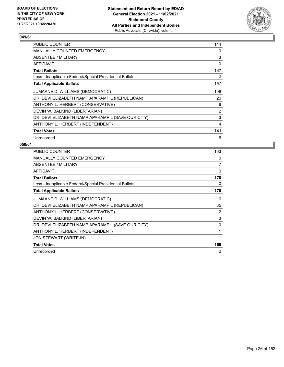

| <b>PUBLIC COUNTER</b>                                    | 144            |
|----------------------------------------------------------|----------------|
| MANUALLY COUNTED EMERGENCY                               | 0              |
| ABSENTEE / MILITARY                                      | 3              |
| <b>AFFIDAVIT</b>                                         | 0              |
| <b>Total Ballots</b>                                     | 147            |
| Less - Inapplicable Federal/Special Presidential Ballots | 0              |
| <b>Total Applicable Ballots</b>                          | 147            |
| JUMAANE D. WILLIAMS (DEMOCRATIC)                         | 106            |
| DR. DEVI ELIZABETH NAMPIAPARAMPIL (REPUBLICAN)           | 20             |
| ANTHONY L. HERBERT (CONSERVATIVE)                        | 6              |
| DEVIN W. BALKIND (LIBERTARIAN)                           | 2              |
| DR. DEVI ELIZABETH NAMPIAPARAMPIL (SAVE OUR CITY)        | 3              |
| ANTHONY L. HERBERT (INDEPENDENT)                         | $\overline{4}$ |
| <b>Total Votes</b>                                       | 141            |
| Unrecorded                                               | 6              |

| <b>PUBLIC COUNTER</b>                                    | 163 |
|----------------------------------------------------------|-----|
| <b>MANUALLY COUNTED EMERGENCY</b>                        | 0   |
| ABSENTEE / MILITARY                                      | 7   |
| AFFIDAVIT                                                | 0   |
| <b>Total Ballots</b>                                     | 170 |
| Less - Inapplicable Federal/Special Presidential Ballots | 0   |
| <b>Total Applicable Ballots</b>                          | 170 |
| JUMAANE D. WILLIAMS (DEMOCRATIC)                         | 116 |
| DR. DEVI ELIZABETH NAMPIAPARAMPIL (REPUBLICAN)           | 35  |
| ANTHONY L. HERBERT (CONSERVATIVE)                        | 12  |
| DEVIN W. BALKIND (LIBERTARIAN)                           | 3   |
| DR. DEVI ELIZABETH NAMPIAPARAMPIL (SAVE OUR CITY)        | 0   |
| ANTHONY L. HERBERT (INDEPENDENT)                         | 1   |
| JON STEWART (WRITE-IN)                                   | 1   |
| <b>Total Votes</b>                                       | 168 |
| Unrecorded                                               | 2   |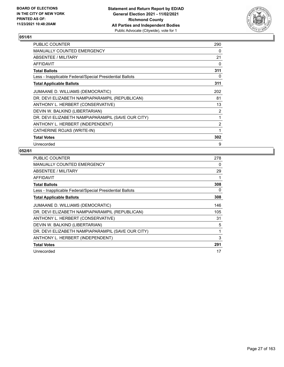

| PUBLIC COUNTER                                           | 290            |
|----------------------------------------------------------|----------------|
| <b>MANUALLY COUNTED EMERGENCY</b>                        | 0              |
| ABSENTEE / MILITARY                                      | 21             |
| <b>AFFIDAVIT</b>                                         | 0              |
| <b>Total Ballots</b>                                     | 311            |
| Less - Inapplicable Federal/Special Presidential Ballots | 0              |
| <b>Total Applicable Ballots</b>                          | 311            |
| JUMAANE D. WILLIAMS (DEMOCRATIC)                         | 202            |
| DR. DEVI ELIZABETH NAMPIAPARAMPIL (REPUBLICAN)           | 81             |
| ANTHONY L. HERBERT (CONSERVATIVE)                        | 13             |
| DEVIN W. BALKIND (LIBERTARIAN)                           | 2              |
| DR. DEVI ELIZABETH NAMPIAPARAMPIL (SAVE OUR CITY)        | 1              |
| ANTHONY L. HERBERT (INDEPENDENT)                         | $\overline{2}$ |
| CATHERINE ROJAS (WRITE-IN)                               | 1              |
| <b>Total Votes</b>                                       | 302            |
| Unrecorded                                               | 9              |

| <b>PUBLIC COUNTER</b>                                    | 278 |
|----------------------------------------------------------|-----|
| <b>MANUALLY COUNTED EMERGENCY</b>                        | 0   |
| ABSENTEE / MILITARY                                      | 29  |
| <b>AFFIDAVIT</b>                                         | 1   |
| <b>Total Ballots</b>                                     | 308 |
| Less - Inapplicable Federal/Special Presidential Ballots | 0   |
| <b>Total Applicable Ballots</b>                          | 308 |
| JUMAANE D. WILLIAMS (DEMOCRATIC)                         | 146 |
| DR. DEVI ELIZABETH NAMPIAPARAMPIL (REPUBLICAN)           | 105 |
| ANTHONY L. HERBERT (CONSERVATIVE)                        | 31  |
| DEVIN W. BALKIND (LIBERTARIAN)                           | 5   |
| DR. DEVI ELIZABETH NAMPIAPARAMPIL (SAVE OUR CITY)        | 1   |
| ANTHONY L. HERBERT (INDEPENDENT)                         | 3   |
| <b>Total Votes</b>                                       | 291 |
| Unrecorded                                               | 17  |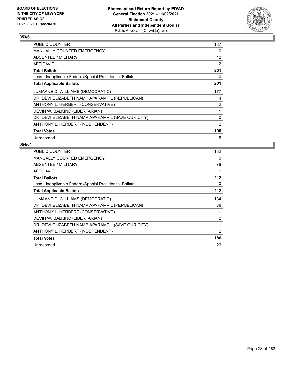

| PUBLIC COUNTER                                           | 187 |
|----------------------------------------------------------|-----|
| <b>MANUALLY COUNTED EMERGENCY</b>                        | 0   |
| ABSENTEE / MILITARY                                      | 12  |
| AFFIDAVIT                                                | 2   |
| <b>Total Ballots</b>                                     | 201 |
| Less - Inapplicable Federal/Special Presidential Ballots | 0   |
| <b>Total Applicable Ballots</b>                          | 201 |
| JUMAANE D. WILLIAMS (DEMOCRATIC)                         | 177 |
| DR. DEVI ELIZABETH NAMPIAPARAMPIL (REPUBLICAN)           | 14  |
| ANTHONY L. HERBERT (CONSERVATIVE)                        | 2   |
| DEVIN W. BALKIND (LIBERTARIAN)                           | 1   |
| DR. DEVI ELIZABETH NAMPIAPARAMPIL (SAVE OUR CITY)        | 0   |
| ANTHONY L. HERBERT (INDEPENDENT)                         | 2   |
| <b>Total Votes</b>                                       | 196 |
| Unrecorded                                               | 5   |

| <b>PUBLIC COUNTER</b>                                    | 132            |
|----------------------------------------------------------|----------------|
| MANUALLY COUNTED EMERGENCY                               | $\Omega$       |
| <b>ABSENTEE / MILITARY</b>                               | 78             |
| AFFIDAVIT                                                | 2              |
| <b>Total Ballots</b>                                     | 212            |
| Less - Inapplicable Federal/Special Presidential Ballots | 0              |
| <b>Total Applicable Ballots</b>                          | 212            |
| JUMAANE D. WILLIAMS (DEMOCRATIC)                         | 134            |
| DR. DEVI ELIZABETH NAMPIAPARAMPIL (REPUBLICAN)           | 36             |
| ANTHONY L. HERBERT (CONSERVATIVE)                        | 11             |
| DEVIN W. BALKIND (LIBERTARIAN)                           | $\overline{2}$ |
| DR. DEVI ELIZABETH NAMPIAPARAMPIL (SAVE OUR CITY)        | 1              |
| ANTHONY L. HERBERT (INDEPENDENT)                         | $\overline{2}$ |
| <b>Total Votes</b>                                       | 186            |
| Unrecorded                                               | 26             |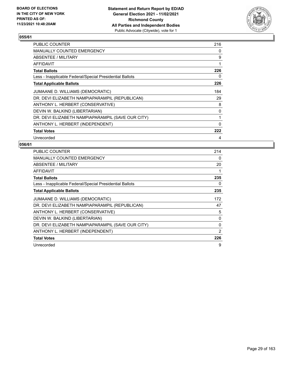

| PUBLIC COUNTER                                           | 216 |
|----------------------------------------------------------|-----|
| <b>MANUALLY COUNTED EMERGENCY</b>                        | 0   |
| ABSENTEE / MILITARY                                      | 9   |
| AFFIDAVIT                                                | 1   |
| <b>Total Ballots</b>                                     | 226 |
| Less - Inapplicable Federal/Special Presidential Ballots | 0   |
| <b>Total Applicable Ballots</b>                          | 226 |
| JUMAANE D. WILLIAMS (DEMOCRATIC)                         | 184 |
| DR. DEVI ELIZABETH NAMPIAPARAMPIL (REPUBLICAN)           | 29  |
| ANTHONY L. HERBERT (CONSERVATIVE)                        | 8   |
| DEVIN W. BALKIND (LIBERTARIAN)                           | 0   |
| DR. DEVI ELIZABETH NAMPIAPARAMPIL (SAVE OUR CITY)        | 1   |
| ANTHONY L. HERBERT (INDEPENDENT)                         | 0   |
| <b>Total Votes</b>                                       | 222 |
| Unrecorded                                               | 4   |

| <b>PUBLIC COUNTER</b>                                    | 214      |
|----------------------------------------------------------|----------|
| <b>MANUALLY COUNTED EMERGENCY</b>                        | $\Omega$ |
| ABSENTEE / MILITARY                                      | 20       |
| <b>AFFIDAVIT</b>                                         | 1        |
| <b>Total Ballots</b>                                     | 235      |
| Less - Inapplicable Federal/Special Presidential Ballots | 0        |
| <b>Total Applicable Ballots</b>                          | 235      |
| JUMAANE D. WILLIAMS (DEMOCRATIC)                         | 172      |
| DR. DEVI ELIZABETH NAMPIAPARAMPIL (REPUBLICAN)           | 47       |
| ANTHONY L. HERBERT (CONSERVATIVE)                        | 5        |
| DEVIN W. BALKIND (LIBERTARIAN)                           | 0        |
| DR. DEVI ELIZABETH NAMPIAPARAMPIL (SAVE OUR CITY)        | 0        |
| ANTHONY L. HERBERT (INDEPENDENT)                         | 2        |
| <b>Total Votes</b>                                       | 226      |
| Unrecorded                                               | 9        |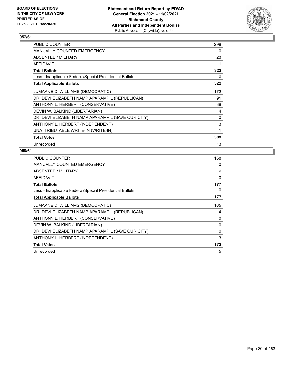

| PUBLIC COUNTER                                           | 298 |
|----------------------------------------------------------|-----|
| <b>MANUALLY COUNTED EMERGENCY</b>                        | 0   |
| ABSENTEE / MILITARY                                      | 23  |
| AFFIDAVIT                                                |     |
| <b>Total Ballots</b>                                     | 322 |
| Less - Inapplicable Federal/Special Presidential Ballots | 0   |
| <b>Total Applicable Ballots</b>                          | 322 |
| JUMAANE D. WILLIAMS (DEMOCRATIC)                         | 172 |
| DR. DEVI ELIZABETH NAMPIAPARAMPIL (REPUBLICAN)           | 91  |
| ANTHONY L. HERBERT (CONSERVATIVE)                        | 38  |
| DEVIN W. BALKIND (LIBERTARIAN)                           | 4   |
| DR. DEVI ELIZABETH NAMPIAPARAMPIL (SAVE OUR CITY)        | 0   |
| ANTHONY L. HERBERT (INDEPENDENT)                         | 3   |
| UNATTRIBUTABLE WRITE-IN (WRITE-IN)                       | 1   |
| <b>Total Votes</b>                                       | 309 |
| Unrecorded                                               | 13  |

| <b>PUBLIC COUNTER</b>                                    | 168 |
|----------------------------------------------------------|-----|
| MANUALLY COUNTED EMERGENCY                               | 0   |
| ABSENTEE / MILITARY                                      | 9   |
| <b>AFFIDAVIT</b>                                         | 0   |
| <b>Total Ballots</b>                                     | 177 |
| Less - Inapplicable Federal/Special Presidential Ballots | 0   |
| <b>Total Applicable Ballots</b>                          | 177 |
| JUMAANE D. WILLIAMS (DEMOCRATIC)                         | 165 |
| DR. DEVI ELIZABETH NAMPIAPARAMPIL (REPUBLICAN)           | 4   |
| ANTHONY L. HERBERT (CONSERVATIVE)                        | 0   |
| DEVIN W. BALKIND (LIBERTARIAN)                           | 0   |
| DR. DEVI ELIZABETH NAMPIAPARAMPIL (SAVE OUR CITY)        | 0   |
| ANTHONY L. HERBERT (INDEPENDENT)                         | 3   |
| <b>Total Votes</b>                                       | 172 |
| Unrecorded                                               | 5   |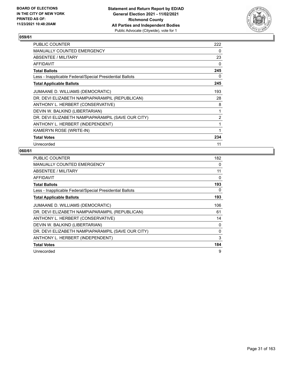

| PUBLIC COUNTER                                           | 222 |
|----------------------------------------------------------|-----|
| MANUALLY COUNTED EMERGENCY                               | 0   |
| ABSENTEE / MILITARY                                      | 23  |
| AFFIDAVIT                                                | 0   |
| <b>Total Ballots</b>                                     | 245 |
| Less - Inapplicable Federal/Special Presidential Ballots | 0   |
| <b>Total Applicable Ballots</b>                          | 245 |
| JUMAANE D. WILLIAMS (DEMOCRATIC)                         | 193 |
| DR. DEVI ELIZABETH NAMPIAPARAMPIL (REPUBLICAN)           | 28  |
| ANTHONY L. HERBERT (CONSERVATIVE)                        | 8   |
| DEVIN W. BALKIND (LIBERTARIAN)                           | 1   |
| DR. DEVI ELIZABETH NAMPIAPARAMPIL (SAVE OUR CITY)        | 2   |
| ANTHONY L. HERBERT (INDEPENDENT)                         | 1   |
| KAMERYN ROSE (WRITE-IN)                                  | 1   |
| <b>Total Votes</b>                                       | 234 |
| Unrecorded                                               | 11  |

| PUBLIC COUNTER                                           | 182 |
|----------------------------------------------------------|-----|
| <b>MANUALLY COUNTED EMERGENCY</b>                        | 0   |
| ABSENTEE / MILITARY                                      | 11  |
| AFFIDAVIT                                                | 0   |
| <b>Total Ballots</b>                                     | 193 |
| Less - Inapplicable Federal/Special Presidential Ballots | 0   |
| <b>Total Applicable Ballots</b>                          | 193 |
| JUMAANE D. WILLIAMS (DEMOCRATIC)                         | 106 |
| DR. DEVI ELIZABETH NAMPIAPARAMPIL (REPUBLICAN)           | 61  |
| ANTHONY L. HERBERT (CONSERVATIVE)                        | 14  |
| DEVIN W. BALKIND (LIBERTARIAN)                           | 0   |
| DR. DEVI ELIZABETH NAMPIAPARAMPIL (SAVE OUR CITY)        | 0   |
| ANTHONY L. HERBERT (INDEPENDENT)                         | 3   |
| <b>Total Votes</b>                                       | 184 |
| Unrecorded                                               | 9   |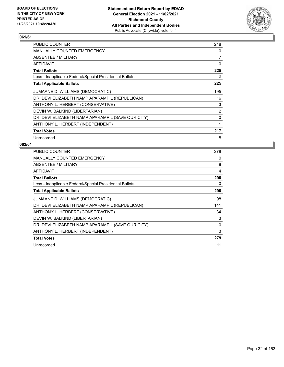

| PUBLIC COUNTER                                           | 218            |
|----------------------------------------------------------|----------------|
| <b>MANUALLY COUNTED EMERGENCY</b>                        | 0              |
| ABSENTEE / MILITARY                                      | 7              |
| AFFIDAVIT                                                | 0              |
| <b>Total Ballots</b>                                     | 225            |
| Less - Inapplicable Federal/Special Presidential Ballots | 0              |
| <b>Total Applicable Ballots</b>                          | 225            |
| JUMAANE D. WILLIAMS (DEMOCRATIC)                         | 195            |
| DR. DEVI ELIZABETH NAMPIAPARAMPIL (REPUBLICAN)           | 16             |
| ANTHONY L. HERBERT (CONSERVATIVE)                        | 3              |
| DEVIN W. BALKIND (LIBERTARIAN)                           | $\overline{2}$ |
| DR. DEVI ELIZABETH NAMPIAPARAMPIL (SAVE OUR CITY)        | 0              |
| ANTHONY L. HERBERT (INDEPENDENT)                         | 1              |
| <b>Total Votes</b>                                       | 217            |
| Unrecorded                                               | 8              |

| <b>PUBLIC COUNTER</b>                                    | 278 |
|----------------------------------------------------------|-----|
| <b>MANUALLY COUNTED EMERGENCY</b>                        | 0   |
| ABSENTEE / MILITARY                                      | 8   |
| AFFIDAVIT                                                | 4   |
| <b>Total Ballots</b>                                     | 290 |
| Less - Inapplicable Federal/Special Presidential Ballots | 0   |
| <b>Total Applicable Ballots</b>                          | 290 |
| JUMAANE D. WILLIAMS (DEMOCRATIC)                         | 98  |
| DR. DEVI ELIZABETH NAMPIAPARAMPIL (REPUBLICAN)           | 141 |
| ANTHONY L. HERBERT (CONSERVATIVE)                        | 34  |
| DEVIN W. BALKIND (LIBERTARIAN)                           | 3   |
| DR. DEVI ELIZABETH NAMPIAPARAMPIL (SAVE OUR CITY)        | 0   |
| ANTHONY L. HERBERT (INDEPENDENT)                         | 3   |
| <b>Total Votes</b>                                       | 279 |
| Unrecorded                                               | 11  |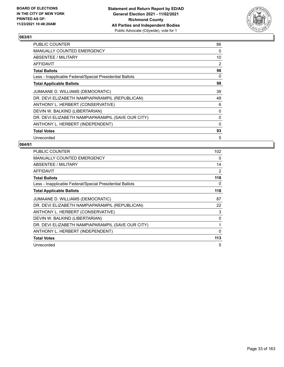

| PUBLIC COUNTER                                           | 86 |
|----------------------------------------------------------|----|
| MANUALLY COUNTED EMERGENCY                               | 0  |
| ABSENTEE / MILITARY                                      | 10 |
| AFFIDAVIT                                                | 2  |
| <b>Total Ballots</b>                                     | 98 |
| Less - Inapplicable Federal/Special Presidential Ballots | 0  |
| <b>Total Applicable Ballots</b>                          | 98 |
| JUMAANE D. WILLIAMS (DEMOCRATIC)                         | 39 |
| DR. DEVI ELIZABETH NAMPIAPARAMPIL (REPUBLICAN)           | 48 |
| ANTHONY L. HERBERT (CONSERVATIVE)                        | 6  |
| DEVIN W. BALKIND (LIBERTARIAN)                           | 0  |
| DR. DEVI ELIZABETH NAMPIAPARAMPIL (SAVE OUR CITY)        | 0  |
| ANTHONY L. HERBERT (INDEPENDENT)                         | 0  |
| <b>Total Votes</b>                                       | 93 |
| Unrecorded                                               | 5  |

| <b>PUBLIC COUNTER</b>                                    | 102      |
|----------------------------------------------------------|----------|
| MANUALLY COUNTED EMERGENCY                               | 0        |
| ABSENTEE / MILITARY                                      | 14       |
| <b>AFFIDAVIT</b>                                         | 2        |
| <b>Total Ballots</b>                                     | 118      |
| Less - Inapplicable Federal/Special Presidential Ballots | 0        |
| <b>Total Applicable Ballots</b>                          | 118      |
| JUMAANE D. WILLIAMS (DEMOCRATIC)                         | 87       |
| DR. DEVI ELIZABETH NAMPIAPARAMPIL (REPUBLICAN)           | 22       |
| ANTHONY L. HERBERT (CONSERVATIVE)                        | 3        |
| DEVIN W. BALKIND (LIBERTARIAN)                           | 0        |
| DR. DEVI ELIZABETH NAMPIAPARAMPIL (SAVE OUR CITY)        | 1        |
| ANTHONY L. HERBERT (INDEPENDENT)                         | $\Omega$ |
| <b>Total Votes</b>                                       | 113      |
| Unrecorded                                               | 5        |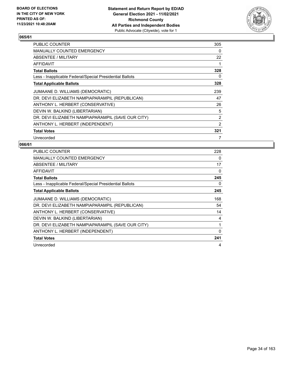

| PUBLIC COUNTER                                           | 305 |
|----------------------------------------------------------|-----|
| <b>MANUALLY COUNTED EMERGENCY</b>                        | 0   |
| ABSENTEE / MILITARY                                      | 22  |
| AFFIDAVIT                                                | 1   |
| <b>Total Ballots</b>                                     | 328 |
| Less - Inapplicable Federal/Special Presidential Ballots | 0   |
| <b>Total Applicable Ballots</b>                          | 328 |
| JUMAANE D. WILLIAMS (DEMOCRATIC)                         | 239 |
| DR. DEVI ELIZABETH NAMPIAPARAMPIL (REPUBLICAN)           | 47  |
| ANTHONY L. HERBERT (CONSERVATIVE)                        | 26  |
| DEVIN W. BALKIND (LIBERTARIAN)                           | 5   |
| DR. DEVI ELIZABETH NAMPIAPARAMPIL (SAVE OUR CITY)        | 2   |
| ANTHONY L. HERBERT (INDEPENDENT)                         | 2   |
| <b>Total Votes</b>                                       | 321 |
| Unrecorded                                               | 7   |

| <b>PUBLIC COUNTER</b>                                    | 228      |
|----------------------------------------------------------|----------|
| <b>MANUALLY COUNTED EMERGENCY</b>                        | 0        |
| ABSENTEE / MILITARY                                      | 17       |
| AFFIDAVIT                                                | 0        |
| <b>Total Ballots</b>                                     | 245      |
| Less - Inapplicable Federal/Special Presidential Ballots | 0        |
| <b>Total Applicable Ballots</b>                          | 245      |
| JUMAANE D. WILLIAMS (DEMOCRATIC)                         | 168      |
| DR. DEVI ELIZABETH NAMPIAPARAMPIL (REPUBLICAN)           | 54       |
| ANTHONY L. HERBERT (CONSERVATIVE)                        | 14       |
| DEVIN W. BALKIND (LIBERTARIAN)                           | 4        |
| DR. DEVI ELIZABETH NAMPIAPARAMPIL (SAVE OUR CITY)        | 1        |
| ANTHONY L. HERBERT (INDEPENDENT)                         | $\Omega$ |
| <b>Total Votes</b>                                       | 241      |
| Unrecorded                                               | 4        |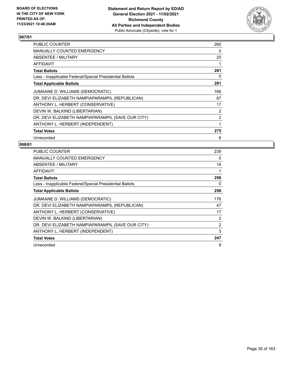

| PUBLIC COUNTER                                           | 260            |
|----------------------------------------------------------|----------------|
| <b>MANUALLY COUNTED EMERGENCY</b>                        | $\Omega$       |
| ABSENTEE / MILITARY                                      | 20             |
| AFFIDAVIT                                                | 1              |
| <b>Total Ballots</b>                                     | 281            |
| Less - Inapplicable Federal/Special Presidential Ballots | 0              |
| <b>Total Applicable Ballots</b>                          | 281            |
| JUMAANE D. WILLIAMS (DEMOCRATIC)                         | 166            |
| DR. DEVI ELIZABETH NAMPIAPARAMPIL (REPUBLICAN)           | 87             |
| ANTHONY L. HERBERT (CONSERVATIVE)                        | 17             |
| DEVIN W. BALKIND (LIBERTARIAN)                           | $\overline{2}$ |
| DR. DEVI ELIZABETH NAMPIAPARAMPIL (SAVE OUR CITY)        | $\overline{2}$ |
| ANTHONY L. HERBERT (INDEPENDENT)                         | 1              |
| <b>Total Votes</b>                                       | 275            |
| Unrecorded                                               | 6              |

| <b>PUBLIC COUNTER</b>                                    | 239      |
|----------------------------------------------------------|----------|
| MANUALLY COUNTED EMERGENCY                               | $\Omega$ |
| ABSENTEE / MILITARY                                      | 16       |
| <b>AFFIDAVIT</b>                                         | 1        |
| <b>Total Ballots</b>                                     | 256      |
| Less - Inapplicable Federal/Special Presidential Ballots | 0        |
| <b>Total Applicable Ballots</b>                          | 256      |
| JUMAANE D. WILLIAMS (DEMOCRATIC)                         | 176      |
| DR. DEVI ELIZABETH NAMPIAPARAMPIL (REPUBLICAN)           | 47       |
| ANTHONY L. HERBERT (CONSERVATIVE)                        | 17       |
| DEVIN W. BALKIND (LIBERTARIAN)                           | 2        |
| DR. DEVI ELIZABETH NAMPIAPARAMPIL (SAVE OUR CITY)        | 2        |
| ANTHONY L. HERBERT (INDEPENDENT)                         | 3        |
| <b>Total Votes</b>                                       | 247      |
| Unrecorded                                               | 9        |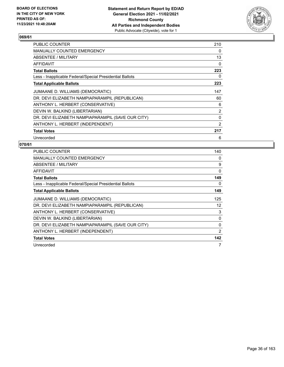

| <b>PUBLIC COUNTER</b>                                    | 210            |
|----------------------------------------------------------|----------------|
| MANUALLY COUNTED EMERGENCY                               | $\Omega$       |
| <b>ABSENTEE / MILITARY</b>                               | 13             |
| AFFIDAVIT                                                | $\Omega$       |
| <b>Total Ballots</b>                                     | 223            |
| Less - Inapplicable Federal/Special Presidential Ballots | 0              |
| <b>Total Applicable Ballots</b>                          | 223            |
| JUMAANE D. WILLIAMS (DEMOCRATIC)                         | 147            |
| DR. DEVI ELIZABETH NAMPIAPARAMPIL (REPUBLICAN)           | 60             |
| ANTHONY L. HERBERT (CONSERVATIVE)                        | 6              |
| DEVIN W. BALKIND (LIBERTARIAN)                           | $\overline{2}$ |
| DR. DEVI ELIZABETH NAMPIAPARAMPIL (SAVE OUR CITY)        | 0              |
| ANTHONY L. HERBERT (INDEPENDENT)                         | 2              |
| <b>Total Votes</b>                                       | 217            |
| Unrecorded                                               | 6              |

| <b>PUBLIC COUNTER</b>                                    | 140 |
|----------------------------------------------------------|-----|
| <b>MANUALLY COUNTED EMERGENCY</b>                        | 0   |
| ABSENTEE / MILITARY                                      | 9   |
| AFFIDAVIT                                                | 0   |
| <b>Total Ballots</b>                                     | 149 |
| Less - Inapplicable Federal/Special Presidential Ballots | 0   |
| <b>Total Applicable Ballots</b>                          | 149 |
| JUMAANE D. WILLIAMS (DEMOCRATIC)                         | 125 |
| DR. DEVI ELIZABETH NAMPIAPARAMPIL (REPUBLICAN)           | 12  |
| ANTHONY L. HERBERT (CONSERVATIVE)                        | 3   |
| DEVIN W. BALKIND (LIBERTARIAN)                           | 0   |
| DR. DEVI ELIZABETH NAMPIAPARAMPIL (SAVE OUR CITY)        | 0   |
| ANTHONY L. HERBERT (INDEPENDENT)                         | 2   |
| <b>Total Votes</b>                                       | 142 |
| Unrecorded                                               | 7   |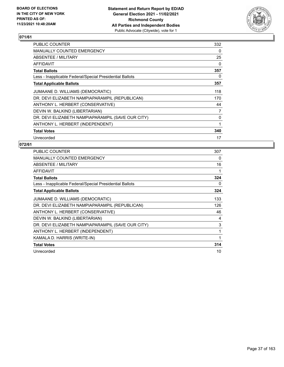

| <b>PUBLIC COUNTER</b>                                    | 332      |
|----------------------------------------------------------|----------|
| MANUALLY COUNTED EMERGENCY                               | 0        |
| ABSENTEE / MILITARY                                      | 25       |
| AFFIDAVIT                                                | $\Omega$ |
| <b>Total Ballots</b>                                     | 357      |
| Less - Inapplicable Federal/Special Presidential Ballots | 0        |
| <b>Total Applicable Ballots</b>                          | 357      |
| JUMAANE D. WILLIAMS (DEMOCRATIC)                         | 118      |
| DR. DEVI ELIZABETH NAMPIAPARAMPIL (REPUBLICAN)           | 170      |
| ANTHONY L. HERBERT (CONSERVATIVE)                        | 44       |
| DEVIN W. BALKIND (LIBERTARIAN)                           | 7        |
| DR. DEVI ELIZABETH NAMPIAPARAMPIL (SAVE OUR CITY)        | 0        |
| ANTHONY L. HERBERT (INDEPENDENT)                         | 1        |
| <b>Total Votes</b>                                       | 340      |
| Unrecorded                                               | 17       |

| <b>PUBLIC COUNTER</b>                                    | 307 |
|----------------------------------------------------------|-----|
| <b>MANUALLY COUNTED EMERGENCY</b>                        | 0   |
| ABSENTEE / MILITARY                                      | 16  |
| AFFIDAVIT                                                |     |
| <b>Total Ballots</b>                                     | 324 |
| Less - Inapplicable Federal/Special Presidential Ballots | 0   |
| <b>Total Applicable Ballots</b>                          | 324 |
| JUMAANE D. WILLIAMS (DEMOCRATIC)                         | 133 |
| DR. DEVI ELIZABETH NAMPIAPARAMPIL (REPUBLICAN)           | 126 |
| ANTHONY L. HERBERT (CONSERVATIVE)                        | 46  |
| DEVIN W. BALKIND (LIBERTARIAN)                           | 4   |
| DR. DEVI ELIZABETH NAMPIAPARAMPIL (SAVE OUR CITY)        | 3   |
| ANTHONY L. HERBERT (INDEPENDENT)                         | 1   |
| KAMALA D. HARRIS (WRITE-IN)                              | 1   |
| <b>Total Votes</b>                                       | 314 |
| Unrecorded                                               | 10  |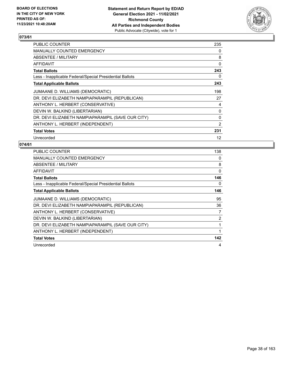

| PUBLIC COUNTER                                           | 235            |
|----------------------------------------------------------|----------------|
| <b>MANUALLY COUNTED EMERGENCY</b>                        | 0              |
| ABSENTEE / MILITARY                                      | 8              |
| AFFIDAVIT                                                | 0              |
| <b>Total Ballots</b>                                     | 243            |
| Less - Inapplicable Federal/Special Presidential Ballots | 0              |
| <b>Total Applicable Ballots</b>                          | 243            |
| JUMAANE D. WILLIAMS (DEMOCRATIC)                         | 198            |
| DR. DEVI ELIZABETH NAMPIAPARAMPIL (REPUBLICAN)           | 27             |
| ANTHONY L. HERBERT (CONSERVATIVE)                        | 4              |
| DEVIN W. BALKIND (LIBERTARIAN)                           | 0              |
| DR. DEVI ELIZABETH NAMPIAPARAMPIL (SAVE OUR CITY)        | 0              |
| ANTHONY L. HERBERT (INDEPENDENT)                         | $\overline{2}$ |
| <b>Total Votes</b>                                       | 231            |
| Unrecorded                                               | 12             |

| <b>PUBLIC COUNTER</b>                                    | 138            |
|----------------------------------------------------------|----------------|
| <b>MANUALLY COUNTED EMERGENCY</b>                        | 0              |
| ABSENTEE / MILITARY                                      | 8              |
| <b>AFFIDAVIT</b>                                         | 0              |
| <b>Total Ballots</b>                                     | 146            |
| Less - Inapplicable Federal/Special Presidential Ballots | 0              |
| <b>Total Applicable Ballots</b>                          | 146            |
| JUMAANE D. WILLIAMS (DEMOCRATIC)                         | 95             |
| DR. DEVI ELIZABETH NAMPIAPARAMPIL (REPUBLICAN)           | 36             |
| ANTHONY L. HERBERT (CONSERVATIVE)                        | 7              |
| DEVIN W. BALKIND (LIBERTARIAN)                           | $\overline{2}$ |
| DR. DEVI ELIZABETH NAMPIAPARAMPIL (SAVE OUR CITY)        | 1              |
| ANTHONY L. HERBERT (INDEPENDENT)                         | 1              |
| <b>Total Votes</b>                                       | 142            |
| Unrecorded                                               | 4              |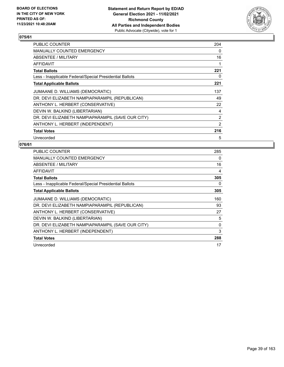

| PUBLIC COUNTER                                           | 204            |
|----------------------------------------------------------|----------------|
| <b>MANUALLY COUNTED EMERGENCY</b>                        | 0              |
| ABSENTEE / MILITARY                                      | 16             |
| <b>AFFIDAVIT</b>                                         | 1              |
| <b>Total Ballots</b>                                     | 221            |
| Less - Inapplicable Federal/Special Presidential Ballots | 0              |
| <b>Total Applicable Ballots</b>                          | 221            |
| JUMAANE D. WILLIAMS (DEMOCRATIC)                         | 137            |
| DR. DEVI ELIZABETH NAMPIAPARAMPIL (REPUBLICAN)           | 49             |
| ANTHONY L. HERBERT (CONSERVATIVE)                        | 22             |
| DEVIN W. BALKIND (LIBERTARIAN)                           | 4              |
| DR. DEVI ELIZABETH NAMPIAPARAMPIL (SAVE OUR CITY)        | $\overline{2}$ |
| ANTHONY L. HERBERT (INDEPENDENT)                         | $\overline{2}$ |
| <b>Total Votes</b>                                       | 216            |
| Unrecorded                                               | 5              |

| <b>PUBLIC COUNTER</b>                                    | 285      |
|----------------------------------------------------------|----------|
| <b>MANUALLY COUNTED EMERGENCY</b>                        | 0        |
| ABSENTEE / MILITARY                                      | 16       |
| <b>AFFIDAVIT</b>                                         | 4        |
| <b>Total Ballots</b>                                     | 305      |
| Less - Inapplicable Federal/Special Presidential Ballots | 0        |
| <b>Total Applicable Ballots</b>                          | 305      |
| JUMAANE D. WILLIAMS (DEMOCRATIC)                         | 160      |
| DR. DEVI ELIZABETH NAMPIAPARAMPIL (REPUBLICAN)           | 93       |
| ANTHONY L. HERBERT (CONSERVATIVE)                        | 27       |
| DEVIN W. BALKIND (LIBERTARIAN)                           | 5        |
| DR. DEVI ELIZABETH NAMPIAPARAMPIL (SAVE OUR CITY)        | $\Omega$ |
| ANTHONY L. HERBERT (INDEPENDENT)                         | 3        |
| <b>Total Votes</b>                                       | 288      |
| Unrecorded                                               | 17       |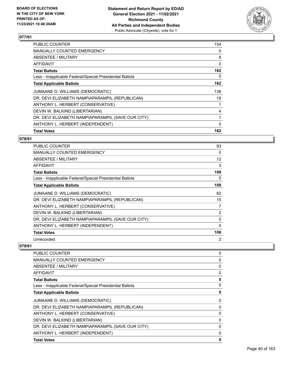

| <b>PUBLIC COUNTER</b>                                    | 154 |
|----------------------------------------------------------|-----|
| <b>MANUALLY COUNTED EMERGENCY</b>                        | 0   |
| ABSENTEE / MILITARY                                      | 8   |
| AFFIDAVIT                                                | 0   |
| <b>Total Ballots</b>                                     | 162 |
| Less - Inapplicable Federal/Special Presidential Ballots | 0   |
| <b>Total Applicable Ballots</b>                          | 162 |
| JUMAANE D. WILLIAMS (DEMOCRATIC)                         | 138 |
| DR. DEVI ELIZABETH NAMPIAPARAMPIL (REPUBLICAN)           | 18  |
| ANTHONY L. HERBERT (CONSERVATIVE)                        | 1   |
| DEVIN W. BALKIND (LIBERTARIAN)                           | 4   |
| DR. DEVI ELIZABETH NAMPIAPARAMPIL (SAVE OUR CITY)        | 1   |
| ANTHONY L. HERBERT (INDEPENDENT)                         | 0   |
| <b>Total Votes</b>                                       | 162 |

## **078/61**

| <b>PUBLIC COUNTER</b>                                    | 93             |
|----------------------------------------------------------|----------------|
| <b>MANUALLY COUNTED EMERGENCY</b>                        | 0              |
| <b>ABSENTEE / MILITARY</b>                               | 12             |
| AFFIDAVIT                                                | 3              |
| <b>Total Ballots</b>                                     | 108            |
| Less - Inapplicable Federal/Special Presidential Ballots | 0              |
| <b>Total Applicable Ballots</b>                          | 108            |
| JUMAANE D. WILLIAMS (DEMOCRATIC)                         | 82             |
| DR. DEVI ELIZABETH NAMPIAPARAMPIL (REPUBLICAN)           | 15             |
| ANTHONY L. HERBERT (CONSERVATIVE)                        | 7              |
| DEVIN W. BALKIND (LIBERTARIAN)                           | $\overline{2}$ |
| DR. DEVI ELIZABETH NAMPIAPARAMPIL (SAVE OUR CITY)        | 0              |
| ANTHONY L. HERBERT (INDEPENDENT)                         | 0              |
| <b>Total Votes</b>                                       | 106            |
| Unrecorded                                               | 2              |

| <b>PUBLIC COUNTER</b>                                    | 0            |
|----------------------------------------------------------|--------------|
| MANUALLY COUNTED EMERGENCY                               | 0            |
| ABSENTEE / MILITARY                                      | 0            |
| AFFIDAVIT                                                | 0            |
| <b>Total Ballots</b>                                     | 0            |
| Less - Inapplicable Federal/Special Presidential Ballots | 0            |
| <b>Total Applicable Ballots</b>                          | 0            |
| JUMAANE D. WILLIAMS (DEMOCRATIC)                         | 0            |
| DR. DEVI ELIZABETH NAMPIAPARAMPIL (REPUBLICAN)           | 0            |
| ANTHONY L. HERBERT (CONSERVATIVE)                        | 0            |
| DEVIN W. BALKIND (LIBERTARIAN)                           | $\mathbf{0}$ |
| DR. DEVI ELIZABETH NAMPIAPARAMPIL (SAVE OUR CITY)        | 0            |
| ANTHONY L. HERBERT (INDEPENDENT)                         | 0            |
| <b>Total Votes</b>                                       | 0            |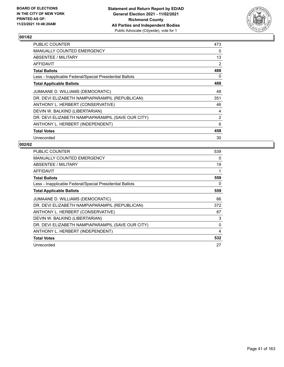

| <b>PUBLIC COUNTER</b>                                    | 473            |
|----------------------------------------------------------|----------------|
| <b>MANUALLY COUNTED EMERGENCY</b>                        | $\Omega$       |
| ABSENTEE / MILITARY                                      | 13             |
| <b>AFFIDAVIT</b>                                         | $\overline{2}$ |
| <b>Total Ballots</b>                                     | 488            |
| Less - Inapplicable Federal/Special Presidential Ballots | 0              |
| <b>Total Applicable Ballots</b>                          | 488            |
| JUMAANE D. WILLIAMS (DEMOCRATIC)                         | 49             |
| DR. DEVI ELIZABETH NAMPIAPARAMPIL (REPUBLICAN)           | 351            |
| ANTHONY L. HERBERT (CONSERVATIVE)                        | 46             |
| DEVIN W. BALKIND (LIBERTARIAN)                           | 4              |
| DR. DEVI ELIZABETH NAMPIAPARAMPIL (SAVE OUR CITY)        | $\overline{2}$ |
| ANTHONY L. HERBERT (INDEPENDENT)                         | 6              |
| <b>Total Votes</b>                                       | 458            |
| Unrecorded                                               | 30             |

| <b>PUBLIC COUNTER</b>                                    | 539 |
|----------------------------------------------------------|-----|
| <b>MANUALLY COUNTED EMERGENCY</b>                        | 0   |
| ABSENTEE / MILITARY                                      | 19  |
| AFFIDAVIT                                                | 1   |
| <b>Total Ballots</b>                                     | 559 |
| Less - Inapplicable Federal/Special Presidential Ballots | 0   |
| <b>Total Applicable Ballots</b>                          | 559 |
| JUMAANE D. WILLIAMS (DEMOCRATIC)                         | 66  |
| DR. DEVI ELIZABETH NAMPIAPARAMPIL (REPUBLICAN)           | 372 |
| ANTHONY L. HERBERT (CONSERVATIVE)                        | 87  |
| DEVIN W. BALKIND (LIBERTARIAN)                           | 3   |
| DR. DEVI ELIZABETH NAMPIAPARAMPIL (SAVE OUR CITY)        | 0   |
| ANTHONY L. HERBERT (INDEPENDENT)                         | 4   |
| <b>Total Votes</b>                                       | 532 |
| Unrecorded                                               | 27  |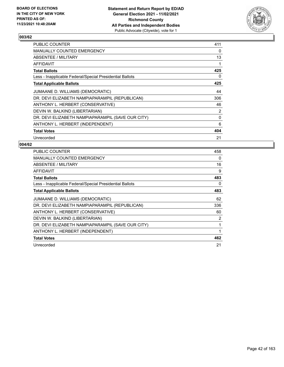

| <b>PUBLIC COUNTER</b>                                    | 411      |
|----------------------------------------------------------|----------|
| MANUALLY COUNTED EMERGENCY                               | $\Omega$ |
| ABSENTEE / MILITARY                                      | 13       |
| AFFIDAVIT                                                | 1        |
| <b>Total Ballots</b>                                     | 425      |
| Less - Inapplicable Federal/Special Presidential Ballots | 0        |
| <b>Total Applicable Ballots</b>                          | 425      |
| JUMAANE D. WILLIAMS (DEMOCRATIC)                         | 44       |
| DR. DEVI ELIZABETH NAMPIAPARAMPIL (REPUBLICAN)           | 306      |
| ANTHONY L. HERBERT (CONSERVATIVE)                        | 46       |
| DEVIN W. BALKIND (LIBERTARIAN)                           | 2        |
| DR. DEVI ELIZABETH NAMPIAPARAMPIL (SAVE OUR CITY)        | 0        |
| ANTHONY L. HERBERT (INDEPENDENT)                         | 6        |
| <b>Total Votes</b>                                       | 404      |
| Unrecorded                                               | 21       |

| <b>PUBLIC COUNTER</b>                                    | 458            |
|----------------------------------------------------------|----------------|
| <b>MANUALLY COUNTED EMERGENCY</b>                        | $\Omega$       |
| ABSENTEE / MILITARY                                      | 16             |
| AFFIDAVIT                                                | 9              |
| <b>Total Ballots</b>                                     | 483            |
| Less - Inapplicable Federal/Special Presidential Ballots | 0              |
| <b>Total Applicable Ballots</b>                          | 483            |
| JUMAANE D. WILLIAMS (DEMOCRATIC)                         | 62             |
| DR. DEVI ELIZABETH NAMPIAPARAMPIL (REPUBLICAN)           | 336            |
| ANTHONY L. HERBERT (CONSERVATIVE)                        | 60             |
| DEVIN W. BALKIND (LIBERTARIAN)                           | $\overline{2}$ |
| DR. DEVI ELIZABETH NAMPIAPARAMPIL (SAVE OUR CITY)        | 1              |
| ANTHONY L. HERBERT (INDEPENDENT)                         | 1              |
| <b>Total Votes</b>                                       | 462            |
| Unrecorded                                               | 21             |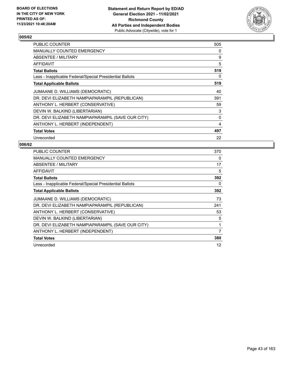

| PUBLIC COUNTER                                           | 505 |
|----------------------------------------------------------|-----|
| <b>MANUALLY COUNTED EMERGENCY</b>                        | 0   |
| <b>ABSENTEE / MILITARY</b>                               | 9   |
| AFFIDAVIT                                                | 5   |
| <b>Total Ballots</b>                                     | 519 |
| Less - Inapplicable Federal/Special Presidential Ballots | 0   |
| <b>Total Applicable Ballots</b>                          | 519 |
| JUMAANE D. WILLIAMS (DEMOCRATIC)                         | 40  |
| DR. DEVI ELIZABETH NAMPIAPARAMPIL (REPUBLICAN)           | 391 |
| ANTHONY L. HERBERT (CONSERVATIVE)                        | 59  |
| DEVIN W. BALKIND (LIBERTARIAN)                           | 3   |
| DR. DEVI ELIZABETH NAMPIAPARAMPIL (SAVE OUR CITY)        | 0   |
| ANTHONY L. HERBERT (INDEPENDENT)                         | 4   |
| <b>Total Votes</b>                                       | 497 |
| Unrecorded                                               | 22  |

| PUBLIC COUNTER                                           | 370 |
|----------------------------------------------------------|-----|
| <b>MANUALLY COUNTED EMERGENCY</b>                        | 0   |
| ABSENTEE / MILITARY                                      | 17  |
| AFFIDAVIT                                                | 5   |
| <b>Total Ballots</b>                                     | 392 |
| Less - Inapplicable Federal/Special Presidential Ballots | 0   |
| <b>Total Applicable Ballots</b>                          | 392 |
| JUMAANE D. WILLIAMS (DEMOCRATIC)                         | 73  |
| DR. DEVI ELIZABETH NAMPIAPARAMPIL (REPUBLICAN)           | 241 |
| ANTHONY L. HERBERT (CONSERVATIVE)                        | 53  |
| DEVIN W. BALKIND (LIBERTARIAN)                           | 5   |
| DR. DEVI ELIZABETH NAMPIAPARAMPIL (SAVE OUR CITY)        | 1   |
| ANTHONY L. HERBERT (INDEPENDENT)                         | 7   |
| <b>Total Votes</b>                                       | 380 |
| Unrecorded                                               | 12  |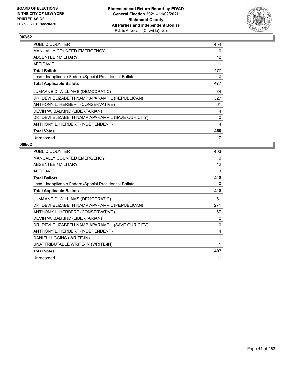

| <b>PUBLIC COUNTER</b>                                    | 454 |
|----------------------------------------------------------|-----|
| <b>MANUALLY COUNTED EMERGENCY</b>                        | 0   |
| ABSENTEE / MILITARY                                      | 12  |
| <b>AFFIDAVIT</b>                                         | 11  |
| <b>Total Ballots</b>                                     | 477 |
| Less - Inapplicable Federal/Special Presidential Ballots | 0   |
| <b>Total Applicable Ballots</b>                          | 477 |
| JUMAANE D. WILLIAMS (DEMOCRATIC)                         | 64  |
| DR. DEVI ELIZABETH NAMPIAPARAMPIL (REPUBLICAN)           | 327 |
| ANTHONY L. HERBERT (CONSERVATIVE)                        | 61  |
| DEVIN W. BALKIND (LIBERTARIAN)                           | 4   |
| DR. DEVI ELIZABETH NAMPIAPARAMPIL (SAVE OUR CITY)        | 0   |
| ANTHONY L. HERBERT (INDEPENDENT)                         | 4   |
| <b>Total Votes</b>                                       | 460 |
| Unrecorded                                               | 17  |

| PUBLIC COUNTER                                           | 403      |
|----------------------------------------------------------|----------|
| <b>MANUALLY COUNTED EMERGENCY</b>                        | 0        |
| ABSENTEE / MILITARY                                      | 12       |
| <b>AFFIDAVIT</b>                                         | 3        |
| <b>Total Ballots</b>                                     | 418      |
| Less - Inapplicable Federal/Special Presidential Ballots | 0        |
| <b>Total Applicable Ballots</b>                          | 418      |
| JUMAANE D. WILLIAMS (DEMOCRATIC)                         | 61       |
| DR. DEVI ELIZABETH NAMPIAPARAMPIL (REPUBLICAN)           | 271      |
| ANTHONY L. HERBERT (CONSERVATIVE)                        | 67       |
| DEVIN W. BALKIND (LIBERTARIAN)                           | 2        |
| DR. DEVI ELIZABETH NAMPIAPARAMPIL (SAVE OUR CITY)        | $\Omega$ |
| ANTHONY L. HERBERT (INDEPENDENT)                         | 4        |
| DANIEL HIGGINS (WRITE-IN)                                | 1        |
| UNATTRIBUTABLE WRITE-IN (WRITE-IN)                       | 1        |
| <b>Total Votes</b>                                       | 407      |
| Unrecorded                                               | 11       |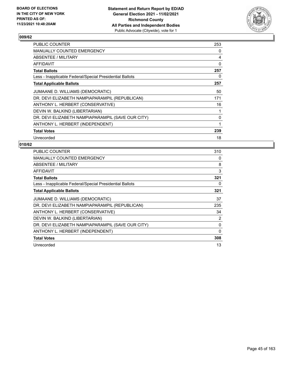

| <b>PUBLIC COUNTER</b>                                    | 253      |
|----------------------------------------------------------|----------|
| <b>MANUALLY COUNTED EMERGENCY</b>                        | 0        |
| <b>ABSENTEE / MILITARY</b>                               | 4        |
| AFFIDAVIT                                                | $\Omega$ |
| <b>Total Ballots</b>                                     | 257      |
| Less - Inapplicable Federal/Special Presidential Ballots | 0        |
| <b>Total Applicable Ballots</b>                          | 257      |
| JUMAANE D. WILLIAMS (DEMOCRATIC)                         | 50       |
| DR. DEVI ELIZABETH NAMPIAPARAMPIL (REPUBLICAN)           | 171      |
| ANTHONY L. HERBERT (CONSERVATIVE)                        | 16       |
| DEVIN W. BALKIND (LIBERTARIAN)                           | 1        |
| DR. DEVI ELIZABETH NAMPIAPARAMPIL (SAVE OUR CITY)        | 0        |
| ANTHONY L. HERBERT (INDEPENDENT)                         | 1        |
| <b>Total Votes</b>                                       | 239      |
| Unrecorded                                               | 18       |

| <b>PUBLIC COUNTER</b>                                    | 310            |
|----------------------------------------------------------|----------------|
| <b>MANUALLY COUNTED EMERGENCY</b>                        | 0              |
| ABSENTEE / MILITARY                                      | 8              |
| AFFIDAVIT                                                | 3              |
| <b>Total Ballots</b>                                     | 321            |
| Less - Inapplicable Federal/Special Presidential Ballots | 0              |
| <b>Total Applicable Ballots</b>                          | 321            |
| JUMAANE D. WILLIAMS (DEMOCRATIC)                         | 37             |
| DR. DEVI ELIZABETH NAMPIAPARAMPIL (REPUBLICAN)           | 235            |
| ANTHONY L. HERBERT (CONSERVATIVE)                        | 34             |
| DEVIN W. BALKIND (LIBERTARIAN)                           | $\overline{2}$ |
| DR. DEVI ELIZABETH NAMPIAPARAMPIL (SAVE OUR CITY)        | 0              |
| ANTHONY L. HERBERT (INDEPENDENT)                         | 0              |
| <b>Total Votes</b>                                       | 308            |
| Unrecorded                                               | 13             |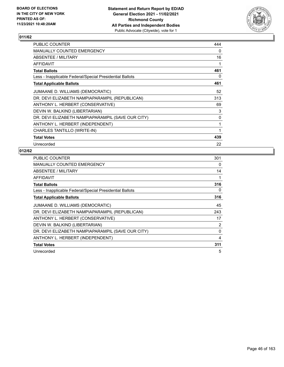

| PUBLIC COUNTER                                           | 444      |
|----------------------------------------------------------|----------|
| MANUALLY COUNTED EMERGENCY                               | 0        |
| ABSENTEE / MILITARY                                      | 16       |
| AFFIDAVIT                                                |          |
| <b>Total Ballots</b>                                     | 461      |
| Less - Inapplicable Federal/Special Presidential Ballots | 0        |
| <b>Total Applicable Ballots</b>                          | 461      |
| JUMAANE D. WILLIAMS (DEMOCRATIC)                         | 52       |
| DR. DEVI ELIZABETH NAMPIAPARAMPIL (REPUBLICAN)           | 313      |
| ANTHONY L. HERBERT (CONSERVATIVE)                        | 69       |
| DEVIN W. BALKIND (LIBERTARIAN)                           | 3        |
| DR. DEVI ELIZABETH NAMPIAPARAMPIL (SAVE OUR CITY)        | $\Omega$ |
| ANTHONY L. HERBERT (INDEPENDENT)                         | 1        |
| CHARLES TANTILLO (WRITE-IN)                              | 1        |
| <b>Total Votes</b>                                       | 439      |
| Unrecorded                                               | 22       |

| PUBLIC COUNTER                                           | 301      |
|----------------------------------------------------------|----------|
| <b>MANUALLY COUNTED EMERGENCY</b>                        | 0        |
| ABSENTEE / MILITARY                                      | 14       |
| <b>AFFIDAVIT</b>                                         | 1        |
| <b>Total Ballots</b>                                     | 316      |
| Less - Inapplicable Federal/Special Presidential Ballots | 0        |
| <b>Total Applicable Ballots</b>                          | 316      |
| JUMAANE D. WILLIAMS (DEMOCRATIC)                         | 45       |
| DR. DEVI ELIZABETH NAMPIAPARAMPIL (REPUBLICAN)           | 243      |
| ANTHONY L. HERBERT (CONSERVATIVE)                        | 17       |
| DEVIN W. BALKIND (LIBERTARIAN)                           | 2        |
| DR. DEVI ELIZABETH NAMPIAPARAMPIL (SAVE OUR CITY)        | $\Omega$ |
| ANTHONY L. HERBERT (INDEPENDENT)                         | 4        |
| <b>Total Votes</b>                                       | 311      |
| Unrecorded                                               | 5        |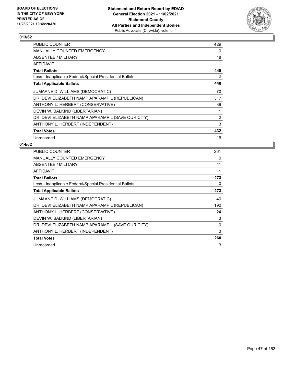

| <b>PUBLIC COUNTER</b>                                    | 429            |
|----------------------------------------------------------|----------------|
| MANUALLY COUNTED EMERGENCY                               | $\Omega$       |
| ABSENTEE / MILITARY                                      | 18             |
| <b>AFFIDAVIT</b>                                         | 1              |
| <b>Total Ballots</b>                                     | 448            |
| Less - Inapplicable Federal/Special Presidential Ballots | 0              |
| <b>Total Applicable Ballots</b>                          | 448            |
| JUMAANE D. WILLIAMS (DEMOCRATIC)                         | 70             |
| DR. DEVI ELIZABETH NAMPIAPARAMPIL (REPUBLICAN)           | 317            |
| ANTHONY L. HERBERT (CONSERVATIVE)                        | 39             |
| DEVIN W. BALKIND (LIBERTARIAN)                           | 1              |
| DR. DEVI ELIZABETH NAMPIAPARAMPIL (SAVE OUR CITY)        | $\overline{2}$ |
| ANTHONY L. HERBERT (INDEPENDENT)                         | 3              |
| <b>Total Votes</b>                                       | 432            |
| Unrecorded                                               | 16             |

| <b>PUBLIC COUNTER</b>                                    | 261 |
|----------------------------------------------------------|-----|
| <b>MANUALLY COUNTED EMERGENCY</b>                        | 0   |
| ABSENTEE / MILITARY                                      | 11  |
| <b>AFFIDAVIT</b>                                         |     |
| <b>Total Ballots</b>                                     | 273 |
| Less - Inapplicable Federal/Special Presidential Ballots | 0   |
| <b>Total Applicable Ballots</b>                          | 273 |
| JUMAANE D. WILLIAMS (DEMOCRATIC)                         | 40  |
| DR. DEVI ELIZABETH NAMPIAPARAMPIL (REPUBLICAN)           | 190 |
| ANTHONY L. HERBERT (CONSERVATIVE)                        | 24  |
| DEVIN W. BALKIND (LIBERTARIAN)                           | 3   |
| DR. DEVI ELIZABETH NAMPIAPARAMPIL (SAVE OUR CITY)        | 0   |
| ANTHONY L. HERBERT (INDEPENDENT)                         | 3   |
| <b>Total Votes</b>                                       | 260 |
| Unrecorded                                               | 13  |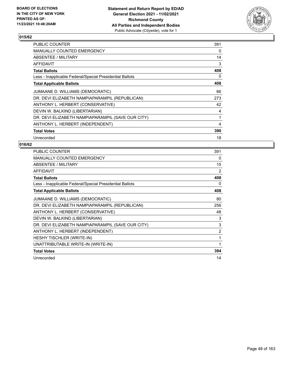

| <b>PUBLIC COUNTER</b>                                    | 391 |
|----------------------------------------------------------|-----|
| <b>MANUALLY COUNTED EMERGENCY</b>                        | 0   |
| ABSENTEE / MILITARY                                      | 14  |
| AFFIDAVIT                                                | 3   |
| <b>Total Ballots</b>                                     | 408 |
| Less - Inapplicable Federal/Special Presidential Ballots | 0   |
| <b>Total Applicable Ballots</b>                          | 408 |
| JUMAANE D. WILLIAMS (DEMOCRATIC)                         | 66  |
| DR. DEVI ELIZABETH NAMPIAPARAMPIL (REPUBLICAN)           | 273 |
| ANTHONY L. HERBERT (CONSERVATIVE)                        | 42  |
| DEVIN W. BALKIND (LIBERTARIAN)                           | 4   |
| DR. DEVI ELIZABETH NAMPIAPARAMPIL (SAVE OUR CITY)        | 1   |
| ANTHONY L. HERBERT (INDEPENDENT)                         | 4   |
| <b>Total Votes</b>                                       | 390 |
| Unrecorded                                               | 18  |

| <b>PUBLIC COUNTER</b>                                    | 391            |
|----------------------------------------------------------|----------------|
| <b>MANUALLY COUNTED EMERGENCY</b>                        | 0              |
| ABSENTEE / MILITARY                                      | 15             |
| <b>AFFIDAVIT</b>                                         | 2              |
| <b>Total Ballots</b>                                     | 408            |
| Less - Inapplicable Federal/Special Presidential Ballots | 0              |
| <b>Total Applicable Ballots</b>                          | 408            |
| JUMAANE D. WILLIAMS (DEMOCRATIC)                         | 80             |
| DR. DEVI ELIZABETH NAMPIAPARAMPIL (REPUBLICAN)           | 256            |
| ANTHONY L. HERBERT (CONSERVATIVE)                        | 48             |
| DEVIN W. BALKIND (LIBERTARIAN)                           | 3              |
| DR. DEVI ELIZABETH NAMPIAPARAMPIL (SAVE OUR CITY)        | 3              |
| ANTHONY L. HERBERT (INDEPENDENT)                         | $\overline{2}$ |
| HESHY TISCHLER (WRITE-IN)                                | 1              |
| UNATTRIBUTABLE WRITE-IN (WRITE-IN)                       | 1              |
| <b>Total Votes</b>                                       | 394            |
| Unrecorded                                               | 14             |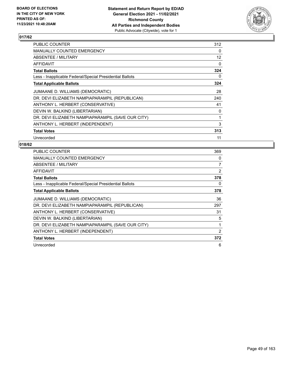

| <b>PUBLIC COUNTER</b>                                    | 312      |
|----------------------------------------------------------|----------|
| <b>MANUALLY COUNTED EMERGENCY</b>                        | $\Omega$ |
| ABSENTEE / MILITARY                                      | 12       |
| AFFIDAVIT                                                | $\Omega$ |
| <b>Total Ballots</b>                                     | 324      |
| Less - Inapplicable Federal/Special Presidential Ballots | 0        |
| <b>Total Applicable Ballots</b>                          | 324      |
| JUMAANE D. WILLIAMS (DEMOCRATIC)                         | 28       |
| DR. DEVI ELIZABETH NAMPIAPARAMPIL (REPUBLICAN)           | 240      |
| ANTHONY L. HERBERT (CONSERVATIVE)                        | 41       |
| DEVIN W. BALKIND (LIBERTARIAN)                           | 0        |
| DR. DEVI ELIZABETH NAMPIAPARAMPIL (SAVE OUR CITY)        | 1        |
| ANTHONY L. HERBERT (INDEPENDENT)                         | 3        |
| <b>Total Votes</b>                                       | 313      |
| Unrecorded                                               | 11       |

| <b>PUBLIC COUNTER</b>                                    | 369            |
|----------------------------------------------------------|----------------|
| <b>MANUALLY COUNTED EMERGENCY</b>                        | 0              |
| ABSENTEE / MILITARY                                      | 7              |
| <b>AFFIDAVIT</b>                                         | $\overline{2}$ |
| <b>Total Ballots</b>                                     | 378            |
| Less - Inapplicable Federal/Special Presidential Ballots | 0              |
| <b>Total Applicable Ballots</b>                          | 378            |
| JUMAANE D. WILLIAMS (DEMOCRATIC)                         | 36             |
| DR. DEVI ELIZABETH NAMPIAPARAMPIL (REPUBLICAN)           | 297            |
| ANTHONY L. HERBERT (CONSERVATIVE)                        | 31             |
| DEVIN W. BALKIND (LIBERTARIAN)                           | 5              |
| DR. DEVI ELIZABETH NAMPIAPARAMPIL (SAVE OUR CITY)        | 1              |
| ANTHONY L. HERBERT (INDEPENDENT)                         | 2              |
| <b>Total Votes</b>                                       | 372            |
| Unrecorded                                               | 6              |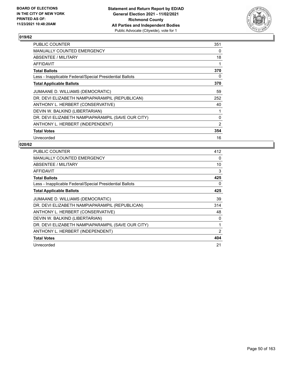

| <b>PUBLIC COUNTER</b>                                    | 351      |
|----------------------------------------------------------|----------|
| <b>MANUALLY COUNTED EMERGENCY</b>                        | $\Omega$ |
| <b>ABSENTEE / MILITARY</b>                               | 18       |
| AFFIDAVIT                                                | 1        |
| <b>Total Ballots</b>                                     | 370      |
| Less - Inapplicable Federal/Special Presidential Ballots | 0        |
| <b>Total Applicable Ballots</b>                          | 370      |
| JUMAANE D. WILLIAMS (DEMOCRATIC)                         | 59       |
| DR. DEVI ELIZABETH NAMPIAPARAMPIL (REPUBLICAN)           | 252      |
| ANTHONY L. HERBERT (CONSERVATIVE)                        | 40       |
| DEVIN W. BALKIND (LIBERTARIAN)                           | 1        |
| DR. DEVI ELIZABETH NAMPIAPARAMPIL (SAVE OUR CITY)        | 0        |
| ANTHONY L. HERBERT (INDEPENDENT)                         | 2        |
| <b>Total Votes</b>                                       | 354      |
| Unrecorded                                               | 16       |

| <b>PUBLIC COUNTER</b>                                    | 412            |
|----------------------------------------------------------|----------------|
| <b>MANUALLY COUNTED EMERGENCY</b>                        | $\Omega$       |
| <b>ABSENTEE / MILITARY</b>                               | 10             |
| AFFIDAVIT                                                | 3              |
| <b>Total Ballots</b>                                     | 425            |
| Less - Inapplicable Federal/Special Presidential Ballots | 0              |
| <b>Total Applicable Ballots</b>                          | 425            |
| JUMAANE D. WILLIAMS (DEMOCRATIC)                         | 39             |
| DR. DEVI ELIZABETH NAMPIAPARAMPIL (REPUBLICAN)           | 314            |
| ANTHONY L. HERBERT (CONSERVATIVE)                        | 48             |
| DEVIN W. BALKIND (LIBERTARIAN)                           | 0              |
| DR. DEVI ELIZABETH NAMPIAPARAMPIL (SAVE OUR CITY)        | 1              |
| ANTHONY L. HERBERT (INDEPENDENT)                         | $\overline{2}$ |
| <b>Total Votes</b>                                       | 404            |
| Unrecorded                                               | 21             |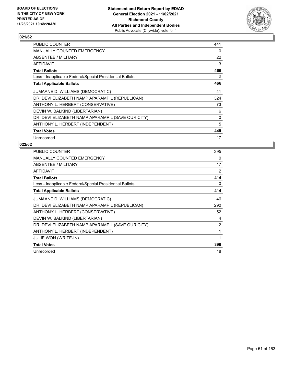

| PUBLIC COUNTER                                           | 441      |
|----------------------------------------------------------|----------|
| <b>MANUALLY COUNTED EMERGENCY</b>                        | $\Omega$ |
| ABSENTEE / MILITARY                                      | 22       |
| AFFIDAVIT                                                | 3        |
| <b>Total Ballots</b>                                     | 466      |
| Less - Inapplicable Federal/Special Presidential Ballots | 0        |
| <b>Total Applicable Ballots</b>                          | 466      |
| JUMAANE D. WILLIAMS (DEMOCRATIC)                         | 41       |
| DR. DEVI ELIZABETH NAMPIAPARAMPIL (REPUBLICAN)           | 324      |
| ANTHONY L. HERBERT (CONSERVATIVE)                        | 73       |
| DEVIN W. BALKIND (LIBERTARIAN)                           | 6        |
| DR. DEVI ELIZABETH NAMPIAPARAMPIL (SAVE OUR CITY)        | 0        |
| ANTHONY L. HERBERT (INDEPENDENT)                         | 5        |
| <b>Total Votes</b>                                       | 449      |
| Unrecorded                                               | 17       |

| PUBLIC COUNTER                                           | 395            |
|----------------------------------------------------------|----------------|
| <b>MANUALLY COUNTED EMERGENCY</b>                        | 0              |
| ABSENTEE / MILITARY                                      | 17             |
| <b>AFFIDAVIT</b>                                         | 2              |
| <b>Total Ballots</b>                                     | 414            |
| Less - Inapplicable Federal/Special Presidential Ballots | 0              |
| <b>Total Applicable Ballots</b>                          | 414            |
| JUMAANE D. WILLIAMS (DEMOCRATIC)                         | 46             |
| DR. DEVI ELIZABETH NAMPIAPARAMPIL (REPUBLICAN)           | 290            |
| ANTHONY L. HERBERT (CONSERVATIVE)                        | 52             |
| DEVIN W. BALKIND (LIBERTARIAN)                           | 4              |
| DR. DEVI ELIZABETH NAMPIAPARAMPIL (SAVE OUR CITY)        | $\overline{2}$ |
| ANTHONY L. HERBERT (INDEPENDENT)                         | 1              |
| JULIE WON (WRITE-IN)                                     | 1              |
| <b>Total Votes</b>                                       | 396            |
| Unrecorded                                               | 18             |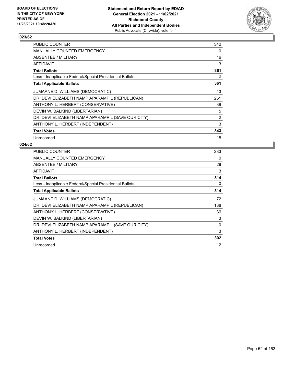

| PUBLIC COUNTER                                           | 342            |
|----------------------------------------------------------|----------------|
| MANUALLY COUNTED EMERGENCY                               | 0              |
| ABSENTEE / MILITARY                                      | 16             |
| AFFIDAVIT                                                | 3              |
| <b>Total Ballots</b>                                     | 361            |
| Less - Inapplicable Federal/Special Presidential Ballots | 0              |
| <b>Total Applicable Ballots</b>                          | 361            |
| JUMAANE D. WILLIAMS (DEMOCRATIC)                         | 43             |
| DR. DEVI ELIZABETH NAMPIAPARAMPIL (REPUBLICAN)           | 251            |
| ANTHONY L. HERBERT (CONSERVATIVE)                        | 39             |
| DEVIN W. BALKIND (LIBERTARIAN)                           | 5              |
| DR. DEVI ELIZABETH NAMPIAPARAMPIL (SAVE OUR CITY)        | $\overline{2}$ |
| ANTHONY L. HERBERT (INDEPENDENT)                         | 3              |
| <b>Total Votes</b>                                       | 343            |
| Unrecorded                                               | 18             |

| <b>PUBLIC COUNTER</b>                                    | 283      |
|----------------------------------------------------------|----------|
| <b>MANUALLY COUNTED EMERGENCY</b>                        | $\Omega$ |
| ABSENTEE / MILITARY                                      | 28       |
| <b>AFFIDAVIT</b>                                         | 3        |
| <b>Total Ballots</b>                                     | 314      |
| Less - Inapplicable Federal/Special Presidential Ballots | 0        |
| <b>Total Applicable Ballots</b>                          | 314      |
| JUMAANE D. WILLIAMS (DEMOCRATIC)                         | 72       |
| DR. DEVI ELIZABETH NAMPIAPARAMPIL (REPUBLICAN)           | 188      |
| ANTHONY L. HERBERT (CONSERVATIVE)                        | 36       |
| DEVIN W. BALKIND (LIBERTARIAN)                           | 3        |
| DR. DEVI ELIZABETH NAMPIAPARAMPIL (SAVE OUR CITY)        | 0        |
| ANTHONY L. HERBERT (INDEPENDENT)                         | 3        |
| <b>Total Votes</b>                                       | 302      |
| Unrecorded                                               | 12       |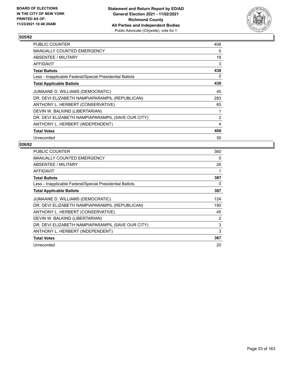

| PUBLIC COUNTER                                           | 408            |
|----------------------------------------------------------|----------------|
| <b>MANUALLY COUNTED EMERGENCY</b>                        | 0              |
| ABSENTEE / MILITARY                                      | 19             |
| AFFIDAVIT                                                | 3              |
| <b>Total Ballots</b>                                     | 430            |
| Less - Inapplicable Federal/Special Presidential Ballots | 0              |
| <b>Total Applicable Ballots</b>                          | 430            |
| JUMAANE D. WILLIAMS (DEMOCRATIC)                         | 45             |
| DR. DEVI ELIZABETH NAMPIAPARAMPIL (REPUBLICAN)           | 283            |
| ANTHONY L. HERBERT (CONSERVATIVE)                        | 65             |
| DEVIN W. BALKIND (LIBERTARIAN)                           | 1              |
| DR. DEVI ELIZABETH NAMPIAPARAMPIL (SAVE OUR CITY)        | $\overline{2}$ |
| ANTHONY L. HERBERT (INDEPENDENT)                         | 4              |
| <b>Total Votes</b>                                       | 400            |
| Unrecorded                                               | 30             |

| <b>PUBLIC COUNTER</b>                                    | 360            |
|----------------------------------------------------------|----------------|
| <b>MANUALLY COUNTED EMERGENCY</b>                        | 0              |
| ABSENTEE / MILITARY                                      | 26             |
| AFFIDAVIT                                                |                |
| <b>Total Ballots</b>                                     | 387            |
| Less - Inapplicable Federal/Special Presidential Ballots | 0              |
| <b>Total Applicable Ballots</b>                          | 387            |
| JUMAANE D. WILLIAMS (DEMOCRATIC)                         | 124            |
| DR. DEVI ELIZABETH NAMPIAPARAMPIL (REPUBLICAN)           | 190            |
| ANTHONY L. HERBERT (CONSERVATIVE)                        | 45             |
| DEVIN W. BALKIND (LIBERTARIAN)                           | $\overline{2}$ |
| DR. DEVI ELIZABETH NAMPIAPARAMPIL (SAVE OUR CITY)        | 3              |
| ANTHONY L. HERBERT (INDEPENDENT)                         | 3              |
| <b>Total Votes</b>                                       | 367            |
| Unrecorded                                               | 20             |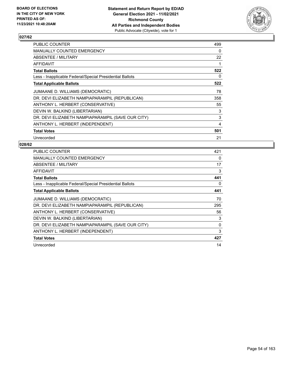

| <b>PUBLIC COUNTER</b>                                    | 499 |
|----------------------------------------------------------|-----|
| <b>MANUALLY COUNTED EMERGENCY</b>                        | 0   |
| ABSENTEE / MILITARY                                      | 22  |
| AFFIDAVIT                                                | 1   |
| <b>Total Ballots</b>                                     | 522 |
| Less - Inapplicable Federal/Special Presidential Ballots | 0   |
| <b>Total Applicable Ballots</b>                          | 522 |
| JUMAANE D. WILLIAMS (DEMOCRATIC)                         | 78  |
| DR. DEVI ELIZABETH NAMPIAPARAMPIL (REPUBLICAN)           | 358 |
| ANTHONY L. HERBERT (CONSERVATIVE)                        | 55  |
| DEVIN W. BALKIND (LIBERTARIAN)                           | 3   |
| DR. DEVI ELIZABETH NAMPIAPARAMPIL (SAVE OUR CITY)        | 3   |
| ANTHONY L. HERBERT (INDEPENDENT)                         | 4   |
| <b>Total Votes</b>                                       | 501 |
| Unrecorded                                               | 21  |

| <b>PUBLIC COUNTER</b>                                    | 421      |
|----------------------------------------------------------|----------|
| <b>MANUALLY COUNTED EMERGENCY</b>                        | $\Omega$ |
| ABSENTEE / MILITARY                                      | 17       |
| <b>AFFIDAVIT</b>                                         | 3        |
| <b>Total Ballots</b>                                     | 441      |
| Less - Inapplicable Federal/Special Presidential Ballots | 0        |
| <b>Total Applicable Ballots</b>                          | 441      |
| JUMAANE D. WILLIAMS (DEMOCRATIC)                         | 70       |
| DR. DEVI ELIZABETH NAMPIAPARAMPIL (REPUBLICAN)           | 295      |
| ANTHONY L. HERBERT (CONSERVATIVE)                        | 56       |
| DEVIN W. BALKIND (LIBERTARIAN)                           | 3        |
| DR. DEVI ELIZABETH NAMPIAPARAMPIL (SAVE OUR CITY)        | $\Omega$ |
| ANTHONY L. HERBERT (INDEPENDENT)                         | 3        |
| <b>Total Votes</b>                                       | 427      |
| Unrecorded                                               | 14       |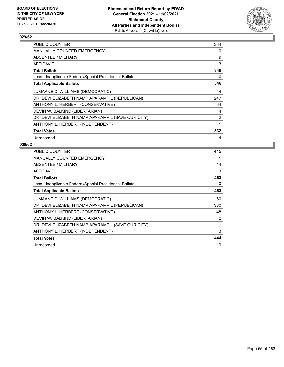

| <b>PUBLIC COUNTER</b>                                    | 334      |
|----------------------------------------------------------|----------|
| MANUALLY COUNTED EMERGENCY                               | $\Omega$ |
| ABSENTEE / MILITARY                                      | 9        |
| AFFIDAVIT                                                | 3        |
| <b>Total Ballots</b>                                     | 346      |
| Less - Inapplicable Federal/Special Presidential Ballots | 0        |
| <b>Total Applicable Ballots</b>                          | 346      |
| JUMAANE D. WILLIAMS (DEMOCRATIC)                         | 44       |
| DR. DEVI ELIZABETH NAMPIAPARAMPIL (REPUBLICAN)           | 247      |
| ANTHONY L. HERBERT (CONSERVATIVE)                        | 34       |
| DEVIN W. BALKIND (LIBERTARIAN)                           | 4        |
| DR. DEVI ELIZABETH NAMPIAPARAMPIL (SAVE OUR CITY)        | 2        |
| ANTHONY L. HERBERT (INDEPENDENT)                         | 1        |
| <b>Total Votes</b>                                       | 332      |
| Unrecorded                                               | 14       |

| <b>PUBLIC COUNTER</b>                                    | 445            |
|----------------------------------------------------------|----------------|
| <b>MANUALLY COUNTED EMERGENCY</b>                        | 1              |
| ABSENTEE / MILITARY                                      | 14             |
| AFFIDAVIT                                                | 3              |
| <b>Total Ballots</b>                                     | 463            |
| Less - Inapplicable Federal/Special Presidential Ballots | 0              |
| <b>Total Applicable Ballots</b>                          | 463            |
| JUMAANE D. WILLIAMS (DEMOCRATIC)                         | 60             |
| DR. DEVI ELIZABETH NAMPIAPARAMPIL (REPUBLICAN)           | 330            |
| ANTHONY L. HERBERT (CONSERVATIVE)                        | 48             |
| DEVIN W. BALKIND (LIBERTARIAN)                           | $\overline{2}$ |
| DR. DEVI ELIZABETH NAMPIAPARAMPIL (SAVE OUR CITY)        | 1              |
| ANTHONY L. HERBERT (INDEPENDENT)                         | 3              |
| <b>Total Votes</b>                                       | 444            |
| Unrecorded                                               | 19             |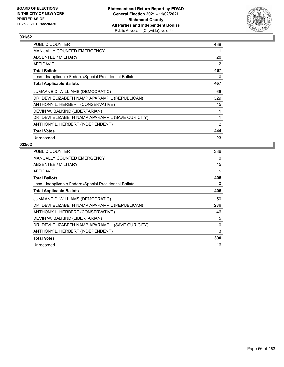

| PUBLIC COUNTER                                           | 438 |
|----------------------------------------------------------|-----|
| <b>MANUALLY COUNTED EMERGENCY</b>                        | 1   |
| ABSENTEE / MILITARY                                      | 26  |
| AFFIDAVIT                                                | 2   |
| <b>Total Ballots</b>                                     | 467 |
| Less - Inapplicable Federal/Special Presidential Ballots | 0   |
| <b>Total Applicable Ballots</b>                          | 467 |
| JUMAANE D. WILLIAMS (DEMOCRATIC)                         | 66  |
| DR. DEVI ELIZABETH NAMPIAPARAMPIL (REPUBLICAN)           | 329 |
| ANTHONY L. HERBERT (CONSERVATIVE)                        | 45  |
| DEVIN W. BALKIND (LIBERTARIAN)                           | 1   |
| DR. DEVI ELIZABETH NAMPIAPARAMPIL (SAVE OUR CITY)        | 1   |
| ANTHONY L. HERBERT (INDEPENDENT)                         | 2   |
| <b>Total Votes</b>                                       | 444 |
| Unrecorded                                               | 23  |

| PUBLIC COUNTER                                           | 386 |
|----------------------------------------------------------|-----|
| <b>MANUALLY COUNTED EMERGENCY</b>                        | 0   |
| ABSENTEE / MILITARY                                      | 15  |
| AFFIDAVIT                                                | 5   |
| <b>Total Ballots</b>                                     | 406 |
| Less - Inapplicable Federal/Special Presidential Ballots | 0   |
| <b>Total Applicable Ballots</b>                          | 406 |
| JUMAANE D. WILLIAMS (DEMOCRATIC)                         | 50  |
| DR. DEVI ELIZABETH NAMPIAPARAMPIL (REPUBLICAN)           | 286 |
| ANTHONY L. HERBERT (CONSERVATIVE)                        | 46  |
| DEVIN W. BALKIND (LIBERTARIAN)                           | 5   |
| DR. DEVI ELIZABETH NAMPIAPARAMPIL (SAVE OUR CITY)        | 0   |
| ANTHONY L. HERBERT (INDEPENDENT)                         | 3   |
| <b>Total Votes</b>                                       | 390 |
| Unrecorded                                               | 16  |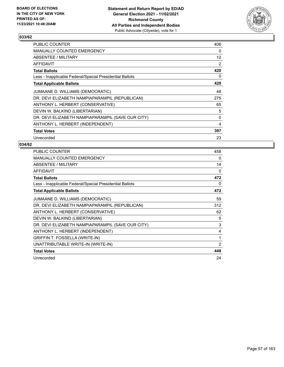

| PUBLIC COUNTER                                           | 406               |
|----------------------------------------------------------|-------------------|
| <b>MANUALLY COUNTED EMERGENCY</b>                        | 0                 |
| ABSENTEE / MILITARY                                      | $12 \overline{ }$ |
| AFFIDAVIT                                                | 2                 |
| <b>Total Ballots</b>                                     | 420               |
| Less - Inapplicable Federal/Special Presidential Ballots | 0                 |
| <b>Total Applicable Ballots</b>                          | 420               |
| JUMAANE D. WILLIAMS (DEMOCRATIC)                         | 48                |
| DR. DEVI ELIZABETH NAMPIAPARAMPIL (REPUBLICAN)           | 275               |
| ANTHONY L. HERBERT (CONSERVATIVE)                        | 65                |
| DEVIN W. BALKIND (LIBERTARIAN)                           | 5                 |
| DR. DEVI ELIZABETH NAMPIAPARAMPIL (SAVE OUR CITY)        | 0                 |
| ANTHONY L. HERBERT (INDEPENDENT)                         | 4                 |
| <b>Total Votes</b>                                       | 397               |
| Unrecorded                                               | 23                |

| PUBLIC COUNTER                                           | 458 |
|----------------------------------------------------------|-----|
| <b>MANUALLY COUNTED EMERGENCY</b>                        | 0   |
| ABSENTEE / MILITARY                                      | 14  |
| <b>AFFIDAVIT</b>                                         | 0   |
| <b>Total Ballots</b>                                     | 472 |
| Less - Inapplicable Federal/Special Presidential Ballots | 0   |
| <b>Total Applicable Ballots</b>                          | 472 |
| JUMAANE D. WILLIAMS (DEMOCRATIC)                         | 59  |
| DR. DEVI ELIZABETH NAMPIAPARAMPIL (REPUBLICAN)           | 312 |
| ANTHONY L. HERBERT (CONSERVATIVE)                        | 62  |
| DEVIN W. BALKIND (LIBERTARIAN)                           | 5   |
| DR. DEVI ELIZABETH NAMPIAPARAMPIL (SAVE OUR CITY)        | 3   |
| ANTHONY L. HERBERT (INDEPENDENT)                         | 4   |
| <b>GRIFFIN T. FOSSELLA (WRITE-IN)</b>                    | 1   |
| UNATTRIBUTABLE WRITE-IN (WRITE-IN)                       | 2   |
| <b>Total Votes</b>                                       | 448 |
| Unrecorded                                               | 24  |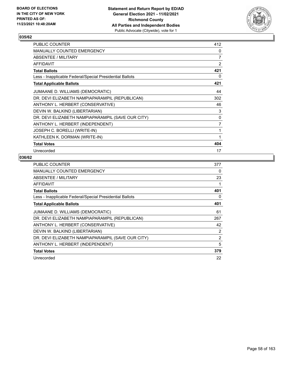

| <b>PUBLIC COUNTER</b>                                    | 412            |
|----------------------------------------------------------|----------------|
| <b>MANUALLY COUNTED EMERGENCY</b>                        | 0              |
| ABSENTEE / MILITARY                                      | $\overline{7}$ |
| AFFIDAVIT                                                | 2              |
| <b>Total Ballots</b>                                     | 421            |
| Less - Inapplicable Federal/Special Presidential Ballots | 0              |
| <b>Total Applicable Ballots</b>                          | 421            |
| JUMAANE D. WILLIAMS (DEMOCRATIC)                         | 44             |
| DR. DEVI ELIZABETH NAMPIAPARAMPIL (REPUBLICAN)           | 302            |
| ANTHONY L. HERBERT (CONSERVATIVE)                        | 46             |
| DEVIN W. BALKIND (LIBERTARIAN)                           | 3              |
| DR. DEVI ELIZABETH NAMPIAPARAMPIL (SAVE OUR CITY)        | 0              |
| ANTHONY L. HERBERT (INDEPENDENT)                         | 7              |
| JOSEPH C. BORELLI (WRITE-IN)                             | 1              |
| KATHLEEN K. DORMAN (WRITE-IN)                            | 1              |
| <b>Total Votes</b>                                       | 404            |
| Unrecorded                                               | 17             |

| <b>PUBLIC COUNTER</b>                                    | 377            |
|----------------------------------------------------------|----------------|
| <b>MANUALLY COUNTED EMERGENCY</b>                        | 0              |
| ABSENTEE / MILITARY                                      | 23             |
| <b>AFFIDAVIT</b>                                         | 1              |
| <b>Total Ballots</b>                                     | 401            |
| Less - Inapplicable Federal/Special Presidential Ballots | 0              |
| <b>Total Applicable Ballots</b>                          | 401            |
| JUMAANE D. WILLIAMS (DEMOCRATIC)                         | 61             |
| DR. DEVI ELIZABETH NAMPIAPARAMPIL (REPUBLICAN)           | 267            |
| ANTHONY L. HERBERT (CONSERVATIVE)                        | 42             |
| DEVIN W. BALKIND (LIBERTARIAN)                           | 2              |
| DR. DEVI ELIZABETH NAMPIAPARAMPIL (SAVE OUR CITY)        | $\overline{2}$ |
| ANTHONY L. HERBERT (INDEPENDENT)                         | 5              |
| <b>Total Votes</b>                                       | 379            |
| Unrecorded                                               | 22             |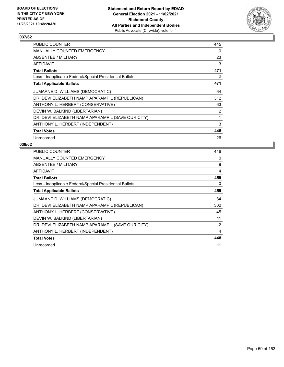

| PUBLIC COUNTER                                           | 445 |
|----------------------------------------------------------|-----|
| <b>MANUALLY COUNTED EMERGENCY</b>                        | 0   |
| ABSENTEE / MILITARY                                      | 23  |
| AFFIDAVIT                                                | 3   |
| <b>Total Ballots</b>                                     | 471 |
| Less - Inapplicable Federal/Special Presidential Ballots | 0   |
| <b>Total Applicable Ballots</b>                          | 471 |
| JUMAANE D. WILLIAMS (DEMOCRATIC)                         | 64  |
| DR. DEVI ELIZABETH NAMPIAPARAMPIL (REPUBLICAN)           | 312 |
| ANTHONY L. HERBERT (CONSERVATIVE)                        | 63  |
| DEVIN W. BALKIND (LIBERTARIAN)                           | 2   |
| DR. DEVI ELIZABETH NAMPIAPARAMPIL (SAVE OUR CITY)        | 1   |
| ANTHONY L. HERBERT (INDEPENDENT)                         | 3   |
| <b>Total Votes</b>                                       | 445 |
| Unrecorded                                               | 26  |

| <b>PUBLIC COUNTER</b>                                    | 446            |
|----------------------------------------------------------|----------------|
| <b>MANUALLY COUNTED EMERGENCY</b>                        | 0              |
| ABSENTEE / MILITARY                                      | 9              |
| AFFIDAVIT                                                | 4              |
| <b>Total Ballots</b>                                     | 459            |
| Less - Inapplicable Federal/Special Presidential Ballots | 0              |
| <b>Total Applicable Ballots</b>                          | 459            |
| JUMAANE D. WILLIAMS (DEMOCRATIC)                         | 84             |
| DR. DEVI ELIZABETH NAMPIAPARAMPIL (REPUBLICAN)           | 302            |
| ANTHONY L. HERBERT (CONSERVATIVE)                        | 45             |
| DEVIN W. BALKIND (LIBERTARIAN)                           | 11             |
| DR. DEVI ELIZABETH NAMPIAPARAMPIL (SAVE OUR CITY)        | $\overline{2}$ |
| ANTHONY L. HERBERT (INDEPENDENT)                         | 4              |
| <b>Total Votes</b>                                       | 448            |
| Unrecorded                                               | 11             |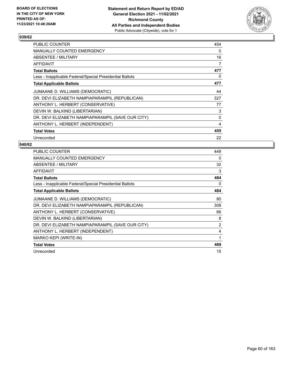

| <b>PUBLIC COUNTER</b>                                    | 454 |
|----------------------------------------------------------|-----|
| <b>MANUALLY COUNTED EMERGENCY</b>                        | 0   |
| ABSENTEE / MILITARY                                      | 16  |
| <b>AFFIDAVIT</b>                                         | 7   |
| <b>Total Ballots</b>                                     | 477 |
| Less - Inapplicable Federal/Special Presidential Ballots | 0   |
| <b>Total Applicable Ballots</b>                          | 477 |
| JUMAANE D. WILLIAMS (DEMOCRATIC)                         | 44  |
| DR. DEVI ELIZABETH NAMPIAPARAMPIL (REPUBLICAN)           | 327 |
| ANTHONY L. HERBERT (CONSERVATIVE)                        | 77  |
| DEVIN W. BALKIND (LIBERTARIAN)                           | 3   |
| DR. DEVI ELIZABETH NAMPIAPARAMPIL (SAVE OUR CITY)        | 0   |
| ANTHONY L. HERBERT (INDEPENDENT)                         | 4   |
| <b>Total Votes</b>                                       | 455 |
| Unrecorded                                               | 22  |

| PUBLIC COUNTER                                           | 449            |
|----------------------------------------------------------|----------------|
| <b>MANUALLY COUNTED EMERGENCY</b>                        | 0              |
| <b>ABSENTEE / MILITARY</b>                               | 32             |
| AFFIDAVIT                                                | 3              |
| <b>Total Ballots</b>                                     | 484            |
| Less - Inapplicable Federal/Special Presidential Ballots | 0              |
| <b>Total Applicable Ballots</b>                          | 484            |
| JUMAANE D. WILLIAMS (DEMOCRATIC)                         | 80             |
| DR. DEVI ELIZABETH NAMPIAPARAMPIL (REPUBLICAN)           | 308            |
| ANTHONY L. HERBERT (CONSERVATIVE)                        | 66             |
| DEVIN W. BALKIND (LIBERTARIAN)                           | 8              |
| DR. DEVI ELIZABETH NAMPIAPARAMPIL (SAVE OUR CITY)        | $\overline{2}$ |
| ANTHONY L. HERBERT (INDEPENDENT)                         | 4              |
| MARKO KEPI (WRITE-IN)                                    | 1              |
| <b>Total Votes</b>                                       | 469            |
| Unrecorded                                               | 15             |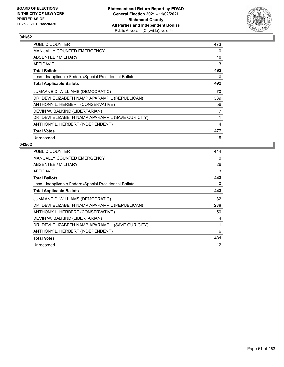

| <b>PUBLIC COUNTER</b>                                    | 473 |
|----------------------------------------------------------|-----|
| <b>MANUALLY COUNTED EMERGENCY</b>                        | 0   |
| ABSENTEE / MILITARY                                      | 16  |
| AFFIDAVIT                                                | 3   |
| <b>Total Ballots</b>                                     | 492 |
| Less - Inapplicable Federal/Special Presidential Ballots | 0   |
| <b>Total Applicable Ballots</b>                          | 492 |
| JUMAANE D. WILLIAMS (DEMOCRATIC)                         | 70  |
| DR. DEVI ELIZABETH NAMPIAPARAMPIL (REPUBLICAN)           | 339 |
| ANTHONY L. HERBERT (CONSERVATIVE)                        | 56  |
| DEVIN W. BALKIND (LIBERTARIAN)                           | 7   |
| DR. DEVI ELIZABETH NAMPIAPARAMPIL (SAVE OUR CITY)        | 1   |
| ANTHONY L. HERBERT (INDEPENDENT)                         | 4   |
| <b>Total Votes</b>                                       | 477 |
| Unrecorded                                               | 15  |

| <b>PUBLIC COUNTER</b>                                    | 414      |
|----------------------------------------------------------|----------|
| <b>MANUALLY COUNTED EMERGENCY</b>                        | $\Omega$ |
| ABSENTEE / MILITARY                                      | 26       |
| <b>AFFIDAVIT</b>                                         | 3        |
| <b>Total Ballots</b>                                     | 443      |
| Less - Inapplicable Federal/Special Presidential Ballots | 0        |
| <b>Total Applicable Ballots</b>                          | 443      |
| JUMAANE D. WILLIAMS (DEMOCRATIC)                         | 82       |
| DR. DEVI ELIZABETH NAMPIAPARAMPIL (REPUBLICAN)           | 288      |
| ANTHONY L. HERBERT (CONSERVATIVE)                        | 50       |
| DEVIN W. BALKIND (LIBERTARIAN)                           | 4        |
| DR. DEVI ELIZABETH NAMPIAPARAMPIL (SAVE OUR CITY)        | 1        |
| ANTHONY L. HERBERT (INDEPENDENT)                         | 6        |
| <b>Total Votes</b>                                       | 431      |
| Unrecorded                                               | 12       |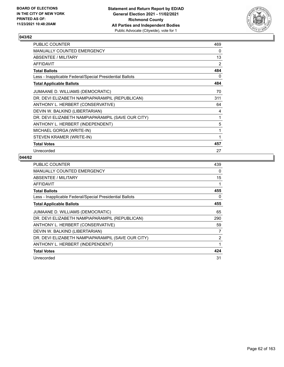

| PUBLIC COUNTER                                           | 469 |
|----------------------------------------------------------|-----|
| MANUALLY COUNTED EMERGENCY                               | 0   |
| ABSENTEE / MILITARY                                      | 13  |
| <b>AFFIDAVIT</b>                                         | 2   |
| <b>Total Ballots</b>                                     | 484 |
| Less - Inapplicable Federal/Special Presidential Ballots | 0   |
| <b>Total Applicable Ballots</b>                          | 484 |
| JUMAANE D. WILLIAMS (DEMOCRATIC)                         | 70  |
| DR. DEVI ELIZABETH NAMPIAPARAMPIL (REPUBLICAN)           | 311 |
| ANTHONY L. HERBERT (CONSERVATIVE)                        | 64  |
| DEVIN W. BALKIND (LIBERTARIAN)                           | 4   |
| DR. DEVI ELIZABETH NAMPIAPARAMPIL (SAVE OUR CITY)        | 1   |
| ANTHONY L. HERBERT (INDEPENDENT)                         | 5   |
| MICHAEL GORGA (WRITE-IN)                                 | 1   |
| STEVEN KRAMER (WRITE-IN)                                 | 1   |
| <b>Total Votes</b>                                       | 457 |
| Unrecorded                                               | 27  |

| <b>PUBLIC COUNTER</b>                                    | 439 |
|----------------------------------------------------------|-----|
| <b>MANUALLY COUNTED EMERGENCY</b>                        | 0   |
| ABSENTEE / MILITARY                                      | 15  |
| <b>AFFIDAVIT</b>                                         | 1   |
| <b>Total Ballots</b>                                     | 455 |
| Less - Inapplicable Federal/Special Presidential Ballots | 0   |
| <b>Total Applicable Ballots</b>                          | 455 |
| JUMAANE D. WILLIAMS (DEMOCRATIC)                         | 65  |
| DR. DEVI ELIZABETH NAMPIAPARAMPIL (REPUBLICAN)           | 290 |
| ANTHONY L. HERBERT (CONSERVATIVE)                        | 59  |
| DEVIN W. BALKIND (LIBERTARIAN)                           | 7   |
| DR. DEVI ELIZABETH NAMPIAPARAMPIL (SAVE OUR CITY)        | 2   |
| ANTHONY L. HERBERT (INDEPENDENT)                         | 1   |
| <b>Total Votes</b>                                       | 424 |
| Unrecorded                                               | 31  |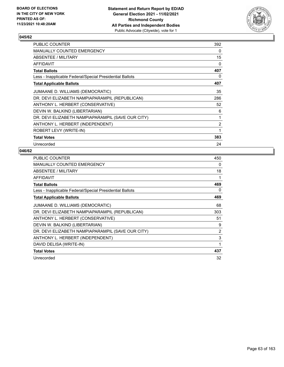

| PUBLIC COUNTER                                           | 392            |
|----------------------------------------------------------|----------------|
| MANUALLY COUNTED EMERGENCY                               | 0              |
| ABSENTEE / MILITARY                                      | 15             |
| AFFIDAVIT                                                | 0              |
| Total Ballots                                            | 407            |
| Less - Inapplicable Federal/Special Presidential Ballots | 0              |
| <b>Total Applicable Ballots</b>                          | 407            |
| JUMAANE D. WILLIAMS (DEMOCRATIC)                         | 35             |
| DR. DEVI ELIZABETH NAMPIAPARAMPIL (REPUBLICAN)           | 286            |
| ANTHONY L. HERBERT (CONSERVATIVE)                        | 52             |
| DEVIN W. BALKIND (LIBERTARIAN)                           | 6              |
| DR. DEVI ELIZABETH NAMPIAPARAMPIL (SAVE OUR CITY)        | 1              |
| ANTHONY L. HERBERT (INDEPENDENT)                         | $\overline{2}$ |
| ROBERT LEVY (WRITE-IN)                                   | 1              |
| <b>Total Votes</b>                                       | 383            |
| Unrecorded                                               | 24             |

| <b>PUBLIC COUNTER</b>                                    | 450            |
|----------------------------------------------------------|----------------|
| <b>MANUALLY COUNTED EMERGENCY</b>                        | 0              |
| ABSENTEE / MILITARY                                      | 18             |
| <b>AFFIDAVIT</b>                                         | 1              |
| <b>Total Ballots</b>                                     | 469            |
| Less - Inapplicable Federal/Special Presidential Ballots | 0              |
| <b>Total Applicable Ballots</b>                          | 469            |
| JUMAANE D. WILLIAMS (DEMOCRATIC)                         | 68             |
| DR. DEVI ELIZABETH NAMPIAPARAMPIL (REPUBLICAN)           | 303            |
| ANTHONY L. HERBERT (CONSERVATIVE)                        | 51             |
| DEVIN W. BALKIND (LIBERTARIAN)                           | 9              |
| DR. DEVI ELIZABETH NAMPIAPARAMPIL (SAVE OUR CITY)        | $\overline{2}$ |
| ANTHONY L. HERBERT (INDEPENDENT)                         | 3              |
| DAVID DELISA (WRITE-IN)                                  | 1              |
| <b>Total Votes</b>                                       | 437            |
| Unrecorded                                               | 32             |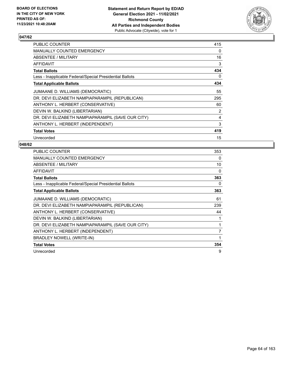

| <b>PUBLIC COUNTER</b>                                    | 415            |
|----------------------------------------------------------|----------------|
| <b>MANUALLY COUNTED EMERGENCY</b>                        | 0              |
| ABSENTEE / MILITARY                                      | 16             |
| AFFIDAVIT                                                | 3              |
| <b>Total Ballots</b>                                     | 434            |
| Less - Inapplicable Federal/Special Presidential Ballots | 0              |
| <b>Total Applicable Ballots</b>                          | 434            |
| JUMAANE D. WILLIAMS (DEMOCRATIC)                         | 55             |
| DR. DEVI ELIZABETH NAMPIAPARAMPIL (REPUBLICAN)           | 295            |
| ANTHONY L. HERBERT (CONSERVATIVE)                        | 60             |
| DEVIN W. BALKIND (LIBERTARIAN)                           | $\overline{2}$ |
| DR. DEVI ELIZABETH NAMPIAPARAMPIL (SAVE OUR CITY)        | 4              |
| ANTHONY L. HERBERT (INDEPENDENT)                         | 3              |
| <b>Total Votes</b>                                       | 419            |
| Unrecorded                                               | 15             |

| PUBLIC COUNTER                                           | 353          |
|----------------------------------------------------------|--------------|
| MANUALLY COUNTED EMERGENCY                               | 0            |
| ABSENTEE / MILITARY                                      | 10           |
| <b>AFFIDAVIT</b>                                         | 0            |
| <b>Total Ballots</b>                                     | 363          |
| Less - Inapplicable Federal/Special Presidential Ballots | 0            |
| <b>Total Applicable Ballots</b>                          | 363          |
| JUMAANE D. WILLIAMS (DEMOCRATIC)                         | 61           |
| DR. DEVI ELIZABETH NAMPIAPARAMPIL (REPUBLICAN)           | 239          |
| ANTHONY L. HERBERT (CONSERVATIVE)                        | 44           |
| DEVIN W. BALKIND (LIBERTARIAN)                           |              |
| DR. DEVI ELIZABETH NAMPIAPARAMPIL (SAVE OUR CITY)        | 1            |
| ANTHONY L. HERBERT (INDEPENDENT)                         | 7            |
| <b>BRADLEY NOWELL (WRITE-IN)</b>                         | $\mathbf{1}$ |
| <b>Total Votes</b>                                       | 354          |
| Unrecorded                                               | 9            |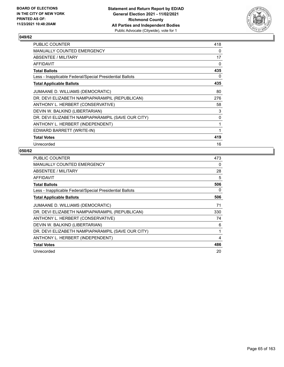

| PUBLIC COUNTER                                           | 418 |
|----------------------------------------------------------|-----|
| MANUALLY COUNTED EMERGENCY                               | 0   |
| ABSENTEE / MILITARY                                      | 17  |
| AFFIDAVIT                                                | 0   |
| <b>Total Ballots</b>                                     | 435 |
| Less - Inapplicable Federal/Special Presidential Ballots | 0   |
| <b>Total Applicable Ballots</b>                          | 435 |
| JUMAANE D. WILLIAMS (DEMOCRATIC)                         | 80  |
| DR. DEVI ELIZABETH NAMPIAPARAMPIL (REPUBLICAN)           | 276 |
| ANTHONY L. HERBERT (CONSERVATIVE)                        | 58  |
| DEVIN W. BALKIND (LIBERTARIAN)                           | 3   |
| DR. DEVI ELIZABETH NAMPIAPARAMPIL (SAVE OUR CITY)        | 0   |
| ANTHONY L. HERBERT (INDEPENDENT)                         | 1   |
| EDWARD BARRETT (WRITE-IN)                                | 1   |
| <b>Total Votes</b>                                       | 419 |
| Unrecorded                                               | 16  |

| <b>PUBLIC COUNTER</b>                                    | 473 |
|----------------------------------------------------------|-----|
| MANUALLY COUNTED EMERGENCY                               | 0   |
| ABSENTEE / MILITARY                                      | 28  |
| <b>AFFIDAVIT</b>                                         | 5   |
| <b>Total Ballots</b>                                     | 506 |
| Less - Inapplicable Federal/Special Presidential Ballots | 0   |
| <b>Total Applicable Ballots</b>                          | 506 |
| JUMAANE D. WILLIAMS (DEMOCRATIC)                         | 71  |
| DR. DEVI ELIZABETH NAMPIAPARAMPIL (REPUBLICAN)           | 330 |
| ANTHONY L. HERBERT (CONSERVATIVE)                        | 74  |
| DEVIN W. BALKIND (LIBERTARIAN)                           | 6   |
| DR. DEVI ELIZABETH NAMPIAPARAMPIL (SAVE OUR CITY)        | 1   |
| ANTHONY L. HERBERT (INDEPENDENT)                         | 4   |
| <b>Total Votes</b>                                       | 486 |
| Unrecorded                                               | 20  |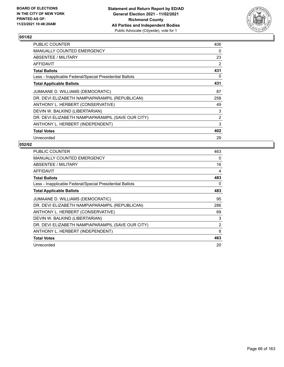

| PUBLIC COUNTER                                           | 406            |
|----------------------------------------------------------|----------------|
| MANUALLY COUNTED EMERGENCY                               | $\Omega$       |
| ABSENTEE / MILITARY                                      | 23             |
| AFFIDAVIT                                                | $\overline{2}$ |
| <b>Total Ballots</b>                                     | 431            |
| Less - Inapplicable Federal/Special Presidential Ballots | 0              |
| <b>Total Applicable Ballots</b>                          | 431            |
| JUMAANE D. WILLIAMS (DEMOCRATIC)                         | 87             |
| DR. DEVI ELIZABETH NAMPIAPARAMPIL (REPUBLICAN)           | 258            |
| ANTHONY L. HERBERT (CONSERVATIVE)                        | 49             |
| DEVIN W. BALKIND (LIBERTARIAN)                           | 3              |
| DR. DEVI ELIZABETH NAMPIAPARAMPIL (SAVE OUR CITY)        | $\overline{2}$ |
| ANTHONY L. HERBERT (INDEPENDENT)                         | 3              |
| <b>Total Votes</b>                                       | 402            |
| Unrecorded                                               | 29             |

| <b>PUBLIC COUNTER</b>                                    | 463            |
|----------------------------------------------------------|----------------|
| <b>MANUALLY COUNTED EMERGENCY</b>                        | $\Omega$       |
| ABSENTEE / MILITARY                                      | 16             |
| <b>AFFIDAVIT</b>                                         | 4              |
| <b>Total Ballots</b>                                     | 483            |
| Less - Inapplicable Federal/Special Presidential Ballots | 0              |
| <b>Total Applicable Ballots</b>                          | 483            |
| JUMAANE D. WILLIAMS (DEMOCRATIC)                         | 95             |
| DR. DEVI ELIZABETH NAMPIAPARAMPIL (REPUBLICAN)           | 286            |
| ANTHONY L. HERBERT (CONSERVATIVE)                        | 69             |
| DEVIN W. BALKIND (LIBERTARIAN)                           | 3              |
| DR. DEVI ELIZABETH NAMPIAPARAMPIL (SAVE OUR CITY)        | $\overline{2}$ |
| ANTHONY L. HERBERT (INDEPENDENT)                         | 8              |
| <b>Total Votes</b>                                       | 463            |
| Unrecorded                                               | 20             |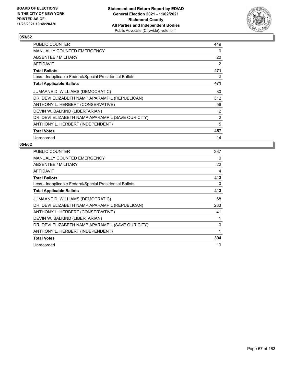

| <b>PUBLIC COUNTER</b>                                    | 449            |
|----------------------------------------------------------|----------------|
| <b>MANUALLY COUNTED EMERGENCY</b>                        | 0              |
| ABSENTEE / MILITARY                                      | 20             |
| <b>AFFIDAVIT</b>                                         | $\overline{2}$ |
| <b>Total Ballots</b>                                     | 471            |
| Less - Inapplicable Federal/Special Presidential Ballots | 0              |
| <b>Total Applicable Ballots</b>                          | 471            |
| JUMAANE D. WILLIAMS (DEMOCRATIC)                         | 80             |
| DR. DEVI ELIZABETH NAMPIAPARAMPIL (REPUBLICAN)           | 312            |
| ANTHONY L. HERBERT (CONSERVATIVE)                        | 56             |
| DEVIN W. BALKIND (LIBERTARIAN)                           | $\overline{2}$ |
| DR. DEVI ELIZABETH NAMPIAPARAMPIL (SAVE OUR CITY)        | 2              |
| ANTHONY L. HERBERT (INDEPENDENT)                         | 5              |
| <b>Total Votes</b>                                       | 457            |
| Unrecorded                                               | 14             |

| <b>PUBLIC COUNTER</b>                                    | 387 |
|----------------------------------------------------------|-----|
| <b>MANUALLY COUNTED EMERGENCY</b>                        | 0   |
| ABSENTEE / MILITARY                                      | 22  |
| AFFIDAVIT                                                | 4   |
| <b>Total Ballots</b>                                     | 413 |
| Less - Inapplicable Federal/Special Presidential Ballots | 0   |
| <b>Total Applicable Ballots</b>                          | 413 |
| JUMAANE D. WILLIAMS (DEMOCRATIC)                         | 68  |
| DR. DEVI ELIZABETH NAMPIAPARAMPIL (REPUBLICAN)           | 283 |
| ANTHONY L. HERBERT (CONSERVATIVE)                        | 41  |
| DEVIN W. BALKIND (LIBERTARIAN)                           |     |
| DR. DEVI ELIZABETH NAMPIAPARAMPIL (SAVE OUR CITY)        | 0   |
| ANTHONY L. HERBERT (INDEPENDENT)                         | 1   |
| <b>Total Votes</b>                                       | 394 |
| Unrecorded                                               | 19  |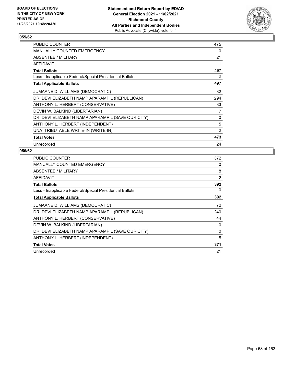

| PUBLIC COUNTER                                           | 475            |
|----------------------------------------------------------|----------------|
| <b>MANUALLY COUNTED EMERGENCY</b>                        | 0              |
| ABSENTEE / MILITARY                                      | 21             |
| AFFIDAVIT                                                |                |
| Total Ballots                                            | 497            |
| Less - Inapplicable Federal/Special Presidential Ballots | 0              |
| <b>Total Applicable Ballots</b>                          | 497            |
| JUMAANE D. WILLIAMS (DEMOCRATIC)                         | 82             |
| DR. DEVI ELIZABETH NAMPIAPARAMPIL (REPUBLICAN)           | 294            |
| ANTHONY L. HERBERT (CONSERVATIVE)                        | 83             |
| DEVIN W. BALKIND (LIBERTARIAN)                           | 7              |
| DR. DEVI ELIZABETH NAMPIAPARAMPIL (SAVE OUR CITY)        | $\Omega$       |
| ANTHONY L. HERBERT (INDEPENDENT)                         | 5              |
| UNATTRIBUTABLE WRITE-IN (WRITE-IN)                       | $\overline{2}$ |
| <b>Total Votes</b>                                       | 473            |
| Unrecorded                                               | 24             |

| PUBLIC COUNTER                                           | 372 |
|----------------------------------------------------------|-----|
| <b>MANUALLY COUNTED EMERGENCY</b>                        | 0   |
| ABSENTEE / MILITARY                                      | 18  |
| <b>AFFIDAVIT</b>                                         | 2   |
| <b>Total Ballots</b>                                     | 392 |
| Less - Inapplicable Federal/Special Presidential Ballots | 0   |
| <b>Total Applicable Ballots</b>                          | 392 |
| JUMAANE D. WILLIAMS (DEMOCRATIC)                         | 72  |
| DR. DEVI ELIZABETH NAMPIAPARAMPIL (REPUBLICAN)           | 240 |
| ANTHONY L. HERBERT (CONSERVATIVE)                        | 44  |
| DEVIN W. BALKIND (LIBERTARIAN)                           | 10  |
| DR. DEVI ELIZABETH NAMPIAPARAMPIL (SAVE OUR CITY)        | 0   |
| ANTHONY L. HERBERT (INDEPENDENT)                         | 5   |
| <b>Total Votes</b>                                       | 371 |
| Unrecorded                                               | 21  |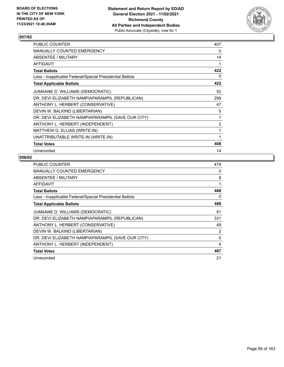

| <b>PUBLIC COUNTER</b>                                    | 407 |
|----------------------------------------------------------|-----|
| <b>MANUALLY COUNTED EMERGENCY</b>                        | 0   |
| ABSENTEE / MILITARY                                      | 14  |
| <b>AFFIDAVIT</b>                                         | 1   |
| <b>Total Ballots</b>                                     | 422 |
| Less - Inapplicable Federal/Special Presidential Ballots | 0   |
| <b>Total Applicable Ballots</b>                          | 422 |
| JUMAANE D. WILLIAMS (DEMOCRATIC)                         | 52  |
| DR. DEVI ELIZABETH NAMPIAPARAMPIL (REPUBLICAN)           | 299 |
| ANTHONY L. HERBERT (CONSERVATIVE)                        | 47  |
| DEVIN W. BALKIND (LIBERTARIAN)                           | 5   |
| DR. DEVI ELIZABETH NAMPIAPARAMPIL (SAVE OUR CITY)        | 1   |
| ANTHONY L. HERBERT (INDEPENDENT)                         | 2   |
| MATTHEW G. ELLIAS (WRITE-IN)                             | 1   |
| UNATTRIBUTABLE WRITE-IN (WRITE-IN)                       | 1   |
| <b>Total Votes</b>                                       | 408 |
| Unrecorded                                               | 14  |

| <b>PUBLIC COUNTER</b>                                    | 479      |
|----------------------------------------------------------|----------|
| MANUALLY COUNTED EMERGENCY                               | 0        |
| ABSENTEE / MILITARY                                      | 8        |
| AFFIDAVIT                                                | 1        |
| <b>Total Ballots</b>                                     | 488      |
| Less - Inapplicable Federal/Special Presidential Ballots | 0        |
| <b>Total Applicable Ballots</b>                          | 488      |
| JUMAANE D. WILLIAMS (DEMOCRATIC)                         | 81       |
| DR. DEVI ELIZABETH NAMPIAPARAMPIL (REPUBLICAN)           | 331      |
| ANTHONY L. HERBERT (CONSERVATIVE)                        | 49       |
| DEVIN W. BALKIND (LIBERTARIAN)                           | 2        |
| DR. DEVI ELIZABETH NAMPIAPARAMPIL (SAVE OUR CITY)        | $\Omega$ |
| ANTHONY L. HERBERT (INDEPENDENT)                         | 4        |
| <b>Total Votes</b>                                       | 467      |
| Unrecorded                                               | 21       |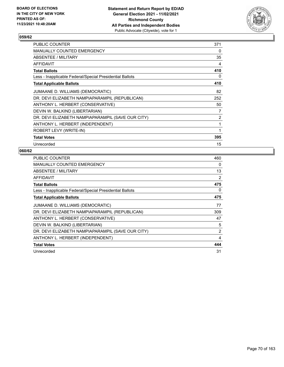

| PUBLIC COUNTER                                           | 371 |
|----------------------------------------------------------|-----|
| <b>MANUALLY COUNTED EMERGENCY</b>                        | 0   |
| <b>ABSENTEE / MILITARY</b>                               | 35  |
| AFFIDAVIT                                                | 4   |
| <b>Total Ballots</b>                                     | 410 |
| Less - Inapplicable Federal/Special Presidential Ballots | 0   |
| <b>Total Applicable Ballots</b>                          | 410 |
| JUMAANE D. WILLIAMS (DEMOCRATIC)                         | 82  |
| DR. DEVI ELIZABETH NAMPIAPARAMPIL (REPUBLICAN)           | 252 |
| ANTHONY L. HERBERT (CONSERVATIVE)                        | 50  |
| DEVIN W. BALKIND (LIBERTARIAN)                           | 7   |
| DR. DEVI ELIZABETH NAMPIAPARAMPIL (SAVE OUR CITY)        | 2   |
| ANTHONY L. HERBERT (INDEPENDENT)                         | 1   |
| ROBERT LEVY (WRITE-IN)                                   | 1   |
| <b>Total Votes</b>                                       | 395 |
| Unrecorded                                               | 15  |

| <b>PUBLIC COUNTER</b>                                    | 460            |
|----------------------------------------------------------|----------------|
| MANUALLY COUNTED EMERGENCY                               | 0              |
| ABSENTEE / MILITARY                                      | 13             |
| <b>AFFIDAVIT</b>                                         | $\overline{2}$ |
| <b>Total Ballots</b>                                     | 475            |
| Less - Inapplicable Federal/Special Presidential Ballots | 0              |
| <b>Total Applicable Ballots</b>                          | 475            |
| JUMAANE D. WILLIAMS (DEMOCRATIC)                         | 77             |
| DR. DEVI ELIZABETH NAMPIAPARAMPIL (REPUBLICAN)           | 309            |
| ANTHONY L. HERBERT (CONSERVATIVE)                        | 47             |
| DEVIN W. BALKIND (LIBERTARIAN)                           | 5              |
| DR. DEVI ELIZABETH NAMPIAPARAMPIL (SAVE OUR CITY)        | 2              |
| ANTHONY L. HERBERT (INDEPENDENT)                         | 4              |
| <b>Total Votes</b>                                       | 444            |
| Unrecorded                                               | 31             |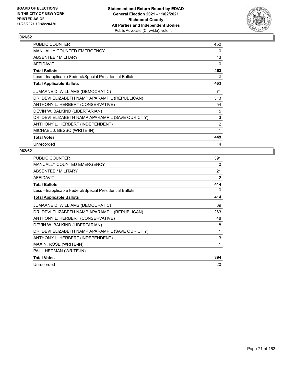

| PUBLIC COUNTER                                           | 450 |
|----------------------------------------------------------|-----|
| MANUALLY COUNTED EMERGENCY                               | 0   |
| ABSENTEE / MILITARY                                      | 13  |
| AFFIDAVIT                                                | 0   |
| <b>Total Ballots</b>                                     | 463 |
| Less - Inapplicable Federal/Special Presidential Ballots | 0   |
| <b>Total Applicable Ballots</b>                          | 463 |
| JUMAANE D. WILLIAMS (DEMOCRATIC)                         | 71  |
| DR. DEVI ELIZABETH NAMPIAPARAMPIL (REPUBLICAN)           | 313 |
| ANTHONY L. HERBERT (CONSERVATIVE)                        | 54  |
| DEVIN W. BALKIND (LIBERTARIAN)                           | 5   |
| DR. DEVI ELIZABETH NAMPIAPARAMPIL (SAVE OUR CITY)        | 3   |
| ANTHONY L. HERBERT (INDEPENDENT)                         | 2   |
| MICHAEL J. BESSO (WRITE-IN)                              | 1   |
| <b>Total Votes</b>                                       | 449 |
| Unrecorded                                               | 14  |

| <b>PUBLIC COUNTER</b>                                    | 391 |
|----------------------------------------------------------|-----|
| <b>MANUALLY COUNTED EMERGENCY</b>                        | 0   |
| ABSENTEE / MILITARY                                      | 21  |
| <b>AFFIDAVIT</b>                                         | 2   |
| <b>Total Ballots</b>                                     | 414 |
| Less - Inapplicable Federal/Special Presidential Ballots | 0   |
| <b>Total Applicable Ballots</b>                          | 414 |
| JUMAANE D. WILLIAMS (DEMOCRATIC)                         | 69  |
| DR. DEVI ELIZABETH NAMPIAPARAMPIL (REPUBLICAN)           | 263 |
| ANTHONY L. HERBERT (CONSERVATIVE)                        | 48  |
| DEVIN W. BALKIND (LIBERTARIAN)                           | 8   |
| DR. DEVI ELIZABETH NAMPIAPARAMPIL (SAVE OUR CITY)        | 1   |
| ANTHONY L. HERBERT (INDEPENDENT)                         | 3   |
| MAX N. ROSE (WRITE-IN)                                   | 1   |
| PAUL HEDMAN (WRITE-IN)                                   | 1   |
| <b>Total Votes</b>                                       | 394 |
| Unrecorded                                               | 20  |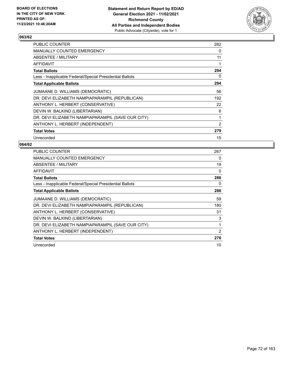

| <b>PUBLIC COUNTER</b>                                    | 282            |
|----------------------------------------------------------|----------------|
| MANUALLY COUNTED EMERGENCY                               | 0              |
| ABSENTEE / MILITARY                                      | 11             |
| AFFIDAVIT                                                | 1              |
| <b>Total Ballots</b>                                     | 294            |
| Less - Inapplicable Federal/Special Presidential Ballots | 0              |
| <b>Total Applicable Ballots</b>                          | 294            |
| JUMAANE D. WILLIAMS (DEMOCRATIC)                         | 56             |
| DR. DEVI ELIZABETH NAMPIAPARAMPIL (REPUBLICAN)           | 192            |
| ANTHONY L. HERBERT (CONSERVATIVE)                        | 22             |
| DEVIN W. BALKIND (LIBERTARIAN)                           | 6              |
| DR. DEVI ELIZABETH NAMPIAPARAMPIL (SAVE OUR CITY)        | 1              |
| ANTHONY L. HERBERT (INDEPENDENT)                         | $\overline{2}$ |
| <b>Total Votes</b>                                       | 279            |
| Unrecorded                                               | 15             |

| <b>PUBLIC COUNTER</b>                                    | 267      |
|----------------------------------------------------------|----------|
| <b>MANUALLY COUNTED EMERGENCY</b>                        | 0        |
| ABSENTEE / MILITARY                                      | 19       |
| AFFIDAVIT                                                | $\Omega$ |
| <b>Total Ballots</b>                                     | 286      |
| Less - Inapplicable Federal/Special Presidential Ballots | 0        |
| <b>Total Applicable Ballots</b>                          | 286      |
| JUMAANE D. WILLIAMS (DEMOCRATIC)                         | 59       |
| DR. DEVI ELIZABETH NAMPIAPARAMPIL (REPUBLICAN)           | 180      |
| ANTHONY L. HERBERT (CONSERVATIVE)                        | 31       |
| DEVIN W. BALKIND (LIBERTARIAN)                           | 3        |
| DR. DEVI ELIZABETH NAMPIAPARAMPIL (SAVE OUR CITY)        | 1        |
| ANTHONY L. HERBERT (INDEPENDENT)                         | 2        |
| <b>Total Votes</b>                                       | 276      |
| Unrecorded                                               | 10       |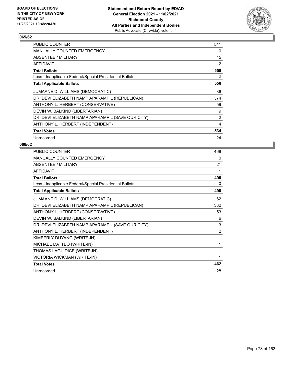

| PUBLIC COUNTER                                           | 541            |
|----------------------------------------------------------|----------------|
| <b>MANUALLY COUNTED EMERGENCY</b>                        | 0              |
| ABSENTEE / MILITARY                                      | 15             |
| AFFIDAVIT                                                | 2              |
| <b>Total Ballots</b>                                     | 558            |
| Less - Inapplicable Federal/Special Presidential Ballots | 0              |
| <b>Total Applicable Ballots</b>                          | 558            |
| JUMAANE D. WILLIAMS (DEMOCRATIC)                         | 86             |
| DR. DEVI ELIZABETH NAMPIAPARAMPIL (REPUBLICAN)           | 374            |
| ANTHONY L. HERBERT (CONSERVATIVE)                        | 59             |
| DEVIN W. BALKIND (LIBERTARIAN)                           | 9              |
| DR. DEVI ELIZABETH NAMPIAPARAMPIL (SAVE OUR CITY)        | $\overline{2}$ |
| ANTHONY L. HERBERT (INDEPENDENT)                         | 4              |
| <b>Total Votes</b>                                       | 534            |
| Unrecorded                                               | 24             |

| PUBLIC COUNTER                                           | 468            |
|----------------------------------------------------------|----------------|
| <b>MANUALLY COUNTED EMERGENCY</b>                        | 0              |
| ABSENTEE / MILITARY                                      | 21             |
| <b>AFFIDAVIT</b>                                         | 1              |
| <b>Total Ballots</b>                                     | 490            |
| Less - Inapplicable Federal/Special Presidential Ballots | 0              |
| <b>Total Applicable Ballots</b>                          | 490            |
| JUMAANE D. WILLIAMS (DEMOCRATIC)                         | 62             |
| DR. DEVI ELIZABETH NAMPIAPARAMPIL (REPUBLICAN)           | 332            |
| ANTHONY L. HERBERT (CONSERVATIVE)                        | 53             |
| DEVIN W. BALKIND (LIBERTARIAN)                           | 6              |
| DR. DEVI ELIZABETH NAMPIAPARAMPIL (SAVE OUR CITY)        | 3              |
| ANTHONY L. HERBERT (INDEPENDENT)                         | $\overline{2}$ |
| KIMBERLY DUYANG (WRITE-IN)                               | 1              |
| MICHAEL MATTEO (WRITE-IN)                                | 1              |
| THOMAS LAGUIDICE (WRITE-IN)                              | 1              |
| VICTORIA WICKMAN (WRITE-IN)                              | 1              |
| <b>Total Votes</b>                                       | 462            |
| Unrecorded                                               | 28             |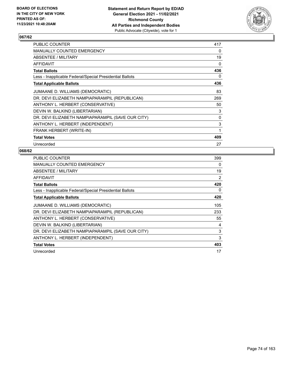

| PUBLIC COUNTER                                           | 417 |
|----------------------------------------------------------|-----|
| MANUALLY COUNTED EMERGENCY                               | 0   |
| ABSENTEE / MILITARY                                      | 19  |
| AFFIDAVIT                                                | 0   |
| <b>Total Ballots</b>                                     | 436 |
| Less - Inapplicable Federal/Special Presidential Ballots | 0   |
| <b>Total Applicable Ballots</b>                          | 436 |
| JUMAANE D. WILLIAMS (DEMOCRATIC)                         | 83  |
| DR. DEVI ELIZABETH NAMPIAPARAMPIL (REPUBLICAN)           | 269 |
| ANTHONY L. HERBERT (CONSERVATIVE)                        | 50  |
| DEVIN W. BALKIND (LIBERTARIAN)                           | 3   |
| DR. DEVI ELIZABETH NAMPIAPARAMPIL (SAVE OUR CITY)        | 0   |
| ANTHONY L. HERBERT (INDEPENDENT)                         | 3   |
| FRANK HERBERT (WRITE-IN)                                 | 1   |
| <b>Total Votes</b>                                       | 409 |
| Unrecorded                                               | 27  |

| <b>PUBLIC COUNTER</b>                                    | 399 |
|----------------------------------------------------------|-----|
| <b>MANUALLY COUNTED EMERGENCY</b>                        | 0   |
| <b>ABSENTEE / MILITARY</b>                               | 19  |
| AFFIDAVIT                                                | 2   |
| <b>Total Ballots</b>                                     | 420 |
| Less - Inapplicable Federal/Special Presidential Ballots | 0   |
| <b>Total Applicable Ballots</b>                          | 420 |
| JUMAANE D. WILLIAMS (DEMOCRATIC)                         | 105 |
| DR. DEVI ELIZABETH NAMPIAPARAMPIL (REPUBLICAN)           | 233 |
| ANTHONY L. HERBERT (CONSERVATIVE)                        | 55  |
| DEVIN W. BALKIND (LIBERTARIAN)                           | 4   |
| DR. DEVI ELIZABETH NAMPIAPARAMPIL (SAVE OUR CITY)        | 3   |
| ANTHONY L. HERBERT (INDEPENDENT)                         | 3   |
| <b>Total Votes</b>                                       | 403 |
| Unrecorded                                               | 17  |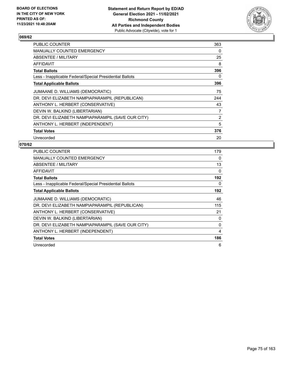

| <b>PUBLIC COUNTER</b>                                    | 363 |
|----------------------------------------------------------|-----|
| <b>MANUALLY COUNTED EMERGENCY</b>                        | 0   |
| <b>ABSENTEE / MILITARY</b>                               | 25  |
| AFFIDAVIT                                                | 8   |
| <b>Total Ballots</b>                                     | 396 |
| Less - Inapplicable Federal/Special Presidential Ballots | 0   |
| <b>Total Applicable Ballots</b>                          | 396 |
| JUMAANE D. WILLIAMS (DEMOCRATIC)                         | 75  |
| DR. DEVI ELIZABETH NAMPIAPARAMPIL (REPUBLICAN)           | 244 |
| ANTHONY L. HERBERT (CONSERVATIVE)                        | 43  |
| DEVIN W. BALKIND (LIBERTARIAN)                           | 7   |
| DR. DEVI ELIZABETH NAMPIAPARAMPIL (SAVE OUR CITY)        | 2   |
| ANTHONY L. HERBERT (INDEPENDENT)                         | 5   |
| <b>Total Votes</b>                                       | 376 |
| Unrecorded                                               | 20  |

| <b>PUBLIC COUNTER</b>                                    | 179      |
|----------------------------------------------------------|----------|
| <b>MANUALLY COUNTED EMERGENCY</b>                        | 0        |
| ABSENTEE / MILITARY                                      | 13       |
| <b>AFFIDAVIT</b>                                         | $\Omega$ |
| <b>Total Ballots</b>                                     | 192      |
| Less - Inapplicable Federal/Special Presidential Ballots | 0        |
| <b>Total Applicable Ballots</b>                          | 192      |
| JUMAANE D. WILLIAMS (DEMOCRATIC)                         | 46       |
| DR. DEVI ELIZABETH NAMPIAPARAMPIL (REPUBLICAN)           | 115      |
| ANTHONY L. HERBERT (CONSERVATIVE)                        | 21       |
| DEVIN W. BALKIND (LIBERTARIAN)                           | 0        |
| DR. DEVI ELIZABETH NAMPIAPARAMPIL (SAVE OUR CITY)        | $\Omega$ |
| ANTHONY L. HERBERT (INDEPENDENT)                         | 4        |
| <b>Total Votes</b>                                       | 186      |
| Unrecorded                                               | 6        |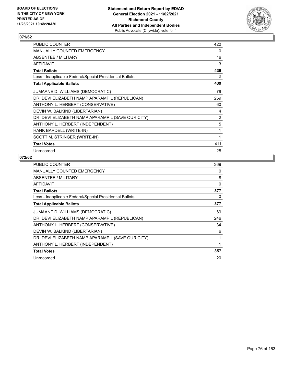

| PUBLIC COUNTER                                           | 420            |
|----------------------------------------------------------|----------------|
| <b>MANUALLY COUNTED EMERGENCY</b>                        | 0              |
| <b>ABSENTEE / MILITARY</b>                               | 16             |
| AFFIDAVIT                                                | 3              |
| <b>Total Ballots</b>                                     | 439            |
| Less - Inapplicable Federal/Special Presidential Ballots | 0              |
| <b>Total Applicable Ballots</b>                          | 439            |
| JUMAANE D. WILLIAMS (DEMOCRATIC)                         | 79             |
| DR. DEVI ELIZABETH NAMPIAPARAMPIL (REPUBLICAN)           | 259            |
| ANTHONY L. HERBERT (CONSERVATIVE)                        | 60             |
| DEVIN W. BALKIND (LIBERTARIAN)                           | 4              |
| DR. DEVI ELIZABETH NAMPIAPARAMPIL (SAVE OUR CITY)        | $\overline{2}$ |
| ANTHONY L. HERBERT (INDEPENDENT)                         | 5              |
| HANK BARDELL (WRITE-IN)                                  | 1              |
| SCOTT M. STRINGER (WRITE-IN)                             | 1              |
| <b>Total Votes</b>                                       | 411            |
| Unrecorded                                               | 28             |

| <b>PUBLIC COUNTER</b>                                    | 369 |
|----------------------------------------------------------|-----|
| MANUALLY COUNTED EMERGENCY                               | 0   |
| ABSENTEE / MILITARY                                      | 8   |
| AFFIDAVIT                                                | 0   |
| <b>Total Ballots</b>                                     | 377 |
| Less - Inapplicable Federal/Special Presidential Ballots | 0   |
| <b>Total Applicable Ballots</b>                          | 377 |
| JUMAANE D. WILLIAMS (DEMOCRATIC)                         | 69  |
| DR. DEVI ELIZABETH NAMPIAPARAMPIL (REPUBLICAN)           | 246 |
| ANTHONY L. HERBERT (CONSERVATIVE)                        | 34  |
| DEVIN W. BALKIND (LIBERTARIAN)                           | 6   |
| DR. DEVI ELIZABETH NAMPIAPARAMPIL (SAVE OUR CITY)        | 1   |
| ANTHONY L. HERBERT (INDEPENDENT)                         | 1   |
| <b>Total Votes</b>                                       | 357 |
| Unrecorded                                               | 20  |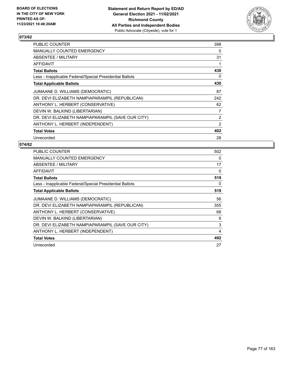

| <b>PUBLIC COUNTER</b>                                    | 398            |
|----------------------------------------------------------|----------------|
| <b>MANUALLY COUNTED EMERGENCY</b>                        | 0              |
| ABSENTEE / MILITARY                                      | 31             |
| AFFIDAVIT                                                | 1              |
| <b>Total Ballots</b>                                     | 430            |
| Less - Inapplicable Federal/Special Presidential Ballots | 0              |
| <b>Total Applicable Ballots</b>                          | 430            |
| JUMAANE D. WILLIAMS (DEMOCRATIC)                         | 87             |
| DR. DEVI ELIZABETH NAMPIAPARAMPIL (REPUBLICAN)           | 242            |
| ANTHONY L. HERBERT (CONSERVATIVE)                        | 62             |
| DEVIN W. BALKIND (LIBERTARIAN)                           | 7              |
| DR. DEVI ELIZABETH NAMPIAPARAMPIL (SAVE OUR CITY)        | $\overline{2}$ |
| ANTHONY L. HERBERT (INDEPENDENT)                         | 2              |
| <b>Total Votes</b>                                       | 402            |
| Unrecorded                                               | 28             |

| <b>PUBLIC COUNTER</b>                                    | 502      |
|----------------------------------------------------------|----------|
| <b>MANUALLY COUNTED EMERGENCY</b>                        | $\Omega$ |
| ABSENTEE / MILITARY                                      | 17       |
| AFFIDAVIT                                                | $\Omega$ |
| <b>Total Ballots</b>                                     | 519      |
| Less - Inapplicable Federal/Special Presidential Ballots | 0        |
| <b>Total Applicable Ballots</b>                          | 519      |
| JUMAANE D. WILLIAMS (DEMOCRATIC)                         | 56       |
| DR. DEVI ELIZABETH NAMPIAPARAMPIL (REPUBLICAN)           | 355      |
| ANTHONY L. HERBERT (CONSERVATIVE)                        | 68       |
| DEVIN W. BALKIND (LIBERTARIAN)                           | 6        |
| DR. DEVI ELIZABETH NAMPIAPARAMPIL (SAVE OUR CITY)        | 3        |
| ANTHONY L. HERBERT (INDEPENDENT)                         | 4        |
| <b>Total Votes</b>                                       | 492      |
| Unrecorded                                               | 27       |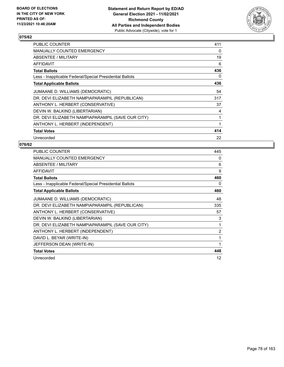

| <b>PUBLIC COUNTER</b>                                    | 411 |
|----------------------------------------------------------|-----|
| <b>MANUALLY COUNTED EMERGENCY</b>                        | 0   |
| ABSENTEE / MILITARY                                      | 19  |
| AFFIDAVIT                                                | 6   |
| <b>Total Ballots</b>                                     | 436 |
| Less - Inapplicable Federal/Special Presidential Ballots | 0   |
| <b>Total Applicable Ballots</b>                          | 436 |
| JUMAANE D. WILLIAMS (DEMOCRATIC)                         | 54  |
| DR. DEVI ELIZABETH NAMPIAPARAMPIL (REPUBLICAN)           | 317 |
| ANTHONY L. HERBERT (CONSERVATIVE)                        | 37  |
| DEVIN W. BALKIND (LIBERTARIAN)                           | 4   |
| DR. DEVI ELIZABETH NAMPIAPARAMPIL (SAVE OUR CITY)        |     |
| ANTHONY L. HERBERT (INDEPENDENT)                         | 1   |
| <b>Total Votes</b>                                       | 414 |
| Unrecorded                                               | 22  |

| PUBLIC COUNTER                                           | 445            |
|----------------------------------------------------------|----------------|
| <b>MANUALLY COUNTED EMERGENCY</b>                        | 0              |
| ABSENTEE / MILITARY                                      | 6              |
| <b>AFFIDAVIT</b>                                         | 9              |
| <b>Total Ballots</b>                                     | 460            |
| Less - Inapplicable Federal/Special Presidential Ballots | 0              |
| <b>Total Applicable Ballots</b>                          | 460            |
| JUMAANE D. WILLIAMS (DEMOCRATIC)                         | 48             |
| DR. DEVI ELIZABETH NAMPIAPARAMPIL (REPUBLICAN)           | 335            |
| ANTHONY L. HERBERT (CONSERVATIVE)                        | 57             |
| DEVIN W. BALKIND (LIBERTARIAN)                           | 3              |
| DR. DEVI ELIZABETH NAMPIAPARAMPIL (SAVE OUR CITY)        | 1              |
| ANTHONY L. HERBERT (INDEPENDENT)                         | $\overline{2}$ |
| DAVID L. BEYAR (WRITE-IN)                                | 1              |
| JEFFERSON DEAN (WRITE-IN)                                | 1              |
| <b>Total Votes</b>                                       | 448            |
| Unrecorded                                               | 12             |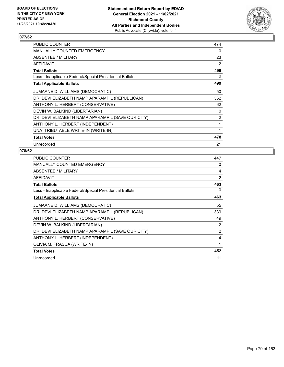

| PUBLIC COUNTER                                           | 474 |
|----------------------------------------------------------|-----|
| MANUALLY COUNTED EMERGENCY                               | 0   |
| ABSENTEE / MILITARY                                      | 23  |
| <b>AFFIDAVIT</b>                                         | 2   |
| <b>Total Ballots</b>                                     | 499 |
| Less - Inapplicable Federal/Special Presidential Ballots | 0   |
| <b>Total Applicable Ballots</b>                          | 499 |
| JUMAANE D. WILLIAMS (DEMOCRATIC)                         | 50  |
| DR. DEVI ELIZABETH NAMPIAPARAMPIL (REPUBLICAN)           | 362 |
| ANTHONY L. HERBERT (CONSERVATIVE)                        | 62  |
| DEVIN W. BALKIND (LIBERTARIAN)                           | 0   |
| DR. DEVI ELIZABETH NAMPIAPARAMPIL (SAVE OUR CITY)        | 2   |
| ANTHONY L. HERBERT (INDEPENDENT)                         | 1   |
| UNATTRIBUTABLE WRITE-IN (WRITE-IN)                       | 1   |
| <b>Total Votes</b>                                       | 478 |
| Unrecorded                                               | 21  |

| <b>PUBLIC COUNTER</b>                                    | 447            |
|----------------------------------------------------------|----------------|
| MANUALLY COUNTED EMERGENCY                               | 0              |
| ABSENTEE / MILITARY                                      | 14             |
| AFFIDAVIT                                                | 2              |
| <b>Total Ballots</b>                                     | 463            |
| Less - Inapplicable Federal/Special Presidential Ballots | 0              |
| <b>Total Applicable Ballots</b>                          | 463            |
| JUMAANE D. WILLIAMS (DEMOCRATIC)                         | 55             |
| DR. DEVI ELIZABETH NAMPIAPARAMPIL (REPUBLICAN)           | 339            |
| ANTHONY L. HERBERT (CONSERVATIVE)                        | 49             |
| DEVIN W. BALKIND (LIBERTARIAN)                           | 2              |
| DR. DEVI ELIZABETH NAMPIAPARAMPIL (SAVE OUR CITY)        | $\overline{2}$ |
| ANTHONY L. HERBERT (INDEPENDENT)                         | 4              |
| OLIVIA M. FRASCA (WRITE-IN)                              | 1              |
| <b>Total Votes</b>                                       | 452            |
| Unrecorded                                               | 11             |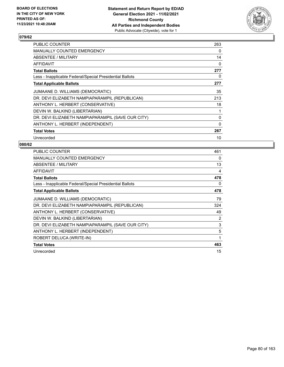

| <b>PUBLIC COUNTER</b>                                    | 263      |
|----------------------------------------------------------|----------|
| MANUALLY COUNTED EMERGENCY                               | $\Omega$ |
| ABSENTEE / MILITARY                                      | 14       |
| AFFIDAVIT                                                | $\Omega$ |
| <b>Total Ballots</b>                                     | 277      |
| Less - Inapplicable Federal/Special Presidential Ballots | 0        |
| <b>Total Applicable Ballots</b>                          | 277      |
| JUMAANE D. WILLIAMS (DEMOCRATIC)                         | 35       |
| DR. DEVI ELIZABETH NAMPIAPARAMPIL (REPUBLICAN)           | 213      |
| ANTHONY L. HERBERT (CONSERVATIVE)                        | 18       |
| DEVIN W. BALKIND (LIBERTARIAN)                           | 1        |
| DR. DEVI ELIZABETH NAMPIAPARAMPIL (SAVE OUR CITY)        | 0        |
| ANTHONY L. HERBERT (INDEPENDENT)                         | $\Omega$ |
| <b>Total Votes</b>                                       | 267      |
| Unrecorded                                               | 10       |

| PUBLIC COUNTER                                           | 461         |
|----------------------------------------------------------|-------------|
| <b>MANUALLY COUNTED EMERGENCY</b>                        | 0           |
| ABSENTEE / MILITARY                                      | 13          |
| <b>AFFIDAVIT</b>                                         | 4           |
| <b>Total Ballots</b>                                     | 478         |
| Less - Inapplicable Federal/Special Presidential Ballots | 0           |
| <b>Total Applicable Ballots</b>                          | 478         |
| JUMAANE D. WILLIAMS (DEMOCRATIC)                         | 79          |
| DR. DEVI ELIZABETH NAMPIAPARAMPIL (REPUBLICAN)           | 324         |
| ANTHONY L. HERBERT (CONSERVATIVE)                        | 49          |
| DEVIN W. BALKIND (LIBERTARIAN)                           | 2           |
| DR. DEVI ELIZABETH NAMPIAPARAMPIL (SAVE OUR CITY)        | 3           |
| ANTHONY L. HERBERT (INDEPENDENT)                         | 5           |
| ROBERT DELUCA (WRITE-IN)                                 | $\mathbf 1$ |
| <b>Total Votes</b>                                       | 463         |
| Unrecorded                                               | 15          |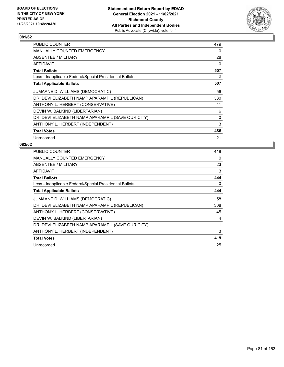

| PUBLIC COUNTER                                           | 479 |
|----------------------------------------------------------|-----|
| <b>MANUALLY COUNTED EMERGENCY</b>                        | 0   |
| ABSENTEE / MILITARY                                      | 28  |
| AFFIDAVIT                                                | 0   |
| <b>Total Ballots</b>                                     | 507 |
| Less - Inapplicable Federal/Special Presidential Ballots | 0   |
| <b>Total Applicable Ballots</b>                          | 507 |
| JUMAANE D. WILLIAMS (DEMOCRATIC)                         | 56  |
| DR. DEVI ELIZABETH NAMPIAPARAMPIL (REPUBLICAN)           | 380 |
| ANTHONY L. HERBERT (CONSERVATIVE)                        | 41  |
| DEVIN W. BALKIND (LIBERTARIAN)                           | 6   |
| DR. DEVI ELIZABETH NAMPIAPARAMPIL (SAVE OUR CITY)        | 0   |
| ANTHONY L. HERBERT (INDEPENDENT)                         | 3   |
| <b>Total Votes</b>                                       | 486 |
| Unrecorded                                               | 21  |

| <b>PUBLIC COUNTER</b>                                    | 418 |
|----------------------------------------------------------|-----|
| <b>MANUALLY COUNTED EMERGENCY</b>                        | 0   |
| <b>ABSENTEE / MILITARY</b>                               | 23  |
| AFFIDAVIT                                                | 3   |
| <b>Total Ballots</b>                                     | 444 |
| Less - Inapplicable Federal/Special Presidential Ballots | 0   |
| <b>Total Applicable Ballots</b>                          | 444 |
| JUMAANE D. WILLIAMS (DEMOCRATIC)                         | 58  |
| DR. DEVI ELIZABETH NAMPIAPARAMPIL (REPUBLICAN)           | 308 |
| ANTHONY L. HERBERT (CONSERVATIVE)                        | 45  |
| DEVIN W. BALKIND (LIBERTARIAN)                           | 4   |
| DR. DEVI ELIZABETH NAMPIAPARAMPIL (SAVE OUR CITY)        | 1   |
| ANTHONY L. HERBERT (INDEPENDENT)                         | 3   |
| <b>Total Votes</b>                                       | 419 |
| Unrecorded                                               | 25  |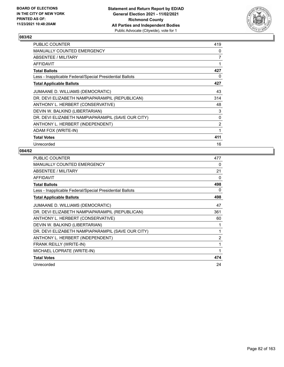

| PUBLIC COUNTER                                           | 419 |
|----------------------------------------------------------|-----|
| MANUALLY COUNTED EMERGENCY                               | 0   |
| ABSENTEE / MILITARY                                      | 7   |
| AFFIDAVIT                                                |     |
| <b>Total Ballots</b>                                     | 427 |
| Less - Inapplicable Federal/Special Presidential Ballots | 0   |
| <b>Total Applicable Ballots</b>                          | 427 |
| JUMAANE D. WILLIAMS (DEMOCRATIC)                         | 43  |
| DR. DEVI ELIZABETH NAMPIAPARAMPIL (REPUBLICAN)           | 314 |
| ANTHONY L. HERBERT (CONSERVATIVE)                        | 48  |
| DEVIN W. BALKIND (LIBERTARIAN)                           | 3   |
| DR. DEVI ELIZABETH NAMPIAPARAMPIL (SAVE OUR CITY)        | 0   |
| ANTHONY L. HERBERT (INDEPENDENT)                         | 2   |
| ADAM FOX (WRITE-IN)                                      | 1   |
| <b>Total Votes</b>                                       | 411 |
| Unrecorded                                               | 16  |

| <b>PUBLIC COUNTER</b>                                    | 477            |
|----------------------------------------------------------|----------------|
| MANUALLY COUNTED EMERGENCY                               | 0              |
| ABSENTEE / MILITARY                                      | 21             |
| <b>AFFIDAVIT</b>                                         | 0              |
| <b>Total Ballots</b>                                     | 498            |
| Less - Inapplicable Federal/Special Presidential Ballots | 0              |
| <b>Total Applicable Ballots</b>                          | 498            |
| JUMAANE D. WILLIAMS (DEMOCRATIC)                         | 47             |
| DR. DEVI ELIZABETH NAMPIAPARAMPIL (REPUBLICAN)           | 361            |
| ANTHONY L. HERBERT (CONSERVATIVE)                        | 60             |
| DEVIN W. BALKIND (LIBERTARIAN)                           | 1              |
| DR. DEVI ELIZABETH NAMPIAPARAMPIL (SAVE OUR CITY)        | 1              |
| ANTHONY L. HERBERT (INDEPENDENT)                         | $\overline{2}$ |
| FRANK REILLY (WRITE-IN)                                  | 1              |
| MICHAEL LOPRATE (WRITE-IN)                               | 1              |
| <b>Total Votes</b>                                       | 474            |
| Unrecorded                                               | 24             |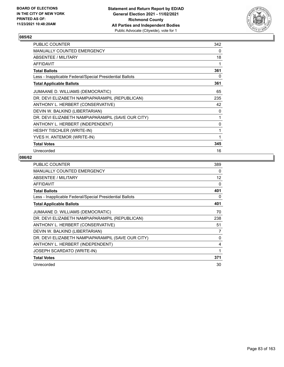

| PUBLIC COUNTER                                           | 342 |
|----------------------------------------------------------|-----|
| MANUALLY COUNTED EMERGENCY                               | 0   |
| ABSENTEE / MILITARY                                      | 18  |
| <b>AFFIDAVIT</b>                                         | 1   |
| <b>Total Ballots</b>                                     | 361 |
| Less - Inapplicable Federal/Special Presidential Ballots | 0   |
| <b>Total Applicable Ballots</b>                          | 361 |
| JUMAANE D. WILLIAMS (DEMOCRATIC)                         | 65  |
| DR. DEVI ELIZABETH NAMPIAPARAMPIL (REPUBLICAN)           | 235 |
| ANTHONY L. HERBERT (CONSERVATIVE)                        | 42  |
| DEVIN W. BALKIND (LIBERTARIAN)                           | 0   |
| DR. DEVI ELIZABETH NAMPIAPARAMPIL (SAVE OUR CITY)        | 1   |
| ANTHONY L. HERBERT (INDEPENDENT)                         | 0   |
| <b>HESHY TISCHLER (WRITE-IN)</b>                         | 1   |
| YVES H. ANTEMOR (WRITE-IN)                               | 1   |
| <b>Total Votes</b>                                       | 345 |
| Unrecorded                                               | 16  |

| <b>PUBLIC COUNTER</b>                                    | 389               |
|----------------------------------------------------------|-------------------|
| <b>MANUALLY COUNTED EMERGENCY</b>                        | 0                 |
| ABSENTEE / MILITARY                                      | $12 \overline{ }$ |
| <b>AFFIDAVIT</b>                                         | 0                 |
| <b>Total Ballots</b>                                     | 401               |
| Less - Inapplicable Federal/Special Presidential Ballots | 0                 |
| <b>Total Applicable Ballots</b>                          | 401               |
| JUMAANE D. WILLIAMS (DEMOCRATIC)                         | 70                |
| DR. DEVI ELIZABETH NAMPIAPARAMPIL (REPUBLICAN)           | 238               |
| ANTHONY L. HERBERT (CONSERVATIVE)                        | 51                |
| DEVIN W. BALKIND (LIBERTARIAN)                           | 7                 |
| DR. DEVI ELIZABETH NAMPIAPARAMPIL (SAVE OUR CITY)        | 0                 |
| ANTHONY L. HERBERT (INDEPENDENT)                         | 4                 |
| JOSEPH SCARDATO (WRITE-IN)                               | 1                 |
| <b>Total Votes</b>                                       | 371               |
| Unrecorded                                               | 30                |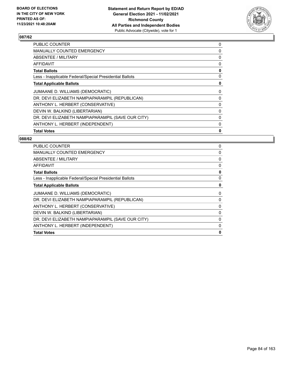

| PUBLIC COUNTER                                           | 0 |
|----------------------------------------------------------|---|
| <b>MANUALLY COUNTED EMERGENCY</b>                        | 0 |
| ABSENTEE / MILITARY                                      | 0 |
| AFFIDAVIT                                                | 0 |
| <b>Total Ballots</b>                                     | 0 |
| Less - Inapplicable Federal/Special Presidential Ballots | 0 |
| <b>Total Applicable Ballots</b>                          | 0 |
| JUMAANE D. WILLIAMS (DEMOCRATIC)                         | 0 |
| DR. DEVI ELIZABETH NAMPIAPARAMPIL (REPUBLICAN)           | 0 |
| ANTHONY L. HERBERT (CONSERVATIVE)                        | 0 |
| DEVIN W. BALKIND (LIBERTARIAN)                           | 0 |
| DR. DEVI ELIZABETH NAMPIAPARAMPIL (SAVE OUR CITY)        | 0 |
| ANTHONY L. HERBERT (INDEPENDENT)                         | 0 |
| <b>Total Votes</b>                                       | 0 |

| PUBLIC COUNTER                                           | 0            |
|----------------------------------------------------------|--------------|
| <b>MANUALLY COUNTED EMERGENCY</b>                        | 0            |
| ABSENTEE / MILITARY                                      | 0            |
| <b>AFFIDAVIT</b>                                         | 0            |
| <b>Total Ballots</b>                                     | 0            |
| Less - Inapplicable Federal/Special Presidential Ballots | 0            |
| <b>Total Applicable Ballots</b>                          | 0            |
| JUMAANE D. WILLIAMS (DEMOCRATIC)                         | 0            |
| DR. DEVI ELIZABETH NAMPIAPARAMPIL (REPUBLICAN)           | 0            |
| ANTHONY L. HERBERT (CONSERVATIVE)                        | 0            |
| DEVIN W. BALKIND (LIBERTARIAN)                           | 0            |
| DR. DEVI ELIZABETH NAMPIAPARAMPIL (SAVE OUR CITY)        | 0            |
| ANTHONY L. HERBERT (INDEPENDENT)                         | 0            |
| <b>Total Votes</b>                                       | $\mathbf{0}$ |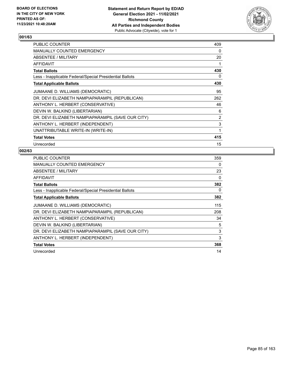

| PUBLIC COUNTER                                           | 409 |
|----------------------------------------------------------|-----|
| MANUALLY COUNTED EMERGENCY                               | 0   |
| ABSENTEE / MILITARY                                      | 20  |
| AFFIDAVIT                                                |     |
| <b>Total Ballots</b>                                     | 430 |
| Less - Inapplicable Federal/Special Presidential Ballots | 0   |
| <b>Total Applicable Ballots</b>                          | 430 |
| JUMAANE D. WILLIAMS (DEMOCRATIC)                         | 95  |
| DR. DEVI ELIZABETH NAMPIAPARAMPIL (REPUBLICAN)           | 262 |
| ANTHONY L. HERBERT (CONSERVATIVE)                        | 46  |
| DEVIN W. BALKIND (LIBERTARIAN)                           | 6   |
| DR. DEVI ELIZABETH NAMPIAPARAMPIL (SAVE OUR CITY)        | 2   |
| ANTHONY L. HERBERT (INDEPENDENT)                         | 3   |
| UNATTRIBUTABLE WRITE-IN (WRITE-IN)                       | 1   |
| <b>Total Votes</b>                                       | 415 |
| Unrecorded                                               | 15  |

| <b>PUBLIC COUNTER</b>                                    | 359 |
|----------------------------------------------------------|-----|
| <b>MANUALLY COUNTED EMERGENCY</b>                        | 0   |
| ABSENTEE / MILITARY                                      | 23  |
| <b>AFFIDAVIT</b>                                         | 0   |
| <b>Total Ballots</b>                                     | 382 |
| Less - Inapplicable Federal/Special Presidential Ballots | 0   |
| <b>Total Applicable Ballots</b>                          | 382 |
| JUMAANE D. WILLIAMS (DEMOCRATIC)                         | 115 |
| DR. DEVI ELIZABETH NAMPIAPARAMPIL (REPUBLICAN)           | 208 |
| ANTHONY L. HERBERT (CONSERVATIVE)                        | 34  |
| DEVIN W. BALKIND (LIBERTARIAN)                           | 5   |
| DR. DEVI ELIZABETH NAMPIAPARAMPIL (SAVE OUR CITY)        | 3   |
| ANTHONY L. HERBERT (INDEPENDENT)                         | 3   |
| <b>Total Votes</b>                                       | 368 |
| Unrecorded                                               | 14  |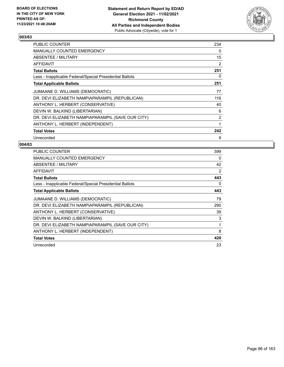

| <b>PUBLIC COUNTER</b>                                    | 234            |
|----------------------------------------------------------|----------------|
| <b>MANUALLY COUNTED EMERGENCY</b>                        | $\Omega$       |
| ABSENTEE / MILITARY                                      | 15             |
| AFFIDAVIT                                                | $\overline{2}$ |
| <b>Total Ballots</b>                                     | 251            |
| Less - Inapplicable Federal/Special Presidential Ballots | 0              |
| <b>Total Applicable Ballots</b>                          | 251            |
| JUMAANE D. WILLIAMS (DEMOCRATIC)                         | 77             |
| DR. DEVI ELIZABETH NAMPIAPARAMPIL (REPUBLICAN)           | 116            |
| ANTHONY L. HERBERT (CONSERVATIVE)                        | 40             |
| DEVIN W. BALKIND (LIBERTARIAN)                           | 6              |
| DR. DEVI ELIZABETH NAMPIAPARAMPIL (SAVE OUR CITY)        | 2              |
| ANTHONY L. HERBERT (INDEPENDENT)                         | 1              |
| <b>Total Votes</b>                                       | 242            |
| Unrecorded                                               | 9              |

| <b>PUBLIC COUNTER</b>                                    | 399 |
|----------------------------------------------------------|-----|
| <b>MANUALLY COUNTED EMERGENCY</b>                        | 0   |
| ABSENTEE / MILITARY                                      | 42  |
| AFFIDAVIT                                                | 2   |
| <b>Total Ballots</b>                                     | 443 |
| Less - Inapplicable Federal/Special Presidential Ballots | 0   |
| <b>Total Applicable Ballots</b>                          | 443 |
| JUMAANE D. WILLIAMS (DEMOCRATIC)                         | 79  |
| DR. DEVI ELIZABETH NAMPIAPARAMPIL (REPUBLICAN)           | 290 |
| ANTHONY L. HERBERT (CONSERVATIVE)                        | 39  |
| DEVIN W. BALKIND (LIBERTARIAN)                           | 3   |
| DR. DEVI ELIZABETH NAMPIAPARAMPIL (SAVE OUR CITY)        | 1   |
| ANTHONY L. HERBERT (INDEPENDENT)                         | 8   |
| <b>Total Votes</b>                                       | 420 |
| Unrecorded                                               | 23  |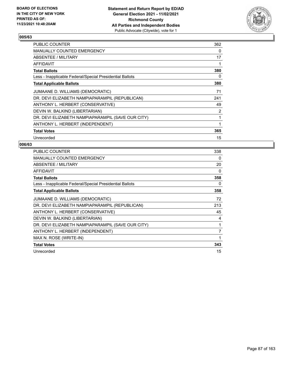

| <b>PUBLIC COUNTER</b>                                    | 362      |
|----------------------------------------------------------|----------|
| MANUALLY COUNTED EMERGENCY                               | $\Omega$ |
| <b>ABSENTEE / MILITARY</b>                               | 17       |
| AFFIDAVIT                                                | 1        |
| <b>Total Ballots</b>                                     | 380      |
| Less - Inapplicable Federal/Special Presidential Ballots | 0        |
| <b>Total Applicable Ballots</b>                          | 380      |
| JUMAANE D. WILLIAMS (DEMOCRATIC)                         | 71       |
| DR. DEVI ELIZABETH NAMPIAPARAMPIL (REPUBLICAN)           | 241      |
| ANTHONY L. HERBERT (CONSERVATIVE)                        | 49       |
| DEVIN W. BALKIND (LIBERTARIAN)                           | 2        |
| DR. DEVI ELIZABETH NAMPIAPARAMPIL (SAVE OUR CITY)        | 1        |
| ANTHONY L. HERBERT (INDEPENDENT)                         | 1        |
| <b>Total Votes</b>                                       | 365      |
| Unrecorded                                               | 15       |

| PUBLIC COUNTER                                           | 338            |
|----------------------------------------------------------|----------------|
| <b>MANUALLY COUNTED EMERGENCY</b>                        | 0              |
| ABSENTEE / MILITARY                                      | 20             |
| <b>AFFIDAVIT</b>                                         | 0              |
| <b>Total Ballots</b>                                     | 358            |
| Less - Inapplicable Federal/Special Presidential Ballots | 0              |
| <b>Total Applicable Ballots</b>                          | 358            |
| JUMAANE D. WILLIAMS (DEMOCRATIC)                         | 72             |
| DR. DEVI ELIZABETH NAMPIAPARAMPIL (REPUBLICAN)           | 213            |
| ANTHONY L. HERBERT (CONSERVATIVE)                        | 45             |
| DEVIN W. BALKIND (LIBERTARIAN)                           | 4              |
| DR. DEVI ELIZABETH NAMPIAPARAMPIL (SAVE OUR CITY)        | 1              |
| ANTHONY L. HERBERT (INDEPENDENT)                         | $\overline{7}$ |
| MAX N. ROSE (WRITE-IN)                                   | 1              |
| <b>Total Votes</b>                                       | 343            |
| Unrecorded                                               | 15             |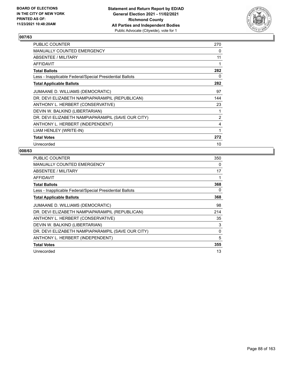

| PUBLIC COUNTER                                           | 270            |
|----------------------------------------------------------|----------------|
| <b>MANUALLY COUNTED EMERGENCY</b>                        | 0              |
| ABSENTEE / MILITARY                                      | 11             |
| AFFIDAVIT                                                |                |
| <b>Total Ballots</b>                                     | 282            |
| Less - Inapplicable Federal/Special Presidential Ballots | 0              |
| <b>Total Applicable Ballots</b>                          | 282            |
| JUMAANE D. WILLIAMS (DEMOCRATIC)                         | 97             |
| DR. DEVI ELIZABETH NAMPIAPARAMPIL (REPUBLICAN)           | 144            |
| ANTHONY L. HERBERT (CONSERVATIVE)                        | 23             |
| DEVIN W. BALKIND (LIBERTARIAN)                           |                |
| DR. DEVI ELIZABETH NAMPIAPARAMPIL (SAVE OUR CITY)        | $\overline{2}$ |
| ANTHONY L. HERBERT (INDEPENDENT)                         | 4              |
| LIAM HENLEY (WRITE-IN)                                   | 1              |
| <b>Total Votes</b>                                       | 272            |
| Unrecorded                                               | 10             |

| <b>PUBLIC COUNTER</b>                                    | 350 |
|----------------------------------------------------------|-----|
| <b>MANUALLY COUNTED EMERGENCY</b>                        | 0   |
| ABSENTEE / MILITARY                                      | 17  |
| <b>AFFIDAVIT</b>                                         | 1   |
| <b>Total Ballots</b>                                     | 368 |
| Less - Inapplicable Federal/Special Presidential Ballots | 0   |
| <b>Total Applicable Ballots</b>                          | 368 |
| JUMAANE D. WILLIAMS (DEMOCRATIC)                         | 98  |
| DR. DEVI ELIZABETH NAMPIAPARAMPIL (REPUBLICAN)           | 214 |
| ANTHONY L. HERBERT (CONSERVATIVE)                        | 35  |
| DEVIN W. BALKIND (LIBERTARIAN)                           | 3   |
| DR. DEVI ELIZABETH NAMPIAPARAMPIL (SAVE OUR CITY)        | 0   |
| ANTHONY L. HERBERT (INDEPENDENT)                         | 5   |
| <b>Total Votes</b>                                       | 355 |
| Unrecorded                                               | 13  |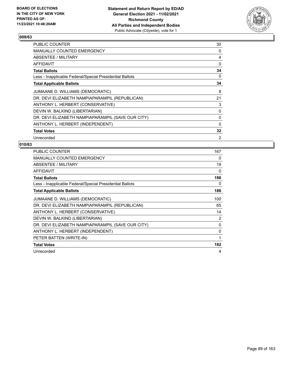

| PUBLIC COUNTER                                           | 30             |
|----------------------------------------------------------|----------------|
| <b>MANUALLY COUNTED EMERGENCY</b>                        | 0              |
| ABSENTEE / MILITARY                                      | 4              |
| AFFIDAVIT                                                | 0              |
| <b>Total Ballots</b>                                     | 34             |
| Less - Inapplicable Federal/Special Presidential Ballots | 0              |
| <b>Total Applicable Ballots</b>                          | 34             |
| JUMAANE D. WILLIAMS (DEMOCRATIC)                         | 8              |
| DR. DEVI ELIZABETH NAMPIAPARAMPIL (REPUBLICAN)           | 21             |
| ANTHONY L. HERBERT (CONSERVATIVE)                        | 3              |
| DEVIN W. BALKIND (LIBERTARIAN)                           | 0              |
| DR. DEVI ELIZABETH NAMPIAPARAMPIL (SAVE OUR CITY)        | 0              |
| ANTHONY L. HERBERT (INDEPENDENT)                         | $\Omega$       |
| <b>Total Votes</b>                                       | 32             |
| Unrecorded                                               | $\overline{2}$ |

| <b>PUBLIC COUNTER</b>                                    | 167 |
|----------------------------------------------------------|-----|
| <b>MANUALLY COUNTED EMERGENCY</b>                        | 0   |
| ABSENTEE / MILITARY                                      | 19  |
| AFFIDAVIT                                                | 0   |
| <b>Total Ballots</b>                                     | 186 |
| Less - Inapplicable Federal/Special Presidential Ballots | 0   |
| <b>Total Applicable Ballots</b>                          | 186 |
| JUMAANE D. WILLIAMS (DEMOCRATIC)                         | 100 |
| DR. DEVI ELIZABETH NAMPIAPARAMPIL (REPUBLICAN)           | 65  |
| ANTHONY L. HERBERT (CONSERVATIVE)                        | 14  |
| DEVIN W. BALKIND (LIBERTARIAN)                           | 2   |
| DR. DEVI ELIZABETH NAMPIAPARAMPIL (SAVE OUR CITY)        | 0   |
| ANTHONY L. HERBERT (INDEPENDENT)                         | 0   |
| PETER BATTEN (WRITE-IN)                                  | 1   |
| <b>Total Votes</b>                                       | 182 |
| Unrecorded                                               | 4   |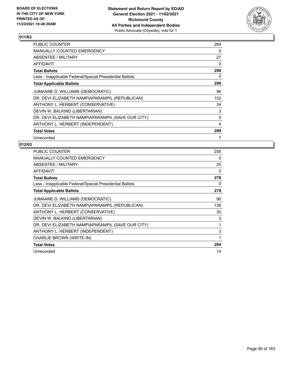

| PUBLIC COUNTER                                           | 269 |
|----------------------------------------------------------|-----|
| <b>MANUALLY COUNTED EMERGENCY</b>                        | 0   |
| ABSENTEE / MILITARY                                      | 27  |
| AFFIDAVIT                                                | 0   |
| <b>Total Ballots</b>                                     | 296 |
| Less - Inapplicable Federal/Special Presidential Ballots | 0   |
| <b>Total Applicable Ballots</b>                          | 296 |
| JUMAANE D. WILLIAMS (DEMOCRATIC)                         | 96  |
| DR. DEVI ELIZABETH NAMPIAPARAMPIL (REPUBLICAN)           | 152 |
| ANTHONY L. HERBERT (CONSERVATIVE)                        | 34  |
| DEVIN W. BALKIND (LIBERTARIAN)                           | 3   |
| DR. DEVI ELIZABETH NAMPIAPARAMPIL (SAVE OUR CITY)        | 0   |
| ANTHONY L. HERBERT (INDEPENDENT)                         | 4   |
| <b>Total Votes</b>                                       | 289 |
| Unrecorded                                               | 7   |

| <b>PUBLIC COUNTER</b>                                    | 258         |
|----------------------------------------------------------|-------------|
| <b>MANUALLY COUNTED EMERGENCY</b>                        | 0           |
| ABSENTEE / MILITARY                                      | 20          |
| <b>AFFIDAVIT</b>                                         | 0           |
| <b>Total Ballots</b>                                     | 278         |
| Less - Inapplicable Federal/Special Presidential Ballots | 0           |
| <b>Total Applicable Ballots</b>                          | 278         |
| JUMAANE D. WILLIAMS (DEMOCRATIC)                         | 90          |
| DR. DEVI ELIZABETH NAMPIAPARAMPIL (REPUBLICAN)           | 136         |
| ANTHONY L. HERBERT (CONSERVATIVE)                        | 30          |
| DEVIN W. BALKIND (LIBERTARIAN)                           | 3           |
| DR. DEVI ELIZABETH NAMPIAPARAMPIL (SAVE OUR CITY)        | 1           |
| ANTHONY L. HERBERT (INDEPENDENT)                         | 3           |
| CHARLIE BROWN (WRITE-IN)                                 | $\mathbf 1$ |
| <b>Total Votes</b>                                       | 264         |
| Unrecorded                                               | 14          |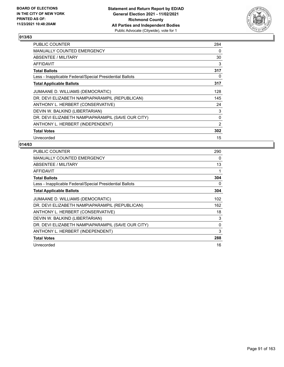

| PUBLIC COUNTER                                           | 284 |
|----------------------------------------------------------|-----|
| <b>MANUALLY COUNTED EMERGENCY</b>                        | 0   |
| ABSENTEE / MILITARY                                      | 30  |
| AFFIDAVIT                                                | 3   |
| <b>Total Ballots</b>                                     | 317 |
| Less - Inapplicable Federal/Special Presidential Ballots | 0   |
| <b>Total Applicable Ballots</b>                          | 317 |
| JUMAANE D. WILLIAMS (DEMOCRATIC)                         | 128 |
| DR. DEVI ELIZABETH NAMPIAPARAMPIL (REPUBLICAN)           | 145 |
| ANTHONY L. HERBERT (CONSERVATIVE)                        | 24  |
| DEVIN W. BALKIND (LIBERTARIAN)                           | 3   |
| DR. DEVI ELIZABETH NAMPIAPARAMPIL (SAVE OUR CITY)        | 0   |
| ANTHONY L. HERBERT (INDEPENDENT)                         | 2   |
| <b>Total Votes</b>                                       | 302 |
| Unrecorded                                               | 15  |

| PUBLIC COUNTER                                           | 290 |
|----------------------------------------------------------|-----|
| <b>MANUALLY COUNTED EMERGENCY</b>                        | 0   |
| ABSENTEE / MILITARY                                      | 13  |
| AFFIDAVIT                                                | 1   |
| <b>Total Ballots</b>                                     | 304 |
| Less - Inapplicable Federal/Special Presidential Ballots | 0   |
| <b>Total Applicable Ballots</b>                          | 304 |
| JUMAANE D. WILLIAMS (DEMOCRATIC)                         | 102 |
| DR. DEVI ELIZABETH NAMPIAPARAMPIL (REPUBLICAN)           | 162 |
| ANTHONY L. HERBERT (CONSERVATIVE)                        | 18  |
| DEVIN W. BALKIND (LIBERTARIAN)                           | 3   |
| DR. DEVI ELIZABETH NAMPIAPARAMPIL (SAVE OUR CITY)        | 0   |
| ANTHONY L. HERBERT (INDEPENDENT)                         | 3   |
| <b>Total Votes</b>                                       | 288 |
| Unrecorded                                               | 16  |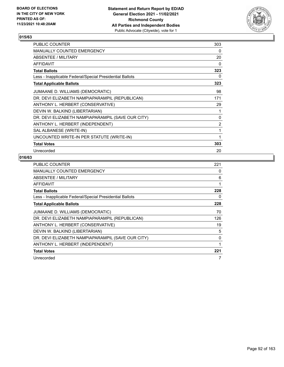

| PUBLIC COUNTER                                           | 303 |
|----------------------------------------------------------|-----|
| <b>MANUALLY COUNTED EMERGENCY</b>                        | 0   |
| <b>ABSENTEE / MILITARY</b>                               | 20  |
| <b>AFFIDAVIT</b>                                         | 0   |
| <b>Total Ballots</b>                                     | 323 |
| Less - Inapplicable Federal/Special Presidential Ballots | 0   |
| <b>Total Applicable Ballots</b>                          | 323 |
| JUMAANE D. WILLIAMS (DEMOCRATIC)                         | 98  |
| DR. DEVI ELIZABETH NAMPIAPARAMPIL (REPUBLICAN)           | 171 |
| ANTHONY L. HERBERT (CONSERVATIVE)                        | 29  |
| DEVIN W. BALKIND (LIBERTARIAN)                           | 1   |
| DR. DEVI ELIZABETH NAMPIAPARAMPIL (SAVE OUR CITY)        | 0   |
| ANTHONY L. HERBERT (INDEPENDENT)                         | 2   |
| SAL ALBANESE (WRITE-IN)                                  | 1   |
| UNCOUNTED WRITE-IN PER STATUTE (WRITE-IN)                | 1   |
| <b>Total Votes</b>                                       | 303 |
| Unrecorded                                               | 20  |

| <b>PUBLIC COUNTER</b>                                    | 221 |
|----------------------------------------------------------|-----|
| <b>MANUALLY COUNTED EMERGENCY</b>                        | 0   |
| ABSENTEE / MILITARY                                      | 6   |
| AFFIDAVIT                                                | 1   |
| <b>Total Ballots</b>                                     | 228 |
| Less - Inapplicable Federal/Special Presidential Ballots | 0   |
| <b>Total Applicable Ballots</b>                          | 228 |
| JUMAANE D. WILLIAMS (DEMOCRATIC)                         | 70  |
| DR. DEVI ELIZABETH NAMPIAPARAMPIL (REPUBLICAN)           | 126 |
| ANTHONY L. HERBERT (CONSERVATIVE)                        | 19  |
| DEVIN W. BALKIND (LIBERTARIAN)                           | 5   |
| DR. DEVI ELIZABETH NAMPIAPARAMPIL (SAVE OUR CITY)        | 0   |
| ANTHONY L. HERBERT (INDEPENDENT)                         | 1   |
| <b>Total Votes</b>                                       | 221 |
| Unrecorded                                               | 7   |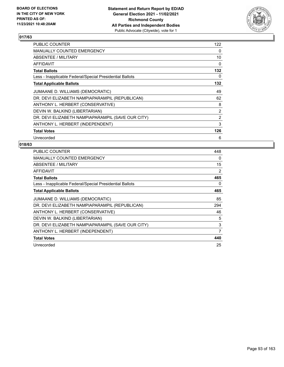

| <b>PUBLIC COUNTER</b>                                    | 122      |
|----------------------------------------------------------|----------|
| <b>MANUALLY COUNTED EMERGENCY</b>                        | 0        |
| ABSENTEE / MILITARY                                      | 10       |
| AFFIDAVIT                                                | $\Omega$ |
| <b>Total Ballots</b>                                     | 132      |
| Less - Inapplicable Federal/Special Presidential Ballots | 0        |
| <b>Total Applicable Ballots</b>                          | 132      |
| JUMAANE D. WILLIAMS (DEMOCRATIC)                         | 49       |
| DR. DEVI ELIZABETH NAMPIAPARAMPIL (REPUBLICAN)           | 62       |
| ANTHONY L. HERBERT (CONSERVATIVE)                        | 8        |
| DEVIN W. BALKIND (LIBERTARIAN)                           | 2        |
| DR. DEVI ELIZABETH NAMPIAPARAMPIL (SAVE OUR CITY)        | 2        |
| ANTHONY L. HERBERT (INDEPENDENT)                         | 3        |
| <b>Total Votes</b>                                       | 126      |
| Unrecorded                                               | 6        |

| <b>PUBLIC COUNTER</b>                                    | 448 |
|----------------------------------------------------------|-----|
| <b>MANUALLY COUNTED EMERGENCY</b>                        | 0   |
| ABSENTEE / MILITARY                                      | 15  |
| <b>AFFIDAVIT</b>                                         | 2   |
| <b>Total Ballots</b>                                     | 465 |
| Less - Inapplicable Federal/Special Presidential Ballots | 0   |
| <b>Total Applicable Ballots</b>                          | 465 |
| JUMAANE D. WILLIAMS (DEMOCRATIC)                         | 85  |
| DR. DEVI ELIZABETH NAMPIAPARAMPIL (REPUBLICAN)           | 294 |
| ANTHONY L. HERBERT (CONSERVATIVE)                        | 46  |
| DEVIN W. BALKIND (LIBERTARIAN)                           | 5   |
| DR. DEVI ELIZABETH NAMPIAPARAMPIL (SAVE OUR CITY)        | 3   |
| ANTHONY L. HERBERT (INDEPENDENT)                         | 7   |
| <b>Total Votes</b>                                       | 440 |
| Unrecorded                                               | 25  |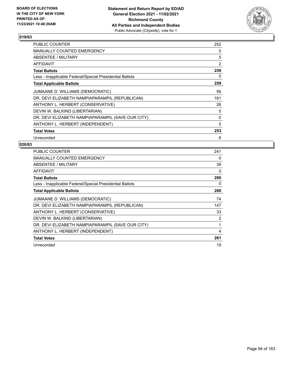

| <b>PUBLIC COUNTER</b>                                    | 252            |
|----------------------------------------------------------|----------------|
| <b>MANUALLY COUNTED EMERGENCY</b>                        | $\Omega$       |
| ABSENTEE / MILITARY                                      | 5              |
| <b>AFFIDAVIT</b>                                         | $\overline{2}$ |
| <b>Total Ballots</b>                                     | 259            |
| Less - Inapplicable Federal/Special Presidential Ballots | 0              |
| <b>Total Applicable Ballots</b>                          | 259            |
| JUMAANE D. WILLIAMS (DEMOCRATIC)                         | 56             |
| DR. DEVI ELIZABETH NAMPIAPARAMPIL (REPUBLICAN)           | 161            |
| ANTHONY L. HERBERT (CONSERVATIVE)                        | 26             |
| DEVIN W. BALKIND (LIBERTARIAN)                           | 5              |
| DR. DEVI ELIZABETH NAMPIAPARAMPIL (SAVE OUR CITY)        | 0              |
| ANTHONY L. HERBERT (INDEPENDENT)                         | 5              |
| <b>Total Votes</b>                                       | 253            |
| Unrecorded                                               | 6              |

| <b>PUBLIC COUNTER</b>                                    | 241            |
|----------------------------------------------------------|----------------|
| <b>MANUALLY COUNTED EMERGENCY</b>                        | 0              |
| ABSENTEE / MILITARY                                      | 39             |
| AFFIDAVIT                                                | $\Omega$       |
| <b>Total Ballots</b>                                     | 280            |
| Less - Inapplicable Federal/Special Presidential Ballots | 0              |
| <b>Total Applicable Ballots</b>                          | 280            |
| JUMAANE D. WILLIAMS (DEMOCRATIC)                         | 74             |
| DR. DEVI ELIZABETH NAMPIAPARAMPIL (REPUBLICAN)           | 147            |
| ANTHONY L. HERBERT (CONSERVATIVE)                        | 33             |
| DEVIN W. BALKIND (LIBERTARIAN)                           | $\overline{2}$ |
| DR. DEVI ELIZABETH NAMPIAPARAMPIL (SAVE OUR CITY)        | 1              |
| ANTHONY L. HERBERT (INDEPENDENT)                         | 4              |
| <b>Total Votes</b>                                       | 261            |
| Unrecorded                                               | 19             |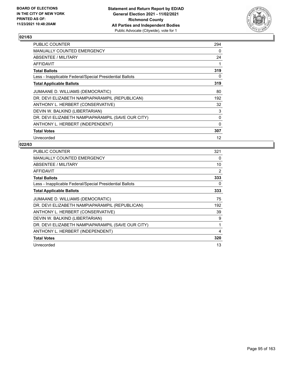

| <b>PUBLIC COUNTER</b>                                    | 294 |
|----------------------------------------------------------|-----|
| <b>MANUALLY COUNTED EMERGENCY</b>                        | 0   |
| ABSENTEE / MILITARY                                      | 24  |
| AFFIDAVIT                                                |     |
| <b>Total Ballots</b>                                     | 319 |
| Less - Inapplicable Federal/Special Presidential Ballots | 0   |
| <b>Total Applicable Ballots</b>                          | 319 |
| JUMAANE D. WILLIAMS (DEMOCRATIC)                         | 80  |
| DR. DEVI ELIZABETH NAMPIAPARAMPIL (REPUBLICAN)           | 192 |
| ANTHONY L. HERBERT (CONSERVATIVE)                        | 32  |
| DEVIN W. BALKIND (LIBERTARIAN)                           | 3   |
| DR. DEVI ELIZABETH NAMPIAPARAMPIL (SAVE OUR CITY)        | 0   |
| ANTHONY L. HERBERT (INDEPENDENT)                         | 0   |
| <b>Total Votes</b>                                       | 307 |
| Unrecorded                                               | 12  |

| <b>PUBLIC COUNTER</b>                                    | 321      |
|----------------------------------------------------------|----------|
| <b>MANUALLY COUNTED EMERGENCY</b>                        | $\Omega$ |
| ABSENTEE / MILITARY                                      | 10       |
| <b>AFFIDAVIT</b>                                         | 2        |
| <b>Total Ballots</b>                                     | 333      |
| Less - Inapplicable Federal/Special Presidential Ballots | 0        |
| <b>Total Applicable Ballots</b>                          | 333      |
| JUMAANE D. WILLIAMS (DEMOCRATIC)                         | 75       |
| DR. DEVI ELIZABETH NAMPIAPARAMPIL (REPUBLICAN)           | 192      |
| ANTHONY L. HERBERT (CONSERVATIVE)                        | 39       |
| DEVIN W. BALKIND (LIBERTARIAN)                           | 9        |
| DR. DEVI ELIZABETH NAMPIAPARAMPIL (SAVE OUR CITY)        | 1        |
| ANTHONY L. HERBERT (INDEPENDENT)                         | 4        |
| <b>Total Votes</b>                                       | 320      |
| Unrecorded                                               | 13       |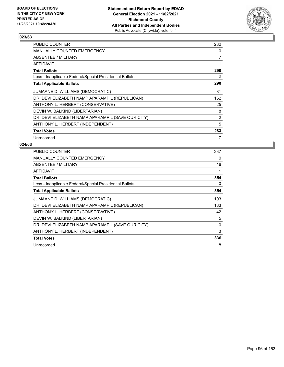

| <b>PUBLIC COUNTER</b>                                    | 282 |
|----------------------------------------------------------|-----|
| <b>MANUALLY COUNTED EMERGENCY</b>                        | 0   |
| ABSENTEE / MILITARY                                      | 7   |
| AFFIDAVIT                                                | 1   |
| <b>Total Ballots</b>                                     | 290 |
| Less - Inapplicable Federal/Special Presidential Ballots | 0   |
| <b>Total Applicable Ballots</b>                          | 290 |
| JUMAANE D. WILLIAMS (DEMOCRATIC)                         | 81  |
| DR. DEVI ELIZABETH NAMPIAPARAMPIL (REPUBLICAN)           | 162 |
| ANTHONY L. HERBERT (CONSERVATIVE)                        | 25  |
| DEVIN W. BALKIND (LIBERTARIAN)                           | 8   |
| DR. DEVI ELIZABETH NAMPIAPARAMPIL (SAVE OUR CITY)        | 2   |
| ANTHONY L. HERBERT (INDEPENDENT)                         | 5   |
| <b>Total Votes</b>                                       | 283 |
| Unrecorded                                               | 7   |

| <b>PUBLIC COUNTER</b>                                    | 337      |
|----------------------------------------------------------|----------|
| <b>MANUALLY COUNTED EMERGENCY</b>                        | 0        |
| ABSENTEE / MILITARY                                      | 16       |
| <b>AFFIDAVIT</b>                                         | 1        |
| <b>Total Ballots</b>                                     | 354      |
| Less - Inapplicable Federal/Special Presidential Ballots | 0        |
| <b>Total Applicable Ballots</b>                          | 354      |
| JUMAANE D. WILLIAMS (DEMOCRATIC)                         | 103      |
| DR. DEVI ELIZABETH NAMPIAPARAMPIL (REPUBLICAN)           | 183      |
| ANTHONY L. HERBERT (CONSERVATIVE)                        | 42       |
| DEVIN W. BALKIND (LIBERTARIAN)                           | 5        |
| DR. DEVI ELIZABETH NAMPIAPARAMPIL (SAVE OUR CITY)        | $\Omega$ |
| ANTHONY L. HERBERT (INDEPENDENT)                         | 3        |
| <b>Total Votes</b>                                       | 336      |
| Unrecorded                                               | 18       |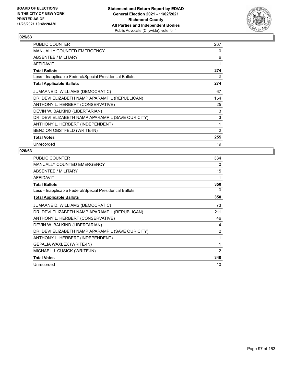

| PUBLIC COUNTER                                           | 267            |
|----------------------------------------------------------|----------------|
| <b>MANUALLY COUNTED EMERGENCY</b>                        | 0              |
| ABSENTEE / MILITARY                                      | 6              |
| AFFIDAVIT                                                | 1              |
| <b>Total Ballots</b>                                     | 274            |
| Less - Inapplicable Federal/Special Presidential Ballots | 0              |
| <b>Total Applicable Ballots</b>                          | 274            |
| JUMAANE D. WILLIAMS (DEMOCRATIC)                         | 67             |
| DR. DEVI ELIZABETH NAMPIAPARAMPIL (REPUBLICAN)           | 154            |
| ANTHONY L. HERBERT (CONSERVATIVE)                        | 25             |
| DEVIN W. BALKIND (LIBERTARIAN)                           | 3              |
| DR. DEVI ELIZABETH NAMPIAPARAMPIL (SAVE OUR CITY)        | 3              |
| ANTHONY L. HERBERT (INDEPENDENT)                         | 1              |
| BENZION OBSTFELD (WRITE-IN)                              | $\overline{2}$ |
| <b>Total Votes</b>                                       | 255            |
| Unrecorded                                               | 19             |

| <b>PUBLIC COUNTER</b>                                    | 334            |
|----------------------------------------------------------|----------------|
| <b>MANUALLY COUNTED EMERGENCY</b>                        | 0              |
| ABSENTEE / MILITARY                                      | 15             |
| <b>AFFIDAVIT</b>                                         | 1              |
| <b>Total Ballots</b>                                     | 350            |
| Less - Inapplicable Federal/Special Presidential Ballots | 0              |
| <b>Total Applicable Ballots</b>                          | 350            |
| JUMAANE D. WILLIAMS (DEMOCRATIC)                         | 73             |
| DR. DEVI ELIZABETH NAMPIAPARAMPIL (REPUBLICAN)           | 211            |
| ANTHONY L. HERBERT (CONSERVATIVE)                        | 46             |
| DEVIN W. BALKIND (LIBERTARIAN)                           | 4              |
| DR. DEVI ELIZABETH NAMPIAPARAMPIL (SAVE OUR CITY)        | 2              |
| ANTHONY L. HERBERT (INDEPENDENT)                         | 1              |
| GEPALIA WAXLEX (WRITE-IN)                                | 1              |
| MICHAEL J. CUSICK (WRITE-IN)                             | $\overline{2}$ |
| <b>Total Votes</b>                                       | 340            |
| Unrecorded                                               | 10             |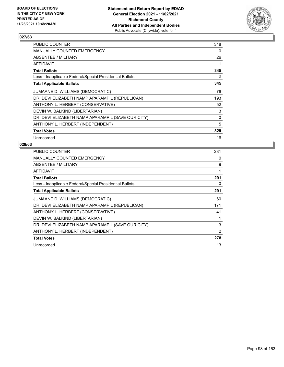

| <b>PUBLIC COUNTER</b>                                    | 318 |
|----------------------------------------------------------|-----|
| <b>MANUALLY COUNTED EMERGENCY</b>                        | 0   |
| ABSENTEE / MILITARY                                      | 26  |
| AFFIDAVIT                                                | 1   |
| <b>Total Ballots</b>                                     | 345 |
| Less - Inapplicable Federal/Special Presidential Ballots | 0   |
| <b>Total Applicable Ballots</b>                          | 345 |
| JUMAANE D. WILLIAMS (DEMOCRATIC)                         | 76  |
| DR. DEVI ELIZABETH NAMPIAPARAMPIL (REPUBLICAN)           | 193 |
| ANTHONY L. HERBERT (CONSERVATIVE)                        | 52  |
| DEVIN W. BALKIND (LIBERTARIAN)                           | 3   |
| DR. DEVI ELIZABETH NAMPIAPARAMPIL (SAVE OUR CITY)        | 0   |
| ANTHONY L. HERBERT (INDEPENDENT)                         | 5   |
| <b>Total Votes</b>                                       | 329 |
| Unrecorded                                               | 16  |

| <b>PUBLIC COUNTER</b>                                    | 281 |
|----------------------------------------------------------|-----|
| <b>MANUALLY COUNTED EMERGENCY</b>                        | 0   |
| ABSENTEE / MILITARY                                      | 9   |
| <b>AFFIDAVIT</b>                                         | 1   |
| <b>Total Ballots</b>                                     | 291 |
| Less - Inapplicable Federal/Special Presidential Ballots | 0   |
| <b>Total Applicable Ballots</b>                          | 291 |
| JUMAANE D. WILLIAMS (DEMOCRATIC)                         | 60  |
| DR. DEVI ELIZABETH NAMPIAPARAMPIL (REPUBLICAN)           | 171 |
| ANTHONY L. HERBERT (CONSERVATIVE)                        | 41  |
| DEVIN W. BALKIND (LIBERTARIAN)                           | 1   |
| DR. DEVI ELIZABETH NAMPIAPARAMPIL (SAVE OUR CITY)        | 3   |
| ANTHONY L. HERBERT (INDEPENDENT)                         | 2   |
| <b>Total Votes</b>                                       | 278 |
| Unrecorded                                               | 13  |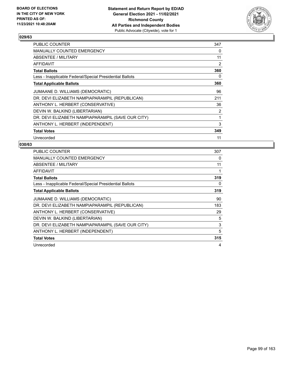

| PUBLIC COUNTER                                           | 347            |
|----------------------------------------------------------|----------------|
| <b>MANUALLY COUNTED EMERGENCY</b>                        | 0              |
| ABSENTEE / MILITARY                                      | 11             |
| AFFIDAVIT                                                | $\overline{2}$ |
| <b>Total Ballots</b>                                     | 360            |
| Less - Inapplicable Federal/Special Presidential Ballots | 0              |
| <b>Total Applicable Ballots</b>                          | 360            |
| JUMAANE D. WILLIAMS (DEMOCRATIC)                         | 96             |
| DR. DEVI ELIZABETH NAMPIAPARAMPIL (REPUBLICAN)           | 211            |
| ANTHONY L. HERBERT (CONSERVATIVE)                        | 36             |
| DEVIN W. BALKIND (LIBERTARIAN)                           | 2              |
| DR. DEVI ELIZABETH NAMPIAPARAMPIL (SAVE OUR CITY)        | 1              |
| ANTHONY L. HERBERT (INDEPENDENT)                         | 3              |
| <b>Total Votes</b>                                       | 349            |
| Unrecorded                                               | 11             |

| <b>PUBLIC COUNTER</b>                                    | 307 |
|----------------------------------------------------------|-----|
| <b>MANUALLY COUNTED EMERGENCY</b>                        | 0   |
| ABSENTEE / MILITARY                                      | 11  |
| AFFIDAVIT                                                | 1   |
| <b>Total Ballots</b>                                     | 319 |
| Less - Inapplicable Federal/Special Presidential Ballots | 0   |
| <b>Total Applicable Ballots</b>                          | 319 |
| JUMAANE D. WILLIAMS (DEMOCRATIC)                         | 90  |
| DR. DEVI ELIZABETH NAMPIAPARAMPIL (REPUBLICAN)           | 183 |
| ANTHONY L. HERBERT (CONSERVATIVE)                        | 29  |
| DEVIN W. BALKIND (LIBERTARIAN)                           | 5   |
| DR. DEVI ELIZABETH NAMPIAPARAMPIL (SAVE OUR CITY)        | 3   |
| ANTHONY L. HERBERT (INDEPENDENT)                         | 5   |
| <b>Total Votes</b>                                       | 315 |
| Unrecorded                                               | 4   |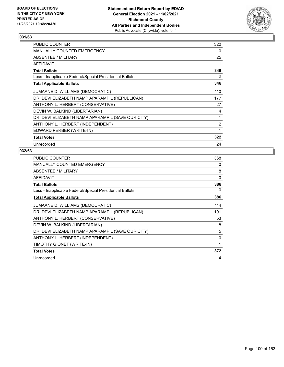

| PUBLIC COUNTER                                           | 320 |
|----------------------------------------------------------|-----|
| <b>MANUALLY COUNTED EMERGENCY</b>                        | 0   |
| ABSENTEE / MILITARY                                      | 25  |
| <b>AFFIDAVIT</b>                                         |     |
| <b>Total Ballots</b>                                     | 346 |
| Less - Inapplicable Federal/Special Presidential Ballots | 0   |
| <b>Total Applicable Ballots</b>                          | 346 |
| JUMAANE D. WILLIAMS (DEMOCRATIC)                         | 110 |
| DR. DEVI ELIZABETH NAMPIAPARAMPIL (REPUBLICAN)           | 177 |
| ANTHONY L. HERBERT (CONSERVATIVE)                        | 27  |
| DEVIN W. BALKIND (LIBERTARIAN)                           | 4   |
| DR. DEVI ELIZABETH NAMPIAPARAMPIL (SAVE OUR CITY)        | 1   |
| ANTHONY L. HERBERT (INDEPENDENT)                         | 2   |
| EDWARD PERBER (WRITE-IN)                                 | 1   |
| <b>Total Votes</b>                                       | 322 |
| Unrecorded                                               | 24  |

| <b>PUBLIC COUNTER</b>                                    | 368 |
|----------------------------------------------------------|-----|
| <b>MANUALLY COUNTED EMERGENCY</b>                        | 0   |
| ABSENTEE / MILITARY                                      | 18  |
| <b>AFFIDAVIT</b>                                         | 0   |
| <b>Total Ballots</b>                                     | 386 |
| Less - Inapplicable Federal/Special Presidential Ballots | 0   |
| <b>Total Applicable Ballots</b>                          | 386 |
| JUMAANE D. WILLIAMS (DEMOCRATIC)                         | 114 |
| DR. DEVI ELIZABETH NAMPIAPARAMPIL (REPUBLICAN)           | 191 |
| ANTHONY L. HERBERT (CONSERVATIVE)                        | 53  |
| DEVIN W. BALKIND (LIBERTARIAN)                           | 8   |
| DR. DEVI ELIZABETH NAMPIAPARAMPIL (SAVE OUR CITY)        | 5   |
| ANTHONY L. HERBERT (INDEPENDENT)                         | 0   |
| TIMOTHY GIONET (WRITE-IN)                                | 1   |
| <b>Total Votes</b>                                       | 372 |
| Unrecorded                                               | 14  |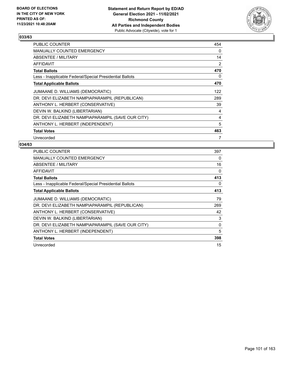

| <b>PUBLIC COUNTER</b>                                    | 454 |
|----------------------------------------------------------|-----|
| MANUALLY COUNTED EMERGENCY                               | 0   |
| ABSENTEE / MILITARY                                      | 14  |
| AFFIDAVIT                                                | 2   |
| <b>Total Ballots</b>                                     | 470 |
| Less - Inapplicable Federal/Special Presidential Ballots | 0   |
| <b>Total Applicable Ballots</b>                          | 470 |
| JUMAANE D. WILLIAMS (DEMOCRATIC)                         | 122 |
| DR. DEVI ELIZABETH NAMPIAPARAMPIL (REPUBLICAN)           | 289 |
| ANTHONY L. HERBERT (CONSERVATIVE)                        | 39  |
| DEVIN W. BALKIND (LIBERTARIAN)                           | 4   |
| DR. DEVI ELIZABETH NAMPIAPARAMPIL (SAVE OUR CITY)        | 4   |
| ANTHONY L. HERBERT (INDEPENDENT)                         | 5   |
| <b>Total Votes</b>                                       | 463 |
| Unrecorded                                               | 7   |

| <b>PUBLIC COUNTER</b>                                    | 397 |
|----------------------------------------------------------|-----|
| <b>MANUALLY COUNTED EMERGENCY</b>                        | 0   |
| ABSENTEE / MILITARY                                      | 16  |
| <b>AFFIDAVIT</b>                                         | 0   |
| <b>Total Ballots</b>                                     | 413 |
| Less - Inapplicable Federal/Special Presidential Ballots | 0   |
| <b>Total Applicable Ballots</b>                          | 413 |
| JUMAANE D. WILLIAMS (DEMOCRATIC)                         | 79  |
| DR. DEVI ELIZABETH NAMPIAPARAMPIL (REPUBLICAN)           | 269 |
| ANTHONY L. HERBERT (CONSERVATIVE)                        | 42  |
| DEVIN W. BALKIND (LIBERTARIAN)                           | 3   |
| DR. DEVI ELIZABETH NAMPIAPARAMPIL (SAVE OUR CITY)        | 0   |
| ANTHONY L. HERBERT (INDEPENDENT)                         | 5   |
| <b>Total Votes</b>                                       | 398 |
| Unrecorded                                               | 15  |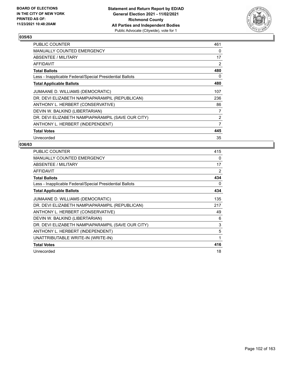

| <b>PUBLIC COUNTER</b>                                    | 461            |
|----------------------------------------------------------|----------------|
| <b>MANUALLY COUNTED EMERGENCY</b>                        | 0              |
| ABSENTEE / MILITARY                                      | 17             |
| AFFIDAVIT                                                | 2              |
| <b>Total Ballots</b>                                     | 480            |
| Less - Inapplicable Federal/Special Presidential Ballots | 0              |
| <b>Total Applicable Ballots</b>                          | 480            |
| JUMAANE D. WILLIAMS (DEMOCRATIC)                         | 107            |
| DR. DEVI ELIZABETH NAMPIAPARAMPIL (REPUBLICAN)           | 236            |
| ANTHONY L. HERBERT (CONSERVATIVE)                        | 86             |
| DEVIN W. BALKIND (LIBERTARIAN)                           | $\overline{7}$ |
| DR. DEVI ELIZABETH NAMPIAPARAMPIL (SAVE OUR CITY)        | $\overline{2}$ |
| ANTHONY L. HERBERT (INDEPENDENT)                         | 7              |
| <b>Total Votes</b>                                       | 445            |
| Unrecorded                                               | 35             |

| <b>PUBLIC COUNTER</b>                                    | 415 |
|----------------------------------------------------------|-----|
| MANUALLY COUNTED EMERGENCY                               | 0   |
| ABSENTEE / MILITARY                                      | 17  |
| <b>AFFIDAVIT</b>                                         | 2   |
| <b>Total Ballots</b>                                     | 434 |
| Less - Inapplicable Federal/Special Presidential Ballots | 0   |
| <b>Total Applicable Ballots</b>                          | 434 |
| JUMAANE D. WILLIAMS (DEMOCRATIC)                         | 135 |
| DR. DEVI ELIZABETH NAMPIAPARAMPIL (REPUBLICAN)           | 217 |
| ANTHONY L. HERBERT (CONSERVATIVE)                        | 49  |
| DEVIN W. BALKIND (LIBERTARIAN)                           | 6   |
| DR. DEVI ELIZABETH NAMPIAPARAMPIL (SAVE OUR CITY)        | 3   |
| ANTHONY L. HERBERT (INDEPENDENT)                         | 5   |
| UNATTRIBUTABLE WRITE-IN (WRITE-IN)                       | 1   |
| <b>Total Votes</b>                                       | 416 |
| Unrecorded                                               | 18  |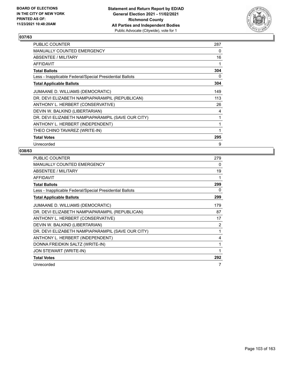

| PUBLIC COUNTER                                           | 287 |
|----------------------------------------------------------|-----|
| MANUALLY COUNTED EMERGENCY                               | 0   |
| ABSENTEE / MILITARY                                      | 16  |
| AFFIDAVIT                                                |     |
| <b>Total Ballots</b>                                     | 304 |
| Less - Inapplicable Federal/Special Presidential Ballots | 0   |
| <b>Total Applicable Ballots</b>                          | 304 |
| JUMAANE D. WILLIAMS (DEMOCRATIC)                         | 149 |
| DR. DEVI ELIZABETH NAMPIAPARAMPIL (REPUBLICAN)           | 113 |
| ANTHONY L. HERBERT (CONSERVATIVE)                        | 26  |
| DEVIN W. BALKIND (LIBERTARIAN)                           | 4   |
| DR. DEVI ELIZABETH NAMPIAPARAMPIL (SAVE OUR CITY)        | 1   |
| ANTHONY L. HERBERT (INDEPENDENT)                         | 1   |
| THEO CHINO TAVAREZ (WRITE-IN)                            | 1   |
| <b>Total Votes</b>                                       | 295 |
| Unrecorded                                               | 9   |

| <b>PUBLIC COUNTER</b>                                    | 279 |
|----------------------------------------------------------|-----|
| <b>MANUALLY COUNTED EMERGENCY</b>                        | 0   |
| ABSENTEE / MILITARY                                      | 19  |
| <b>AFFIDAVIT</b>                                         | 1   |
| <b>Total Ballots</b>                                     | 299 |
| Less - Inapplicable Federal/Special Presidential Ballots | 0   |
| <b>Total Applicable Ballots</b>                          | 299 |
| JUMAANE D. WILLIAMS (DEMOCRATIC)                         | 179 |
| DR. DEVI ELIZABETH NAMPIAPARAMPIL (REPUBLICAN)           | 87  |
| ANTHONY L. HERBERT (CONSERVATIVE)                        | 17  |
| DEVIN W. BALKIND (LIBERTARIAN)                           | 2   |
| DR. DEVI ELIZABETH NAMPIAPARAMPIL (SAVE OUR CITY)        | 1   |
| ANTHONY L. HERBERT (INDEPENDENT)                         | 4   |
| DONNA FREIDKIN SALTZ (WRITE-IN)                          | 1   |
| JON STEWART (WRITE-IN)                                   | 1   |
| <b>Total Votes</b>                                       | 292 |
| Unrecorded                                               | 7   |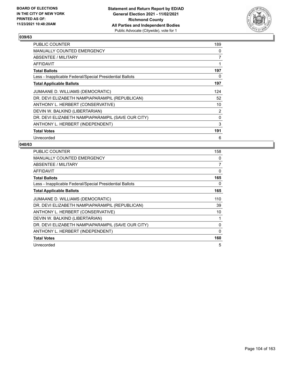

| <b>PUBLIC COUNTER</b>                                    | 189            |
|----------------------------------------------------------|----------------|
| MANUALLY COUNTED EMERGENCY                               | $\Omega$       |
| ABSENTEE / MILITARY                                      | 7              |
| AFFIDAVIT                                                | 1              |
| <b>Total Ballots</b>                                     | 197            |
| Less - Inapplicable Federal/Special Presidential Ballots | 0              |
| <b>Total Applicable Ballots</b>                          | 197            |
| JUMAANE D. WILLIAMS (DEMOCRATIC)                         | 124            |
| DR. DEVI ELIZABETH NAMPIAPARAMPIL (REPUBLICAN)           | 52             |
| ANTHONY L. HERBERT (CONSERVATIVE)                        | 10             |
| DEVIN W. BALKIND (LIBERTARIAN)                           | $\overline{2}$ |
| DR. DEVI ELIZABETH NAMPIAPARAMPIL (SAVE OUR CITY)        | 0              |
| ANTHONY L. HERBERT (INDEPENDENT)                         | 3              |
| <b>Total Votes</b>                                       | 191            |
| Unrecorded                                               | 6              |

| <b>PUBLIC COUNTER</b>                                    | 158      |
|----------------------------------------------------------|----------|
| <b>MANUALLY COUNTED EMERGENCY</b>                        | 0        |
| ABSENTEE / MILITARY                                      | 7        |
| AFFIDAVIT                                                | 0        |
| <b>Total Ballots</b>                                     | 165      |
| Less - Inapplicable Federal/Special Presidential Ballots | 0        |
| <b>Total Applicable Ballots</b>                          | 165      |
| JUMAANE D. WILLIAMS (DEMOCRATIC)                         | 110      |
| DR. DEVI ELIZABETH NAMPIAPARAMPIL (REPUBLICAN)           | 39       |
| ANTHONY L. HERBERT (CONSERVATIVE)                        | 10       |
| DEVIN W. BALKIND (LIBERTARIAN)                           | 1        |
| DR. DEVI ELIZABETH NAMPIAPARAMPIL (SAVE OUR CITY)        | 0        |
| ANTHONY L. HERBERT (INDEPENDENT)                         | $\Omega$ |
| <b>Total Votes</b>                                       | 160      |
| Unrecorded                                               | 5        |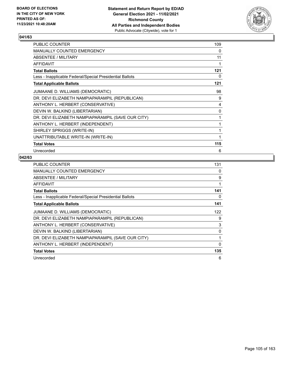

| PUBLIC COUNTER                                           | 109 |
|----------------------------------------------------------|-----|
| <b>MANUALLY COUNTED EMERGENCY</b>                        | 0   |
| ABSENTEE / MILITARY                                      | 11  |
| <b>AFFIDAVIT</b>                                         | 1   |
| <b>Total Ballots</b>                                     | 121 |
| Less - Inapplicable Federal/Special Presidential Ballots | 0   |
| <b>Total Applicable Ballots</b>                          | 121 |
| JUMAANE D. WILLIAMS (DEMOCRATIC)                         | 98  |
| DR. DEVI ELIZABETH NAMPIAPARAMPIL (REPUBLICAN)           | 9   |
| ANTHONY L. HERBERT (CONSERVATIVE)                        | 4   |
| DEVIN W. BALKIND (LIBERTARIAN)                           | 0   |
| DR. DEVI ELIZABETH NAMPIAPARAMPIL (SAVE OUR CITY)        | 1   |
| ANTHONY L. HERBERT (INDEPENDENT)                         | 1   |
| SHIRLEY SPRIGGS (WRITE-IN)                               | 1   |
| UNATTRIBUTABLE WRITE-IN (WRITE-IN)                       | 1   |
| <b>Total Votes</b>                                       | 115 |
| Unrecorded                                               | 6   |

| PUBLIC COUNTER                                           | 131 |
|----------------------------------------------------------|-----|
| <b>MANUALLY COUNTED EMERGENCY</b>                        | 0   |
| <b>ABSENTEE / MILITARY</b>                               | 9   |
| AFFIDAVIT                                                | 1   |
| <b>Total Ballots</b>                                     | 141 |
| Less - Inapplicable Federal/Special Presidential Ballots | 0   |
| <b>Total Applicable Ballots</b>                          | 141 |
| JUMAANE D. WILLIAMS (DEMOCRATIC)                         | 122 |
| DR. DEVI ELIZABETH NAMPIAPARAMPIL (REPUBLICAN)           | 9   |
| ANTHONY L. HERBERT (CONSERVATIVE)                        | 3   |
| DEVIN W. BALKIND (LIBERTARIAN)                           | 0   |
| DR. DEVI ELIZABETH NAMPIAPARAMPIL (SAVE OUR CITY)        | 1   |
| ANTHONY L. HERBERT (INDEPENDENT)                         | 0   |
| <b>Total Votes</b>                                       | 135 |
| Unrecorded                                               | 6   |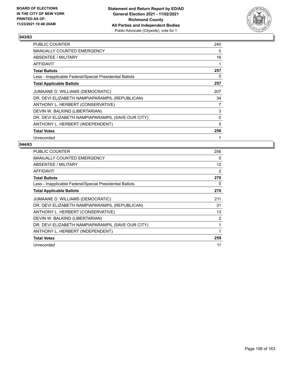

| PUBLIC COUNTER                                           | 240 |
|----------------------------------------------------------|-----|
| <b>MANUALLY COUNTED EMERGENCY</b>                        | 0   |
| ABSENTEE / MILITARY                                      | 16  |
| AFFIDAVIT                                                | 1   |
| <b>Total Ballots</b>                                     | 257 |
| Less - Inapplicable Federal/Special Presidential Ballots | 0   |
| <b>Total Applicable Ballots</b>                          | 257 |
| JUMAANE D. WILLIAMS (DEMOCRATIC)                         | 207 |
| DR. DEVI ELIZABETH NAMPIAPARAMPIL (REPUBLICAN)           | 34  |
| ANTHONY L. HERBERT (CONSERVATIVE)                        | 7   |
| DEVIN W. BALKIND (LIBERTARIAN)                           | 3   |
| DR. DEVI ELIZABETH NAMPIAPARAMPIL (SAVE OUR CITY)        | 0   |
| ANTHONY L. HERBERT (INDEPENDENT)                         | 5   |
| <b>Total Votes</b>                                       | 256 |
| Unrecorded                                               |     |

| <b>PUBLIC COUNTER</b>                                    | 256      |
|----------------------------------------------------------|----------|
| <b>MANUALLY COUNTED EMERGENCY</b>                        | $\Omega$ |
| ABSENTEE / MILITARY                                      | 12       |
| AFFIDAVIT                                                | 2        |
| <b>Total Ballots</b>                                     | 270      |
| Less - Inapplicable Federal/Special Presidential Ballots | 0        |
| <b>Total Applicable Ballots</b>                          | 270      |
| JUMAANE D. WILLIAMS (DEMOCRATIC)                         | 211      |
| DR. DEVI ELIZABETH NAMPIAPARAMPIL (REPUBLICAN)           | 31       |
| ANTHONY L. HERBERT (CONSERVATIVE)                        | 13       |
| DEVIN W. BALKIND (LIBERTARIAN)                           | 2        |
| DR. DEVI ELIZABETH NAMPIAPARAMPIL (SAVE OUR CITY)        | 1        |
| ANTHONY L. HERBERT (INDEPENDENT)                         | 1        |
| <b>Total Votes</b>                                       | 259      |
| Unrecorded                                               | 11       |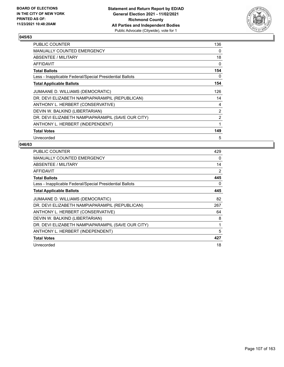

| <b>PUBLIC COUNTER</b>                                    | 136            |
|----------------------------------------------------------|----------------|
| <b>MANUALLY COUNTED EMERGENCY</b>                        | $\Omega$       |
| <b>ABSENTEE / MILITARY</b>                               | 18             |
| AFFIDAVIT                                                | 0              |
| <b>Total Ballots</b>                                     | 154            |
| Less - Inapplicable Federal/Special Presidential Ballots | 0              |
| <b>Total Applicable Ballots</b>                          | 154            |
| JUMAANE D. WILLIAMS (DEMOCRATIC)                         | 126            |
| DR. DEVI ELIZABETH NAMPIAPARAMPIL (REPUBLICAN)           | 14             |
| ANTHONY L. HERBERT (CONSERVATIVE)                        | 4              |
| DEVIN W. BALKIND (LIBERTARIAN)                           | $\overline{2}$ |
| DR. DEVI ELIZABETH NAMPIAPARAMPIL (SAVE OUR CITY)        | 2              |
| ANTHONY L. HERBERT (INDEPENDENT)                         | 1              |
| <b>Total Votes</b>                                       | 149            |
| Unrecorded                                               | 5              |

| <b>PUBLIC COUNTER</b>                                    | 429 |
|----------------------------------------------------------|-----|
| <b>MANUALLY COUNTED EMERGENCY</b>                        | 0   |
| ABSENTEE / MILITARY                                      | 14  |
| AFFIDAVIT                                                | 2   |
| <b>Total Ballots</b>                                     | 445 |
| Less - Inapplicable Federal/Special Presidential Ballots | 0   |
| <b>Total Applicable Ballots</b>                          | 445 |
| JUMAANE D. WILLIAMS (DEMOCRATIC)                         | 82  |
| DR. DEVI ELIZABETH NAMPIAPARAMPIL (REPUBLICAN)           | 267 |
| ANTHONY L. HERBERT (CONSERVATIVE)                        | 64  |
| DEVIN W. BALKIND (LIBERTARIAN)                           | 8   |
| DR. DEVI ELIZABETH NAMPIAPARAMPIL (SAVE OUR CITY)        | 1   |
| ANTHONY L. HERBERT (INDEPENDENT)                         | 5   |
| <b>Total Votes</b>                                       | 427 |
| Unrecorded                                               | 18  |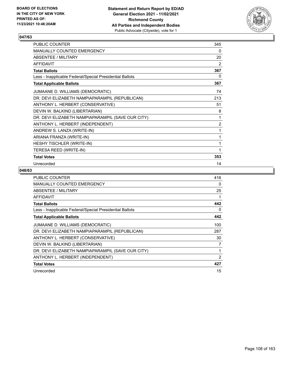

| PUBLIC COUNTER                                           | 345            |
|----------------------------------------------------------|----------------|
| MANUALLY COUNTED EMERGENCY                               | 0              |
| ABSENTEE / MILITARY                                      | 20             |
| <b>AFFIDAVIT</b>                                         | $\overline{2}$ |
| <b>Total Ballots</b>                                     | 367            |
| Less - Inapplicable Federal/Special Presidential Ballots | 0              |
| <b>Total Applicable Ballots</b>                          | 367            |
| JUMAANE D. WILLIAMS (DEMOCRATIC)                         | 74             |
| DR. DEVI ELIZABETH NAMPIAPARAMPIL (REPUBLICAN)           | 213            |
| ANTHONY L. HERBERT (CONSERVATIVE)                        | 51             |
| DEVIN W. BALKIND (LIBERTARIAN)                           | 8              |
| DR. DEVI ELIZABETH NAMPIAPARAMPIL (SAVE OUR CITY)        | 1              |
| ANTHONY L. HERBERT (INDEPENDENT)                         | $\overline{c}$ |
| ANDREW S. LANZA (WRITE-IN)                               | 1              |
| ARIANA FRANZA (WRITE-IN)                                 | 1              |
| HESHY TISCHLER (WRITE-IN)                                | 1              |
| TERESA REED (WRITE-IN)                                   | 1              |
| <b>Total Votes</b>                                       | 353            |
| Unrecorded                                               | 14             |

| <b>PUBLIC COUNTER</b>                                    | 416            |
|----------------------------------------------------------|----------------|
| <b>MANUALLY COUNTED EMERGENCY</b>                        | 0              |
| ABSENTEE / MILITARY                                      | 25             |
| AFFIDAVIT                                                |                |
| <b>Total Ballots</b>                                     | 442            |
| Less - Inapplicable Federal/Special Presidential Ballots | 0              |
| <b>Total Applicable Ballots</b>                          | 442            |
| JUMAANE D. WILLIAMS (DEMOCRATIC)                         | 100            |
| DR. DEVI ELIZABETH NAMPIAPARAMPIL (REPUBLICAN)           | 287            |
| ANTHONY L. HERBERT (CONSERVATIVE)                        | 30             |
| DEVIN W. BALKIND (LIBERTARIAN)                           | 7              |
| DR. DEVI ELIZABETH NAMPIAPARAMPIL (SAVE OUR CITY)        |                |
| ANTHONY L. HERBERT (INDEPENDENT)                         | $\overline{2}$ |
| <b>Total Votes</b>                                       | 427            |
| Unrecorded                                               | 15             |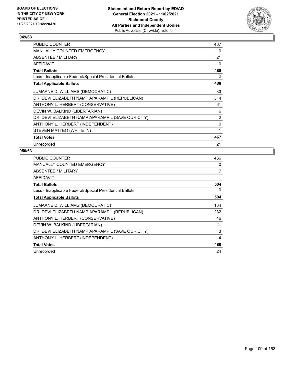

| PUBLIC COUNTER                                           | 467 |
|----------------------------------------------------------|-----|
| MANUALLY COUNTED EMERGENCY                               | 0   |
| ABSENTEE / MILITARY                                      | 21  |
| AFFIDAVIT                                                | 0   |
| <b>Total Ballots</b>                                     | 488 |
| Less - Inapplicable Federal/Special Presidential Ballots | 0   |
| <b>Total Applicable Ballots</b>                          | 488 |
| JUMAANE D. WILLIAMS (DEMOCRATIC)                         | 83  |
| DR. DEVI ELIZABETH NAMPIAPARAMPIL (REPUBLICAN)           | 314 |
| ANTHONY L. HERBERT (CONSERVATIVE)                        | 61  |
| DEVIN W. BALKIND (LIBERTARIAN)                           | 6   |
| DR. DEVI ELIZABETH NAMPIAPARAMPIL (SAVE OUR CITY)        | 2   |
| ANTHONY L. HERBERT (INDEPENDENT)                         | 0   |
| STEVEN MATTEO (WRITE-IN)                                 | 1   |
| <b>Total Votes</b>                                       | 467 |
| Unrecorded                                               | 21  |

| <b>PUBLIC COUNTER</b>                                    | 486 |
|----------------------------------------------------------|-----|
| MANUALLY COUNTED EMERGENCY                               | 0   |
| ABSENTEE / MILITARY                                      | 17  |
| AFFIDAVIT                                                | 1   |
| <b>Total Ballots</b>                                     | 504 |
| Less - Inapplicable Federal/Special Presidential Ballots | 0   |
| <b>Total Applicable Ballots</b>                          | 504 |
| JUMAANE D. WILLIAMS (DEMOCRATIC)                         | 134 |
| DR. DEVI ELIZABETH NAMPIAPARAMPIL (REPUBLICAN)           | 282 |
| ANTHONY L. HERBERT (CONSERVATIVE)                        | 46  |
| DEVIN W. BALKIND (LIBERTARIAN)                           | 11  |
| DR. DEVI ELIZABETH NAMPIAPARAMPIL (SAVE OUR CITY)        | 3   |
| ANTHONY L. HERBERT (INDEPENDENT)                         | 4   |
| <b>Total Votes</b>                                       | 480 |
| Unrecorded                                               | 24  |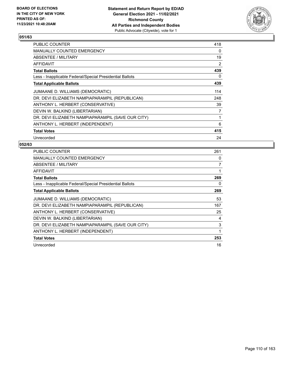

| <b>PUBLIC COUNTER</b>                                    | 418            |
|----------------------------------------------------------|----------------|
| MANUALLY COUNTED EMERGENCY                               | $\Omega$       |
| ABSENTEE / MILITARY                                      | 19             |
| <b>AFFIDAVIT</b>                                         | $\overline{2}$ |
| <b>Total Ballots</b>                                     | 439            |
| Less - Inapplicable Federal/Special Presidential Ballots | 0              |
| <b>Total Applicable Ballots</b>                          | 439            |
| JUMAANE D. WILLIAMS (DEMOCRATIC)                         | 114            |
| DR. DEVI ELIZABETH NAMPIAPARAMPIL (REPUBLICAN)           | 248            |
| ANTHONY L. HERBERT (CONSERVATIVE)                        | 39             |
| DEVIN W. BALKIND (LIBERTARIAN)                           | 7              |
| DR. DEVI ELIZABETH NAMPIAPARAMPIL (SAVE OUR CITY)        | 1              |
| ANTHONY L. HERBERT (INDEPENDENT)                         | 6              |
| <b>Total Votes</b>                                       | 415            |
| Unrecorded                                               | 24             |

| <b>PUBLIC COUNTER</b>                                    | 261 |
|----------------------------------------------------------|-----|
| <b>MANUALLY COUNTED EMERGENCY</b>                        | 0   |
| ABSENTEE / MILITARY                                      | 7   |
| AFFIDAVIT                                                | 1   |
| <b>Total Ballots</b>                                     | 269 |
| Less - Inapplicable Federal/Special Presidential Ballots | 0   |
| <b>Total Applicable Ballots</b>                          | 269 |
| JUMAANE D. WILLIAMS (DEMOCRATIC)                         | 53  |
| DR. DEVI ELIZABETH NAMPIAPARAMPIL (REPUBLICAN)           | 167 |
| ANTHONY L. HERBERT (CONSERVATIVE)                        | 25  |
| DEVIN W. BALKIND (LIBERTARIAN)                           | 4   |
| DR. DEVI ELIZABETH NAMPIAPARAMPIL (SAVE OUR CITY)        | 3   |
| ANTHONY L. HERBERT (INDEPENDENT)                         | 1   |
| <b>Total Votes</b>                                       | 253 |
| Unrecorded                                               | 16  |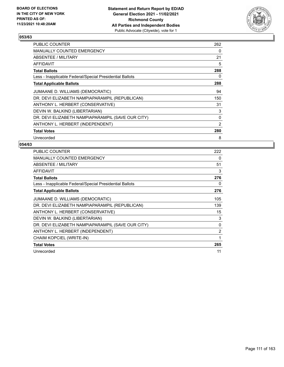

| <b>PUBLIC COUNTER</b>                                    | 262 |
|----------------------------------------------------------|-----|
| <b>MANUALLY COUNTED EMERGENCY</b>                        | 0   |
| ABSENTEE / MILITARY                                      | 21  |
| AFFIDAVIT                                                | 5   |
| <b>Total Ballots</b>                                     | 288 |
| Less - Inapplicable Federal/Special Presidential Ballots | 0   |
| <b>Total Applicable Ballots</b>                          | 288 |
| JUMAANE D. WILLIAMS (DEMOCRATIC)                         | 94  |
| DR. DEVI ELIZABETH NAMPIAPARAMPIL (REPUBLICAN)           | 150 |
| ANTHONY L. HERBERT (CONSERVATIVE)                        | 31  |
| DEVIN W. BALKIND (LIBERTARIAN)                           | 3   |
| DR. DEVI ELIZABETH NAMPIAPARAMPIL (SAVE OUR CITY)        | 0   |
| ANTHONY L. HERBERT (INDEPENDENT)                         | 2   |
| <b>Total Votes</b>                                       | 280 |
| Unrecorded                                               | 8   |

| <b>PUBLIC COUNTER</b>                                    | 222            |
|----------------------------------------------------------|----------------|
| <b>MANUALLY COUNTED EMERGENCY</b>                        | 0              |
| ABSENTEE / MILITARY                                      | 51             |
| <b>AFFIDAVIT</b>                                         | 3              |
| <b>Total Ballots</b>                                     | 276            |
| Less - Inapplicable Federal/Special Presidential Ballots | 0              |
| <b>Total Applicable Ballots</b>                          | 276            |
| JUMAANE D. WILLIAMS (DEMOCRATIC)                         | 105            |
| DR. DEVI ELIZABETH NAMPIAPARAMPIL (REPUBLICAN)           | 139            |
| ANTHONY L. HERBERT (CONSERVATIVE)                        | 15             |
| DEVIN W. BALKIND (LIBERTARIAN)                           | 3              |
| DR. DEVI ELIZABETH NAMPIAPARAMPIL (SAVE OUR CITY)        | 0              |
| ANTHONY L. HERBERT (INDEPENDENT)                         | $\overline{2}$ |
| CHAIM KOPCIEL (WRITE-IN)                                 | 1              |
| <b>Total Votes</b>                                       | 265            |
| Unrecorded                                               | 11             |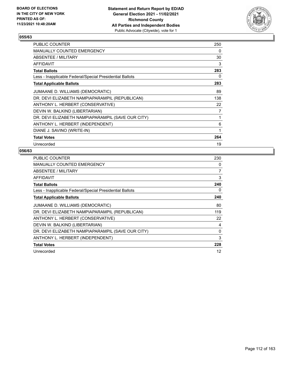

| PUBLIC COUNTER                                           | 250 |
|----------------------------------------------------------|-----|
| MANUALLY COUNTED EMERGENCY                               | 0   |
| ABSENTEE / MILITARY                                      | 30  |
| AFFIDAVIT                                                | 3   |
| Total Ballots                                            | 283 |
| Less - Inapplicable Federal/Special Presidential Ballots | 0   |
| <b>Total Applicable Ballots</b>                          | 283 |
| JUMAANE D. WILLIAMS (DEMOCRATIC)                         | 89  |
| DR. DEVI ELIZABETH NAMPIAPARAMPIL (REPUBLICAN)           | 138 |
| ANTHONY L. HERBERT (CONSERVATIVE)                        | 22  |
| DEVIN W. BALKIND (LIBERTARIAN)                           | 7   |
| DR. DEVI ELIZABETH NAMPIAPARAMPIL (SAVE OUR CITY)        | 1   |
| ANTHONY L. HERBERT (INDEPENDENT)                         | 6   |
| DIANE J. SAVINO (WRITE-IN)                               | 1   |
| <b>Total Votes</b>                                       | 264 |
| Unrecorded                                               | 19  |

| <b>PUBLIC COUNTER</b>                                    | 230 |
|----------------------------------------------------------|-----|
| MANUALLY COUNTED EMERGENCY                               | 0   |
| ABSENTEE / MILITARY                                      | 7   |
| AFFIDAVIT                                                | 3   |
| <b>Total Ballots</b>                                     | 240 |
| Less - Inapplicable Federal/Special Presidential Ballots | 0   |
| <b>Total Applicable Ballots</b>                          | 240 |
| JUMAANE D. WILLIAMS (DEMOCRATIC)                         | 80  |
| DR. DEVI ELIZABETH NAMPIAPARAMPIL (REPUBLICAN)           | 119 |
| ANTHONY L. HERBERT (CONSERVATIVE)                        | 22  |
| DEVIN W. BALKIND (LIBERTARIAN)                           | 4   |
| DR. DEVI ELIZABETH NAMPIAPARAMPIL (SAVE OUR CITY)        | 0   |
| ANTHONY L. HERBERT (INDEPENDENT)                         | 3   |
| <b>Total Votes</b>                                       | 228 |
| Unrecorded                                               | 12  |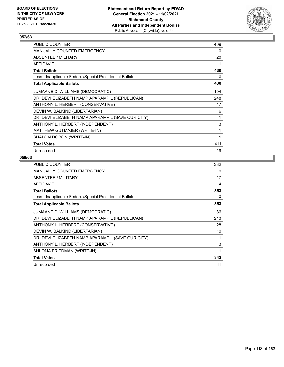

| <b>PUBLIC COUNTER</b>                                    | 409          |
|----------------------------------------------------------|--------------|
| MANUALLY COUNTED EMERGENCY                               | 0            |
| ABSENTEE / MILITARY                                      | 20           |
| AFFIDAVIT                                                | 1            |
| <b>Total Ballots</b>                                     | 430          |
| Less - Inapplicable Federal/Special Presidential Ballots | 0            |
| <b>Total Applicable Ballots</b>                          | 430          |
| JUMAANE D. WILLIAMS (DEMOCRATIC)                         | 104          |
| DR. DEVI ELIZABETH NAMPIAPARAMPIL (REPUBLICAN)           | 248          |
| ANTHONY L. HERBERT (CONSERVATIVE)                        | 47           |
| DEVIN W. BALKIND (LIBERTARIAN)                           | 6            |
| DR. DEVI ELIZABETH NAMPIAPARAMPIL (SAVE OUR CITY)        | 1            |
| ANTHONY L. HERBERT (INDEPENDENT)                         | 3            |
| MATTHEW GUTMAJER (WRITE-IN)                              | $\mathbf{1}$ |
| SHALOM DORON (WRITE-IN)                                  | 1            |
| <b>Total Votes</b>                                       | 411          |
| Unrecorded                                               | 19           |

| <b>PUBLIC COUNTER</b>                                    | 332 |
|----------------------------------------------------------|-----|
| <b>MANUALLY COUNTED EMERGENCY</b>                        | 0   |
| ABSENTEE / MILITARY                                      | 17  |
| <b>AFFIDAVIT</b>                                         | 4   |
| <b>Total Ballots</b>                                     | 353 |
| Less - Inapplicable Federal/Special Presidential Ballots | 0   |
| <b>Total Applicable Ballots</b>                          | 353 |
| JUMAANE D. WILLIAMS (DEMOCRATIC)                         | 86  |
| DR. DEVI ELIZABETH NAMPIAPARAMPIL (REPUBLICAN)           | 213 |
| ANTHONY L. HERBERT (CONSERVATIVE)                        | 28  |
| DEVIN W. BALKIND (LIBERTARIAN)                           | 10  |
| DR. DEVI ELIZABETH NAMPIAPARAMPIL (SAVE OUR CITY)        | 1   |
| ANTHONY L. HERBERT (INDEPENDENT)                         | 3   |
| SHLOMA FRIEDMAN (WRITE-IN)                               | 1   |
| <b>Total Votes</b>                                       | 342 |
| Unrecorded                                               | 11  |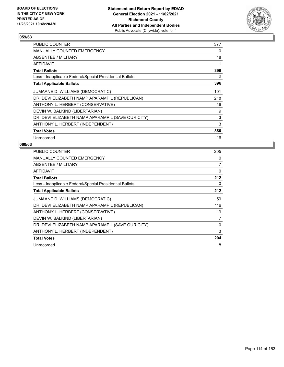

| <b>PUBLIC COUNTER</b>                                    | 377      |
|----------------------------------------------------------|----------|
| <b>MANUALLY COUNTED EMERGENCY</b>                        | $\Omega$ |
| ABSENTEE / MILITARY                                      | 18       |
| AFFIDAVIT                                                | 1        |
| <b>Total Ballots</b>                                     | 396      |
| Less - Inapplicable Federal/Special Presidential Ballots | 0        |
| <b>Total Applicable Ballots</b>                          | 396      |
| JUMAANE D. WILLIAMS (DEMOCRATIC)                         | 101      |
| DR. DEVI ELIZABETH NAMPIAPARAMPIL (REPUBLICAN)           | 218      |
| ANTHONY L. HERBERT (CONSERVATIVE)                        | 46       |
| DEVIN W. BALKIND (LIBERTARIAN)                           | 9        |
| DR. DEVI ELIZABETH NAMPIAPARAMPIL (SAVE OUR CITY)        | 3        |
| ANTHONY L. HERBERT (INDEPENDENT)                         | 3        |
| <b>Total Votes</b>                                       | 380      |
| Unrecorded                                               | 16       |

| <b>PUBLIC COUNTER</b>                                    | 205      |
|----------------------------------------------------------|----------|
| <b>MANUALLY COUNTED EMERGENCY</b>                        | 0        |
| ABSENTEE / MILITARY                                      | 7        |
| <b>AFFIDAVIT</b>                                         | $\Omega$ |
| <b>Total Ballots</b>                                     | 212      |
| Less - Inapplicable Federal/Special Presidential Ballots | 0        |
| <b>Total Applicable Ballots</b>                          | 212      |
| JUMAANE D. WILLIAMS (DEMOCRATIC)                         | 59       |
| DR. DEVI ELIZABETH NAMPIAPARAMPIL (REPUBLICAN)           | 116      |
| ANTHONY L. HERBERT (CONSERVATIVE)                        | 19       |
| DEVIN W. BALKIND (LIBERTARIAN)                           | 7        |
| DR. DEVI ELIZABETH NAMPIAPARAMPIL (SAVE OUR CITY)        | $\Omega$ |
| ANTHONY L. HERBERT (INDEPENDENT)                         | 3        |
| <b>Total Votes</b>                                       | 204      |
| Unrecorded                                               | 8        |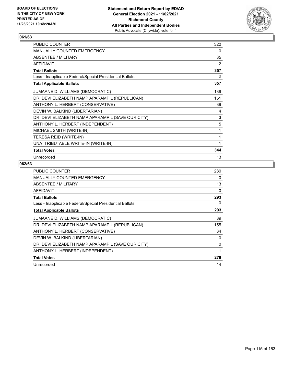

| PUBLIC COUNTER                                           | 320 |
|----------------------------------------------------------|-----|
| <b>MANUALLY COUNTED EMERGENCY</b>                        | 0   |
| ABSENTEE / MILITARY                                      | 35  |
| AFFIDAVIT                                                | 2   |
| <b>Total Ballots</b>                                     | 357 |
| Less - Inapplicable Federal/Special Presidential Ballots | 0   |
| <b>Total Applicable Ballots</b>                          | 357 |
| JUMAANE D. WILLIAMS (DEMOCRATIC)                         | 139 |
| DR. DEVI ELIZABETH NAMPIAPARAMPIL (REPUBLICAN)           | 151 |
| ANTHONY L. HERBERT (CONSERVATIVE)                        | 39  |
| DEVIN W. BALKIND (LIBERTARIAN)                           | 4   |
| DR. DEVI ELIZABETH NAMPIAPARAMPIL (SAVE OUR CITY)        | 3   |
| ANTHONY L. HERBERT (INDEPENDENT)                         | 5   |
| MICHAEL SMITH (WRITE-IN)                                 | 1   |
| TERESA REID (WRITE-IN)                                   | 1   |
| UNATTRIBUTABLE WRITE-IN (WRITE-IN)                       | 1   |
| <b>Total Votes</b>                                       | 344 |
| Unrecorded                                               | 13  |

| <b>PUBLIC COUNTER</b>                                    | 280      |
|----------------------------------------------------------|----------|
| <b>MANUALLY COUNTED EMERGENCY</b>                        | 0        |
| ABSENTEE / MILITARY                                      | 13       |
| <b>AFFIDAVIT</b>                                         | $\Omega$ |
| <b>Total Ballots</b>                                     | 293      |
| Less - Inapplicable Federal/Special Presidential Ballots | 0        |
| <b>Total Applicable Ballots</b>                          | 293      |
| JUMAANE D. WILLIAMS (DEMOCRATIC)                         | 89       |
| DR. DEVI ELIZABETH NAMPIAPARAMPIL (REPUBLICAN)           | 155      |
| ANTHONY L. HERBERT (CONSERVATIVE)                        | 34       |
| DEVIN W. BALKIND (LIBERTARIAN)                           | 0        |
| DR. DEVI ELIZABETH NAMPIAPARAMPIL (SAVE OUR CITY)        | 0        |
| ANTHONY L. HERBERT (INDEPENDENT)                         | 1        |
| <b>Total Votes</b>                                       | 279      |
| Unrecorded                                               | 14       |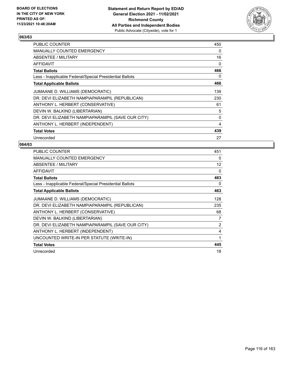

| <b>PUBLIC COUNTER</b>                                    | 450 |
|----------------------------------------------------------|-----|
| <b>MANUALLY COUNTED EMERGENCY</b>                        | 0   |
| ABSENTEE / MILITARY                                      | 16  |
| AFFIDAVIT                                                | 0   |
| <b>Total Ballots</b>                                     | 466 |
| Less - Inapplicable Federal/Special Presidential Ballots | 0   |
| <b>Total Applicable Ballots</b>                          | 466 |
| JUMAANE D. WILLIAMS (DEMOCRATIC)                         | 139 |
| DR. DEVI ELIZABETH NAMPIAPARAMPIL (REPUBLICAN)           | 230 |
| ANTHONY L. HERBERT (CONSERVATIVE)                        | 61  |
| DEVIN W. BALKIND (LIBERTARIAN)                           | 5   |
| DR. DEVI ELIZABETH NAMPIAPARAMPIL (SAVE OUR CITY)        | 0   |
| ANTHONY L. HERBERT (INDEPENDENT)                         | 4   |
| <b>Total Votes</b>                                       | 439 |
| Unrecorded                                               | 27  |

| <b>PUBLIC COUNTER</b>                                    | 451            |
|----------------------------------------------------------|----------------|
| <b>MANUALLY COUNTED EMERGENCY</b>                        | 0              |
| ABSENTEE / MILITARY                                      | 12             |
| <b>AFFIDAVIT</b>                                         | 0              |
| <b>Total Ballots</b>                                     | 463            |
| Less - Inapplicable Federal/Special Presidential Ballots | 0              |
| <b>Total Applicable Ballots</b>                          | 463            |
| JUMAANE D. WILLIAMS (DEMOCRATIC)                         | 128            |
| DR. DEVI ELIZABETH NAMPIAPARAMPIL (REPUBLICAN)           | 235            |
| ANTHONY L. HERBERT (CONSERVATIVE)                        | 68             |
| DEVIN W. BALKIND (LIBERTARIAN)                           | 7              |
| DR. DEVI ELIZABETH NAMPIAPARAMPIL (SAVE OUR CITY)        | $\overline{2}$ |
| ANTHONY L. HERBERT (INDEPENDENT)                         | 4              |
| UNCOUNTED WRITE-IN PER STATUTE (WRITE-IN)                | 1              |
| <b>Total Votes</b>                                       | 445            |
| Unrecorded                                               | 18             |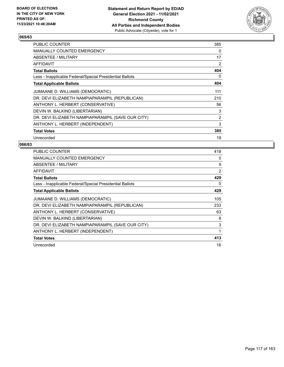

| <b>PUBLIC COUNTER</b>                                    | 385            |
|----------------------------------------------------------|----------------|
| <b>MANUALLY COUNTED EMERGENCY</b>                        | 0              |
| ABSENTEE / MILITARY                                      | 17             |
| AFFIDAVIT                                                | 2              |
| <b>Total Ballots</b>                                     | 404            |
| Less - Inapplicable Federal/Special Presidential Ballots | 0              |
| <b>Total Applicable Ballots</b>                          | 404            |
| JUMAANE D. WILLIAMS (DEMOCRATIC)                         | 111            |
| DR. DEVI ELIZABETH NAMPIAPARAMPIL (REPUBLICAN)           | 210            |
| ANTHONY L. HERBERT (CONSERVATIVE)                        | 56             |
| DEVIN W. BALKIND (LIBERTARIAN)                           | 3              |
| DR. DEVI ELIZABETH NAMPIAPARAMPIL (SAVE OUR CITY)        | $\overline{2}$ |
| ANTHONY L. HERBERT (INDEPENDENT)                         | 3              |
| <b>Total Votes</b>                                       | 385            |
| Unrecorded                                               | 19             |

| <b>PUBLIC COUNTER</b>                                    | 418 |
|----------------------------------------------------------|-----|
| <b>MANUALLY COUNTED EMERGENCY</b>                        | 0   |
| ABSENTEE / MILITARY                                      | 9   |
| <b>AFFIDAVIT</b>                                         | 2   |
| <b>Total Ballots</b>                                     | 429 |
| Less - Inapplicable Federal/Special Presidential Ballots | 0   |
| <b>Total Applicable Ballots</b>                          | 429 |
| JUMAANE D. WILLIAMS (DEMOCRATIC)                         | 105 |
| DR. DEVI ELIZABETH NAMPIAPARAMPIL (REPUBLICAN)           | 233 |
| ANTHONY L. HERBERT (CONSERVATIVE)                        | 63  |
| DEVIN W. BALKIND (LIBERTARIAN)                           | 8   |
| DR. DEVI ELIZABETH NAMPIAPARAMPIL (SAVE OUR CITY)        | 3   |
| ANTHONY L. HERBERT (INDEPENDENT)                         | 1   |
| <b>Total Votes</b>                                       | 413 |
| Unrecorded                                               | 16  |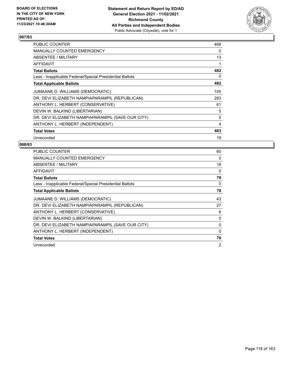

| PUBLIC COUNTER                                           | 468 |
|----------------------------------------------------------|-----|
| <b>MANUALLY COUNTED EMERGENCY</b>                        | 0   |
| ABSENTEE / MILITARY                                      | 13  |
| AFFIDAVIT                                                | 1   |
| <b>Total Ballots</b>                                     | 482 |
| Less - Inapplicable Federal/Special Presidential Ballots | 0   |
| <b>Total Applicable Ballots</b>                          | 482 |
| JUMAANE D. WILLIAMS (DEMOCRATIC)                         | 105 |
| DR. DEVI ELIZABETH NAMPIAPARAMPIL (REPUBLICAN)           | 283 |
| ANTHONY L. HERBERT (CONSERVATIVE)                        | 61  |
| DEVIN W. BALKIND (LIBERTARIAN)                           | 5   |
| DR. DEVI ELIZABETH NAMPIAPARAMPIL (SAVE OUR CITY)        | 5   |
| ANTHONY L. HERBERT (INDEPENDENT)                         | 4   |
| <b>Total Votes</b>                                       | 463 |
| Unrecorded                                               | 19  |

| <b>PUBLIC COUNTER</b>                                    | 60             |
|----------------------------------------------------------|----------------|
| <b>MANUALLY COUNTED EMERGENCY</b>                        | 0              |
| ABSENTEE / MILITARY                                      | 18             |
| <b>AFFIDAVIT</b>                                         | 0              |
| <b>Total Ballots</b>                                     | 78             |
| Less - Inapplicable Federal/Special Presidential Ballots | 0              |
| <b>Total Applicable Ballots</b>                          | 78             |
| JUMAANE D. WILLIAMS (DEMOCRATIC)                         | 43             |
| DR. DEVI ELIZABETH NAMPIAPARAMPIL (REPUBLICAN)           | 27             |
| ANTHONY L. HERBERT (CONSERVATIVE)                        | 6              |
| DEVIN W. BALKIND (LIBERTARIAN)                           | 0              |
| DR. DEVI ELIZABETH NAMPIAPARAMPIL (SAVE OUR CITY)        | 0              |
| ANTHONY L. HERBERT (INDEPENDENT)                         | 0              |
| <b>Total Votes</b>                                       | 76             |
| Unrecorded                                               | $\overline{2}$ |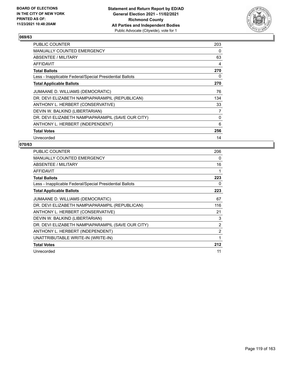

| <b>PUBLIC COUNTER</b>                                    | 203      |
|----------------------------------------------------------|----------|
| MANUALLY COUNTED EMERGENCY                               | $\Omega$ |
| <b>ABSENTEE / MILITARY</b>                               | 63       |
| AFFIDAVIT                                                | 4        |
| <b>Total Ballots</b>                                     | 270      |
| Less - Inapplicable Federal/Special Presidential Ballots | 0        |
| <b>Total Applicable Ballots</b>                          | 270      |
| JUMAANE D. WILLIAMS (DEMOCRATIC)                         | 76       |
| DR. DEVI ELIZABETH NAMPIAPARAMPIL (REPUBLICAN)           | 134      |
| ANTHONY L. HERBERT (CONSERVATIVE)                        | 33       |
| DEVIN W. BALKIND (LIBERTARIAN)                           | 7        |
| DR. DEVI ELIZABETH NAMPIAPARAMPIL (SAVE OUR CITY)        | 0        |
| ANTHONY L. HERBERT (INDEPENDENT)                         | 6        |
| <b>Total Votes</b>                                       | 256      |
| Unrecorded                                               | 14       |

| <b>PUBLIC COUNTER</b>                                    | 206            |
|----------------------------------------------------------|----------------|
| <b>MANUALLY COUNTED EMERGENCY</b>                        | 0              |
| ABSENTEE / MILITARY                                      | 16             |
| <b>AFFIDAVIT</b>                                         |                |
| <b>Total Ballots</b>                                     | 223            |
| Less - Inapplicable Federal/Special Presidential Ballots | 0              |
| <b>Total Applicable Ballots</b>                          | 223            |
| JUMAANE D. WILLIAMS (DEMOCRATIC)                         | 67             |
| DR. DEVI ELIZABETH NAMPIAPARAMPIL (REPUBLICAN)           | 116            |
| ANTHONY L. HERBERT (CONSERVATIVE)                        | 21             |
| DEVIN W. BALKIND (LIBERTARIAN)                           | 3              |
| DR. DEVI ELIZABETH NAMPIAPARAMPIL (SAVE OUR CITY)        | $\overline{2}$ |
| ANTHONY L. HERBERT (INDEPENDENT)                         | $\overline{2}$ |
| UNATTRIBUTABLE WRITE-IN (WRITE-IN)                       | 1              |
| <b>Total Votes</b>                                       | 212            |
| Unrecorded                                               | 11             |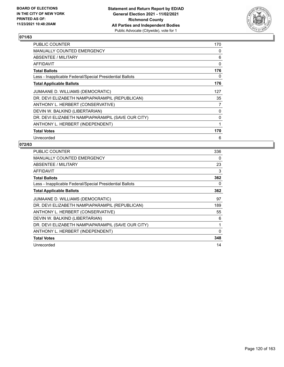

| <b>PUBLIC COUNTER</b>                                    | 170 |
|----------------------------------------------------------|-----|
| <b>MANUALLY COUNTED EMERGENCY</b>                        | 0   |
| ABSENTEE / MILITARY                                      | 6   |
| AFFIDAVIT                                                | 0   |
| <b>Total Ballots</b>                                     | 176 |
| Less - Inapplicable Federal/Special Presidential Ballots | 0   |
| <b>Total Applicable Ballots</b>                          | 176 |
| JUMAANE D. WILLIAMS (DEMOCRATIC)                         | 127 |
| DR. DEVI ELIZABETH NAMPIAPARAMPIL (REPUBLICAN)           | 35  |
| ANTHONY L. HERBERT (CONSERVATIVE)                        | 7   |
| DEVIN W. BALKIND (LIBERTARIAN)                           | 0   |
| DR. DEVI ELIZABETH NAMPIAPARAMPIL (SAVE OUR CITY)        | 0   |
| ANTHONY L. HERBERT (INDEPENDENT)                         | 1   |
| <b>Total Votes</b>                                       | 170 |
| Unrecorded                                               | 6   |

| <b>PUBLIC COUNTER</b>                                    | 336      |
|----------------------------------------------------------|----------|
| <b>MANUALLY COUNTED EMERGENCY</b>                        | 0        |
| ABSENTEE / MILITARY                                      | 23       |
| AFFIDAVIT                                                | 3        |
| <b>Total Ballots</b>                                     | 362      |
| Less - Inapplicable Federal/Special Presidential Ballots | 0        |
| <b>Total Applicable Ballots</b>                          | 362      |
| JUMAANE D. WILLIAMS (DEMOCRATIC)                         | 97       |
| DR. DEVI ELIZABETH NAMPIAPARAMPIL (REPUBLICAN)           | 189      |
| ANTHONY L. HERBERT (CONSERVATIVE)                        | 55       |
| DEVIN W. BALKIND (LIBERTARIAN)                           | 6        |
| DR. DEVI ELIZABETH NAMPIAPARAMPIL (SAVE OUR CITY)        | 1        |
| ANTHONY L. HERBERT (INDEPENDENT)                         | $\Omega$ |
| <b>Total Votes</b>                                       | 348      |
| Unrecorded                                               | 14       |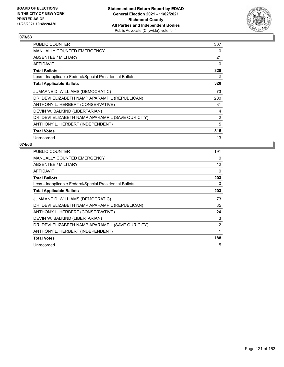

| <b>PUBLIC COUNTER</b>                                    | 307            |
|----------------------------------------------------------|----------------|
| MANUALLY COUNTED EMERGENCY                               | 0              |
| ABSENTEE / MILITARY                                      | 21             |
| AFFIDAVIT                                                | 0              |
| <b>Total Ballots</b>                                     | 328            |
| Less - Inapplicable Federal/Special Presidential Ballots | 0              |
| <b>Total Applicable Ballots</b>                          | 328            |
| JUMAANE D. WILLIAMS (DEMOCRATIC)                         | 73             |
| DR. DEVI ELIZABETH NAMPIAPARAMPIL (REPUBLICAN)           | 200            |
| ANTHONY L. HERBERT (CONSERVATIVE)                        | 31             |
| DEVIN W. BALKIND (LIBERTARIAN)                           | 4              |
| DR. DEVI ELIZABETH NAMPIAPARAMPIL (SAVE OUR CITY)        | $\overline{2}$ |
| ANTHONY L. HERBERT (INDEPENDENT)                         | 5              |
| <b>Total Votes</b>                                       | 315            |
| Unrecorded                                               | 13             |

| <b>PUBLIC COUNTER</b>                                    | 191            |
|----------------------------------------------------------|----------------|
| <b>MANUALLY COUNTED EMERGENCY</b>                        | 0              |
| ABSENTEE / MILITARY                                      | 12             |
| <b>AFFIDAVIT</b>                                         | 0              |
| <b>Total Ballots</b>                                     | 203            |
| Less - Inapplicable Federal/Special Presidential Ballots | 0              |
| <b>Total Applicable Ballots</b>                          | 203            |
| JUMAANE D. WILLIAMS (DEMOCRATIC)                         | 73             |
| DR. DEVI ELIZABETH NAMPIAPARAMPIL (REPUBLICAN)           | 85             |
| ANTHONY L. HERBERT (CONSERVATIVE)                        | 24             |
| DEVIN W. BALKIND (LIBERTARIAN)                           | 3              |
| DR. DEVI ELIZABETH NAMPIAPARAMPIL (SAVE OUR CITY)        | $\overline{2}$ |
| ANTHONY L. HERBERT (INDEPENDENT)                         | 1              |
| <b>Total Votes</b>                                       | 188            |
| Unrecorded                                               | 15             |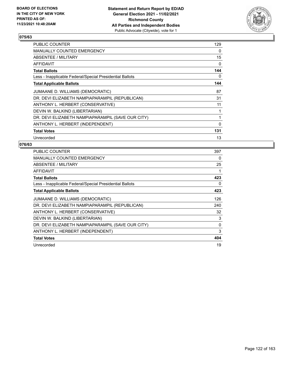

| <b>PUBLIC COUNTER</b>                                    | 129      |
|----------------------------------------------------------|----------|
| <b>MANUALLY COUNTED EMERGENCY</b>                        | $\Omega$ |
| ABSENTEE / MILITARY                                      | 15       |
| AFFIDAVIT                                                | $\Omega$ |
| <b>Total Ballots</b>                                     | 144      |
| Less - Inapplicable Federal/Special Presidential Ballots | 0        |
| <b>Total Applicable Ballots</b>                          | 144      |
| JUMAANE D. WILLIAMS (DEMOCRATIC)                         | 87       |
| DR. DEVI ELIZABETH NAMPIAPARAMPIL (REPUBLICAN)           | 31       |
| ANTHONY L. HERBERT (CONSERVATIVE)                        | 11       |
| DEVIN W. BALKIND (LIBERTARIAN)                           | 1        |
| DR. DEVI ELIZABETH NAMPIAPARAMPIL (SAVE OUR CITY)        | 1        |
| ANTHONY L. HERBERT (INDEPENDENT)                         | $\Omega$ |
| <b>Total Votes</b>                                       | 131      |
| Unrecorded                                               | 13       |

| <b>PUBLIC COUNTER</b>                                    | 397      |
|----------------------------------------------------------|----------|
| <b>MANUALLY COUNTED EMERGENCY</b>                        | 0        |
| ABSENTEE / MILITARY                                      | 25       |
| <b>AFFIDAVIT</b>                                         | 1        |
| <b>Total Ballots</b>                                     | 423      |
| Less - Inapplicable Federal/Special Presidential Ballots | 0        |
| <b>Total Applicable Ballots</b>                          | 423      |
| JUMAANE D. WILLIAMS (DEMOCRATIC)                         | 126      |
| DR. DEVI ELIZABETH NAMPIAPARAMPIL (REPUBLICAN)           | 240      |
| ANTHONY L. HERBERT (CONSERVATIVE)                        | 32       |
| DEVIN W. BALKIND (LIBERTARIAN)                           | 3        |
| DR. DEVI ELIZABETH NAMPIAPARAMPIL (SAVE OUR CITY)        | $\Omega$ |
| ANTHONY L. HERBERT (INDEPENDENT)                         | 3        |
| <b>Total Votes</b>                                       | 404      |
| Unrecorded                                               | 19       |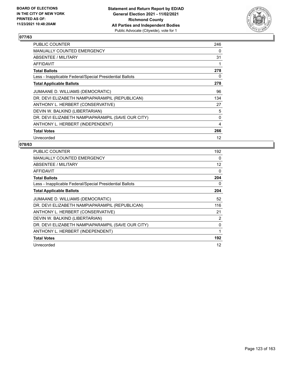

| PUBLIC COUNTER                                           | 246 |
|----------------------------------------------------------|-----|
| <b>MANUALLY COUNTED EMERGENCY</b>                        | 0   |
| ABSENTEE / MILITARY                                      | 31  |
| AFFIDAVIT                                                | 1   |
| <b>Total Ballots</b>                                     | 278 |
| Less - Inapplicable Federal/Special Presidential Ballots | 0   |
| <b>Total Applicable Ballots</b>                          | 278 |
| JUMAANE D. WILLIAMS (DEMOCRATIC)                         | 96  |
| DR. DEVI ELIZABETH NAMPIAPARAMPIL (REPUBLICAN)           | 134 |
| ANTHONY L. HERBERT (CONSERVATIVE)                        | 27  |
| DEVIN W. BALKIND (LIBERTARIAN)                           | 5   |
| DR. DEVI ELIZABETH NAMPIAPARAMPIL (SAVE OUR CITY)        | 0   |
| ANTHONY L. HERBERT (INDEPENDENT)                         | 4   |
| <b>Total Votes</b>                                       | 266 |
| Unrecorded                                               | 12  |

| <b>PUBLIC COUNTER</b>                                    | 192            |
|----------------------------------------------------------|----------------|
| <b>MANUALLY COUNTED EMERGENCY</b>                        | 0              |
| ABSENTEE / MILITARY                                      | 12             |
| <b>AFFIDAVIT</b>                                         | $\Omega$       |
| <b>Total Ballots</b>                                     | 204            |
| Less - Inapplicable Federal/Special Presidential Ballots | 0              |
| <b>Total Applicable Ballots</b>                          | 204            |
| JUMAANE D. WILLIAMS (DEMOCRATIC)                         | 52             |
| DR. DEVI ELIZABETH NAMPIAPARAMPIL (REPUBLICAN)           | 116            |
| ANTHONY L. HERBERT (CONSERVATIVE)                        | 21             |
| DEVIN W. BALKIND (LIBERTARIAN)                           | $\overline{2}$ |
| DR. DEVI ELIZABETH NAMPIAPARAMPIL (SAVE OUR CITY)        | 0              |
| ANTHONY L. HERBERT (INDEPENDENT)                         | 1              |
| <b>Total Votes</b>                                       | 192            |
| Unrecorded                                               | 12             |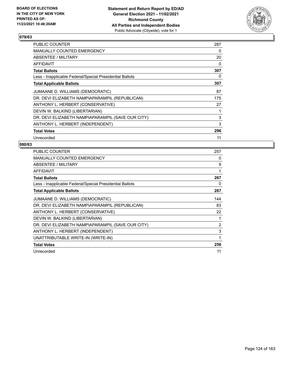

| <b>PUBLIC COUNTER</b>                                    | 287      |
|----------------------------------------------------------|----------|
| <b>MANUALLY COUNTED EMERGENCY</b>                        | $\Omega$ |
| ABSENTEE / MILITARY                                      | 20       |
| AFFIDAVIT                                                | $\Omega$ |
| <b>Total Ballots</b>                                     | 307      |
| Less - Inapplicable Federal/Special Presidential Ballots | 0        |
| <b>Total Applicable Ballots</b>                          | 307      |
| JUMAANE D. WILLIAMS (DEMOCRATIC)                         | 87       |
| DR. DEVI ELIZABETH NAMPIAPARAMPIL (REPUBLICAN)           | 175      |
| ANTHONY L. HERBERT (CONSERVATIVE)                        | 27       |
| DEVIN W. BALKIND (LIBERTARIAN)                           |          |
| DR. DEVI ELIZABETH NAMPIAPARAMPIL (SAVE OUR CITY)        | 3        |
| ANTHONY L. HERBERT (INDEPENDENT)                         | 3        |
| <b>Total Votes</b>                                       | 296      |
| Unrecorded                                               | 11       |

| <b>PUBLIC COUNTER</b>                                    | 257            |
|----------------------------------------------------------|----------------|
| <b>MANUALLY COUNTED EMERGENCY</b>                        | 0              |
| ABSENTEE / MILITARY                                      | 9              |
| AFFIDAVIT                                                |                |
| <b>Total Ballots</b>                                     | 267            |
| Less - Inapplicable Federal/Special Presidential Ballots | 0              |
| <b>Total Applicable Ballots</b>                          | 267            |
| JUMAANE D. WILLIAMS (DEMOCRATIC)                         | 144            |
| DR. DEVI ELIZABETH NAMPIAPARAMPIL (REPUBLICAN)           | 83             |
| ANTHONY L. HERBERT (CONSERVATIVE)                        | 22             |
| DEVIN W. BALKIND (LIBERTARIAN)                           | 1              |
| DR. DEVI ELIZABETH NAMPIAPARAMPIL (SAVE OUR CITY)        | $\overline{2}$ |
| ANTHONY L. HERBERT (INDEPENDENT)                         | 3              |
| UNATTRIBUTABLE WRITE-IN (WRITE-IN)                       | 1              |
| <b>Total Votes</b>                                       | 256            |
| Unrecorded                                               | 11             |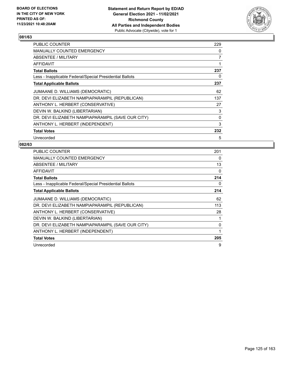

| <b>PUBLIC COUNTER</b>                                    | 229      |
|----------------------------------------------------------|----------|
| MANUALLY COUNTED EMERGENCY                               | $\Omega$ |
| <b>ABSENTEE / MILITARY</b>                               | 7        |
| AFFIDAVIT                                                | 1        |
| <b>Total Ballots</b>                                     | 237      |
| Less - Inapplicable Federal/Special Presidential Ballots | 0        |
| <b>Total Applicable Ballots</b>                          | 237      |
| JUMAANE D. WILLIAMS (DEMOCRATIC)                         | 62       |
| DR. DEVI ELIZABETH NAMPIAPARAMPIL (REPUBLICAN)           | 137      |
| ANTHONY L. HERBERT (CONSERVATIVE)                        | 27       |
| DEVIN W. BALKIND (LIBERTARIAN)                           | 3        |
| DR. DEVI ELIZABETH NAMPIAPARAMPIL (SAVE OUR CITY)        | 0        |
| ANTHONY L. HERBERT (INDEPENDENT)                         | 3        |
| <b>Total Votes</b>                                       | 232      |
| Unrecorded                                               | 5        |

| PUBLIC COUNTER                                           | 201 |
|----------------------------------------------------------|-----|
| <b>MANUALLY COUNTED EMERGENCY</b>                        | 0   |
| ABSENTEE / MILITARY                                      | 13  |
| AFFIDAVIT                                                | 0   |
| <b>Total Ballots</b>                                     | 214 |
| Less - Inapplicable Federal/Special Presidential Ballots | 0   |
| <b>Total Applicable Ballots</b>                          | 214 |
| JUMAANE D. WILLIAMS (DEMOCRATIC)                         | 62  |
| DR. DEVI ELIZABETH NAMPIAPARAMPIL (REPUBLICAN)           | 113 |
| ANTHONY L. HERBERT (CONSERVATIVE)                        | 28  |
| DEVIN W. BALKIND (LIBERTARIAN)                           | 1   |
| DR. DEVI ELIZABETH NAMPIAPARAMPIL (SAVE OUR CITY)        | 0   |
| ANTHONY L. HERBERT (INDEPENDENT)                         | 1   |
| <b>Total Votes</b>                                       | 205 |
| Unrecorded                                               | 9   |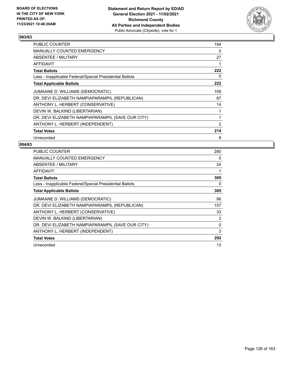

| <b>PUBLIC COUNTER</b>                                    | 194      |
|----------------------------------------------------------|----------|
| MANUALLY COUNTED EMERGENCY                               | $\Omega$ |
| ABSENTEE / MILITARY                                      | 27       |
| <b>AFFIDAVIT</b>                                         | 1        |
| <b>Total Ballots</b>                                     | 222      |
| Less - Inapplicable Federal/Special Presidential Ballots | 0        |
| <b>Total Applicable Ballots</b>                          | 222      |
| JUMAANE D. WILLIAMS (DEMOCRATIC)                         | 109      |
| DR. DEVI ELIZABETH NAMPIAPARAMPIL (REPUBLICAN)           | 87       |
| ANTHONY L. HERBERT (CONSERVATIVE)                        | 14       |
| DEVIN W. BALKIND (LIBERTARIAN)                           | 1        |
| DR. DEVI ELIZABETH NAMPIAPARAMPIL (SAVE OUR CITY)        | 1        |
| ANTHONY L. HERBERT (INDEPENDENT)                         | 2        |
| <b>Total Votes</b>                                       | 214      |
| Unrecorded                                               | 8        |

| <b>PUBLIC COUNTER</b>                                    | 280      |
|----------------------------------------------------------|----------|
| <b>MANUALLY COUNTED EMERGENCY</b>                        | $\Omega$ |
| ABSENTEE / MILITARY                                      | 24       |
| AFFIDAVIT                                                | 1        |
| <b>Total Ballots</b>                                     | 305      |
| Less - Inapplicable Federal/Special Presidential Ballots | 0        |
| <b>Total Applicable Ballots</b>                          | 305      |
| JUMAANE D. WILLIAMS (DEMOCRATIC)                         | 96       |
| DR. DEVI ELIZABETH NAMPIAPARAMPIL (REPUBLICAN)           | 157      |
| ANTHONY L. HERBERT (CONSERVATIVE)                        | 33       |
| DEVIN W. BALKIND (LIBERTARIAN)                           | 3        |
| DR. DEVI ELIZABETH NAMPIAPARAMPIL (SAVE OUR CITY)        | 0        |
| ANTHONY L. HERBERT (INDEPENDENT)                         | 3        |
| <b>Total Votes</b>                                       | 292      |
| Unrecorded                                               | 13       |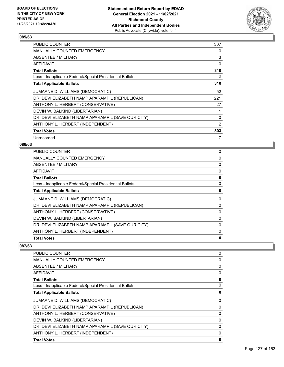

| PUBLIC COUNTER                                           | 307            |
|----------------------------------------------------------|----------------|
| <b>MANUALLY COUNTED EMERGENCY</b>                        | 0              |
| ABSENTEE / MILITARY                                      | 3              |
| <b>AFFIDAVIT</b>                                         | 0              |
| <b>Total Ballots</b>                                     | 310            |
| Less - Inapplicable Federal/Special Presidential Ballots | 0              |
| <b>Total Applicable Ballots</b>                          | 310            |
| JUMAANE D. WILLIAMS (DEMOCRATIC)                         | 52             |
| DR. DEVI ELIZABETH NAMPIAPARAMPIL (REPUBLICAN)           | 221            |
| ANTHONY L. HERBERT (CONSERVATIVE)                        | 27             |
| DEVIN W. BALKIND (LIBERTARIAN)                           | 1              |
| DR. DEVI ELIZABETH NAMPIAPARAMPIL (SAVE OUR CITY)        | 0              |
| ANTHONY L. HERBERT (INDEPENDENT)                         | $\overline{2}$ |
| <b>Total Votes</b>                                       | 303            |
| Unrecorded                                               | 7              |

## **086/63**

| <b>PUBLIC COUNTER</b>                                    | 0 |
|----------------------------------------------------------|---|
| MANUALLY COUNTED EMERGENCY                               | 0 |
| ABSENTEE / MILITARY                                      | 0 |
| AFFIDAVIT                                                | 0 |
| <b>Total Ballots</b>                                     | 0 |
| Less - Inapplicable Federal/Special Presidential Ballots | 0 |
| <b>Total Applicable Ballots</b>                          | 0 |
| JUMAANE D. WILLIAMS (DEMOCRATIC)                         | 0 |
| DR. DEVI ELIZABETH NAMPIAPARAMPIL (REPUBLICAN)           | 0 |
| ANTHONY L. HERBERT (CONSERVATIVE)                        | 0 |
| DEVIN W. BALKIND (LIBERTARIAN)                           | 0 |
| DR. DEVI ELIZABETH NAMPIAPARAMPIL (SAVE OUR CITY)        | 0 |
| ANTHONY L. HERBERT (INDEPENDENT)                         | 0 |
| <b>Total Votes</b>                                       | 0 |
|                                                          |   |

| <b>PUBLIC COUNTER</b>                                    | 0 |
|----------------------------------------------------------|---|
| MANUALLY COUNTED EMERGENCY                               | 0 |
| ABSENTEE / MILITARY                                      | 0 |
| <b>AFFIDAVIT</b>                                         | 0 |
| <b>Total Ballots</b>                                     | 0 |
| Less - Inapplicable Federal/Special Presidential Ballots | 0 |
| <b>Total Applicable Ballots</b>                          | 0 |
| JUMAANE D. WILLIAMS (DEMOCRATIC)                         | 0 |
| DR. DEVI ELIZABETH NAMPIAPARAMPIL (REPUBLICAN)           | 0 |
| ANTHONY L. HERBERT (CONSERVATIVE)                        | 0 |
| DEVIN W. BALKIND (LIBERTARIAN)                           | 0 |
| DR. DEVI ELIZABETH NAMPIAPARAMPIL (SAVE OUR CITY)        | 0 |
| ANTHONY L. HERBERT (INDEPENDENT)                         | 0 |
| <b>Total Votes</b>                                       | 0 |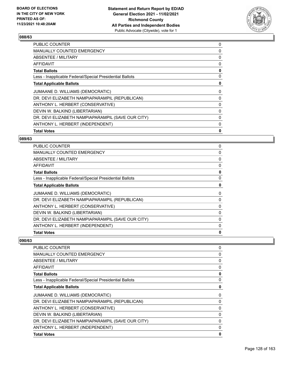

| <b>PUBLIC COUNTER</b>                                    | 0 |
|----------------------------------------------------------|---|
| <b>MANUALLY COUNTED EMERGENCY</b>                        | 0 |
| <b>ABSENTEE / MILITARY</b>                               | 0 |
| <b>AFFIDAVIT</b>                                         | 0 |
| <b>Total Ballots</b>                                     | 0 |
| Less - Inapplicable Federal/Special Presidential Ballots | 0 |
| <b>Total Applicable Ballots</b>                          | 0 |
| JUMAANE D. WILLIAMS (DEMOCRATIC)                         | 0 |
| DR. DEVI ELIZABETH NAMPIAPARAMPIL (REPUBLICAN)           | 0 |
| ANTHONY L. HERBERT (CONSERVATIVE)                        | 0 |
| DEVIN W. BALKIND (LIBERTARIAN)                           | 0 |
| DR. DEVI ELIZABETH NAMPIAPARAMPIL (SAVE OUR CITY)        | 0 |
| ANTHONY L. HERBERT (INDEPENDENT)                         | 0 |
| <b>Total Votes</b>                                       | 0 |

#### **089/63**

| 0 |
|---|
| 0 |
| 0 |
| 0 |
| 0 |
| 0 |
| 0 |
| 0 |
| 0 |
| 0 |
| 0 |
| 0 |
| 0 |
| 0 |
|   |

| PUBLIC COUNTER                                           | 0        |
|----------------------------------------------------------|----------|
| <b>MANUALLY COUNTED EMERGENCY</b>                        | 0        |
| ABSENTEE / MILITARY                                      | 0        |
| AFFIDAVIT                                                | 0        |
| <b>Total Ballots</b>                                     | 0        |
| Less - Inapplicable Federal/Special Presidential Ballots | 0        |
| <b>Total Applicable Ballots</b>                          | 0        |
| JUMAANE D. WILLIAMS (DEMOCRATIC)                         | $\Omega$ |
| DR. DEVI ELIZABETH NAMPIAPARAMPIL (REPUBLICAN)           | 0        |
| ANTHONY L. HERBERT (CONSERVATIVE)                        | 0        |
| DEVIN W. BALKIND (LIBERTARIAN)                           | 0        |
| DR. DEVI ELIZABETH NAMPIAPARAMPIL (SAVE OUR CITY)        | 0        |
| ANTHONY L. HERBERT (INDEPENDENT)                         | 0        |
| <b>Total Votes</b>                                       | 0        |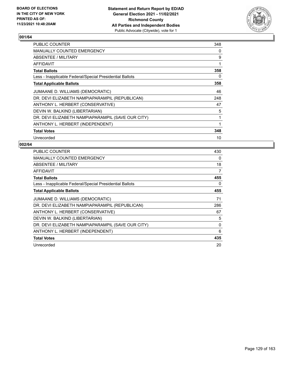

| PUBLIC COUNTER                                           | 348 |
|----------------------------------------------------------|-----|
| <b>MANUALLY COUNTED EMERGENCY</b>                        | 0   |
| ABSENTEE / MILITARY                                      | 9   |
| AFFIDAVIT                                                | 1   |
| <b>Total Ballots</b>                                     | 358 |
| Less - Inapplicable Federal/Special Presidential Ballots | 0   |
| <b>Total Applicable Ballots</b>                          | 358 |
| JUMAANE D. WILLIAMS (DEMOCRATIC)                         | 46  |
| DR. DEVI ELIZABETH NAMPIAPARAMPIL (REPUBLICAN)           | 248 |
| ANTHONY L. HERBERT (CONSERVATIVE)                        | 47  |
| DEVIN W. BALKIND (LIBERTARIAN)                           | 5   |
| DR. DEVI ELIZABETH NAMPIAPARAMPIL (SAVE OUR CITY)        | 1   |
| ANTHONY L. HERBERT (INDEPENDENT)                         | 1   |
| <b>Total Votes</b>                                       | 348 |
| Unrecorded                                               | 10  |

| <b>PUBLIC COUNTER</b>                                    | 430      |
|----------------------------------------------------------|----------|
| <b>MANUALLY COUNTED EMERGENCY</b>                        | $\Omega$ |
| ABSENTEE / MILITARY                                      | 18       |
| AFFIDAVIT                                                | 7        |
| <b>Total Ballots</b>                                     | 455      |
| Less - Inapplicable Federal/Special Presidential Ballots | 0        |
| <b>Total Applicable Ballots</b>                          | 455      |
| JUMAANE D. WILLIAMS (DEMOCRATIC)                         | 71       |
| DR. DEVI ELIZABETH NAMPIAPARAMPIL (REPUBLICAN)           | 286      |
| ANTHONY L. HERBERT (CONSERVATIVE)                        | 67       |
| DEVIN W. BALKIND (LIBERTARIAN)                           | 5        |
| DR. DEVI ELIZABETH NAMPIAPARAMPIL (SAVE OUR CITY)        | 0        |
| ANTHONY L. HERBERT (INDEPENDENT)                         | 6        |
| <b>Total Votes</b>                                       | 435      |
| Unrecorded                                               | 20       |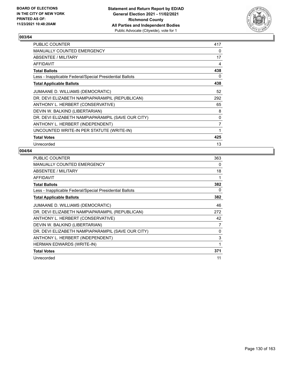

| <b>PUBLIC COUNTER</b>                                    | 417            |
|----------------------------------------------------------|----------------|
| <b>MANUALLY COUNTED EMERGENCY</b>                        | 0              |
| ABSENTEE / MILITARY                                      | 17             |
| AFFIDAVIT                                                | 4              |
| <b>Total Ballots</b>                                     | 438            |
| Less - Inapplicable Federal/Special Presidential Ballots | 0              |
| <b>Total Applicable Ballots</b>                          | 438            |
| JUMAANE D. WILLIAMS (DEMOCRATIC)                         | 52             |
| DR. DEVI ELIZABETH NAMPIAPARAMPIL (REPUBLICAN)           | 292            |
| ANTHONY L. HERBERT (CONSERVATIVE)                        | 65             |
| DEVIN W. BALKIND (LIBERTARIAN)                           | 8              |
| DR. DEVI ELIZABETH NAMPIAPARAMPIL (SAVE OUR CITY)        | 0              |
| ANTHONY L. HERBERT (INDEPENDENT)                         | $\overline{7}$ |
| UNCOUNTED WRITE-IN PER STATUTE (WRITE-IN)                | 1              |
| <b>Total Votes</b>                                       | 425            |
| Unrecorded                                               | 13             |

| PUBLIC COUNTER                                           | 363 |
|----------------------------------------------------------|-----|
| <b>MANUALLY COUNTED EMERGENCY</b>                        | 0   |
| ABSENTEE / MILITARY                                      | 18  |
| AFFIDAVIT                                                | 1   |
| <b>Total Ballots</b>                                     | 382 |
| Less - Inapplicable Federal/Special Presidential Ballots | 0   |
| <b>Total Applicable Ballots</b>                          | 382 |
| JUMAANE D. WILLIAMS (DEMOCRATIC)                         | 46  |
| DR. DEVI ELIZABETH NAMPIAPARAMPIL (REPUBLICAN)           | 272 |
| ANTHONY L. HERBERT (CONSERVATIVE)                        | 42  |
| DEVIN W. BALKIND (LIBERTARIAN)                           | 7   |
| DR. DEVI ELIZABETH NAMPIAPARAMPIL (SAVE OUR CITY)        | 0   |
| ANTHONY L. HERBERT (INDEPENDENT)                         | 3   |
| <b>HERMAN EDWARDS (WRITE-IN)</b>                         | 1   |
| <b>Total Votes</b>                                       | 371 |
| Unrecorded                                               | 11  |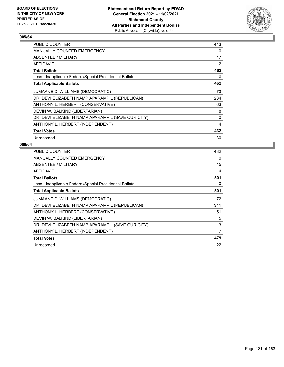

| <b>PUBLIC COUNTER</b>                                    | 443            |
|----------------------------------------------------------|----------------|
| <b>MANUALLY COUNTED EMERGENCY</b>                        | $\Omega$       |
| ABSENTEE / MILITARY                                      | 17             |
| <b>AFFIDAVIT</b>                                         | $\overline{2}$ |
| <b>Total Ballots</b>                                     | 462            |
| Less - Inapplicable Federal/Special Presidential Ballots | 0              |
| <b>Total Applicable Ballots</b>                          | 462            |
| JUMAANE D. WILLIAMS (DEMOCRATIC)                         | 73             |
| DR. DEVI ELIZABETH NAMPIAPARAMPIL (REPUBLICAN)           | 284            |
| ANTHONY L. HERBERT (CONSERVATIVE)                        | 63             |
| DEVIN W. BALKIND (LIBERTARIAN)                           | 8              |
| DR. DEVI ELIZABETH NAMPIAPARAMPIL (SAVE OUR CITY)        | 0              |
| ANTHONY L. HERBERT (INDEPENDENT)                         | 4              |
| <b>Total Votes</b>                                       | 432            |
| Unrecorded                                               | 30             |

| <b>PUBLIC COUNTER</b>                                    | 482 |
|----------------------------------------------------------|-----|
| <b>MANUALLY COUNTED EMERGENCY</b>                        | 0   |
| <b>ABSENTEE / MILITARY</b>                               | 15  |
| <b>AFFIDAVIT</b>                                         | 4   |
| <b>Total Ballots</b>                                     | 501 |
| Less - Inapplicable Federal/Special Presidential Ballots | 0   |
| <b>Total Applicable Ballots</b>                          | 501 |
| JUMAANE D. WILLIAMS (DEMOCRATIC)                         | 72  |
| DR. DEVI ELIZABETH NAMPIAPARAMPIL (REPUBLICAN)           | 341 |
| ANTHONY L. HERBERT (CONSERVATIVE)                        | 51  |
| DEVIN W. BALKIND (LIBERTARIAN)                           | 5   |
| DR. DEVI ELIZABETH NAMPIAPARAMPIL (SAVE OUR CITY)        | 3   |
| ANTHONY L. HERBERT (INDEPENDENT)                         | 7   |
| <b>Total Votes</b>                                       | 479 |
| Unrecorded                                               | 22  |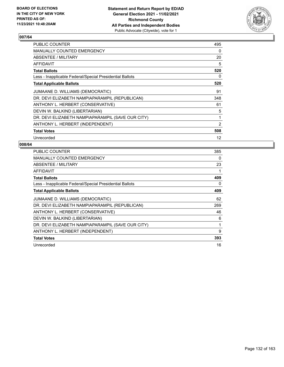

| PUBLIC COUNTER                                           | 495            |
|----------------------------------------------------------|----------------|
| <b>MANUALLY COUNTED EMERGENCY</b>                        | 0              |
| ABSENTEE / MILITARY                                      | 20             |
| AFFIDAVIT                                                | 5              |
| <b>Total Ballots</b>                                     | 520            |
| Less - Inapplicable Federal/Special Presidential Ballots | 0              |
| <b>Total Applicable Ballots</b>                          | 520            |
| JUMAANE D. WILLIAMS (DEMOCRATIC)                         | 91             |
| DR. DEVI ELIZABETH NAMPIAPARAMPIL (REPUBLICAN)           | 348            |
| ANTHONY L. HERBERT (CONSERVATIVE)                        | 61             |
| DEVIN W. BALKIND (LIBERTARIAN)                           | 5              |
| DR. DEVI ELIZABETH NAMPIAPARAMPIL (SAVE OUR CITY)        | 1              |
| ANTHONY L. HERBERT (INDEPENDENT)                         | $\overline{2}$ |
| <b>Total Votes</b>                                       | 508            |
| Unrecorded                                               | 12             |

| <b>PUBLIC COUNTER</b>                                    | 385 |
|----------------------------------------------------------|-----|
| <b>MANUALLY COUNTED EMERGENCY</b>                        | 0   |
| ABSENTEE / MILITARY                                      | 23  |
| <b>AFFIDAVIT</b>                                         |     |
| <b>Total Ballots</b>                                     | 409 |
| Less - Inapplicable Federal/Special Presidential Ballots | 0   |
| <b>Total Applicable Ballots</b>                          | 409 |
| JUMAANE D. WILLIAMS (DEMOCRATIC)                         | 62  |
| DR. DEVI ELIZABETH NAMPIAPARAMPIL (REPUBLICAN)           | 269 |
| ANTHONY L. HERBERT (CONSERVATIVE)                        | 46  |
| DEVIN W. BALKIND (LIBERTARIAN)                           | 6   |
| DR. DEVI ELIZABETH NAMPIAPARAMPIL (SAVE OUR CITY)        | 1   |
| ANTHONY L. HERBERT (INDEPENDENT)                         | 9   |
| <b>Total Votes</b>                                       | 393 |
| Unrecorded                                               | 16  |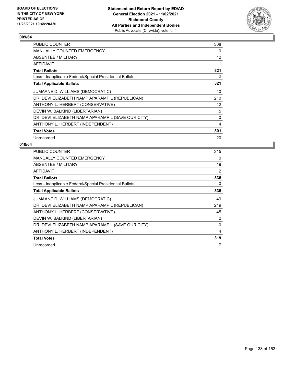

| <b>PUBLIC COUNTER</b>                                    | 308 |
|----------------------------------------------------------|-----|
| <b>MANUALLY COUNTED EMERGENCY</b>                        | 0   |
| <b>ABSENTEE / MILITARY</b>                               | 12  |
| AFFIDAVIT                                                | 1   |
| <b>Total Ballots</b>                                     | 321 |
| Less - Inapplicable Federal/Special Presidential Ballots | 0   |
| <b>Total Applicable Ballots</b>                          | 321 |
| JUMAANE D. WILLIAMS (DEMOCRATIC)                         | 40  |
| DR. DEVI ELIZABETH NAMPIAPARAMPIL (REPUBLICAN)           | 210 |
| ANTHONY L. HERBERT (CONSERVATIVE)                        | 42  |
| DEVIN W. BALKIND (LIBERTARIAN)                           | 5   |
| DR. DEVI ELIZABETH NAMPIAPARAMPIL (SAVE OUR CITY)        | 0   |
| ANTHONY L. HERBERT (INDEPENDENT)                         | 4   |
| <b>Total Votes</b>                                       | 301 |
| Unrecorded                                               | 20  |

| PUBLIC COUNTER                                           | 315            |
|----------------------------------------------------------|----------------|
| <b>MANUALLY COUNTED EMERGENCY</b>                        | 0              |
| ABSENTEE / MILITARY                                      | 19             |
| AFFIDAVIT                                                | 2              |
| <b>Total Ballots</b>                                     | 336            |
| Less - Inapplicable Federal/Special Presidential Ballots | 0              |
| <b>Total Applicable Ballots</b>                          | 336            |
| JUMAANE D. WILLIAMS (DEMOCRATIC)                         | 49             |
| DR. DEVI ELIZABETH NAMPIAPARAMPIL (REPUBLICAN)           | 219            |
| ANTHONY L. HERBERT (CONSERVATIVE)                        | 45             |
| DEVIN W. BALKIND (LIBERTARIAN)                           | $\overline{2}$ |
| DR. DEVI ELIZABETH NAMPIAPARAMPIL (SAVE OUR CITY)        | $\Omega$       |
| ANTHONY L. HERBERT (INDEPENDENT)                         | 4              |
| <b>Total Votes</b>                                       | 319            |
| Unrecorded                                               | 17             |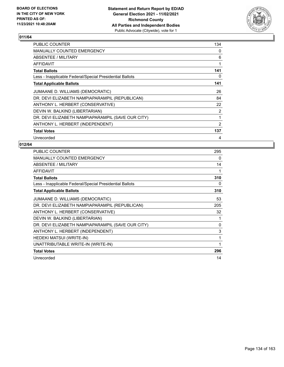

| PUBLIC COUNTER                                           | 134 |
|----------------------------------------------------------|-----|
| <b>MANUALLY COUNTED EMERGENCY</b>                        | 0   |
| ABSENTEE / MILITARY                                      | 6   |
| AFFIDAVIT                                                | 1   |
| <b>Total Ballots</b>                                     | 141 |
| Less - Inapplicable Federal/Special Presidential Ballots | 0   |
| <b>Total Applicable Ballots</b>                          | 141 |
| JUMAANE D. WILLIAMS (DEMOCRATIC)                         | 26  |
| DR. DEVI ELIZABETH NAMPIAPARAMPIL (REPUBLICAN)           | 84  |
| ANTHONY L. HERBERT (CONSERVATIVE)                        | 22  |
| DEVIN W. BALKIND (LIBERTARIAN)                           | 2   |
| DR. DEVI ELIZABETH NAMPIAPARAMPIL (SAVE OUR CITY)        | 1   |
| ANTHONY L. HERBERT (INDEPENDENT)                         | 2   |
| <b>Total Votes</b>                                       | 137 |
| Unrecorded                                               | 4   |

| PUBLIC COUNTER                                           | 295          |
|----------------------------------------------------------|--------------|
| <b>MANUALLY COUNTED EMERGENCY</b>                        | 0            |
| ABSENTEE / MILITARY                                      | 14           |
| <b>AFFIDAVIT</b>                                         | 1            |
| <b>Total Ballots</b>                                     | 310          |
| Less - Inapplicable Federal/Special Presidential Ballots | 0            |
| <b>Total Applicable Ballots</b>                          | 310          |
| JUMAANE D. WILLIAMS (DEMOCRATIC)                         | 53           |
| DR. DEVI ELIZABETH NAMPIAPARAMPIL (REPUBLICAN)           | 205          |
| ANTHONY L. HERBERT (CONSERVATIVE)                        | 32           |
| DEVIN W. BALKIND (LIBERTARIAN)                           | 1            |
| DR. DEVI ELIZABETH NAMPIAPARAMPIL (SAVE OUR CITY)        | $\mathbf{0}$ |
| ANTHONY L. HERBERT (INDEPENDENT)                         | 3            |
| HEDEKI MATSUI (WRITE-IN)                                 | 1            |
| UNATTRIBUTABLE WRITE-IN (WRITE-IN)                       | 1            |
| <b>Total Votes</b>                                       | 296          |
| Unrecorded                                               | 14           |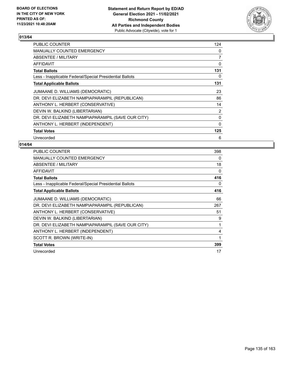

| <b>PUBLIC COUNTER</b>                                    | 124            |
|----------------------------------------------------------|----------------|
| MANUALLY COUNTED EMERGENCY                               | 0              |
| ABSENTEE / MILITARY                                      | 7              |
| AFFIDAVIT                                                | 0              |
| <b>Total Ballots</b>                                     | 131            |
| Less - Inapplicable Federal/Special Presidential Ballots | 0              |
| <b>Total Applicable Ballots</b>                          | 131            |
| JUMAANE D. WILLIAMS (DEMOCRATIC)                         | 23             |
| DR. DEVI ELIZABETH NAMPIAPARAMPIL (REPUBLICAN)           | 86             |
| ANTHONY L. HERBERT (CONSERVATIVE)                        | 14             |
| DEVIN W. BALKIND (LIBERTARIAN)                           | $\overline{2}$ |
| DR. DEVI ELIZABETH NAMPIAPARAMPIL (SAVE OUR CITY)        | 0              |
| ANTHONY L. HERBERT (INDEPENDENT)                         | $\mathbf{0}$   |
| <b>Total Votes</b>                                       | 125            |
| Unrecorded                                               | 6              |

| PUBLIC COUNTER                                           | 398 |
|----------------------------------------------------------|-----|
| MANUALLY COUNTED EMERGENCY                               | 0   |
| ABSENTEE / MILITARY                                      | 18  |
| <b>AFFIDAVIT</b>                                         | 0   |
| <b>Total Ballots</b>                                     | 416 |
| Less - Inapplicable Federal/Special Presidential Ballots | 0   |
| <b>Total Applicable Ballots</b>                          | 416 |
| JUMAANE D. WILLIAMS (DEMOCRATIC)                         | 66  |
| DR. DEVI ELIZABETH NAMPIAPARAMPIL (REPUBLICAN)           | 267 |
| ANTHONY L. HERBERT (CONSERVATIVE)                        | 51  |
| DEVIN W. BALKIND (LIBERTARIAN)                           | 9   |
| DR. DEVI ELIZABETH NAMPIAPARAMPIL (SAVE OUR CITY)        | 1   |
| ANTHONY L. HERBERT (INDEPENDENT)                         | 4   |
| SCOTT R. BROWN (WRITE-IN)                                | 1   |
| <b>Total Votes</b>                                       | 399 |
| Unrecorded                                               | 17  |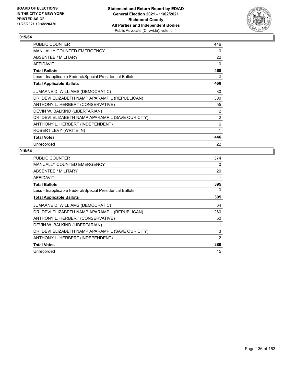

| PUBLIC COUNTER                                           | 446 |
|----------------------------------------------------------|-----|
| MANUALLY COUNTED EMERGENCY                               | 0   |
| ABSENTEE / MILITARY                                      | 22  |
| <b>AFFIDAVIT</b>                                         | 0   |
| <b>Total Ballots</b>                                     | 468 |
| Less - Inapplicable Federal/Special Presidential Ballots | 0   |
| <b>Total Applicable Ballots</b>                          | 468 |
| JUMAANE D. WILLIAMS (DEMOCRATIC)                         | 80  |
| DR. DEVI ELIZABETH NAMPIAPARAMPIL (REPUBLICAN)           | 300 |
| ANTHONY L. HERBERT (CONSERVATIVE)                        | 55  |
| DEVIN W. BALKIND (LIBERTARIAN)                           | 2   |
| DR. DEVI ELIZABETH NAMPIAPARAMPIL (SAVE OUR CITY)        | 2   |
| ANTHONY L. HERBERT (INDEPENDENT)                         | 6   |
| ROBERT LEVY (WRITE-IN)                                   | 1   |
| <b>Total Votes</b>                                       | 446 |
| Unrecorded                                               | 22  |

| PUBLIC COUNTER                                           | 374 |
|----------------------------------------------------------|-----|
| <b>MANUALLY COUNTED EMERGENCY</b>                        | 0   |
| <b>ABSENTEE / MILITARY</b>                               | 20  |
| AFFIDAVIT                                                | 1   |
| <b>Total Ballots</b>                                     | 395 |
| Less - Inapplicable Federal/Special Presidential Ballots | 0   |
| <b>Total Applicable Ballots</b>                          | 395 |
| JUMAANE D. WILLIAMS (DEMOCRATIC)                         | 64  |
| DR. DEVI ELIZABETH NAMPIAPARAMPIL (REPUBLICAN)           | 260 |
| ANTHONY L. HERBERT (CONSERVATIVE)                        | 50  |
| DEVIN W. BALKIND (LIBERTARIAN)                           | 1   |
| DR. DEVI ELIZABETH NAMPIAPARAMPIL (SAVE OUR CITY)        | 3   |
| ANTHONY L. HERBERT (INDEPENDENT)                         | 2   |
| <b>Total Votes</b>                                       | 380 |
| Unrecorded                                               | 15  |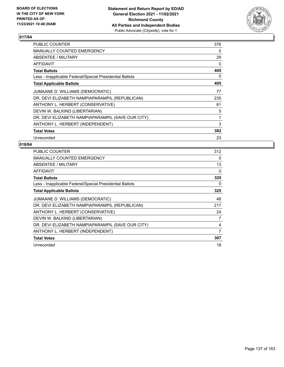

| PUBLIC COUNTER                                           | 376 |
|----------------------------------------------------------|-----|
| <b>MANUALLY COUNTED EMERGENCY</b>                        | 0   |
| ABSENTEE / MILITARY                                      | 29  |
| AFFIDAVIT                                                | 0   |
| <b>Total Ballots</b>                                     | 405 |
| Less - Inapplicable Federal/Special Presidential Ballots | 0   |
| <b>Total Applicable Ballots</b>                          | 405 |
| JUMAANE D. WILLIAMS (DEMOCRATIC)                         | 77  |
| DR. DEVI ELIZABETH NAMPIAPARAMPIL (REPUBLICAN)           | 235 |
| ANTHONY L. HERBERT (CONSERVATIVE)                        | 61  |
| DEVIN W. BALKIND (LIBERTARIAN)                           | 5   |
| DR. DEVI ELIZABETH NAMPIAPARAMPIL (SAVE OUR CITY)        | 1   |
| ANTHONY L. HERBERT (INDEPENDENT)                         | 3   |
| <b>Total Votes</b>                                       | 382 |
| Unrecorded                                               | 23  |

| <b>PUBLIC COUNTER</b>                                    | 312      |
|----------------------------------------------------------|----------|
| <b>MANUALLY COUNTED EMERGENCY</b>                        | $\Omega$ |
| ABSENTEE / MILITARY                                      | 13       |
| <b>AFFIDAVIT</b>                                         | $\Omega$ |
| <b>Total Ballots</b>                                     | 325      |
| Less - Inapplicable Federal/Special Presidential Ballots | 0        |
| <b>Total Applicable Ballots</b>                          | 325      |
| JUMAANE D. WILLIAMS (DEMOCRATIC)                         | 48       |
| DR. DEVI ELIZABETH NAMPIAPARAMPIL (REPUBLICAN)           | 217      |
| ANTHONY L. HERBERT (CONSERVATIVE)                        | 24       |
| DEVIN W. BALKIND (LIBERTARIAN)                           | 7        |
| DR. DEVI ELIZABETH NAMPIAPARAMPIL (SAVE OUR CITY)        | 4        |
| ANTHONY L. HERBERT (INDEPENDENT)                         | 7        |
| <b>Total Votes</b>                                       | 307      |
| Unrecorded                                               | 18       |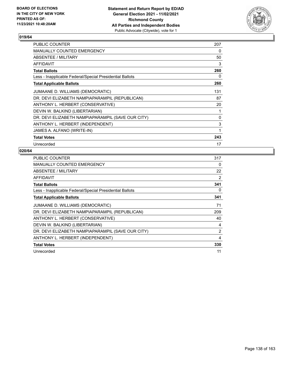

| <b>PUBLIC COUNTER</b>                                    | 207 |
|----------------------------------------------------------|-----|
| <b>MANUALLY COUNTED EMERGENCY</b>                        | 0   |
| ABSENTEE / MILITARY                                      | 50  |
| <b>AFFIDAVIT</b>                                         | 3   |
| <b>Total Ballots</b>                                     | 260 |
| Less - Inapplicable Federal/Special Presidential Ballots | 0   |
| <b>Total Applicable Ballots</b>                          | 260 |
| JUMAANE D. WILLIAMS (DEMOCRATIC)                         | 131 |
| DR. DEVI ELIZABETH NAMPIAPARAMPIL (REPUBLICAN)           | 87  |
| ANTHONY L. HERBERT (CONSERVATIVE)                        | 20  |
| DEVIN W. BALKIND (LIBERTARIAN)                           | 1   |
| DR. DEVI ELIZABETH NAMPIAPARAMPIL (SAVE OUR CITY)        | 0   |
| ANTHONY L. HERBERT (INDEPENDENT)                         | 3   |
| JAMES A. ALFANO (WRITE-IN)                               | 1   |
| <b>Total Votes</b>                                       | 243 |
| Unrecorded                                               | 17  |

| <b>PUBLIC COUNTER</b>                                    | 317            |
|----------------------------------------------------------|----------------|
| <b>MANUALLY COUNTED EMERGENCY</b>                        | 0              |
| ABSENTEE / MILITARY                                      | 22             |
| <b>AFFIDAVIT</b>                                         | 2              |
| <b>Total Ballots</b>                                     | 341            |
| Less - Inapplicable Federal/Special Presidential Ballots | 0              |
| <b>Total Applicable Ballots</b>                          | 341            |
| JUMAANE D. WILLIAMS (DEMOCRATIC)                         | 71             |
| DR. DEVI ELIZABETH NAMPIAPARAMPIL (REPUBLICAN)           | 209            |
| ANTHONY L. HERBERT (CONSERVATIVE)                        | 40             |
| DEVIN W. BALKIND (LIBERTARIAN)                           | 4              |
| DR. DEVI ELIZABETH NAMPIAPARAMPIL (SAVE OUR CITY)        | $\overline{2}$ |
| ANTHONY L. HERBERT (INDEPENDENT)                         | 4              |
| <b>Total Votes</b>                                       | 330            |
| Unrecorded                                               | 11             |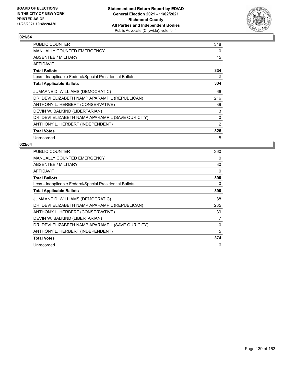

| <b>PUBLIC COUNTER</b>                                    | 318            |
|----------------------------------------------------------|----------------|
| <b>MANUALLY COUNTED EMERGENCY</b>                        | 0              |
| ABSENTEE / MILITARY                                      | 15             |
| <b>AFFIDAVIT</b>                                         | 1              |
| <b>Total Ballots</b>                                     | 334            |
| Less - Inapplicable Federal/Special Presidential Ballots | 0              |
| <b>Total Applicable Ballots</b>                          | 334            |
| JUMAANE D. WILLIAMS (DEMOCRATIC)                         | 66             |
| DR. DEVI ELIZABETH NAMPIAPARAMPIL (REPUBLICAN)           | 216            |
| ANTHONY L. HERBERT (CONSERVATIVE)                        | 39             |
| DEVIN W. BALKIND (LIBERTARIAN)                           | 3              |
| DR. DEVI ELIZABETH NAMPIAPARAMPIL (SAVE OUR CITY)        | 0              |
| ANTHONY L. HERBERT (INDEPENDENT)                         | $\overline{2}$ |
| <b>Total Votes</b>                                       | 326            |
| Unrecorded                                               | 8              |

| <b>PUBLIC COUNTER</b>                                    | 360 |
|----------------------------------------------------------|-----|
| <b>MANUALLY COUNTED EMERGENCY</b>                        | 0   |
| ABSENTEE / MILITARY                                      | 30  |
| <b>AFFIDAVIT</b>                                         | 0   |
| <b>Total Ballots</b>                                     | 390 |
| Less - Inapplicable Federal/Special Presidential Ballots | 0   |
| <b>Total Applicable Ballots</b>                          | 390 |
| JUMAANE D. WILLIAMS (DEMOCRATIC)                         | 88  |
| DR. DEVI ELIZABETH NAMPIAPARAMPIL (REPUBLICAN)           | 235 |
| ANTHONY L. HERBERT (CONSERVATIVE)                        | 39  |
| DEVIN W. BALKIND (LIBERTARIAN)                           | 7   |
| DR. DEVI ELIZABETH NAMPIAPARAMPIL (SAVE OUR CITY)        | 0   |
| ANTHONY L. HERBERT (INDEPENDENT)                         | 5   |
| <b>Total Votes</b>                                       | 374 |
| Unrecorded                                               | 16  |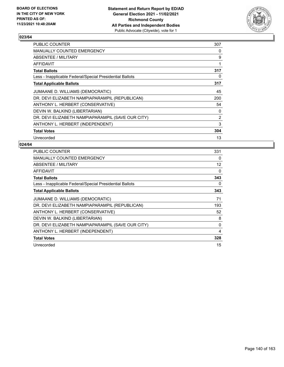

| PUBLIC COUNTER                                           | 307            |
|----------------------------------------------------------|----------------|
| <b>MANUALLY COUNTED EMERGENCY</b>                        | 0              |
| ABSENTEE / MILITARY                                      | 9              |
| AFFIDAVIT                                                | 1              |
| <b>Total Ballots</b>                                     | 317            |
| Less - Inapplicable Federal/Special Presidential Ballots | 0              |
| <b>Total Applicable Ballots</b>                          | 317            |
| JUMAANE D. WILLIAMS (DEMOCRATIC)                         | 45             |
| DR. DEVI ELIZABETH NAMPIAPARAMPIL (REPUBLICAN)           | 200            |
| ANTHONY L. HERBERT (CONSERVATIVE)                        | 54             |
| DEVIN W. BALKIND (LIBERTARIAN)                           | 0              |
| DR. DEVI ELIZABETH NAMPIAPARAMPIL (SAVE OUR CITY)        | $\overline{2}$ |
| ANTHONY L. HERBERT (INDEPENDENT)                         | 3              |
| <b>Total Votes</b>                                       | 304            |
| Unrecorded                                               | 13             |

| <b>PUBLIC COUNTER</b>                                    | 331 |
|----------------------------------------------------------|-----|
| <b>MANUALLY COUNTED EMERGENCY</b>                        | 0   |
| ABSENTEE / MILITARY                                      | 12  |
| <b>AFFIDAVIT</b>                                         | 0   |
| <b>Total Ballots</b>                                     | 343 |
| Less - Inapplicable Federal/Special Presidential Ballots | 0   |
| <b>Total Applicable Ballots</b>                          | 343 |
| JUMAANE D. WILLIAMS (DEMOCRATIC)                         | 71  |
| DR. DEVI ELIZABETH NAMPIAPARAMPIL (REPUBLICAN)           | 193 |
| ANTHONY L. HERBERT (CONSERVATIVE)                        | 52  |
| DEVIN W. BALKIND (LIBERTARIAN)                           | 8   |
| DR. DEVI ELIZABETH NAMPIAPARAMPIL (SAVE OUR CITY)        | 0   |
| ANTHONY L. HERBERT (INDEPENDENT)                         | 4   |
| <b>Total Votes</b>                                       | 328 |
| Unrecorded                                               | 15  |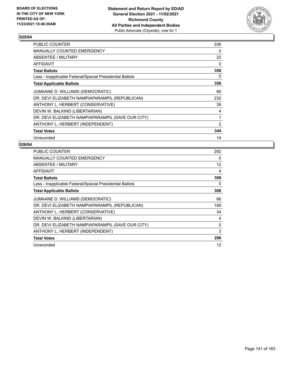

| PUBLIC COUNTER                                           | 336            |
|----------------------------------------------------------|----------------|
| <b>MANUALLY COUNTED EMERGENCY</b>                        | $\Omega$       |
| ABSENTEE / MILITARY                                      | 22             |
| AFFIDAVIT                                                | 0              |
| <b>Total Ballots</b>                                     | 358            |
| Less - Inapplicable Federal/Special Presidential Ballots | 0              |
| <b>Total Applicable Ballots</b>                          | 358            |
| JUMAANE D. WILLIAMS (DEMOCRATIC)                         | 66             |
| DR. DEVI ELIZABETH NAMPIAPARAMPIL (REPUBLICAN)           | 232            |
| ANTHONY L. HERBERT (CONSERVATIVE)                        | 39             |
| DEVIN W. BALKIND (LIBERTARIAN)                           | 4              |
| DR. DEVI ELIZABETH NAMPIAPARAMPIL (SAVE OUR CITY)        | 1              |
| ANTHONY L. HERBERT (INDEPENDENT)                         | $\overline{2}$ |
| <b>Total Votes</b>                                       | 344            |
| Unrecorded                                               | 14             |

| <b>PUBLIC COUNTER</b>                                    | 292      |
|----------------------------------------------------------|----------|
| <b>MANUALLY COUNTED EMERGENCY</b>                        | $\Omega$ |
| ABSENTEE / MILITARY                                      | 12       |
| AFFIDAVIT                                                | 4        |
| <b>Total Ballots</b>                                     | 308      |
| Less - Inapplicable Federal/Special Presidential Ballots | 0        |
| <b>Total Applicable Ballots</b>                          | 308      |
| JUMAANE D. WILLIAMS (DEMOCRATIC)                         | 66       |
| DR. DEVI ELIZABETH NAMPIAPARAMPIL (REPUBLICAN)           | 189      |
| ANTHONY L. HERBERT (CONSERVATIVE)                        | 34       |
| DEVIN W. BALKIND (LIBERTARIAN)                           | 4        |
| DR. DEVI ELIZABETH NAMPIAPARAMPIL (SAVE OUR CITY)        | 0        |
| ANTHONY L. HERBERT (INDEPENDENT)                         | 3        |
| <b>Total Votes</b>                                       | 296      |
| Unrecorded                                               | 12       |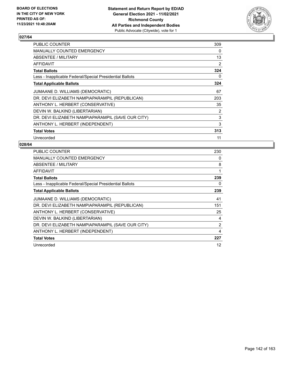

| <b>PUBLIC COUNTER</b>                                    | 309            |
|----------------------------------------------------------|----------------|
| MANUALLY COUNTED EMERGENCY                               | $\Omega$       |
| ABSENTEE / MILITARY                                      | 13             |
| <b>AFFIDAVIT</b>                                         | $\overline{2}$ |
| <b>Total Ballots</b>                                     | 324            |
| Less - Inapplicable Federal/Special Presidential Ballots | 0              |
| <b>Total Applicable Ballots</b>                          | 324            |
| JUMAANE D. WILLIAMS (DEMOCRATIC)                         | 67             |
| DR. DEVI ELIZABETH NAMPIAPARAMPIL (REPUBLICAN)           | 203            |
| ANTHONY L. HERBERT (CONSERVATIVE)                        | 35             |
| DEVIN W. BALKIND (LIBERTARIAN)                           | 2              |
| DR. DEVI ELIZABETH NAMPIAPARAMPIL (SAVE OUR CITY)        | 3              |
| ANTHONY L. HERBERT (INDEPENDENT)                         | 3              |
| <b>Total Votes</b>                                       | 313            |
| Unrecorded                                               | 11             |

| <b>PUBLIC COUNTER</b>                                    | 230 |
|----------------------------------------------------------|-----|
| <b>MANUALLY COUNTED EMERGENCY</b>                        | 0   |
| ABSENTEE / MILITARY                                      | 8   |
| <b>AFFIDAVIT</b>                                         | 1   |
| <b>Total Ballots</b>                                     | 239 |
| Less - Inapplicable Federal/Special Presidential Ballots | 0   |
| <b>Total Applicable Ballots</b>                          | 239 |
| JUMAANE D. WILLIAMS (DEMOCRATIC)                         | 41  |
| DR. DEVI ELIZABETH NAMPIAPARAMPIL (REPUBLICAN)           | 151 |
| ANTHONY L. HERBERT (CONSERVATIVE)                        | 25  |
| DEVIN W. BALKIND (LIBERTARIAN)                           | 4   |
| DR. DEVI ELIZABETH NAMPIAPARAMPIL (SAVE OUR CITY)        | 2   |
| ANTHONY L. HERBERT (INDEPENDENT)                         | 4   |
| <b>Total Votes</b>                                       | 227 |
| Unrecorded                                               | 12  |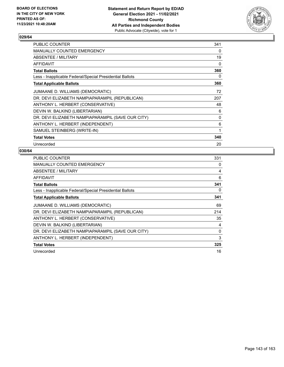

| PUBLIC COUNTER                                           | 341 |
|----------------------------------------------------------|-----|
| MANUALLY COUNTED EMERGENCY                               | 0   |
| ABSENTEE / MILITARY                                      | 19  |
| AFFIDAVIT                                                | 0   |
| <b>Total Ballots</b>                                     | 360 |
| Less - Inapplicable Federal/Special Presidential Ballots | 0   |
| <b>Total Applicable Ballots</b>                          | 360 |
| JUMAANE D. WILLIAMS (DEMOCRATIC)                         | 72  |
| DR. DEVI ELIZABETH NAMPIAPARAMPIL (REPUBLICAN)           | 207 |
| ANTHONY L. HERBERT (CONSERVATIVE)                        | 48  |
| DEVIN W. BALKIND (LIBERTARIAN)                           | 6   |
| DR. DEVI ELIZABETH NAMPIAPARAMPIL (SAVE OUR CITY)        | 0   |
| ANTHONY L. HERBERT (INDEPENDENT)                         | 6   |
| SAMUEL STEINBERG (WRITE-IN)                              | 1   |
| <b>Total Votes</b>                                       | 340 |
| Unrecorded                                               | 20  |

| <b>PUBLIC COUNTER</b>                                    | 331 |
|----------------------------------------------------------|-----|
| MANUALLY COUNTED EMERGENCY                               | 0   |
| ABSENTEE / MILITARY                                      | 4   |
| AFFIDAVIT                                                | 6   |
| <b>Total Ballots</b>                                     | 341 |
| Less - Inapplicable Federal/Special Presidential Ballots | 0   |
| <b>Total Applicable Ballots</b>                          | 341 |
| JUMAANE D. WILLIAMS (DEMOCRATIC)                         | 69  |
| DR. DEVI ELIZABETH NAMPIAPARAMPIL (REPUBLICAN)           | 214 |
| ANTHONY L. HERBERT (CONSERVATIVE)                        | 35  |
| DEVIN W. BALKIND (LIBERTARIAN)                           | 4   |
| DR. DEVI ELIZABETH NAMPIAPARAMPIL (SAVE OUR CITY)        | 0   |
| ANTHONY L. HERBERT (INDEPENDENT)                         | 3   |
| <b>Total Votes</b>                                       | 325 |
| Unrecorded                                               | 16  |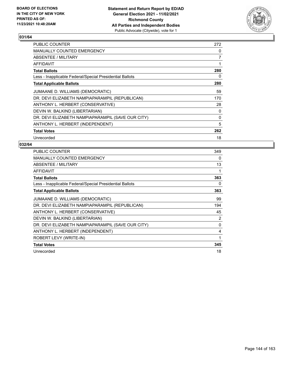

| <b>PUBLIC COUNTER</b>                                    | 272      |
|----------------------------------------------------------|----------|
| <b>MANUALLY COUNTED EMERGENCY</b>                        | 0        |
| ABSENTEE / MILITARY                                      | 7        |
| AFFIDAVIT                                                | 1        |
| <b>Total Ballots</b>                                     | 280      |
| Less - Inapplicable Federal/Special Presidential Ballots | 0        |
| <b>Total Applicable Ballots</b>                          | 280      |
| JUMAANE D. WILLIAMS (DEMOCRATIC)                         | 59       |
| DR. DEVI ELIZABETH NAMPIAPARAMPIL (REPUBLICAN)           | 170      |
| ANTHONY L. HERBERT (CONSERVATIVE)                        | 28       |
| DEVIN W. BALKIND (LIBERTARIAN)                           | 0        |
| DR. DEVI ELIZABETH NAMPIAPARAMPIL (SAVE OUR CITY)        | $\Omega$ |
| ANTHONY L. HERBERT (INDEPENDENT)                         | 5        |
| <b>Total Votes</b>                                       | 262      |
| Unrecorded                                               | 18       |

| <b>PUBLIC COUNTER</b>                                    | 349 |
|----------------------------------------------------------|-----|
| <b>MANUALLY COUNTED EMERGENCY</b>                        | 0   |
| ABSENTEE / MILITARY                                      | 13  |
| AFFIDAVIT                                                |     |
| <b>Total Ballots</b>                                     | 363 |
| Less - Inapplicable Federal/Special Presidential Ballots | 0   |
| <b>Total Applicable Ballots</b>                          | 363 |
| JUMAANE D. WILLIAMS (DEMOCRATIC)                         | 99  |
| DR. DEVI ELIZABETH NAMPIAPARAMPIL (REPUBLICAN)           | 194 |
| ANTHONY L. HERBERT (CONSERVATIVE)                        | 45  |
| DEVIN W. BALKIND (LIBERTARIAN)                           | 2   |
| DR. DEVI ELIZABETH NAMPIAPARAMPIL (SAVE OUR CITY)        | 0   |
| ANTHONY L. HERBERT (INDEPENDENT)                         | 4   |
| ROBERT LEVY (WRITE-IN)                                   | 1   |
| <b>Total Votes</b>                                       | 345 |
| Unrecorded                                               | 18  |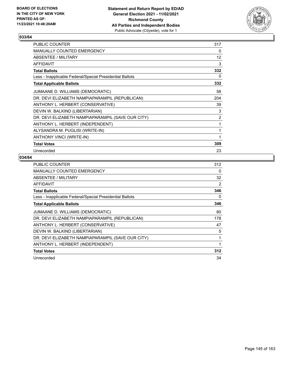

| PUBLIC COUNTER                                           | 317 |
|----------------------------------------------------------|-----|
| <b>MANUALLY COUNTED EMERGENCY</b>                        | 0   |
| <b>ABSENTEE / MILITARY</b>                               | 12  |
| AFFIDAVIT                                                | 3   |
| <b>Total Ballots</b>                                     | 332 |
| Less - Inapplicable Federal/Special Presidential Ballots | 0   |
| <b>Total Applicable Ballots</b>                          | 332 |
| JUMAANE D. WILLIAMS (DEMOCRATIC)                         | 58  |
| DR. DEVI ELIZABETH NAMPIAPARAMPIL (REPUBLICAN)           | 204 |
| ANTHONY L. HERBERT (CONSERVATIVE)                        | 39  |
| DEVIN W. BALKIND (LIBERTARIAN)                           | 3   |
| DR. DEVI ELIZABETH NAMPIAPARAMPIL (SAVE OUR CITY)        | 2   |
| ANTHONY L. HERBERT (INDEPENDENT)                         | 1   |
| ALYSANDRA M. PUGLISI (WRITE-IN)                          | 1   |
| ANTHONY VINCI (WRITE-IN)                                 | 1   |
| <b>Total Votes</b>                                       | 309 |
| Unrecorded                                               | 23  |

| PUBLIC COUNTER                                           | 312 |
|----------------------------------------------------------|-----|
| MANUALLY COUNTED EMERGENCY                               | 0   |
| ABSENTEE / MILITARY                                      | 32  |
| AFFIDAVIT                                                | 2   |
| <b>Total Ballots</b>                                     | 346 |
| Less - Inapplicable Federal/Special Presidential Ballots | 0   |
| <b>Total Applicable Ballots</b>                          | 346 |
| JUMAANE D. WILLIAMS (DEMOCRATIC)                         | 80  |
| DR. DEVI ELIZABETH NAMPIAPARAMPIL (REPUBLICAN)           | 178 |
| ANTHONY L. HERBERT (CONSERVATIVE)                        | 47  |
| DEVIN W. BALKIND (LIBERTARIAN)                           | 5   |
| DR. DEVI ELIZABETH NAMPIAPARAMPIL (SAVE OUR CITY)        | 1   |
| ANTHONY L. HERBERT (INDEPENDENT)                         | 1   |
| <b>Total Votes</b>                                       | 312 |
| Unrecorded                                               | 34  |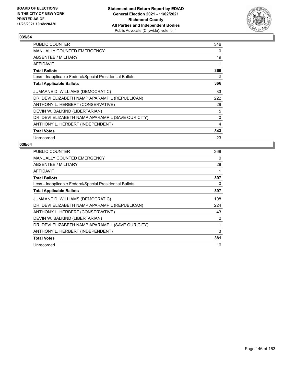

| PUBLIC COUNTER                                           | 346 |
|----------------------------------------------------------|-----|
| <b>MANUALLY COUNTED EMERGENCY</b>                        | 0   |
| ABSENTEE / MILITARY                                      | 19  |
| AFFIDAVIT                                                | 1   |
| <b>Total Ballots</b>                                     | 366 |
| Less - Inapplicable Federal/Special Presidential Ballots | 0   |
| <b>Total Applicable Ballots</b>                          | 366 |
| JUMAANE D. WILLIAMS (DEMOCRATIC)                         | 83  |
| DR. DEVI ELIZABETH NAMPIAPARAMPIL (REPUBLICAN)           | 222 |
| ANTHONY L. HERBERT (CONSERVATIVE)                        | 29  |
| DEVIN W. BALKIND (LIBERTARIAN)                           | 5   |
| DR. DEVI ELIZABETH NAMPIAPARAMPIL (SAVE OUR CITY)        | 0   |
| ANTHONY L. HERBERT (INDEPENDENT)                         | 4   |
| <b>Total Votes</b>                                       | 343 |
| Unrecorded                                               | 23  |

| <b>PUBLIC COUNTER</b>                                    | 368            |
|----------------------------------------------------------|----------------|
| <b>MANUALLY COUNTED EMERGENCY</b>                        | 0              |
| ABSENTEE / MILITARY                                      | 28             |
| <b>AFFIDAVIT</b>                                         |                |
| <b>Total Ballots</b>                                     | 397            |
| Less - Inapplicable Federal/Special Presidential Ballots | 0              |
| <b>Total Applicable Ballots</b>                          | 397            |
| JUMAANE D. WILLIAMS (DEMOCRATIC)                         | 108            |
| DR. DEVI ELIZABETH NAMPIAPARAMPIL (REPUBLICAN)           | 224            |
| ANTHONY L. HERBERT (CONSERVATIVE)                        | 43             |
| DEVIN W. BALKIND (LIBERTARIAN)                           | $\overline{2}$ |
| DR. DEVI ELIZABETH NAMPIAPARAMPIL (SAVE OUR CITY)        | 1              |
| ANTHONY L. HERBERT (INDEPENDENT)                         | 3              |
| <b>Total Votes</b>                                       | 381            |
| Unrecorded                                               | 16             |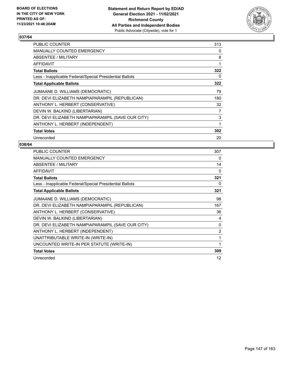

| <b>PUBLIC COUNTER</b>                                    | 313 |
|----------------------------------------------------------|-----|
| <b>MANUALLY COUNTED EMERGENCY</b>                        | 0   |
| ABSENTEE / MILITARY                                      | 8   |
| <b>AFFIDAVIT</b>                                         | 1   |
| <b>Total Ballots</b>                                     | 322 |
| Less - Inapplicable Federal/Special Presidential Ballots | 0   |
| <b>Total Applicable Ballots</b>                          | 322 |
| JUMAANE D. WILLIAMS (DEMOCRATIC)                         | 79  |
| DR. DEVI ELIZABETH NAMPIAPARAMPIL (REPUBLICAN)           | 180 |
| ANTHONY L. HERBERT (CONSERVATIVE)                        | 32  |
| DEVIN W. BALKIND (LIBERTARIAN)                           | 7   |
| DR. DEVI ELIZABETH NAMPIAPARAMPIL (SAVE OUR CITY)        | 3   |
| ANTHONY L. HERBERT (INDEPENDENT)                         | 1   |
| <b>Total Votes</b>                                       | 302 |
| Unrecorded                                               | 20  |

| PUBLIC COUNTER                                           | 307            |
|----------------------------------------------------------|----------------|
| <b>MANUALLY COUNTED EMERGENCY</b>                        | 0              |
| ABSENTEE / MILITARY                                      | 14             |
| <b>AFFIDAVIT</b>                                         | 0              |
| <b>Total Ballots</b>                                     | 321            |
| Less - Inapplicable Federal/Special Presidential Ballots | 0              |
| <b>Total Applicable Ballots</b>                          | 321            |
| JUMAANE D. WILLIAMS (DEMOCRATIC)                         | 98             |
| DR. DEVI ELIZABETH NAMPIAPARAMPIL (REPUBLICAN)           | 167            |
| ANTHONY L. HERBERT (CONSERVATIVE)                        | 36             |
| DEVIN W. BALKIND (LIBERTARIAN)                           | 4              |
| DR. DEVI ELIZABETH NAMPIAPARAMPIL (SAVE OUR CITY)        | $\Omega$       |
| ANTHONY L. HERBERT (INDEPENDENT)                         | $\overline{2}$ |
| UNATTRIBUTABLE WRITE-IN (WRITE-IN)                       | 1              |
| UNCOUNTED WRITE-IN PER STATUTE (WRITE-IN)                | 1              |
| <b>Total Votes</b>                                       | 309            |
| Unrecorded                                               | 12             |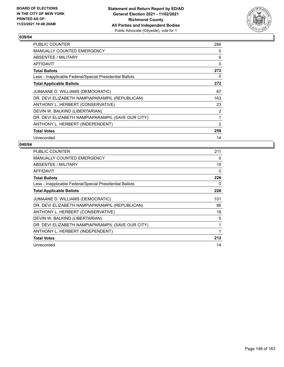

| <b>PUBLIC COUNTER</b>                                    | 266            |
|----------------------------------------------------------|----------------|
| <b>MANUALLY COUNTED EMERGENCY</b>                        | 0              |
| ABSENTEE / MILITARY                                      | 6              |
| AFFIDAVIT                                                | 0              |
| <b>Total Ballots</b>                                     | 272            |
| Less - Inapplicable Federal/Special Presidential Ballots | 0              |
| <b>Total Applicable Ballots</b>                          | 272            |
| JUMAANE D. WILLIAMS (DEMOCRATIC)                         | 67             |
| DR. DEVI ELIZABETH NAMPIAPARAMPIL (REPUBLICAN)           | 163            |
| ANTHONY L. HERBERT (CONSERVATIVE)                        | 23             |
| DEVIN W. BALKIND (LIBERTARIAN)                           | $\overline{2}$ |
| DR. DEVI ELIZABETH NAMPIAPARAMPIL (SAVE OUR CITY)        | 1              |
| ANTHONY L. HERBERT (INDEPENDENT)                         | 2              |
| <b>Total Votes</b>                                       | 258            |
| Unrecorded                                               | 14             |

| <b>PUBLIC COUNTER</b>                                    | 211      |
|----------------------------------------------------------|----------|
| <b>MANUALLY COUNTED EMERGENCY</b>                        | $\Omega$ |
| ABSENTEE / MILITARY                                      | 15       |
| AFFIDAVIT                                                | 0        |
| <b>Total Ballots</b>                                     | 226      |
| Less - Inapplicable Federal/Special Presidential Ballots | 0        |
| <b>Total Applicable Ballots</b>                          | 226      |
| JUMAANE D. WILLIAMS (DEMOCRATIC)                         | 101      |
| DR. DEVI ELIZABETH NAMPIAPARAMPIL (REPUBLICAN)           | 86       |
| ANTHONY L. HERBERT (CONSERVATIVE)                        | 18       |
| DEVIN W. BALKIND (LIBERTARIAN)                           | 5        |
| DR. DEVI ELIZABETH NAMPIAPARAMPIL (SAVE OUR CITY)        | 1        |
| ANTHONY L. HERBERT (INDEPENDENT)                         | 1        |
| <b>Total Votes</b>                                       | 212      |
| Unrecorded                                               | 14       |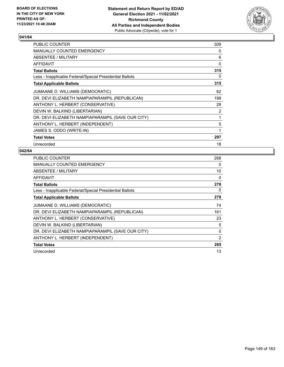

| PUBLIC COUNTER                                           | 309 |
|----------------------------------------------------------|-----|
| <b>MANUALLY COUNTED EMERGENCY</b>                        | 0   |
| ABSENTEE / MILITARY                                      | 6   |
| <b>AFFIDAVIT</b>                                         | 0   |
| <b>Total Ballots</b>                                     | 315 |
| Less - Inapplicable Federal/Special Presidential Ballots | 0   |
| <b>Total Applicable Ballots</b>                          | 315 |
| JUMAANE D. WILLIAMS (DEMOCRATIC)                         | 62  |
| DR. DEVI ELIZABETH NAMPIAPARAMPIL (REPUBLICAN)           | 198 |
| ANTHONY L. HERBERT (CONSERVATIVE)                        | 28  |
| DEVIN W. BALKIND (LIBERTARIAN)                           | 2   |
| DR. DEVI ELIZABETH NAMPIAPARAMPIL (SAVE OUR CITY)        | 1   |
| ANTHONY L. HERBERT (INDEPENDENT)                         | 5   |
| JAMES S. ODDO (WRITE-IN)                                 | 1   |
| <b>Total Votes</b>                                       | 297 |
| Unrecorded                                               | 18  |

| <b>PUBLIC COUNTER</b>                                    | 268 |
|----------------------------------------------------------|-----|
| MANUALLY COUNTED EMERGENCY                               | 0   |
| ABSENTEE / MILITARY                                      | 10  |
| <b>AFFIDAVIT</b>                                         | 0   |
| <b>Total Ballots</b>                                     | 278 |
| Less - Inapplicable Federal/Special Presidential Ballots | 0   |
| <b>Total Applicable Ballots</b>                          | 278 |
| JUMAANE D. WILLIAMS (DEMOCRATIC)                         | 74  |
| DR. DEVI ELIZABETH NAMPIAPARAMPIL (REPUBLICAN)           | 161 |
| ANTHONY L. HERBERT (CONSERVATIVE)                        | 23  |
| DEVIN W. BALKIND (LIBERTARIAN)                           | 5   |
| DR. DEVI ELIZABETH NAMPIAPARAMPIL (SAVE OUR CITY)        | 0   |
| ANTHONY L. HERBERT (INDEPENDENT)                         | 2   |
| <b>Total Votes</b>                                       | 265 |
| Unrecorded                                               | 13  |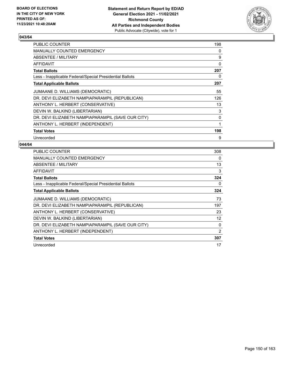

| PUBLIC COUNTER                                           | 198 |
|----------------------------------------------------------|-----|
| <b>MANUALLY COUNTED EMERGENCY</b>                        | 0   |
| ABSENTEE / MILITARY                                      | 9   |
| AFFIDAVIT                                                | 0   |
| <b>Total Ballots</b>                                     | 207 |
| Less - Inapplicable Federal/Special Presidential Ballots | 0   |
| <b>Total Applicable Ballots</b>                          | 207 |
| JUMAANE D. WILLIAMS (DEMOCRATIC)                         | 55  |
| DR. DEVI ELIZABETH NAMPIAPARAMPIL (REPUBLICAN)           | 126 |
| ANTHONY L. HERBERT (CONSERVATIVE)                        | 13  |
| DEVIN W. BALKIND (LIBERTARIAN)                           | 3   |
| DR. DEVI ELIZABETH NAMPIAPARAMPIL (SAVE OUR CITY)        | 0   |
| ANTHONY L. HERBERT (INDEPENDENT)                         | 1   |
| <b>Total Votes</b>                                       | 198 |
| Unrecorded                                               | 9   |

| <b>PUBLIC COUNTER</b>                                    | 308      |
|----------------------------------------------------------|----------|
| <b>MANUALLY COUNTED EMERGENCY</b>                        | $\Omega$ |
| ABSENTEE / MILITARY                                      | 13       |
| AFFIDAVIT                                                | 3        |
| <b>Total Ballots</b>                                     | 324      |
| Less - Inapplicable Federal/Special Presidential Ballots | 0        |
| <b>Total Applicable Ballots</b>                          | 324      |
| JUMAANE D. WILLIAMS (DEMOCRATIC)                         | 73       |
| DR. DEVI ELIZABETH NAMPIAPARAMPIL (REPUBLICAN)           | 197      |
| ANTHONY L. HERBERT (CONSERVATIVE)                        | 23       |
| DEVIN W. BALKIND (LIBERTARIAN)                           | 12       |
| DR. DEVI ELIZABETH NAMPIAPARAMPIL (SAVE OUR CITY)        | 0        |
| ANTHONY L. HERBERT (INDEPENDENT)                         | 2        |
| <b>Total Votes</b>                                       | 307      |
| Unrecorded                                               | 17       |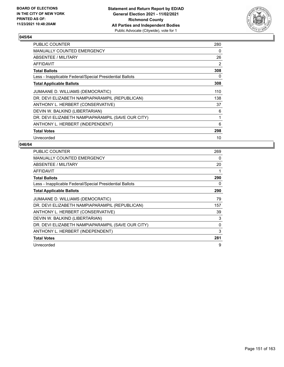

| <b>PUBLIC COUNTER</b>                                    | 280            |
|----------------------------------------------------------|----------------|
| <b>MANUALLY COUNTED EMERGENCY</b>                        | 0              |
| ABSENTEE / MILITARY                                      | 26             |
| AFFIDAVIT                                                | $\overline{2}$ |
| <b>Total Ballots</b>                                     | 308            |
| Less - Inapplicable Federal/Special Presidential Ballots | 0              |
| <b>Total Applicable Ballots</b>                          | 308            |
| JUMAANE D. WILLIAMS (DEMOCRATIC)                         | 110            |
| DR. DEVI ELIZABETH NAMPIAPARAMPIL (REPUBLICAN)           | 138            |
| ANTHONY L. HERBERT (CONSERVATIVE)                        | 37             |
| DEVIN W. BALKIND (LIBERTARIAN)                           | 6              |
| DR. DEVI ELIZABETH NAMPIAPARAMPIL (SAVE OUR CITY)        | 1              |
| ANTHONY L. HERBERT (INDEPENDENT)                         | 6              |
| <b>Total Votes</b>                                       | 298            |
| Unrecorded                                               | 10             |

| <b>PUBLIC COUNTER</b>                                    | 269      |
|----------------------------------------------------------|----------|
| <b>MANUALLY COUNTED EMERGENCY</b>                        | $\Omega$ |
| <b>ABSENTEE / MILITARY</b>                               | 20       |
| AFFIDAVIT                                                | 1        |
| <b>Total Ballots</b>                                     | 290      |
| Less - Inapplicable Federal/Special Presidential Ballots | 0        |
| <b>Total Applicable Ballots</b>                          | 290      |
| JUMAANE D. WILLIAMS (DEMOCRATIC)                         | 79       |
| DR. DEVI ELIZABETH NAMPIAPARAMPIL (REPUBLICAN)           | 157      |
| ANTHONY L. HERBERT (CONSERVATIVE)                        | 39       |
| DEVIN W. BALKIND (LIBERTARIAN)                           | 3        |
| DR. DEVI ELIZABETH NAMPIAPARAMPIL (SAVE OUR CITY)        | $\Omega$ |
| ANTHONY L. HERBERT (INDEPENDENT)                         | 3        |
| <b>Total Votes</b>                                       | 281      |
| Unrecorded                                               | 9        |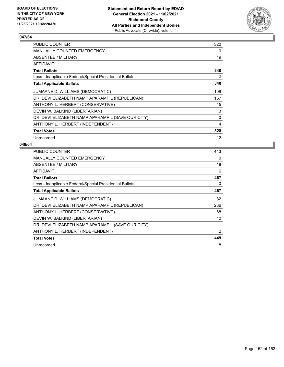

| <b>PUBLIC COUNTER</b>                                    | 320      |
|----------------------------------------------------------|----------|
| <b>MANUALLY COUNTED EMERGENCY</b>                        | 0        |
| <b>ABSENTEE / MILITARY</b>                               | 19       |
| AFFIDAVIT                                                | 1        |
| <b>Total Ballots</b>                                     | 340      |
| Less - Inapplicable Federal/Special Presidential Ballots | 0        |
| <b>Total Applicable Ballots</b>                          | 340      |
| JUMAANE D. WILLIAMS (DEMOCRATIC)                         | 109      |
| DR. DEVI ELIZABETH NAMPIAPARAMPIL (REPUBLICAN)           | 167      |
| ANTHONY L. HERBERT (CONSERVATIVE)                        | 45       |
| DEVIN W. BALKIND (LIBERTARIAN)                           | 3        |
| DR. DEVI ELIZABETH NAMPIAPARAMPIL (SAVE OUR CITY)        | $\Omega$ |
| ANTHONY L. HERBERT (INDEPENDENT)                         | 4        |
| <b>Total Votes</b>                                       | 328      |
| Unrecorded                                               | 12       |

| <b>PUBLIC COUNTER</b>                                    | 443 |
|----------------------------------------------------------|-----|
| MANUALLY COUNTED EMERGENCY                               | 0   |
| ABSENTEE / MILITARY                                      | 18  |
| AFFIDAVIT                                                | 6   |
| <b>Total Ballots</b>                                     | 467 |
| Less - Inapplicable Federal/Special Presidential Ballots | 0   |
| <b>Total Applicable Ballots</b>                          | 467 |
| JUMAANE D. WILLIAMS (DEMOCRATIC)                         | 82  |
| DR. DEVI ELIZABETH NAMPIAPARAMPIL (REPUBLICAN)           | 286 |
| ANTHONY L. HERBERT (CONSERVATIVE)                        | 68  |
| DEVIN W. BALKIND (LIBERTARIAN)                           | 10  |
| DR. DEVI ELIZABETH NAMPIAPARAMPIL (SAVE OUR CITY)        | 1   |
| ANTHONY L. HERBERT (INDEPENDENT)                         | 2   |
| <b>Total Votes</b>                                       | 449 |
| Unrecorded                                               | 18  |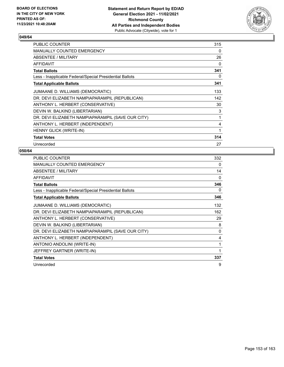

| <b>PUBLIC COUNTER</b>                                    | 315 |
|----------------------------------------------------------|-----|
| <b>MANUALLY COUNTED EMERGENCY</b>                        | 0   |
| ABSENTEE / MILITARY                                      | 26  |
| AFFIDAVIT                                                | 0   |
| <b>Total Ballots</b>                                     | 341 |
| Less - Inapplicable Federal/Special Presidential Ballots | 0   |
| <b>Total Applicable Ballots</b>                          | 341 |
| JUMAANE D. WILLIAMS (DEMOCRATIC)                         | 133 |
| DR. DEVI ELIZABETH NAMPIAPARAMPIL (REPUBLICAN)           | 142 |
| ANTHONY L. HERBERT (CONSERVATIVE)                        | 30  |
| DEVIN W. BALKIND (LIBERTARIAN)                           | 3   |
| DR. DEVI ELIZABETH NAMPIAPARAMPIL (SAVE OUR CITY)        | 1   |
| ANTHONY L. HERBERT (INDEPENDENT)                         | 4   |
| HENNY GLICK (WRITE-IN)                                   | 1   |
| <b>Total Votes</b>                                       | 314 |
| Unrecorded                                               | 27  |

| <b>PUBLIC COUNTER</b>                                    | 332 |
|----------------------------------------------------------|-----|
| <b>MANUALLY COUNTED EMERGENCY</b>                        | 0   |
| ABSENTEE / MILITARY                                      | 14  |
| <b>AFFIDAVIT</b>                                         | 0   |
| <b>Total Ballots</b>                                     | 346 |
| Less - Inapplicable Federal/Special Presidential Ballots | 0   |
| <b>Total Applicable Ballots</b>                          | 346 |
| JUMAANE D. WILLIAMS (DEMOCRATIC)                         | 132 |
| DR. DEVI ELIZABETH NAMPIAPARAMPIL (REPUBLICAN)           | 162 |
| ANTHONY L. HERBERT (CONSERVATIVE)                        | 29  |
| DEVIN W. BALKIND (LIBERTARIAN)                           | 8   |
| DR. DEVI ELIZABETH NAMPIAPARAMPIL (SAVE OUR CITY)        | 0   |
| ANTHONY L. HERBERT (INDEPENDENT)                         | 4   |
| ANTONIO ANDOLINI (WRITE-IN)                              | 1   |
| JEFFREY GARTNER (WRITE-IN)                               | 1   |
| <b>Total Votes</b>                                       | 337 |
| Unrecorded                                               | 9   |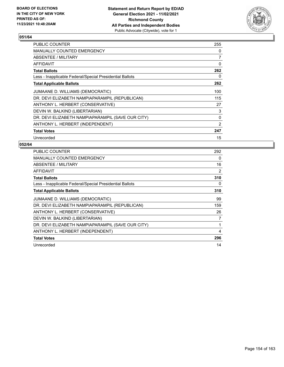

| PUBLIC COUNTER                                           | 255      |
|----------------------------------------------------------|----------|
| <b>MANUALLY COUNTED EMERGENCY</b>                        | $\Omega$ |
| ABSENTEE / MILITARY                                      | 7        |
| AFFIDAVIT                                                | 0        |
| <b>Total Ballots</b>                                     | 262      |
| Less - Inapplicable Federal/Special Presidential Ballots | 0        |
| <b>Total Applicable Ballots</b>                          | 262      |
| JUMAANE D. WILLIAMS (DEMOCRATIC)                         | 100      |
| DR. DEVI ELIZABETH NAMPIAPARAMPIL (REPUBLICAN)           | 115      |
| ANTHONY L. HERBERT (CONSERVATIVE)                        | 27       |
| DEVIN W. BALKIND (LIBERTARIAN)                           | 3        |
| DR. DEVI ELIZABETH NAMPIAPARAMPIL (SAVE OUR CITY)        | 0        |
| ANTHONY L. HERBERT (INDEPENDENT)                         | 2        |
| <b>Total Votes</b>                                       | 247      |
| Unrecorded                                               | 15       |

| <b>PUBLIC COUNTER</b>                                    | 292      |
|----------------------------------------------------------|----------|
| <b>MANUALLY COUNTED EMERGENCY</b>                        | $\Omega$ |
| ABSENTEE / MILITARY                                      | 16       |
| <b>AFFIDAVIT</b>                                         | 2        |
| <b>Total Ballots</b>                                     | 310      |
| Less - Inapplicable Federal/Special Presidential Ballots | 0        |
| <b>Total Applicable Ballots</b>                          | 310      |
| JUMAANE D. WILLIAMS (DEMOCRATIC)                         | 99       |
| DR. DEVI ELIZABETH NAMPIAPARAMPIL (REPUBLICAN)           | 159      |
| ANTHONY L. HERBERT (CONSERVATIVE)                        | 26       |
| DEVIN W. BALKIND (LIBERTARIAN)                           | 7        |
| DR. DEVI ELIZABETH NAMPIAPARAMPIL (SAVE OUR CITY)        | 1        |
| ANTHONY L. HERBERT (INDEPENDENT)                         | 4        |
| <b>Total Votes</b>                                       | 296      |
| Unrecorded                                               | 14       |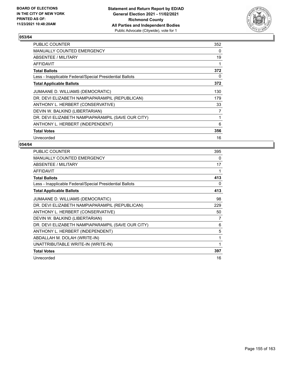

| PUBLIC COUNTER                                           | 352 |
|----------------------------------------------------------|-----|
| <b>MANUALLY COUNTED EMERGENCY</b>                        | 0   |
| ABSENTEE / MILITARY                                      | 19  |
| AFFIDAVIT                                                | 1   |
| <b>Total Ballots</b>                                     | 372 |
| Less - Inapplicable Federal/Special Presidential Ballots | 0   |
| <b>Total Applicable Ballots</b>                          | 372 |
| JUMAANE D. WILLIAMS (DEMOCRATIC)                         | 130 |
| DR. DEVI ELIZABETH NAMPIAPARAMPIL (REPUBLICAN)           | 179 |
| ANTHONY L. HERBERT (CONSERVATIVE)                        | 33  |
| DEVIN W. BALKIND (LIBERTARIAN)                           | 7   |
| DR. DEVI ELIZABETH NAMPIAPARAMPIL (SAVE OUR CITY)        | 1   |
| ANTHONY L. HERBERT (INDEPENDENT)                         | 6   |
| <b>Total Votes</b>                                       | 356 |
| Unrecorded                                               | 16  |

| PUBLIC COUNTER                                           | 395 |
|----------------------------------------------------------|-----|
| <b>MANUALLY COUNTED EMERGENCY</b>                        | 0   |
| ABSENTEE / MILITARY                                      | 17  |
| <b>AFFIDAVIT</b>                                         | 1   |
| <b>Total Ballots</b>                                     | 413 |
| Less - Inapplicable Federal/Special Presidential Ballots | 0   |
| <b>Total Applicable Ballots</b>                          | 413 |
| JUMAANE D. WILLIAMS (DEMOCRATIC)                         | 98  |
| DR. DEVI ELIZABETH NAMPIAPARAMPIL (REPUBLICAN)           | 229 |
| ANTHONY L. HERBERT (CONSERVATIVE)                        | 50  |
| DEVIN W. BALKIND (LIBERTARIAN)                           | 7   |
| DR. DEVI ELIZABETH NAMPIAPARAMPIL (SAVE OUR CITY)        | 6   |
| ANTHONY L. HERBERT (INDEPENDENT)                         | 5   |
| ABDALLAH M. DOLAH (WRITE-IN)                             | 1   |
| UNATTRIBUTABLE WRITE-IN (WRITE-IN)                       | 1   |
| <b>Total Votes</b>                                       | 397 |
| Unrecorded                                               | 16  |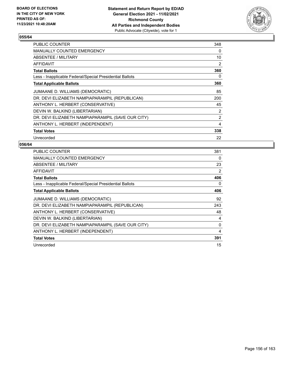

| PUBLIC COUNTER                                           | 348            |
|----------------------------------------------------------|----------------|
| <b>MANUALLY COUNTED EMERGENCY</b>                        | 0              |
| ABSENTEE / MILITARY                                      | 10             |
| <b>AFFIDAVIT</b>                                         | $\overline{2}$ |
| <b>Total Ballots</b>                                     | 360            |
| Less - Inapplicable Federal/Special Presidential Ballots | 0              |
| <b>Total Applicable Ballots</b>                          | 360            |
| JUMAANE D. WILLIAMS (DEMOCRATIC)                         | 85             |
| DR. DEVI ELIZABETH NAMPIAPARAMPIL (REPUBLICAN)           | 200            |
| ANTHONY L. HERBERT (CONSERVATIVE)                        | 45             |
| DEVIN W. BALKIND (LIBERTARIAN)                           | 2              |
| DR. DEVI ELIZABETH NAMPIAPARAMPIL (SAVE OUR CITY)        | 2              |
| ANTHONY L. HERBERT (INDEPENDENT)                         | 4              |
| <b>Total Votes</b>                                       | 338            |
| Unrecorded                                               | 22             |

| <b>PUBLIC COUNTER</b>                                    | 381      |
|----------------------------------------------------------|----------|
| <b>MANUALLY COUNTED EMERGENCY</b>                        | $\Omega$ |
| ABSENTEE / MILITARY                                      | 23       |
| <b>AFFIDAVIT</b>                                         | 2        |
| <b>Total Ballots</b>                                     | 406      |
| Less - Inapplicable Federal/Special Presidential Ballots | 0        |
| <b>Total Applicable Ballots</b>                          | 406      |
| JUMAANE D. WILLIAMS (DEMOCRATIC)                         | 92       |
| DR. DEVI ELIZABETH NAMPIAPARAMPIL (REPUBLICAN)           | 243      |
| ANTHONY L. HERBERT (CONSERVATIVE)                        | 48       |
| DEVIN W. BALKIND (LIBERTARIAN)                           | 4        |
| DR. DEVI ELIZABETH NAMPIAPARAMPIL (SAVE OUR CITY)        | 0        |
| ANTHONY L. HERBERT (INDEPENDENT)                         | 4        |
| <b>Total Votes</b>                                       | 391      |
| Unrecorded                                               | 15       |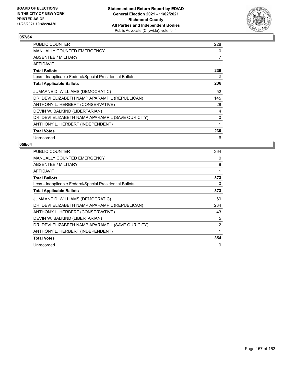

| PUBLIC COUNTER                                           | 228 |
|----------------------------------------------------------|-----|
| <b>MANUALLY COUNTED EMERGENCY</b>                        | 0   |
| ABSENTEE / MILITARY                                      | 7   |
| AFFIDAVIT                                                | 1   |
| <b>Total Ballots</b>                                     | 236 |
| Less - Inapplicable Federal/Special Presidential Ballots | 0   |
| <b>Total Applicable Ballots</b>                          | 236 |
| JUMAANE D. WILLIAMS (DEMOCRATIC)                         | 52  |
| DR. DEVI ELIZABETH NAMPIAPARAMPIL (REPUBLICAN)           | 145 |
| ANTHONY L. HERBERT (CONSERVATIVE)                        | 28  |
| DEVIN W. BALKIND (LIBERTARIAN)                           | 4   |
| DR. DEVI ELIZABETH NAMPIAPARAMPIL (SAVE OUR CITY)        | 0   |
| ANTHONY L. HERBERT (INDEPENDENT)                         | 1   |
| <b>Total Votes</b>                                       | 230 |
| Unrecorded                                               | 6   |

| <b>PUBLIC COUNTER</b>                                    | 364            |
|----------------------------------------------------------|----------------|
| <b>MANUALLY COUNTED EMERGENCY</b>                        | 0              |
| ABSENTEE / MILITARY                                      | 8              |
| <b>AFFIDAVIT</b>                                         | 1              |
| <b>Total Ballots</b>                                     | 373            |
| Less - Inapplicable Federal/Special Presidential Ballots | 0              |
| <b>Total Applicable Ballots</b>                          | 373            |
| JUMAANE D. WILLIAMS (DEMOCRATIC)                         | 69             |
| DR. DEVI ELIZABETH NAMPIAPARAMPIL (REPUBLICAN)           | 234            |
| ANTHONY L. HERBERT (CONSERVATIVE)                        | 43             |
| DEVIN W. BALKIND (LIBERTARIAN)                           | 5              |
| DR. DEVI ELIZABETH NAMPIAPARAMPIL (SAVE OUR CITY)        | $\overline{2}$ |
| ANTHONY L. HERBERT (INDEPENDENT)                         | 1              |
| <b>Total Votes</b>                                       | 354            |
| Unrecorded                                               | 19             |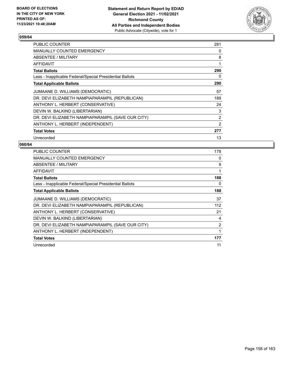

| <b>PUBLIC COUNTER</b>                                    | 281 |
|----------------------------------------------------------|-----|
| MANUALLY COUNTED EMERGENCY                               | 0   |
| ABSENTEE / MILITARY                                      | 8   |
| AFFIDAVIT                                                | 1   |
| <b>Total Ballots</b>                                     | 290 |
| Less - Inapplicable Federal/Special Presidential Ballots | 0   |
| <b>Total Applicable Ballots</b>                          | 290 |
| JUMAANE D. WILLIAMS (DEMOCRATIC)                         | 57  |
| DR. DEVI ELIZABETH NAMPIAPARAMPIL (REPUBLICAN)           | 189 |
| ANTHONY L. HERBERT (CONSERVATIVE)                        | 24  |
| DEVIN W. BALKIND (LIBERTARIAN)                           | 3   |
| DR. DEVI ELIZABETH NAMPIAPARAMPIL (SAVE OUR CITY)        | 2   |
| ANTHONY L. HERBERT (INDEPENDENT)                         | 2   |
| <b>Total Votes</b>                                       | 277 |
| Unrecorded                                               | 13  |

| <b>PUBLIC COUNTER</b>                                    | 178 |
|----------------------------------------------------------|-----|
| <b>MANUALLY COUNTED EMERGENCY</b>                        | 0   |
| ABSENTEE / MILITARY                                      | 9   |
| AFFIDAVIT                                                | 1   |
| <b>Total Ballots</b>                                     | 188 |
| Less - Inapplicable Federal/Special Presidential Ballots | 0   |
| <b>Total Applicable Ballots</b>                          | 188 |
| JUMAANE D. WILLIAMS (DEMOCRATIC)                         | 37  |
| DR. DEVI ELIZABETH NAMPIAPARAMPIL (REPUBLICAN)           | 112 |
| ANTHONY L. HERBERT (CONSERVATIVE)                        | 21  |
| DEVIN W. BALKIND (LIBERTARIAN)                           | 4   |
| DR. DEVI ELIZABETH NAMPIAPARAMPIL (SAVE OUR CITY)        | 2   |
| ANTHONY L. HERBERT (INDEPENDENT)                         | 1   |
| <b>Total Votes</b>                                       | 177 |
| Unrecorded                                               | 11  |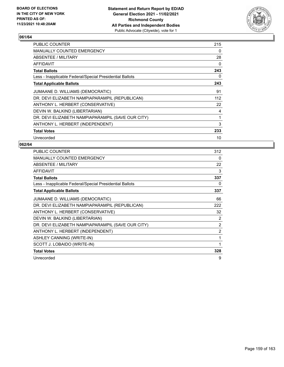

| <b>PUBLIC COUNTER</b>                                    | 215 |
|----------------------------------------------------------|-----|
| <b>MANUALLY COUNTED EMERGENCY</b>                        | 0   |
| ABSENTEE / MILITARY                                      | 28  |
| <b>AFFIDAVIT</b>                                         | 0   |
| <b>Total Ballots</b>                                     | 243 |
| Less - Inapplicable Federal/Special Presidential Ballots | 0   |
| <b>Total Applicable Ballots</b>                          | 243 |
| JUMAANE D. WILLIAMS (DEMOCRATIC)                         | 91  |
| DR. DEVI ELIZABETH NAMPIAPARAMPIL (REPUBLICAN)           | 112 |
| ANTHONY L. HERBERT (CONSERVATIVE)                        | 22  |
| DEVIN W. BALKIND (LIBERTARIAN)                           | 4   |
| DR. DEVI ELIZABETH NAMPIAPARAMPIL (SAVE OUR CITY)        | 1   |
| ANTHONY L. HERBERT (INDEPENDENT)                         | 3   |
| <b>Total Votes</b>                                       | 233 |
| Unrecorded                                               | 10  |

| PUBLIC COUNTER                                           | 312            |
|----------------------------------------------------------|----------------|
| <b>MANUALLY COUNTED EMERGENCY</b>                        | 0              |
| ABSENTEE / MILITARY                                      | 22             |
| <b>AFFIDAVIT</b>                                         | 3              |
| <b>Total Ballots</b>                                     | 337            |
| Less - Inapplicable Federal/Special Presidential Ballots | 0              |
| <b>Total Applicable Ballots</b>                          | 337            |
| JUMAANE D. WILLIAMS (DEMOCRATIC)                         | 66             |
| DR. DEVI ELIZABETH NAMPIAPARAMPIL (REPUBLICAN)           | 222            |
| ANTHONY L. HERBERT (CONSERVATIVE)                        | 32             |
| DEVIN W. BALKIND (LIBERTARIAN)                           | $\overline{2}$ |
| DR. DEVI ELIZABETH NAMPIAPARAMPIL (SAVE OUR CITY)        | $\overline{2}$ |
| ANTHONY L. HERBERT (INDEPENDENT)                         | $\overline{2}$ |
| ASHLEY CANNING (WRITE-IN)                                | 1              |
| SCOTT J. LOBAIDO (WRITE-IN)                              | 1              |
| <b>Total Votes</b>                                       | 328            |
| Unrecorded                                               | 9              |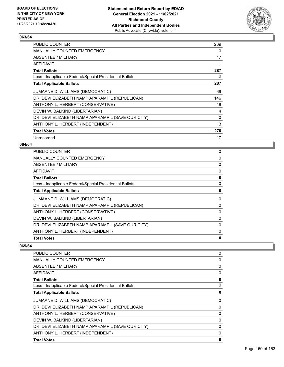

| <b>PUBLIC COUNTER</b>                                    | 269 |
|----------------------------------------------------------|-----|
| <b>MANUALLY COUNTED EMERGENCY</b>                        | 0   |
| ABSENTEE / MILITARY                                      | 17  |
| AFFIDAVIT                                                | 1   |
| <b>Total Ballots</b>                                     | 287 |
| Less - Inapplicable Federal/Special Presidential Ballots | 0   |
| <b>Total Applicable Ballots</b>                          | 287 |
| JUMAANE D. WILLIAMS (DEMOCRATIC)                         | 69  |
| DR. DEVI ELIZABETH NAMPIAPARAMPIL (REPUBLICAN)           | 146 |
| ANTHONY L. HERBERT (CONSERVATIVE)                        | 48  |
| DEVIN W. BALKIND (LIBERTARIAN)                           | 4   |
| DR. DEVI ELIZABETH NAMPIAPARAMPIL (SAVE OUR CITY)        | 0   |
| ANTHONY L. HERBERT (INDEPENDENT)                         | 3   |
| <b>Total Votes</b>                                       | 270 |
| Unrecorded                                               | 17  |

#### **064/64**

| <b>PUBLIC COUNTER</b>                                    | 0            |
|----------------------------------------------------------|--------------|
| MANUALLY COUNTED EMERGENCY                               | 0            |
| ABSENTEE / MILITARY                                      | 0            |
| AFFIDAVIT                                                | 0            |
| <b>Total Ballots</b>                                     | 0            |
| Less - Inapplicable Federal/Special Presidential Ballots | 0            |
| <b>Total Applicable Ballots</b>                          | 0            |
| JUMAANE D. WILLIAMS (DEMOCRATIC)                         | 0            |
| DR. DEVI ELIZABETH NAMPIAPARAMPIL (REPUBLICAN)           | 0            |
| ANTHONY L. HERBERT (CONSERVATIVE)                        | 0            |
| DEVIN W. BALKIND (LIBERTARIAN)                           | 0            |
| DR. DEVI ELIZABETH NAMPIAPARAMPIL (SAVE OUR CITY)        | 0            |
| ANTHONY L. HERBERT (INDEPENDENT)                         | 0            |
| <b>Total Votes</b>                                       | $\mathbf{0}$ |
|                                                          |              |

| <b>PUBLIC COUNTER</b>                                    | 0            |
|----------------------------------------------------------|--------------|
| MANUALLY COUNTED EMERGENCY                               | 0            |
| ABSENTEE / MILITARY                                      | $\Omega$     |
| <b>AFFIDAVIT</b>                                         | 0            |
| <b>Total Ballots</b>                                     | 0            |
| Less - Inapplicable Federal/Special Presidential Ballots | 0            |
| <b>Total Applicable Ballots</b>                          | 0            |
| JUMAANE D. WILLIAMS (DEMOCRATIC)                         | 0            |
| DR. DEVI ELIZABETH NAMPIAPARAMPIL (REPUBLICAN)           | 0            |
| ANTHONY L. HERBERT (CONSERVATIVE)                        | 0            |
| DEVIN W. BALKIND (LIBERTARIAN)                           | 0            |
| DR. DEVI ELIZABETH NAMPIAPARAMPIL (SAVE OUR CITY)        | 0            |
| ANTHONY L. HERBERT (INDEPENDENT)                         | 0            |
| <b>Total Votes</b>                                       | $\mathbf{0}$ |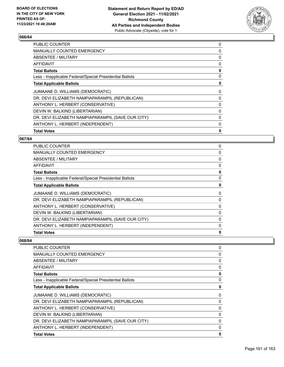

| <b>PUBLIC COUNTER</b>                                    | 0 |
|----------------------------------------------------------|---|
| <b>MANUALLY COUNTED EMERGENCY</b>                        | 0 |
| ABSENTEE / MILITARY                                      | 0 |
| <b>AFFIDAVIT</b>                                         | 0 |
| <b>Total Ballots</b>                                     | 0 |
| Less - Inapplicable Federal/Special Presidential Ballots | 0 |
| <b>Total Applicable Ballots</b>                          | 0 |
| JUMAANE D. WILLIAMS (DEMOCRATIC)                         | 0 |
| DR. DEVI ELIZABETH NAMPIAPARAMPIL (REPUBLICAN)           | 0 |
| ANTHONY L. HERBERT (CONSERVATIVE)                        | 0 |
| DEVIN W. BALKIND (LIBERTARIAN)                           | 0 |
| DR. DEVI ELIZABETH NAMPIAPARAMPIL (SAVE OUR CITY)        | 0 |
| ANTHONY L. HERBERT (INDEPENDENT)                         | 0 |
| <b>Total Votes</b>                                       | 0 |

# **067/64**

| 0 |
|---|
| 0 |
| 0 |
| 0 |
| 0 |
| 0 |
| 0 |
| 0 |
| 0 |
| 0 |
| 0 |
| 0 |
| 0 |
| 0 |
|   |

| <b>PUBLIC COUNTER</b>                                    | 0            |
|----------------------------------------------------------|--------------|
| <b>MANUALLY COUNTED EMERGENCY</b>                        | 0            |
| <b>ABSENTEE / MILITARY</b>                               | 0            |
| AFFIDAVIT                                                | $\mathbf{0}$ |
| <b>Total Ballots</b>                                     | 0            |
| Less - Inapplicable Federal/Special Presidential Ballots | 0            |
| <b>Total Applicable Ballots</b>                          | 0            |
| JUMAANE D. WILLIAMS (DEMOCRATIC)                         | 0            |
| DR. DEVI ELIZABETH NAMPIAPARAMPIL (REPUBLICAN)           | $\mathbf{0}$ |
| ANTHONY L. HERBERT (CONSERVATIVE)                        | 0            |
| DEVIN W. BALKIND (LIBERTARIAN)                           | 0            |
| DR. DEVI ELIZABETH NAMPIAPARAMPIL (SAVE OUR CITY)        | 0            |
| ANTHONY L. HERBERT (INDEPENDENT)                         | 0            |
| <b>Total Votes</b>                                       | 0            |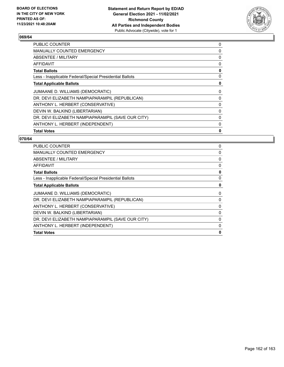

| <b>PUBLIC COUNTER</b>                                    | 0 |
|----------------------------------------------------------|---|
| <b>MANUALLY COUNTED EMERGENCY</b>                        | 0 |
| ABSENTEE / MILITARY                                      | 0 |
| AFFIDAVIT                                                | 0 |
| <b>Total Ballots</b>                                     | 0 |
| Less - Inapplicable Federal/Special Presidential Ballots | 0 |
| <b>Total Applicable Ballots</b>                          | 0 |
| JUMAANE D. WILLIAMS (DEMOCRATIC)                         | 0 |
| DR. DEVI ELIZABETH NAMPIAPARAMPIL (REPUBLICAN)           | 0 |
| ANTHONY L. HERBERT (CONSERVATIVE)                        | 0 |
| DEVIN W. BALKIND (LIBERTARIAN)                           | 0 |
| DR. DEVI ELIZABETH NAMPIAPARAMPIL (SAVE OUR CITY)        | 0 |
| ANTHONY L. HERBERT (INDEPENDENT)                         | 0 |
| <b>Total Votes</b>                                       | 0 |

| <b>PUBLIC COUNTER</b>                                    | 0 |
|----------------------------------------------------------|---|
| MANUALLY COUNTED EMERGENCY                               | 0 |
| ABSENTEE / MILITARY                                      | 0 |
| AFFIDAVIT                                                | 0 |
| <b>Total Ballots</b>                                     | 0 |
| Less - Inapplicable Federal/Special Presidential Ballots | 0 |
| <b>Total Applicable Ballots</b>                          | 0 |
| JUMAANE D. WILLIAMS (DEMOCRATIC)                         | 0 |
| DR. DEVI ELIZABETH NAMPIAPARAMPIL (REPUBLICAN)           | 0 |
| ANTHONY L. HERBERT (CONSERVATIVE)                        | 0 |
| DEVIN W. BALKIND (LIBERTARIAN)                           | 0 |
| DR. DEVI ELIZABETH NAMPIAPARAMPIL (SAVE OUR CITY)        | 0 |
| ANTHONY L. HERBERT (INDEPENDENT)                         | 0 |
| <b>Total Votes</b>                                       | 0 |